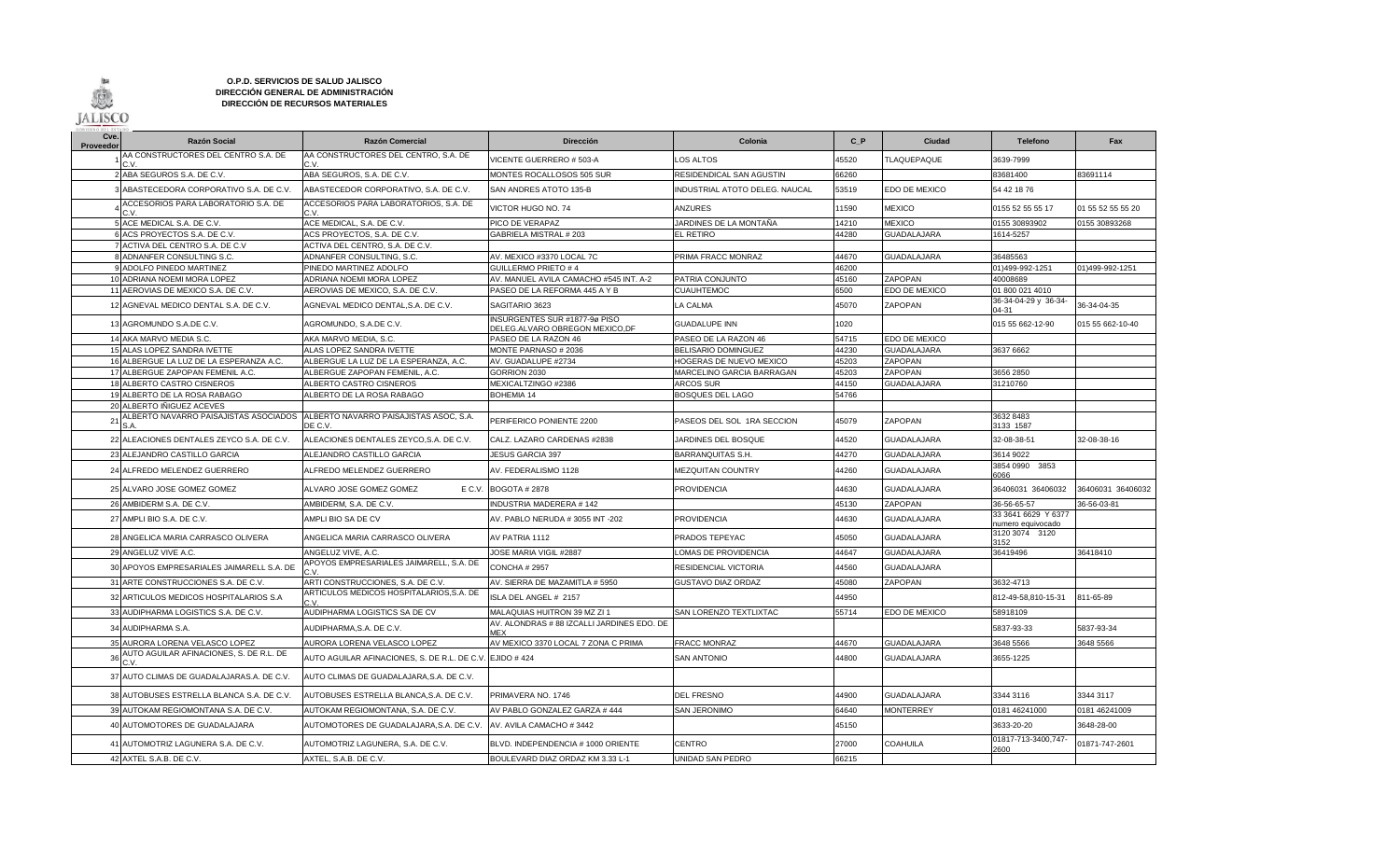

## **O.P.D. SERVICIOS DE SALUD JALISCO DIRECCIÓN GENERAL DE ADMINISTRACIÓN DIRECCIÓN DE RECURSOS MATERIALES**

| Cve.<br>Proveedor | <b>Razón Social</b>                                                             | <b>Razón Comercial</b>                                     | <b>Dirección</b>                                                 | Colonia                        | C P   | Ciudad             | <b>Telefono</b>                          | Fax               |
|-------------------|---------------------------------------------------------------------------------|------------------------------------------------------------|------------------------------------------------------------------|--------------------------------|-------|--------------------|------------------------------------------|-------------------|
|                   | AA CONSTRUCTORES DEL CENTRO S.A. DE                                             | AA CONSTRUCTORES DEL CENTRO, S.A. DE                       | VICENTE GUERRERO # 503-A                                         | LOS ALTOS                      | 45520 | <b>TLAQUEPAQUE</b> | 3639-7999                                |                   |
|                   | 2 ABA SEGUROS S.A. DE C.V                                                       | ABA SEGUROS, S.A. DE C.V.                                  | MONTES ROCALLOSOS 505 SUR                                        | RESIDENDICAL SAN AGUSTIN       | 66260 |                    | 83681400                                 | 83691114          |
|                   | ABASTECEDORA CORPORATIVO S.A. DE C.V                                            | ABASTECEDOR CORPORATIVO, S.A. DE C.V.                      | SAN ANDRES ATOTO 135-B                                           | INDUSTRIAL ATOTO DELEG. NAUCAL | 53519 | EDO DE MEXICO      | 54 42 18 76                              |                   |
|                   | ACCESORIOS PARA LABORATORIO S.A. DE                                             | ACCESORIOS PARA LABORATORIOS, S.A. DE<br>$\sim$ $\sqrt{ }$ | VICTOR HUGO NO. 74                                               | <b>ANZURES</b>                 | 11590 | <b>MEXICO</b>      | 0155 52 55 55 17                         | 01 55 52 55 55 20 |
|                   | 5 ACE MEDICAL S.A. DE C.V.                                                      | ACE MEDICAL, S.A. DE C.V.                                  | PICO DE VERAPAZ                                                  | JARDINES DE LA MONTAÑA         | 14210 | <b>MEXICO</b>      | 0155 30893902                            | 0155 30893268     |
|                   | 6 ACS PROYECTOS S.A. DE C.V.                                                    | ACS PROYECTOS, S.A. DE C.V.                                | GABRIELA MISTRAL # 203                                           | EL RETIRO                      | 44280 | <b>GUADALAJARA</b> | 1614-5257                                |                   |
|                   | 7 ACTIVA DEL CENTRO S.A. DE C.V                                                 | ACTIVA DEL CENTRO, S.A. DE C.V.                            |                                                                  |                                |       |                    |                                          |                   |
|                   | 8 ADNANFER CONSULTING S.C.                                                      | ADNANFER CONSULTING, S.C.                                  | AV. MEXICO #3370 LOCAL 7C                                        | PRIMA FRACC MONRAZ             | 44670 | <b>GUADALAJARA</b> | 36485563                                 |                   |
|                   | ADOLFO PINEDO MARTINEZ                                                          | PINEDO MARTINEZ ADOLFO                                     | GUILLERMO PRIETO # 4                                             |                                | 46200 |                    | 01)499-992-1251                          | 01)499-992-1251   |
|                   | 10 ADRIANA NOEMI MORA LOPEZ                                                     | ADRIANA NOEMI MORA LOPEZ                                   | AV. MANUEL AVILA CAMACHO #545 INT. A-2                           | PATRIA CONJUNTO                | 45160 | ZAPOPAN            | 40008689                                 |                   |
|                   | 11 AEROVIAS DE MEXICO S.A. DE C.V.                                              | AEROVIAS DE MEXICO, S.A. DE C.V.                           | PASEO DE LA REFORMA 445 A Y B                                    | <b>CUAUHTEMOC</b>              | 6500  | EDO DE MEXICO      | 01 800 021 4010                          |                   |
|                   | 12 AGNEVAL MEDICO DENTAL S.A. DE C.V.                                           | AGNEVAL MEDICO DENTAL, S.A. DE C.V.                        | SAGITARIO 3623                                                   | LA CALMA                       | 45070 | ZAPOPAN            | 36-34-04-29 y 36-34-<br>04-31            | 36-34-04-35       |
|                   | 13 AGROMUNDO S.A.DE C.V.                                                        | AGROMUNDO, S.A.DE C.V.                                     | INSURGENTES SUR #1877-9ø PISO<br>DELEG.ALVARO OBREGON MEXICO, DF | <b>GUADALUPE INN</b>           | 1020  |                    | 015 55 662-12-90                         | 015 55 662-10-40  |
|                   | 14 AKA MARVO MEDIA S.C.                                                         | AKA MARVO MEDIA, S.C.                                      | PASEO DE LA RAZON 46                                             | PASEO DE LA RAZON 46           | 54715 | EDO DE MEXICO      |                                          |                   |
|                   | 15 ALAS LOPEZ SANDRA IVETTE                                                     | ALAS LOPEZ SANDRA IVETTE                                   | MONTE PARNASO # 2036                                             | <b>BELISARIO DOMINGUEZ</b>     | 44230 | <b>GUADALAJARA</b> | 3637 6662                                |                   |
|                   | 16 ALBERGUE LA LUZ DE LA ESPERANZA A.C.                                         | ALBERGUE LA LUZ DE LA ESPERANZA, A.C.                      | AV. GUADALUPE #2734                                              | HOGERAS DE NUEVO MEXICO        | 45203 | ZAPOPAN            |                                          |                   |
|                   | 17 ALBERGUE ZAPOPAN FEMENIL A.C.                                                | ALBERGUE ZAPOPAN FEMENIL, A.C.                             | GORRION 2030                                                     | MARCELINO GARCIA BARRAGAN      | 45203 | ZAPOPAN            | 3656 2850                                |                   |
|                   | 18 ALBERTO CASTRO CISNEROS                                                      | ALBERTO CASTRO CISNEROS                                    | MEXICALTZINGO #2386                                              | ARCOS SUR                      | 44150 | <b>GUADALAJARA</b> | 31210760                                 |                   |
|                   | 19 ALBERTO DE LA ROSA RABAGO                                                    | ALBERTO DE LA ROSA RABAGO                                  | <b>BOHEMIA 14</b>                                                | BOSQUES DEL LAGO               | 54766 |                    |                                          |                   |
|                   | 20 ALBERTO INIGUEZ ACEVES                                                       |                                                            |                                                                  |                                |       |                    |                                          |                   |
| $\overline{2}$    | ILBERTO NAVARRO PAISAJISTAS ASOCIADOS   IALBERTO NAVARRO PAISAJISTAS ASOC. S.A. | DE C.V.                                                    | PERIFERICO PONIENTE 2200                                         | PASEOS DEL SOL 1RA SECCION     | 45079 | <b>ZAPOPAN</b>     | 3632 8483<br>3133 1587                   |                   |
|                   | 22 ALEACIONES DENTALES ZEYCO S.A. DE C.V.                                       | ALEACIONES DENTALES ZEYCO,S.A. DE C.V.                     | CALZ. LAZARO CARDENAS #2838                                      | JARDINES DEL BOSQUE            | 44520 | <b>GUADALAJARA</b> | 32-08-38-51                              | 32-08-38-16       |
|                   | 23 ALEJANDRO CASTILLO GARCIA                                                    | ALEJANDRO CASTILLO GARCIA                                  | <b>JESUS GARCIA 397</b>                                          | BARRANQUITAS S.H.              | 44270 | <b>GUADALAJARA</b> | 3614 9022                                |                   |
|                   | 24 ALFREDO MELENDEZ GUERRERO                                                    | ALFREDO MELENDEZ GUERRERO                                  | AV. FEDERALISMO 1128                                             | <b>MEZQUITAN COUNTRY</b>       | 44260 | <b>GUADALAJARA</b> | 3854 0990 3853<br>6066                   |                   |
|                   | 25 ALVARO JOSE GOMEZ GOMEZ                                                      | ALVARO JOSE GOMEZ GOMEZ<br>E C.V.                          | <b>BOGOTA #2878</b>                                              | <b>PROVIDENCIA</b>             | 44630 | <b>GUADALAJARA</b> | 36406031 36406032                        | 36406031 36406032 |
|                   | 26 AMBIDERM S.A. DE C.V.                                                        | AMBIDERM, S.A. DE C.V.                                     | <b>INDUSTRIA MADERERA #142</b>                                   |                                | 45130 | ZAPOPAN            | 36-56-65-57                              | 36-56-03-81       |
|                   | 27 AMPLI BIO S.A. DE C.V.                                                       | AMPLI BIO SA DE CV                                         | AV. PABLO NERUDA # 3055 INT -202                                 | <b>PROVIDENCIA</b>             | 44630 | <b>GUADALAJARA</b> | 33 3641 6629 Y 6377<br>numero equivocado |                   |
|                   | 28 ANGELICA MARIA CARRASCO OLIVERA                                              | ANGELICA MARIA CARRASCO OLIVERA                            | AV PATRIA 1112                                                   | PRADOS TEPEYAC                 | 45050 | <b>GUADALAJARA</b> | 3120 3074 3120<br>3152                   |                   |
|                   | 29 ANGELUZ VIVE A.C.                                                            | ANGELUZ VIVE, A.C.                                         | JOSE MARIA VIGIL #2887                                           | LOMAS DE PROVIDENCIA           | 44647 | <b>GUADALAJARA</b> | 36419496                                 | 36418410          |
| 30                | APOYOS EMPRESARIALES JAIMARELL S.A. DE                                          | APOYOS EMPRESARIALES JAIMARELL, S.A. DE                    | <b>CONCHA # 2957</b>                                             | RESIDENCIAL VICTORIA           | 44560 | <b>GUADALAJARA</b> |                                          |                   |
|                   | 31 ARTE CONSTRUCCIONES S.A. DE C.V.                                             | ARTI CONSTRUCCIONES, S.A. DE C.V.                          | AV. SIERRA DE MAZAMITLA # 5950                                   | <b>GUSTAVO DIAZ ORDAZ</b>      | 45080 | ZAPOPAN            | 3632-4713                                |                   |
| 32                | ARTICULOS MEDICOS HOSPITALARIOS S.A                                             | ARTICULOS MEDICOS HOSPITALARIOS, S.A. DE                   | ISLA DEL ANGEL # 2157                                            |                                | 44950 |                    | 812-49-58,810-15-31                      | 811-65-89         |
|                   | 33 AUDIPHARMA LOGISTICS S.A. DE C.V.                                            | AUDIPHARMA LOGISTICS SA DE CV                              | MALAQUIAS HUITRON 39 MZ ZI 1                                     | SAN LORENZO TEXTLIXTAC         | 55714 | EDO DE MEXICO      | 58918109                                 |                   |
|                   | 34 AUDIPHARMA S.A.                                                              | AUDIPHARMA, S.A. DE C.V.                                   | AV. ALONDRAS # 88 IZCALLI JARDINES EDO. DE<br><b>MFX</b>         |                                |       |                    | 5837-93-33                               | 5837-93-34        |
|                   | 35 AURORA LORENA VELASCO LOPEZ                                                  | AURORA LORENA VELASCO LOPEZ                                | AV MEXICO 3370 LOCAL 7 ZONA C PRIMA                              | <b>FRACC MONRAZ</b>            | 44670 | <b>GUADALAJARA</b> | 3648 5566                                | 3648 5566         |
| $\mathbf{3}$      | AUTO AGUILAR AFINACIONES, S. DE R.L. DE                                         | AUTO AGUILAR AFINACIONES, S. DE R.L. DE C.V. EJIDO # 424   |                                                                  | <b>SAN ANTONIO</b>             | 44800 | <b>GUADALAJARA</b> | 3655-1225                                |                   |
|                   | 37 AUTO CLIMAS DE GUADALAJARAS.A. DE C.V                                        | AUTO CLIMAS DE GUADALAJARA, S.A. DE C.V.                   |                                                                  |                                |       |                    |                                          |                   |
|                   | 38 AUTOBUSES ESTRELLA BLANCA S.A. DE C.V.                                       | AUTOBUSES ESTRELLA BLANCA, S.A. DE C.V.                    | PRIMAVERA NO. 1746                                               | <b>DEL FRESNO</b>              | 44900 | <b>GUADALAJARA</b> | 3344 3116                                | 3344 3117         |
|                   | 39 AUTOKAM REGIOMONTANA S.A. DE C.V.                                            | AUTOKAM REGIOMONTANA, S.A. DE C.V.                         | AV PABLO GONZALEZ GARZA # 444                                    | SAN JERONIMO                   | 64640 | <b>MONTERREY</b>   | 0181 46241000                            | 0181 46241009     |
|                   | 40 AUTOMOTORES DE GUADALAJARA                                                   | AUTOMOTORES DE GUADALAJARA, S.A. DE C.V.                   | AV. AVILA CAMACHO #3442                                          |                                | 45150 |                    | 3633-20-20                               | 3648-28-00        |
|                   | 41 AUTOMOTRIZ LAGUNERA S.A. DE C.V.                                             | AUTOMOTRIZ LAGUNERA, S.A. DE C.V.                          | BLVD. INDEPENDENCIA # 1000 ORIENTE                               | CENTRO                         | 27000 | <b>COAHUILA</b>    | 01817-713-3400,747-<br>2600              | 01871-747-2601    |
|                   | 42 AXTEL S.A.B. DE C.V.                                                         | AXTEL, S.A.B. DE C.V.                                      | BOULEVARD DIAZ ORDAZ KM 3.33 L-1                                 | UNIDAD SAN PEDRO               | 66215 |                    |                                          |                   |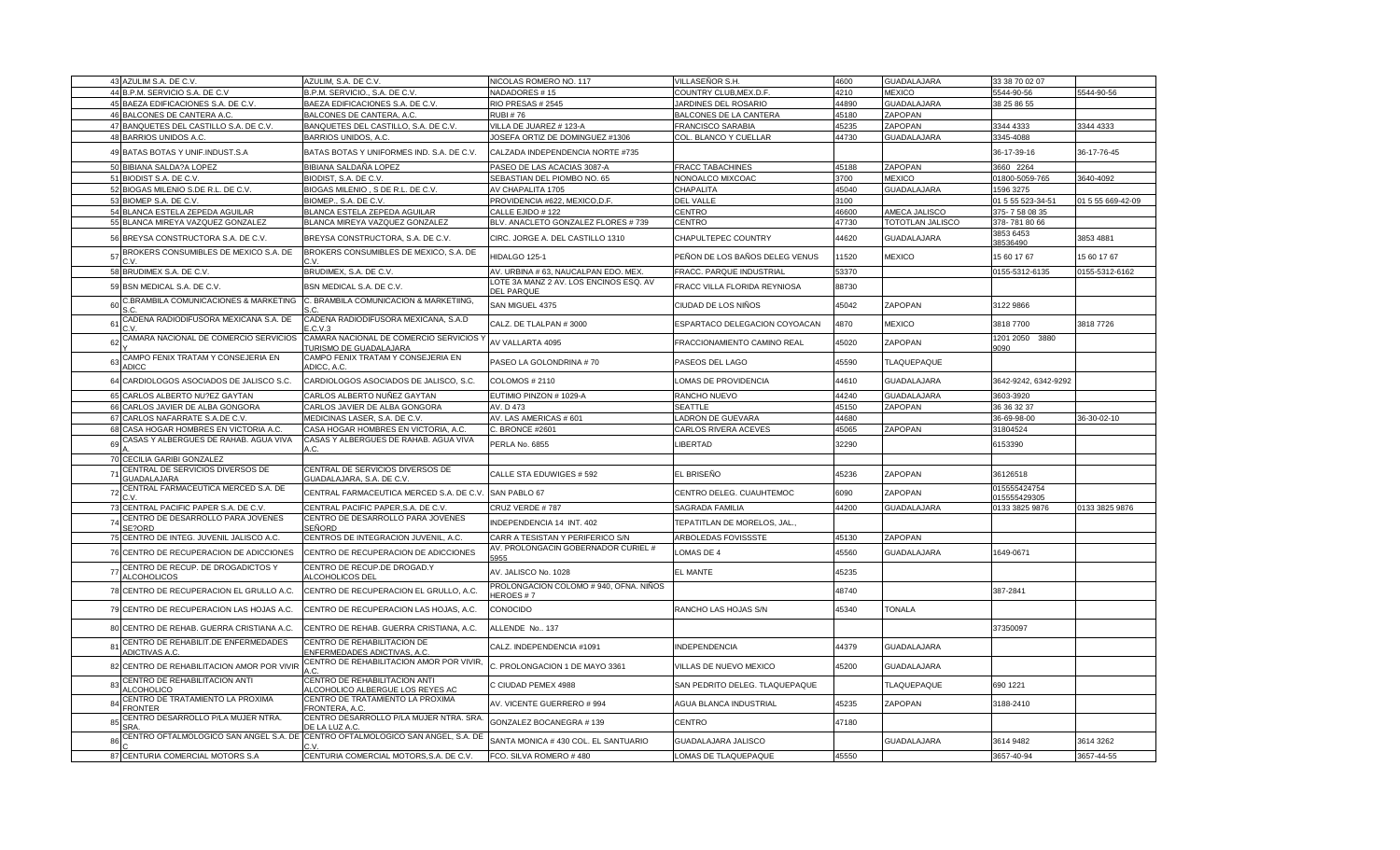|    | 43 AZULIM S.A. DE C.V                                   | AZULIM, S.A. DE C.V.                                                           | NICOLAS ROMERO NO. 117                                      | VILLASEÑOR S.H.                | 4600  | GUADALAJARA        | 33 38 70 02 07               |                   |
|----|---------------------------------------------------------|--------------------------------------------------------------------------------|-------------------------------------------------------------|--------------------------------|-------|--------------------|------------------------------|-------------------|
|    | 44 B.P.M. SERVICIO S.A. DE C.V                          | B.P.M. SERVICIO., S.A. DE C.V.                                                 | <b>JADADORES #15</b>                                        | COUNTRY CLUB, MEX.D.F.         | 4210  | <b>MEXICO</b>      | 5544-90-56                   | 5544-90-56        |
|    | 45 BAEZA EDIFICACIONES S.A. DE C.V.                     | BAEZA EDIFICACIONES S.A. DE C.V.                                               | RIO PRESAS # 2545                                           | JARDINES DEL ROSARIO           | 44890 | <b>GUADALAJARA</b> | 38 25 86 55                  |                   |
|    | 46 BALCONES DE CANTERA A.C.                             | BALCONES DE CANTERA, A.C.                                                      | <b>RUBI #76</b>                                             | BALCONES DE LA CANTERA         | 45180 | ZAPOPAN            |                              |                   |
|    | 47 BANQUETES DEL CASTILLO S.A. DE C.V.                  | BANQUETES DEL CASTILLO, S.A. DE C.V.                                           | VILLA DE JUAREZ # 123-A                                     | FRANCISCO SARABIA              | 45235 | ZAPOPAN            | 3344 4333                    | 3344 4333         |
|    | 48 BARRIOS UNIDOS A.C.                                  | BARRIOS UNIDOS, A.C.                                                           | JOSEFA ORTIZ DE DOMINGUEZ #1306                             | COL. BLANCO Y CUELLAR          | 44730 | GUADALAJARA        | 3345-4088                    |                   |
|    | 49 BATAS BOTAS Y UNIF.INDUST.S.A                        | BATAS BOTAS Y UNIFORMES IND. S.A. DE C.V.                                      | CALZADA INDEPENDENCIA NORTE #735                            |                                |       |                    | 36-17-39-16                  | 36-17-76-45       |
|    | 50 BIBIANA SALDA?A LOPEZ                                | BIBIANA SALDAÑA LOPEZ                                                          | PASEO DE LAS ACACIAS 3087-A                                 | <b>FRACC TABACHINES</b>        | 45188 | ZAPOPAN            | 3660 2264                    |                   |
|    | 51 BIODIST S.A. DE C.V                                  | BIODIST, S.A. DE C.V.                                                          | SEBASTIAN DEL PIOMBO NO. 65                                 | NONOALCO MIXCOAC               | 3700  | <b>MEXICO</b>      | 01800-5059-765               | 3640-4092         |
|    | 52 BIOGAS MILENIO S.DE R.L. DE C.V.                     | BIOGAS MILENIO, S DE R.L. DE C.V.                                              | AV CHAPALITA 1705                                           | CHAPALITA                      | 45040 | <b>GUADALAJARA</b> | 1596 3275                    |                   |
|    | 53 BIOMEP S.A. DE C.V.                                  | BIOMEP., S.A. DE C.V.                                                          | PROVIDENCIA #622, MEXICO, D.F.                              | DEL VALLE                      | 3100  |                    | 01 5 55 523-34-51            | 01 5 55 669-42-09 |
|    | 54 BLANCA ESTELA ZEPEDA AGUILAR                         | BLANCA ESTELA ZEPEDA AGUILAR                                                   | CALLE EJIDO # 122                                           | CENTRO                         | 46600 | AMECA JALISCO      | 375-7580835                  |                   |
|    | 55 BLANCA MIREYA VAZQUEZ GONZALEZ                       | BLANCA MIREYA VAZQUEZ GONZALEZ                                                 | BLV. ANACLETO GONZALEZ FLORES # 739                         | <b>CENTRO</b>                  | 47730 | TOTOTLAN JALISCO   | 378-7818066                  |                   |
|    | 56 BREYSA CONSTRUCTORA S.A. DE C.V.                     | BREYSA CONSTRUCTORA, S.A. DE C.V.                                              | CIRC. JORGE A. DEL CASTILLO 1310                            | CHAPULTEPEC COUNTRY            | 44620 | <b>GUADALAJARA</b> | 3853 6453<br>38536490        | 3853 4881         |
| 57 | BROKERS CONSUMIBLES DE MEXICO S.A. DE<br>C.V.           | BROKERS CONSUMIBLES DE MEXICO, S.A. DE<br>$\cdot$ v                            | HIDALGO 125-1                                               | PEÑON DE LOS BAÑOS DELEG VENUS | 11520 | <b>MEXICO</b>      | 15 60 17 67                  | 15 60 17 67       |
|    | 58 BRUDIMEX S.A. DE C.V.                                | BRUDIMEX, S.A. DE C.V.                                                         | AV. URBINA # 63, NAUCALPAN EDO. MEX.                        | FRACC. PARQUE INDUSTRIAL       | 53370 |                    | 0155-5312-6135               | 0155-5312-6162    |
|    | 59 BSN MEDICAL S.A. DE C.V.                             | BSN MEDICAL S.A. DE C.V.                                                       | LOTE 3A MANZ 2 AV. LOS ENCINOS ESQ. AV<br><b>DEL PARQUE</b> | FRACC VILLA FLORIDA REYNIOSA   | 88730 |                    |                              |                   |
| 60 | C.BRAMBILA COMUNICACIONES & MARKETING                   | C. BRAMBILA COMUNICACION & MARKETIING,                                         | SAN MIGUEL 4375                                             | CIUDAD DE LOS NIÑOS            | 45042 | ZAPOPAN            | 3122 9866                    |                   |
| 61 | CADENA RADIODIFUSORA MEXICANA S.A. DE                   | CADENA RADIODIFUSORA MEXICANA, S.A.D<br>C.V.3                                  | CALZ. DE TLALPAN #3000                                      | ESPARTACO DELEGACION COYOACAN  | 4870  | <b>MEXICO</b>      | 3818 7700                    | 3818 7726         |
| 62 | CAMARA NACIONAL DE COMERCIO SERVICIOS                   | CAMARA NACIONAL DE COMERCIO SERVICIOS<br><b>URISMO DE GUADALAJARA</b>          | AV VALLARTA 4095                                            | FRACCIONAMIENTO CAMINO REAL    | 45020 | ZAPOPAN            | 1201 2050 3880<br>9090       |                   |
| 63 | CAMPO FENIX TRATAM Y CONSEJERIA EN<br>ADICC             | CAMPO FENIX TRATAM Y CONSEJERIA EN<br>ADICC, A.C.                              | PASEO LA GOLONDRINA #70                                     | PASEOS DEL LAGO                | 45590 | TLAQUEPAQUE        |                              |                   |
| 64 | CARDIOLOGOS ASOCIADOS DE JALISCO S.C.                   | CARDIOLOGOS ASOCIADOS DE JALISCO, S.C.                                         | <b>COLOMOS # 2110</b>                                       | LOMAS DE PROVIDENCIA           | 44610 | <b>GUADALAJARA</b> | 3642-9242, 6342-9292         |                   |
|    | 65 CARLOS ALBERTO NU?EZ GAYTAN                          | CARLOS ALBERTO NUÑEZ GAYTAN                                                    | EUTIMIO PINZON # 1029-A                                     | RANCHO NUEVO                   | 44240 | GUADALAJARA        | 3603-3920                    |                   |
|    | 66 CARLOS JAVIER DE ALBA GONGORA                        | CARLOS JAVIER DE ALBA GONGORA                                                  | AV. D 473                                                   | SEATTLE                        | 45150 | ZAPOPAN            | 36 36 32 37                  |                   |
|    | 67 CARLOS NAFARRATE S.A.DE C.V.                         | MEDICINAS LASER, S.A. DE C.V                                                   | AV. LAS AMERICAS # 601                                      | LADRON DE GUEVARA              | 44680 |                    | 36-69-98-00                  | 36-30-02-10       |
|    | 68 CASA HOGAR HOMBRES EN VICTORIA A.C.                  | CASA HOGAR HOMBRES EN VICTORIA, A.C.                                           | C. BRONCE #2601                                             | CARLOS RIVERA ACEVES           | 45065 | ZAPOPAN            | 31804524                     |                   |
| 69 | CASAS Y ALBERGUES DE RAHAB. AGUA VIVA                   | CASAS Y ALBERGUES DE RAHAB. AGUA VIVA<br>A.C.                                  | PERLA No. 6855                                              | LIBERTAD                       | 32290 |                    | 6153390                      |                   |
|    | 70 CECILIA GARIBI GONZALEZ                              |                                                                                |                                                             |                                |       |                    |                              |                   |
| 71 | CENTRAL DE SERVICIOS DIVERSOS DE<br>GUADALAJARA         | CENTRAL DE SERVICIOS DIVERSOS DE<br>GUADALAJARA, S.A. DE C.V.                  | CALLE STA EDUWIGES # 592                                    | EL BRISEÑO                     | 45236 | ZAPOPAN            | 36126518                     |                   |
| 72 | CENTRAL FARMACEUTICA MERCED S.A. DE                     | CENTRAL FARMACEUTICA MERCED S.A. DE C.V                                        | SAN PABLO 67                                                | CENTRO DELEG. CUAUHTEMOC       | 6090  | ZAPOPAN            | 015555424754<br>015555429305 |                   |
|    | 73 CENTRAL PACIFIC PAPER S.A. DE C.V                    | CENTRAL PACIFIC PAPER.S.A. DE C.V                                              | CRUZ VERDE #787                                             | SAGRADA FAMILIA                | 44200 | <b>GUADALAJARA</b> | 0133 3825 9876               | 0133 3825 9876    |
| 74 | CENTRO DE DESARROLLO PARA JOVENES<br>SE?ORD             | CENTRO DE DESARROLLO PARA JOVENES<br>SEÑORD                                    | NDEPENDENCIA 14 INT. 402                                    | TEPATITLAN DE MORELOS, JAL.    |       |                    |                              |                   |
|    | 75 CENTRO DE INTEG. JUVENIL JALISCO A.C.                | CENTROS DE INTEGRACION JUVENIL, A.C.                                           | CARR A TESISTAN Y PERIFERICO S/N                            | ARBOLEDAS FOVISSSTE            | 45130 | ZAPOPAN            |                              |                   |
|    | 76 CENTRO DE RECUPERACION DE ADICCIONES                 | CENTRO DE RECUPERACION DE ADICCIONES                                           | AV. PROLONGACIN GOBERNADOR CURIEL #<br>5955                 | LOMAS DE 4                     | 45560 | <b>GUADALAJARA</b> | 1649-0671                    |                   |
| 77 | CENTRO DE RECUP. DE DROGADICTOS Y<br><b>ALCOHOLICOS</b> | CENTRO DE RECUP.DE DROGAD.Y<br>ALCOHOLICOS DEI                                 | AV. JALISCO No. 1028                                        | EL MANTE                       | 45235 |                    |                              |                   |
|    | 78 CENTRO DE RECUPERACION EL GRULLO A.C.                | CENTRO DE RECUPERACION EL GRULLO, A.C.                                         | PROLONGACION COLOMO # 940, OFNA. NIÑOS<br><b>HEROES#7</b>   |                                | 48740 |                    | 387-2841                     |                   |
|    | 79 CENTRO DE RECUPERACION LAS HOJAS A.C.                | CENTRO DE RECUPERACION LAS HOJAS, A.C.                                         | CONOCIDO                                                    | RANCHO LAS HOJAS S/N           | 15340 | <b>TONALA</b>      |                              |                   |
|    | 80 CENTRO DE REHAB. GUERRA CRISTIANA A.C.               | CENTRO DE REHAB. GUERRA CRISTIANA, A.C.                                        | ALLENDE No 137                                              |                                |       |                    | 37350097                     |                   |
| 8' | CENTRO DE REHABILIT.DE ENFERMEDADES<br>ADICTIVAS A.C.   | CENTRO DE REHABILITACION DE<br><b>ENFERMEDADES ADICTIVAS, A.C.</b>             | CALZ. INDEPENDENCIA #1091                                   | <b>INDEPENDENCIA</b>           | 44379 | <b>GUADALAJARA</b> |                              |                   |
| 82 | CENTRO DE REHABILITACION AMOR POR VIVIR                 | CENTRO DE REHABILITACION AMOR POR VIVIR,                                       | C. PROLONGACION 1 DE MAYO 3361                              | VILLAS DE NUEVO MEXICO         | 45200 | GUADALAJARA        |                              |                   |
| 83 | CENTRO DE REHABILITACION ANTI<br><b>ILCOHOLICO</b>      | CENTRO DE REHABILITACION ANTI<br><u>ALCOHOLICO ALBERGUE LOS REYES AC</u>       | C CIUDAD PEMEX 4988                                         | SAN PEDRITO DELEG. TLAQUEPAQUE |       | TLAQUEPAQUE        | 690 1221                     |                   |
| 84 | CENTRO DE TRATAMIENTO LA PROXIMA<br><b>FRONTER</b>      | CENTRO DE TRATAMIENTO LA PROXIMA<br>FRONTERA, A.C.                             | AV. VICENTE GUERRERO # 994                                  | AGUA BLANCA INDUSTRIAL         | 45235 | ZAPOPAN            | 3188-2410                    |                   |
|    | CENTRO DESARROLLO P/LA MUJER NTRA.                      | CENTRO DESARROLLO P/LA MUJER NTRA. SRA<br><b>DE LA LUZ A.C</b>                 | GONZALEZ BOCANEGRA # 139                                    | CENTRO                         | 47180 |                    |                              |                   |
|    |                                                         | CENTRO OFTALMOLOGICO SAN ANGEL S.A. DE CENTRO OFTALMOLOGICO SAN ANGEL, S.A. DE | SANTA MONICA # 430 COL. EL SANTUARIO                        | GUADALAJARA JALISCO            |       | <b>GUADALAJARA</b> | 3614 9482                    | 3614 3262         |
|    | 87 CENTURIA COMERCIAL MOTORS S.A                        | CENTURIA COMERCIAL MOTORS, S.A. DE C.V.                                        | FCO. SILVA ROMERO #480                                      | LOMAS DE TLAQUEPAQUE           | 45550 |                    | 3657-40-94                   | 3657-44-55        |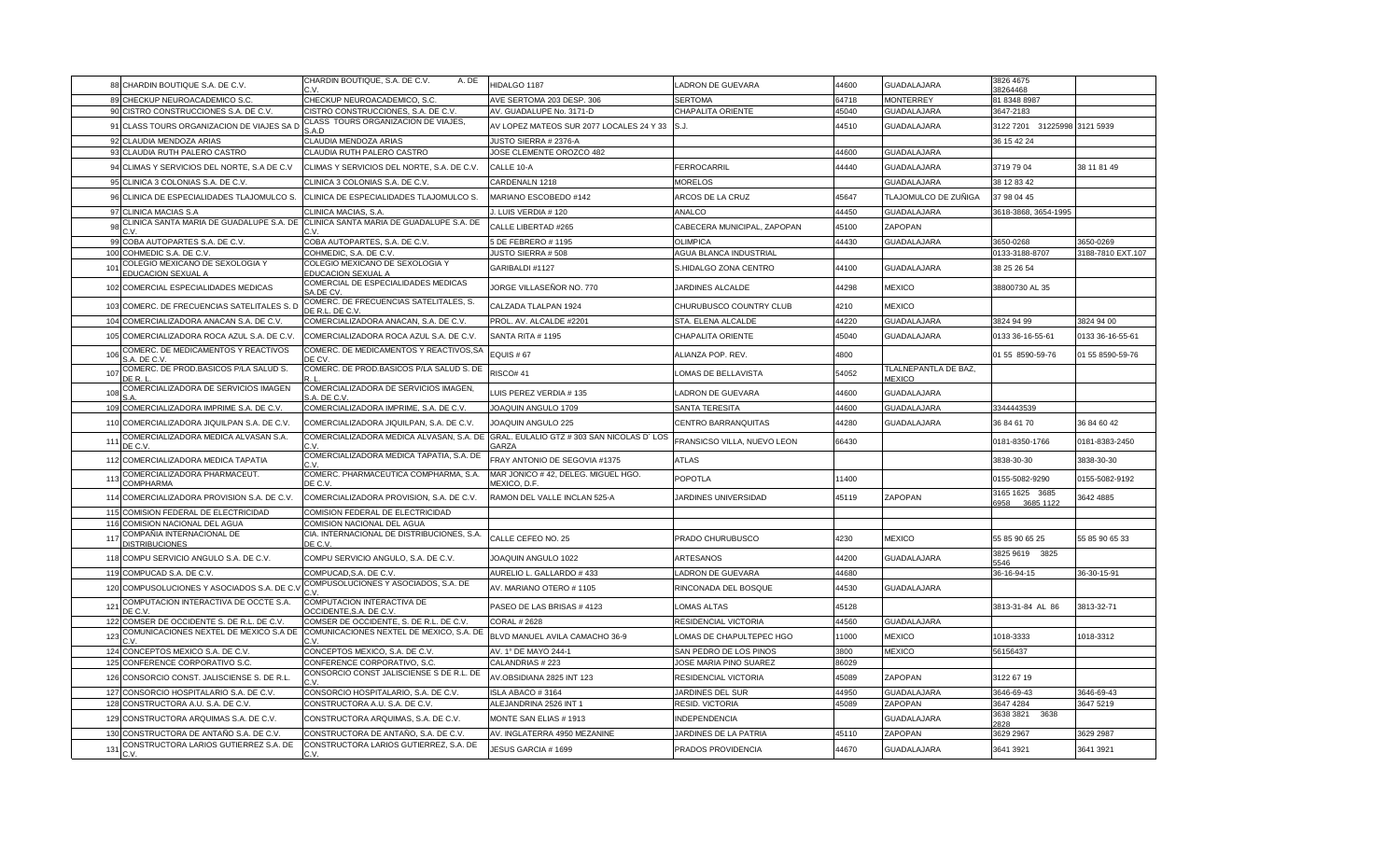|     | 88 CHARDIN BOUTIQUE S.A. DE C.V.                                             | CHARDIN BOUTIQUE, S.A. DE C.V.<br>A. DE                                                   | HIDALGO 1187                                        | LADRON DE GUEVARA                       | 44600 | <b>GUADALAJARA</b>                    | 3826 4675<br>38264468               |                   |
|-----|------------------------------------------------------------------------------|-------------------------------------------------------------------------------------------|-----------------------------------------------------|-----------------------------------------|-------|---------------------------------------|-------------------------------------|-------------------|
|     | 89 CHECKUP NEUROACADEMICO S.C.                                               | CHECKUP NEUROACADEMICO, S.C.                                                              | AVE SERTOMA 203 DESP. 306                           | <b>SERTOMA</b>                          | 64718 | <b>MONTERREY</b>                      | 81 8348 8987                        |                   |
|     | 90 CISTRO CONSTRUCCIONES S.A. DE C.V.                                        | CISTRO CONSTRUCCIONES, S.A. DE C.V.                                                       | AV. GUADALUPE No. 3171-D                            | CHAPALITA ORIENTE                       | 45040 | GUADALAJARA                           | 3647-2183                           |                   |
|     | 91 CLASS TOURS ORGANIZACION DE VIAJES SA D                                   | CLASS TOURS ORGANIZACION DE VIAJES,<br>S.A.D                                              | AV LOPEZ MATEOS SUR 2077 LOCALES 24 Y 33            | S.J.                                    | 44510 | <b>GUADALAJARA</b>                    | 3122 7201 31225998 3121 5939        |                   |
|     | 92 CLAUDIA MENDOZA ARIAS                                                     | CLAUDIA MENDOZA ARIAS                                                                     | JUSTO SIERRA # 2376-A                               |                                         |       |                                       | 36 15 42 24                         |                   |
|     | 93 CLAUDIA RUTH PALERO CASTRO                                                | CLAUDIA RUTH PALERO CASTRO                                                                | JOSE CLEMENTE OROZCO 482                            |                                         | 44600 | GUADALAJARA                           |                                     |                   |
|     | 94 CLIMAS Y SERVICIOS DEL NORTE, S.A DE C.V.                                 | CLIMAS Y SERVICIOS DEL NORTE, S.A. DE C.V.                                                | CALLE 10-A                                          | FERROCARRIL                             | 44440 | <b>GUADALAJARA</b>                    | 3719 79 04                          | 38 11 81 49       |
|     | 95 CLINICA 3 COLONIAS S.A. DE C.V                                            | CLINICA 3 COLONIAS S.A. DE C.V                                                            | CARDENALN 1218                                      | <b>MORELOS</b>                          |       | GUADALAJARA                           | 38 12 83 42                         |                   |
|     | 96 CLINICA DE ESPECIALIDADES TLAJOMULCO S.                                   | CLINICA DE ESPECIALIDADES TLAJOMULCO S.                                                   | MARIANO ESCOBEDO #142                               | ARCOS DE LA CRUZ                        | 45647 | TLAJOMULCO DE ZUÑIGA                  | 37 98 04 45                         |                   |
|     | 97 CLINICA MACIAS S.A                                                        | CLINICA MACIAS, S.A.                                                                      | J. LUIS VERDIA # 120                                | ANALCO                                  | 44450 | GUADALAJARA                           | 3618-3868, 3654-1995                |                   |
| 98  | CLINICA SANTA MARIA DE GUADALUPE S.A. DE<br>C.V                              | CLINICA SANTA MARIA DE GUADALUPE S.A. DE                                                  | CALLE LIBERTAD #265                                 | CABECERA MUNICIPAL, ZAPOPAN             | 45100 | ZAPOPAN                               |                                     |                   |
|     | 99 COBA AUTOPARTES S.A. DE C.V.                                              | COBA AUTOPARTES, S.A. DE C.V.                                                             | 5 DE FEBRERO # 1195                                 | <b>OLIMPICA</b>                         | 44430 | GUADALAJARA                           | 3650-0268                           | 3650-0269         |
|     | 100 COHMEDIC S.A. DE C.V.<br>COLEGIO MEXICANO DE SEXOLOGIA Y                 | COHMEDIC, S.A. DE C.V.<br>COLEGIO MEXICANO DE SEXOLOGIA Y                                 | JUSTO SIERRA #508                                   | AGUA BLANCA INDUSTRIAL                  |       |                                       | 0133-3188-8707                      | 3188-7810 EXT.107 |
| 101 | EDUCACION SEXUAL A                                                           | EDUCACION SEXUAL A                                                                        | GARIBALDI #1127                                     | S.HIDALGO ZONA CENTRO                   | 44100 | GUADALAJARA                           | 38 25 26 54                         |                   |
|     | 102 COMERCIAL ESPECIALIDADES MEDICAS                                         | COMERCIAL DE ESPECIALIDADES MEDICAS<br>SA.DE CV                                           | JORGE VILLASEÑOR NO. 770                            | JARDINES ALCALDE                        | 44298 | <b>MEXICO</b>                         | 38800730 AL 35                      |                   |
|     | 103 COMERC. DE FRECUENCIAS SATELITALES S. D                                  | COMERC. DE FRECUENCIAS SATELITALES, S.<br>DE R.L. DE C.V                                  | CALZADA TLALPAN 1924                                | CHURUBUSCO COUNTRY CLUB                 | 4210  | <b>MEXICO</b>                         |                                     |                   |
|     | 104 COMERCIALIZADORA ANACAN S.A. DE C.V.                                     | COMERCIALIZADORA ANACAN, S.A. DE C.V.                                                     | PROL. AV. ALCALDE #2201                             | STA. ELENA ALCALDE                      | 44220 | GUADALAJARA                           | 3824 94 99                          | 3824 94 00        |
|     | 105 COMERCIALIZADORA ROCA AZUL S.A. DE C.V.                                  | COMERCIALIZADORA ROCA AZUL S.A. DE C.V.                                                   | SANTA RITA #1195                                    | CHAPALITA ORIENTE                       | 45040 | GUADALAJARA                           | 0133 36-16-55-61                    | 0133 36-16-55-61  |
| 106 | COMERC. DE MEDICAMENTOS Y REACTIVOS<br>S.A. DE C.V                           | COMERC. DE MEDICAMENTOS Y REACTIVOS, SA<br>DE CV.                                         | EQUIS #67                                           | ALIANZA POP. REV.                       | 4800  |                                       | 01 55 8590-59-76                    | 01 55 8590-59-76  |
| 107 | COMERC. DE PROD.BASICOS P/LA SALUD S.<br>DE R.                               | COMERC. DE PROD.BASICOS P/LA SALUD S. DE                                                  | <b>RISCO# 41</b>                                    | LOMAS DE BELLAVISTA                     | 54052 | TLALNEPANTLA DE BAZ,<br><b>MEXICO</b> |                                     |                   |
| 108 | COMERCIALIZADORA DE SERVICIOS IMAGEN                                         | COMERCIALIZADORA DE SERVICIOS IMAGEN,<br>S.A. DE C.V                                      | LUIS PEREZ VERDIA # 135                             | ADRON DE GUEVARA                        | 44600 | GUADALAJARA                           |                                     |                   |
|     | 109 COMERCIALIZADORA IMPRIME S.A. DE C.V.                                    | COMERCIALIZADORA IMPRIME, S.A. DE C.V.                                                    | JOAQUIN ANGULO 1709                                 | SANTA TERESITA                          | 44600 | GUADALAJARA                           | 3344443539                          |                   |
|     | 110 COMERCIALIZADORA JIQUILPAN S.A. DE C.V.                                  | COMERCIALIZADORA JIQUILPAN, S.A. DE C.V.                                                  | JOAQUIN ANGULO 225                                  | CENTRO BARRANQUITAS                     | 44280 | GUADALAJARA                           | 36 84 61 70                         | 36 84 60 42       |
| 111 | COMERCIALIZADORA MEDICA ALVASAN S.A.<br>DE C.V                               | COMERCIALIZADORA MEDICA ALVASAN, S.A. DE GRAL. EULALIO GTZ # 303 SAN NICOLAS D'LOS<br>C.V | <b>GARZA</b>                                        | FRANSICSO VILLA, NUEVO LEON             | 66430 |                                       | 0181-8350-1766                      | 0181-8383-2450    |
|     | 112 COMERCIALIZADORA MEDICA TAPATIA                                          | COMERCIALIZADORA MEDICA TAPATIA, S.A. DE                                                  | FRAY ANTONIO DE SEGOVIA #1375                       | ATLAS                                   |       |                                       | 3838-30-30                          | 3838-30-30        |
| 113 | COMERCIALIZADORA PHARMACEUT.<br>COMPHARMA                                    | COMERC. PHARMACEUTICA COMPHARMA, S.A.<br>DE C.V.                                          | MAR JONICO # 42, DELEG. MIGUEL HGO.<br>MEXICO, D.F. | POPOTLA                                 | 11400 |                                       | 0155-5082-9290                      | 0155-5082-9192    |
|     | 114 COMERCIALIZADORA PROVISION S.A. DE C.V.                                  | COMERCIALIZADORA PROVISION, S.A. DE C.V.                                                  | RAMON DEL VALLE INCLAN 525-A                        | <b>JARDINES UNIVERSIDAD</b>             | 45119 | ZAPOPAN                               | 3165 1625 3685<br>3685 1122<br>3958 | 3642 4885         |
|     | 115 COMISION FEDERAL DE ELECTRICIDAD                                         | COMISION FEDERAL DE ELECTRICIDAD                                                          |                                                     |                                         |       |                                       |                                     |                   |
|     | 116 COMISION NACIONAL DEL AGUA<br>COMPAÑIA INTERNACIONAL DE                  | COMISION NACIONAL DEL AGUA<br>CIA. INTERNACIONAL DE DISTRIBUCIONES, S.A.                  |                                                     |                                         |       |                                       |                                     |                   |
| 117 | <b>DISTRIBUCIONES</b>                                                        | DE C.V.                                                                                   | CALLE CEFEO NO. 25                                  | PRADO CHURUBUSCO                        | 4230  | <b>MEXICO</b>                         | 55 85 90 65 25<br>3825 9619 3825    | 55 85 90 65 33    |
|     | 118 COMPU SERVICIO ANGULO S.A. DE C.V.                                       | COMPU SERVICIO ANGULO, S.A. DE C.V.                                                       | JOAQUIN ANGULO 1022                                 | ARTESANOS                               | 44200 | GUADALAJARA                           | 546                                 |                   |
|     | 119 COMPUCAD S.A. DE C.V.                                                    | COMPUCAD, S.A. DE C.V                                                                     | AURELIO L. GALLARDO # 433                           | LADRON DE GUEVARA                       | 44680 |                                       | 36-16-94-15                         | 36-30-15-91       |
|     | 120 COMPUSOLUCIONES Y ASOCIADOS S.A. DE C.\                                  | COMPUSOLUCIONES Y ASOCIADOS, S.A. DE                                                      | AV. MARIANO OTERO #1105                             | RINCONADA DEL BOSQUE                    | 44530 | GUADALAJARA                           |                                     |                   |
| 121 | COMPUTACION INTERACTIVA DE OCCTE S.A.<br>DE C.V                              | COMPUTACION INTERACTIVA DE<br>OCCIDENTE, S.A. DE C.V                                      | PASEO DE LAS BRISAS # 4123                          | <b>LOMAS ALTAS</b>                      | 45128 |                                       | 3813-31-84 AL 86                    | 3813-32-71        |
|     | 122 COMSER DE OCCIDENTE S. DE R.L. DE C.V.                                   | COMSER DE OCCIDENTE, S. DE R.L. DE C.V.                                                   | <b>CORAL # 2628</b>                                 | RESIDENCIAL VICTORIA                    | 44560 | GUADALAJARA                           |                                     |                   |
| 123 | COMUNICACIONES NEXTEL DE MEXICO S.A DE                                       | COMUNICACIONES NEXTEL DE MEXICO, S.A. DE                                                  | BLVD MANUEL AVILA CAMACHO 36-9                      | LOMAS DE CHAPULTEPEC HGO                | 11000 | <b>MEXICO</b>                         | 1018-3333                           | 1018-3312         |
|     | 124 CONCEPTOS MEXICO S.A. DE C.V.                                            | CONCEPTOS MEXICO, S.A. DE C.V.                                                            | AV. 1° DE MAYO 244-1                                | SAN PEDRO DE LOS PINOS                  | 3800  | <b>MEXICO</b>                         | 56156437                            |                   |
|     | 125 CONFERENCE CORPORATIVO S.C.                                              | CONFERENCE CORPORATIVO, S.C.                                                              | CALANDRIAS #223                                     | JOSE MARIA PINO SUAREZ                  | 86029 |                                       |                                     |                   |
|     | 126 CONSORCIO CONST. JALISCIENSE S. DE R.L                                   | CONSORCIO CONST JALISCIENSE S DE R.L. DE                                                  | AV.OBSIDIANA 2825 INT 123                           | RESIDENCIAL VICTORIA                    | 45089 | ZAPOPAN                               | 3122 67 19                          |                   |
|     | 127 CONSORCIO HOSPITALARIO S.A. DE C.V.                                      | CONSORCIO HOSPITALARIO, S.A. DE C.V.                                                      | ISLA ABACO #3164                                    | JARDINES DEL SUR                        | 44950 | <b>GUADALAJARA</b>                    | 3646-69-43                          | 3646-69-43        |
|     | 128 CONSTRUCTORA A.U. S.A. DE C.V.<br>129 CONSTRUCTORA ARQUIMAS S.A. DE C.V. | CONSTRUCTORA A.U. S.A. DE C.V.<br>CONSTRUCTORA ARQUIMAS, S.A. DE C.V.                     | ALEJANDRINA 2526 INT 1<br>MONTE SAN ELIAS # 1913    | RESID. VICTORIA<br><b>INDEPENDENCIA</b> | 45089 | ZAPOPAN<br>GUADALAJARA                | 3647 4284<br>3638 3821<br>3638      | 3647 5219         |
|     | 130 CONSTRUCTORA DE ANTAÑO S.A. DE C.V.                                      | CONSTRUCTORA DE ANTAÑO, S.A. DE C.V                                                       | AV. INGLATERRA 4950 MEZANINE                        | JARDINES DE LA PATRIA                   | 45110 | ZAPOPAN                               | 828<br>3629 2967                    | 3629 2987         |
| 131 | CONSTRUCTORA LARIOS GUTIERREZ S.A. DE<br>C.V                                 | CONSTRUCTORA LARIOS GUTIERREZ, S.A. DE<br>C.V                                             | JESUS GARCIA # 1699                                 | PRADOS PROVIDENCIA                      | 44670 | <b>GUADALAJARA</b>                    | 3641 3921                           | 3641 3921         |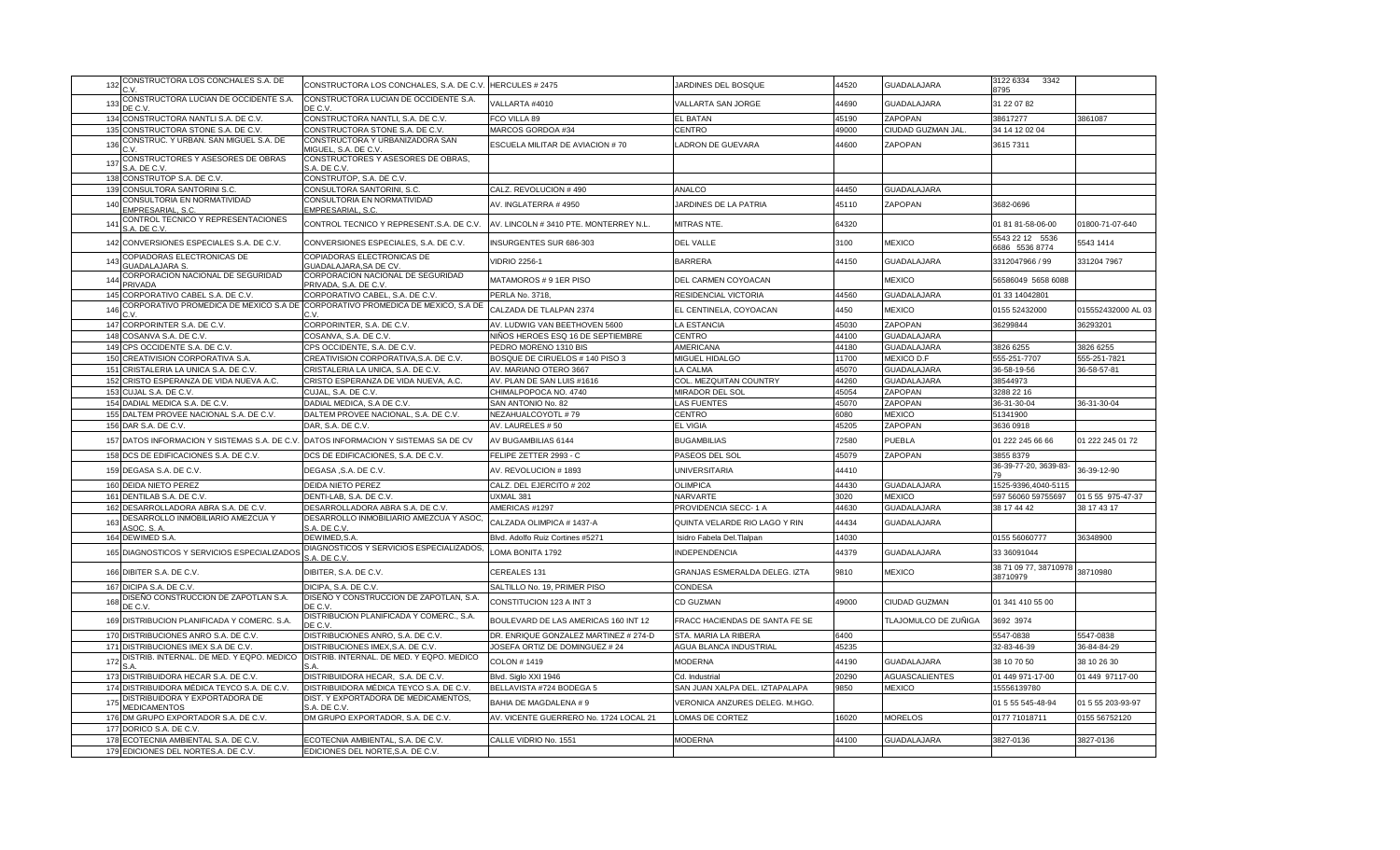| 132 | CONSTRUCTORA LOS CONCHALES S.A. DE<br>C.V             | CONSTRUCTORA LOS CONCHALES, S.A. DE C.V.                                               | HERCULES # 2475                        | JARDINES DEL BOSQUE            | 44520 | <b>GUADALAJARA</b>    | 3122 6334<br>3342<br>8795         |                    |
|-----|-------------------------------------------------------|----------------------------------------------------------------------------------------|----------------------------------------|--------------------------------|-------|-----------------------|-----------------------------------|--------------------|
| 133 | CONSTRUCTORA LUCIAN DE OCCIDENTE S.A.<br>DE C.V       | CONSTRUCTORA LUCIAN DE OCCIDENTE S.A.<br>DE C.V.                                       | VALLARTA #4010                         | VALLARTA SAN JORGE             | 44690 | <b>GUADALAJARA</b>    | 31 22 07 82                       |                    |
| 134 | CONSTRUCTORA NANTLI S.A. DE C.V                       | CONSTRUCTORA NANTLI, S.A. DE C.V                                                       | FCO VILLA 89                           | EL BATAN                       | 45190 | ZAPOPAN               | 38617277                          | 3861087            |
| 135 | CONSTRUCTORA STONE S.A. DE C.V.                       | CONSTRUCTORA STONE S.A. DE C.V.                                                        | MARCOS GORDOA #34                      | CENTRO                         | 49000 | CIUDAD GUZMAN JAL     | 34 14 12 02 04                    |                    |
| 136 | CONSTRUC. Y URBAN. SAN MIGUEL S.A. DE                 | CONSTRUCTORA Y URBANIZADORA SAN<br>MIGUEL, S.A. DE C.V.                                | ESCUELA MILITAR DE AVIACION # 70       | <b>ADRON DE GUEVARA</b>        | 44600 | ZAPOPAN               | 3615 7311                         |                    |
|     | CONSTRUCTORES Y ASESORES DE OBRAS                     | CONSTRUCTORES Y ASESORES DE OBRAS,                                                     |                                        |                                |       |                       |                                   |                    |
| 137 | S.A. DE C.V                                           | S.A. DE C.V.                                                                           |                                        |                                |       |                       |                                   |                    |
| 138 | CONSTRUTOP S.A. DE C.V.                               | CONSTRUTOP, S.A. DE C.V.                                                               |                                        |                                |       |                       |                                   |                    |
| 139 | CONSULTORA SANTORINI S.C.                             | CONSULTORA SANTORINI, S.C.                                                             | CALZ. REVOLUCION # 490                 | ANALCO                         | 44450 | <b>GUADALAJARA</b>    |                                   |                    |
| 14( | CONSULTORIA EN NORMATIVIDAD<br>EMPRESARIAL, S.C       | CONSULTORIA EN NORMATIVIDAD<br>EMPRESARIAL, S.C                                        | AV. INGLATERRA # 4950                  | JARDINES DE LA PATRIA          | 45110 | ZAPOPAN               | 3682-0696                         |                    |
| 141 | CONTROL TECNICO Y REPRESENTACIONES<br>S.A. DE C.V.    | CONTROL TECNICO Y REPRESENT.S.A. DE C.V.                                               | AV. LINCOLN #3410 PTE. MONTERREY N.L   | <b>MITRAS NTE.</b>             | 64320 |                       | 01 81 81-58-06-00                 | 01800-71-07-640    |
| 142 | CONVERSIONES ESPECIALES S.A. DE C.V.                  | CONVERSIONES ESPECIALES, S.A. DE C.V.                                                  | INSURGENTES SUR 686-303                | <b>DEL VALLE</b>               | 3100  | <b>MEXICO</b>         | 5543 22 12 5536<br>6686 5536 8774 | 5543 1414          |
| 143 | COPIADORAS ELECTRONICAS DE<br><b>SUADALAJARA S.</b>   | COPIADORAS ELECTRONICAS DE<br><b>GUADALAJARA, SA DE CV</b>                             | <b>VIDRIO 2256-1</b>                   | <b>BARRERA</b>                 | 44150 | <b>GUADALAJARA</b>    | 3312047966 / 99                   | 331204 7967        |
| 144 | CORPORACION NACIONAL DE SEGURIDAD<br>PRIVADA          | CORPORACION NACIONAL DE SEGURIDAD<br>PRIVADA, S.A. DE C.V.                             | MATAMOROS # 9 1ER PISO                 | DEL CARMEN COYOACAN            |       | <b>MEXICO</b>         | 56586049 5658 6088                |                    |
| 145 | CORPORATIVO CABEL S.A. DE C.V                         | CORPORATIVO CABEL, S.A. DE C.V.                                                        | PERLA No. 3718,                        | RESIDENCIAL VICTORIA           | 44560 | <b>GUADALAJARA</b>    | 01 33 14042801                    |                    |
| 146 | C.V.                                                  | CORPORATIVO PROMEDICA DE MEXICO S.A DE CORPORATIVO PROMEDICA DE MEXICO, S.A DE<br>C.V. | CALZADA DE TLALPAN 2374                | EL CENTINELA, COYOACAN         | 4450  | <b>MEXICO</b>         | 0155 52432000                     | 015552432000 AL 03 |
| 147 | CORPORINTER S.A. DE C.V.                              | CORPORINTER, S.A. DE C.V.                                                              | AV. LUDWIG VAN BEETHOVEN 5600          | A ESTANCIA                     | 45030 | ZAPOPAN               | 36299844                          | 36293201           |
| 148 | COSANVA S.A. DE C.V                                   | COSANVA, S.A. DE C.V.                                                                  | NIÑOS HEROES ESQ 16 DE SEPTIEMBRE      | CENTRO                         | 44100 | GUADALAJARA           |                                   |                    |
| 149 | CPS OCCIDENTE S.A. DE C.V                             | CPS OCCIDENTE, S.A. DE C.V.                                                            | PEDRO MORENO 1310 BIS                  | AMERICANA                      | 44180 | GUADALAJARA           | 3826 6255                         | 3826 6255          |
| 150 | CREATIVISION CORPORATIVA S.A                          | CREATIVISION CORPORATIVA, S.A. DE C.V.                                                 | BOSQUE DE CIRUELOS # 140 PISO 3        | <b>MIGUEL HIDALGO</b>          | 11700 | <b>MEXICO D.F</b>     | 555-251-7707                      | 555-251-782        |
| 151 | CRISTALERIA LA UNICA S.A. DE C.V                      | CRISTALERIA LA UNICA, S.A. DE C.V.                                                     | AV. MARIANO OTERO 3667                 | LA CALMA                       | 45070 | <b>GUADALAJARA</b>    | 36-58-19-56                       | 36-58-57-81        |
|     | 152 CRISTO ESPERANZA DE VIDA NUEVA A.C.               | CRISTO ESPERANZA DE VIDA NUEVA, A.C.                                                   | AV. PLAN DE SAN LUIS #1616             | COL. MEZQUITAN COUNTRY         | 44260 | <b>GUADALAJARA</b>    | 38544973                          |                    |
| 153 | CUJAL S.A. DE C.V.                                    | CUJAL, S.A. DE C.V.                                                                    | CHIMALPOPOCA NO. 4740                  | MIRADOR DEL SOL                | 45054 | ZAPOPAN               | 3288 22 16                        |                    |
| 154 | DADIAL MEDICA S.A. DE C.V.                            | DADIAL MEDICA, S.A DE C.V.                                                             | SAN ANTONIO No. 82                     | <b>AS FUENTES</b>              | 45070 | ZAPOPAN               | 36-31-30-04                       | 36-31-30-04        |
| 155 | DALTEM PROVEE NACIONAL S.A. DE C.V.                   | DALTEM PROVEE NACIONAL, S.A. DE C.V.                                                   | NEZAHUALCOYOTL #79                     | CENTRO                         | 6080  | <b>MEXICO</b>         | 51341900                          |                    |
| 156 | DAR S.A. DE C.V.                                      | DAR, S.A. DE C.V.                                                                      | AV. LAURELES # 50                      | EL VIGIA                       | 45205 | ZAPOPAN               | 3636 0918                         |                    |
|     | 157 DATOS INFORMACION Y SISTEMAS S.A. DE C.V.         | DATOS INFORMACION Y SISTEMAS SA DE CV                                                  | AV BUGAMBILIAS 6144                    | <b>BUGAMBILIAS</b>             | 72580 | <b>PUEBLA</b>         | 01 222 245 66 66                  | 01 222 245 01 72   |
| 158 | DCS DE EDIFICACIONES S.A. DE C.V.                     | DCS DE EDIFICACIONES, S.A. DE C.V.                                                     | FELIPE ZETTER 2993 - C                 | PASEOS DEL SOL                 | 45079 | ZAPOPAN               | 3855 8379                         |                    |
|     | 159 DEGASA S.A. DE C.V.                               | DEGASA ,S.A. DE C.V.                                                                   | AV. REVOLUCION # 1893                  | <b>JNIVERSITARIA</b>           | 44410 |                       | 36-39-77-20, 3639-83-             | 36-39-12-90        |
| 160 | DEIDA NIETO PEREZ                                     | DEIDA NIETO PEREZ                                                                      | CALZ. DEL EJERCITO # 202               | <b>OLIMPICA</b>                | 44430 | <b>GUADALAJARA</b>    | 1525-9396,4040-5115               |                    |
| 161 | DENTILAB S.A. DE C.V.                                 | DENTI-LAB, S.A. DE C.V.                                                                | UXMAL 381                              | <b>NARVARTE</b>                | 3020  | <b>MEXICO</b>         | 597 56060 59755697                | 01 5 55 975-47-37  |
| 162 | DESARROLLADORA ABRA S.A. DE C.V.                      | DESARROLLADORA ABRA S.A. DE C.V.                                                       | AMERICAS #1297                         | PROVIDENCIA SECC-1 A           | 44630 | GUADALAJARA           | 38 17 44 42                       | 38 17 43 17        |
| 163 | DESARROLLO INMOBILIARIO AMEZCUA Y<br>ASOC. S. A       | DESARROLLO INMOBILIARIO AMEZCUA Y ASOC<br>S.A. DE C.V                                  | CALZADA OLIMPICA # 1437-A              | QUINTA VELARDE RIO LAGO Y RIN  | 44434 | <b>GUADALAJARA</b>    |                                   |                    |
| 164 | DEWIMED S.A.                                          | DEWIMED, S.A.                                                                          | Blvd. Adolfo Ruiz Cortines #5271       | Isidro Fabela Del. Tlalpan     | 14030 |                       | 0155 56060777                     | 36348900           |
| 165 | DIAGNOSTICOS Y SERVICIOS ESPECIALIZADOS               | DIAGNOSTICOS Y SERVICIOS ESPECIALIZADOS<br>S.A. DE C.V.                                | LOMA BONITA 1792                       | NDEPENDENCIA                   | 44379 | <b>GUADALAJARA</b>    | 33 36091044                       |                    |
| 166 | DIBITER S.A. DE C.V.                                  | DIBITER, S.A. DE C.V.                                                                  | CEREALES 131                           | GRANJAS ESMERALDA DELEG. IZTA  | 9810  | <b>MEXICO</b>         | 38 71 09 77, 38710978<br>38710979 | 38710980           |
| 167 | DICIPA S.A. DE C.V.                                   | DICIPA, S.A. DE C.V.                                                                   | SALTILLO No. 19, PRIMER PISO           | CONDESA                        |       |                       |                                   |                    |
| 168 | DISEÑO CONSTRUCCION DE ZAPOTLAN S.A.<br>DE C.V.       | DISEÑO Y CONSTRUCCION DE ZAPOTLAN, S.A.<br>DE C.V.                                     | CONSTITUCION 123 A INT 3               | CD GUZMAN                      | 49000 | CIUDAD GUZMAN         | 01 341 410 55 00                  |                    |
|     | 169 DISTRIBUCION PLANIFICADA Y COMERC. S.A.           | DISTRIBUCION PLANIFICADA Y COMERC., S.A.<br>DE C.V.                                    | BOULEVARD DE LAS AMERICAS 160 INT 12   | FRACC HACIENDAS DE SANTA FE SE |       | TLAJOMULCO DE ZUÑIGA  | 3692 3974                         |                    |
| 170 | DISTRIBUCIONES ANRO S.A. DE C.V.                      | DISTRIBUCIONES ANRO, S.A. DE C.V.                                                      | DR. ENRIQUE GONZALEZ MARTINEZ # 274-D  | STA, MARIA LA RIBERA           | 6400  |                       | 5547-0838                         | 5547-0838          |
| 171 | DISTRIBUCIONES IMEX S.A DE C.V.                       | DISTRIBUCIONES IMEX,S.A. DE C.V.                                                       | JOSEFA ORTIZ DE DOMINGUEZ # 24         | AGUA BLANCA INDUSTRIAL         | 45235 |                       | 32-83-46-39                       | 36-84-84-29        |
| 172 | DISTRIB. INTERNAL. DE MED. Y EQPO. MEDICO             | DISTRIB. INTERNAL. DE MED. Y EQPO. MEDICO<br>SΔ                                        | COLON #1419                            | <b>MODERNA</b>                 | 44190 | <b>GUADALAJARA</b>    | 38 10 70 50                       | 38 10 26 30        |
| 173 | DISTRIBUIDORA HECAR S.A. DE C.V.                      | DISTRIBUIDORA HECAR, S.A. DE C.V.                                                      | Blvd. Siglo XXI 1946                   | 2d. Industrial                 | 20290 | <b>AGUASCALIENTES</b> | 01 449 971-17-00                  | 01 449 97117-00    |
| 174 | DISTRIBUIDORA MÉDICA TEYCO S.A. DE C.V.               | DISTRIBUIDORA MÉDICA TEYCO S.A. DE C.V.                                                | BELLAVISTA #724 BODEGA 5               | SAN JUAN XALPA DEL. IZTAPALAPA | 9850  | <b>MEXICO</b>         | 15556139780                       |                    |
| 175 | DISTRIBUIDORA Y EXPORTADORA DE<br><b>MEDICAMENTOS</b> | DIST. Y EXPORTADORA DE MEDICAMENTOS,<br>S.A. DE C.V                                    | BAHIA DE MAGDALENA # 9                 | VERONICA ANZURES DELEG. M.HGO. |       |                       | 01 5 55 545-48-94                 | 01 5 55 203-93-97  |
| 176 | DM GRUPO EXPORTADOR S.A. DE C.V.                      | DM GRUPO EXPORTADOR, S.A. DE C.V.                                                      | AV. VICENTE GUERRERO No. 1724 LOCAL 21 | LOMAS DE CORTEZ                | 16020 | <b>MORELOS</b>        | 0177 71018711                     | 0155 56752120      |
|     | 177 DORICO S.A. DE C.V                                |                                                                                        |                                        |                                |       |                       |                                   |                    |
| 178 | ECOTECNIA AMBIENTAL S.A. DE C.V.                      | ECOTECNIA AMBIENTAL, S.A. DE C.V.                                                      | CALLE VIDRIO No. 1551                  | <b>MODERNA</b>                 | 44100 | <b>GUADALAJARA</b>    | 3827-0136                         | 3827-0136          |
|     | 179 EDICIONES DEL NORTES.A. DE C.V.                   | EDICIONES DEL NORTE, S.A. DE C.V.                                                      |                                        |                                |       |                       |                                   |                    |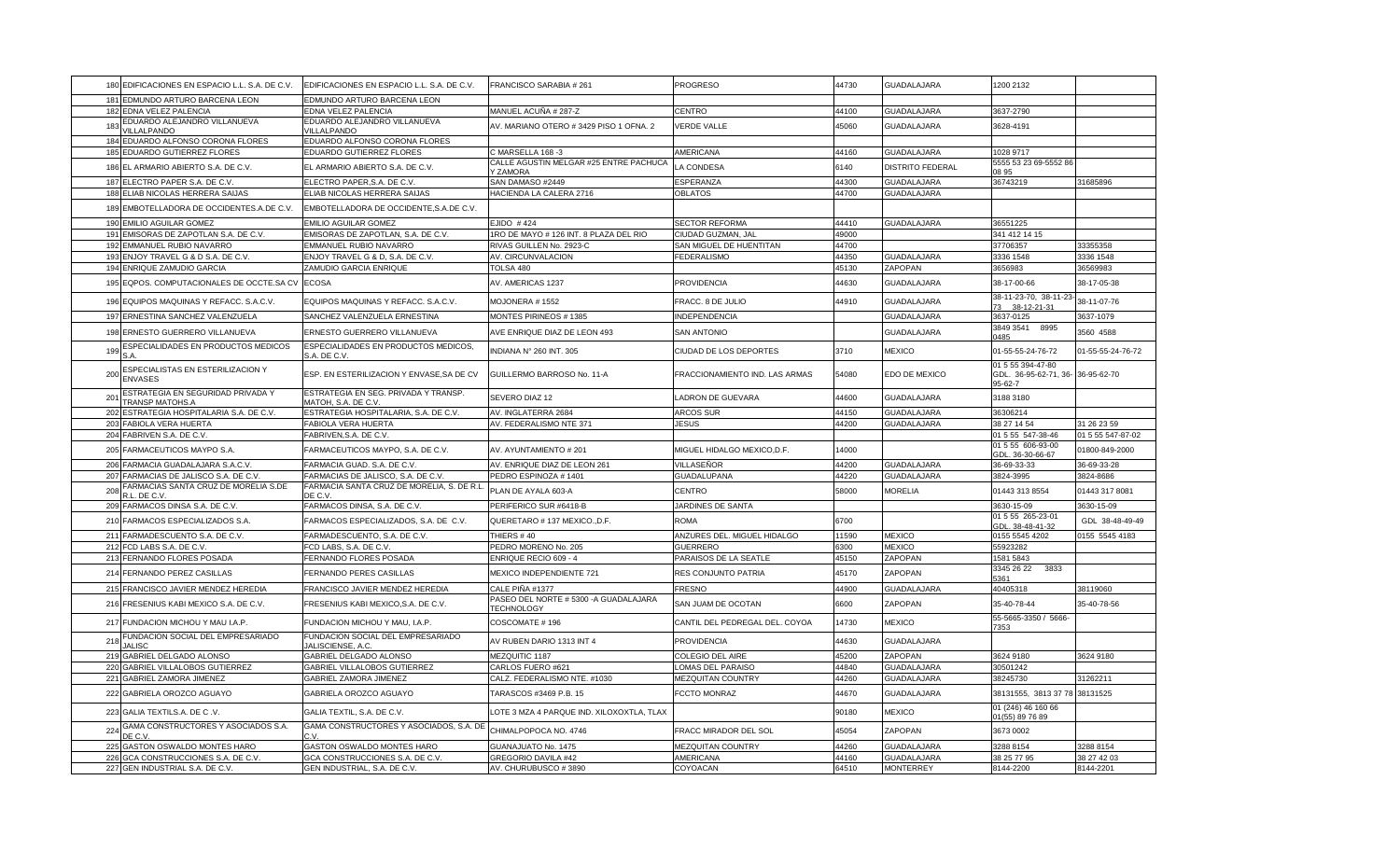|     | 180 EDIFICACIONES EN ESPACIO L.L. S.A. DE C.V.                    | EDIFICACIONES EN ESPACIO L.L. S.A. DE C.V.                  | FRANCISCO SARABIA # 261                                     | <b>PROGRESO</b>                               | 44730          | GUADALAJARA             | 1200 2132                                                         |                       |
|-----|-------------------------------------------------------------------|-------------------------------------------------------------|-------------------------------------------------------------|-----------------------------------------------|----------------|-------------------------|-------------------------------------------------------------------|-----------------------|
|     | 181 EDMUNDO ARTURO BARCENA LEON                                   | EDMUNDO ARTURO BARCENA LEON                                 |                                                             |                                               |                |                         |                                                                   |                       |
|     | 182 EDNA VELEZ PALENCIA                                           | <b>EDNA VELEZ PALENCIA</b>                                  | MANUEL ACUÑA # 287-Z                                        | CENTRO                                        | 44100          | <b>GUADALAJARA</b>      | 3637-2790                                                         |                       |
| 183 | EDUARDO ALEJANDRO VILLANUEVA<br><b>VILLALPANDO</b>                | EDUARDO ALEJANDRO VILLANUEVA<br><b>ILLALPANDO</b>           | AV. MARIANO OTERO #3429 PISO 1 OFNA. 2                      | <b>VERDE VALLE</b>                            | 45060          | <b>GUADALAJARA</b>      | 3628-4191                                                         |                       |
|     | 184 EDUARDO ALFONSO CORONA FLORES                                 | EDUARDO ALFONSO CORONA FLORES                               |                                                             |                                               |                |                         |                                                                   |                       |
|     | 185 EDUARDO GUTIERREZ FLORES                                      | EDUARDO GUTIERREZ FLORES                                    | C MARSELLA 168 -3                                           | AMERICANA                                     | 44160          | <b>GUADALAJARA</b>      | 1028 9717                                                         |                       |
|     | 186 EL ARMARIO ABIERTO S.A. DE C.V.                               | EL ARMARIO ABIERTO S.A. DE C.V.                             | CALLE AGUSTIN MELGAR #25 ENTRE PACHUCA<br>Y ZAMORA          | LA CONDESA                                    | 6140           | <b>DISTRITO FEDERAL</b> | 5555 53 23 69-5552 86<br>08 95                                    |                       |
|     | 187 ELECTRO PAPER S.A. DE C.V                                     | ELECTRO PAPER, S.A. DE C.V                                  | SAN DAMASO #2449                                            | ESPERANZA                                     | 44300          | <b>GUADALAJARA</b>      | 36743219                                                          | 31685896              |
|     | 188 ELIAB NICOLAS HERRERA SAIJAS                                  | ELIAB NICOLAS HERRERA SAIJAS                                | HACIENDA LA CALERA 2716                                     | <b>OBLATOS</b>                                | 44700          | GUADALAJARA             |                                                                   |                       |
|     | 189 EMBOTELLADORA DE OCCIDENTES.A.DE C.V.                         | EMBOTELLADORA DE OCCIDENTE, S.A.DE C.V.                     |                                                             |                                               |                |                         |                                                                   |                       |
|     | 190 EMILIO AGUILAR GOMEZ                                          | EMILIO AGUILAR GOMEZ                                        | EJIDO #424                                                  | <b>SECTOR REFORMA</b>                         | 44410          | GUADALAJARA             | 36551225                                                          |                       |
|     | 191 EMISORAS DE ZAPOTLAN S.A. DE C.V.                             | EMISORAS DE ZAPOTLAN, S.A. DE C.V.                          | 1RO DE MAYO # 126 INT. 8 PLAZA DEL RIO                      | CIUDAD GUZMAN, JAL                            | 49000          |                         | 341 412 14 15                                                     |                       |
|     | 192 EMMANUEL RUBIO NAVARRO<br>193 ENJOY TRAVEL G & D S.A. DE C.V. | EMMANUEL RUBIO NAVARRO<br>ENJOY TRAVEL G & D, S.A. DE C.V.  | RIVAS GUILLEN No. 2923-C<br>AV. CIRCUNVALACION              | SAN MIGUEL DE HUENTITAN<br><b>FEDERALISMO</b> | 44700<br>44350 | GUADALAJARA             | 37706357<br>3336 1548                                             | 33355358<br>3336 1548 |
|     | 194 ENRIQUE ZAMUDIO GARCIA                                        | ZAMUDIO GARCIA ENRIQUE                                      | TOLSA 480                                                   |                                               | 45130          | ZAPOPAN                 | 3656983                                                           | 36569983              |
|     |                                                                   |                                                             |                                                             |                                               |                |                         |                                                                   |                       |
|     | 195 EQPOS. COMPUTACIONALES DE OCCTE.SA CV                         | <b>ECOSA</b>                                                | AV. AMERICAS 1237                                           | PROVIDENCIA                                   | 44630          | GUADALAJARA             | 38-17-00-66                                                       | 38-17-05-38           |
|     | 196 EQUIPOS MAQUINAS Y REFACC. S.A.C.V.                           | EQUIPOS MAQUINAS Y REFACC. S.A.C.V.                         | MOJONERA #1552                                              | FRACC. 8 DE JULIO                             | 44910          | GUADALAJARA             | 38-11-23-70, 38-11-23<br>73 38-12-21-31                           | 38-11-07-76           |
|     | 197 ERNESTINA SANCHEZ VALENZUELA                                  | SANCHEZ VALENZUELA ERNESTINA                                | MONTES PIRINEOS #1385                                       | <b>INDEPENDENCIA</b>                          |                | <b>GUADALAJARA</b>      | 3637-0125                                                         | 3637-1079             |
|     | 198 ERNESTO GUERRERO VILLANUEVA                                   | ERNESTO GUERRERO VILLANUEVA                                 | AVE ENRIQUE DIAZ DE LEON 493                                | <b>SAN ANTONIO</b>                            |                | GUADALAJARA             | 3849 3541<br>8995<br>1485                                         | 3560 4588             |
| 199 | ESPECIALIDADES EN PRODUCTOS MEDICOS                               | ESPECIALIDADES EN PRODUCTOS MEDICOS,<br>S.A. DE C.V.        | INDIANA Nº 260 INT. 305                                     | CIUDAD DE LOS DEPORTES                        | 3710           | <b>MEXICO</b>           | 01-55-55-24-76-72                                                 | 01-55-55-24-76-72     |
| 200 | ESPECIALISTAS EN ESTERILIZACION Y<br><b>ENVASES</b>               | ESP. EN ESTERILIZACION Y ENVASE, SA DE CV                   | GUILLERMO BARROSO No. 11-A                                  | FRACCIONAMIENTO IND. LAS ARMAS                | 54080          | EDO DE MEXICO           | 01 5 55 394-47-80<br>GDL. 36-95-62-71, 36- 36-95-62-70<br>95-62-7 |                       |
| 201 | ESTRATEGIA EN SEGURIDAD PRIVADA Y<br>TRANSP MATOHS.A              | ESTRATEGIA EN SEG. PRIVADA Y TRANSP.<br>MATOH, S.A. DE C.V. | SEVERO DIAZ 12                                              | LADRON DE GUEVARA                             | 44600          | <b>GUADALAJARA</b>      | 3188 3180                                                         |                       |
|     | 202 ESTRATEGIA HOSPITALARIA S.A. DE C.V.                          | ESTRATEGIA HOSPITALARIA, S.A. DE C.V.                       | AV. INGLATERRA 2684                                         | ARCOS SUR                                     | 44150          | GUADALAJARA             | 36306214                                                          |                       |
|     | 203 FABIOLA VERA HUERTA                                           | FABIOLA VERA HUERTA                                         | AV. FEDERALISMO NTE 371                                     | JESUS                                         | 44200          | <b>GUADALAJARA</b>      | 38 27 14 54                                                       | 31 26 23 59           |
|     | 204 FABRIVEN S.A. DE C.V.                                         | FABRIVEN, S.A. DE C.V.                                      |                                                             |                                               |                |                         | 01 5 55 547-38-46                                                 | 01 5 55 547-87-02     |
|     | 205 FARMACEUTICOS MAYPO S.A.                                      | FARMACEUTICOS MAYPO, S.A. DE C.V.                           | AV. AYUNTAMIENTO #201                                       | MIGUEL HIDALGO MEXICO, D.F.                   | 14000          |                         | 01 5 55 606-93-00<br>GDL. 36-30-66-67                             | 01800-849-2000        |
|     | 206 FARMACIA GUADALAJARA S.A.C.V.                                 | FARMACIA GUAD. S.A. DE C.V.                                 | AV. ENRIQUE DIAZ DE LEON 261                                | VILLASEÑOR                                    | 44200          | GUADALAJARA             | 36-69-33-33                                                       | 36-69-33-28           |
|     | 207 FARMACIAS DE JALISCO S.A. DE C.V                              | ARMACIAS DE JALISCO, S.A. DE C.V.                           | PEDRO ESPINOZA #1401                                        | GUADALUPANA                                   | 44220          | <b>GUADALAJARA</b>      | 3824-3995                                                         | 3824-8686             |
| 208 | FARMACIAS SANTA CRUZ DE MORELIA S.DE<br>R.L. DE C.V.              | FARMACIA SANTA CRUZ DE MORELIA, S. DE R.L<br><b>ECV</b>     | PLAN DE AYALA 603-A                                         | CENTRO                                        | 58000          | <b>MORELIA</b>          | 01443 313 8554                                                    | 01443 317 8081        |
|     | 209 FARMACOS DINSA S.A. DE C.V.                                   | FARMACOS DINSA, S.A. DE C.V.                                | PERIFERICO SUR #6418-B                                      | JARDINES DE SANTA                             |                |                         | 3630-15-09                                                        | 3630-15-09            |
|     | 210 FARMACOS ESPECIALIZADOS S.A.                                  | FARMACOS ESPECIALIZADOS, S.A. DE C.V.                       | QUERETARO # 137 MEXICO., D.F.                               | <b>ROMA</b>                                   | 6700           |                         | 01 5 55 265-23-01<br>GDL. 38-48-41-32                             | GDL 38-48-49-49       |
|     | 211 FARMADESCUENTO S.A. DE C.V.                                   | FARMADESCUENTO, S.A. DE C.V.                                | THIERS #40                                                  | ANZURES DEL. MIGUEL HIDALGO                   | 11590          | <b>MEXICO</b>           | 0155 5545 4202                                                    | 0155 5545 4183        |
|     | 212 FCD LABS S.A. DE C.V.                                         | FCD LABS, S.A. DE C.V.                                      | PEDRO MORENO No. 205                                        | <b>GUERRERO</b>                               | 6300           | <b>MEXICO</b>           | 55923282                                                          |                       |
|     | 213 FERNANDO FLORES POSADA                                        | FERNANDO FLORES POSADA                                      | ENRIQUE RECIO 609 - 4                                       | PARAISOS DE LA SEATLE                         | 45150          | ZAPOPAN                 | 1581 5843                                                         |                       |
|     | 214 FERNANDO PEREZ CASILLAS                                       | <b>FERNANDO PERES CASILLAS</b>                              | MEXICO INDEPENDIENTE 721                                    | RES CONJUNTO PATRIA                           | 45170          | ZAPOPAN                 | 3345 26 22<br>3833<br>361                                         |                       |
|     | 215 FRANCISCO JAVIER MENDEZ HEREDIA                               | FRANCISCO JAVIER MENDEZ HEREDIA                             | CALE PIÑA #1377                                             | <b>FRESNO</b>                                 | 44900          | GUADALAJARA             | 40405318                                                          | 38119060              |
|     | 216 FRESENIUS KABI MEXICO S.A. DE C.V.                            | FRESENIUS KABI MEXICO.S.A. DE C.V.                          | PASEO DEL NORTE # 5300 - A GUADALAJARA<br><b>TECHNOLOGY</b> | SAN JUAM DE OCOTAN                            | 6600           | ZAPOPAN                 | 35-40-78-44                                                       | 35-40-78-56           |
|     | 217 FUNDACION MICHOU Y MAU I.A.P.                                 | FUNDACION MICHOU Y MAU, I.A.P.                              | COSCOMATE #196                                              | CANTIL DEL PEDREGAL DEL. COYOA                | 14730          | <b>MEXICO</b>           | 55-5665-3350 / 5666-<br>353                                       |                       |
| 218 | FUNDACION SOCIAL DEL EMPRESARIADO                                 | FUNDACION SOCIAL DEL EMPRESARIADO<br>ALISCIENSE, A.C.       | AV RUBEN DARIO 1313 INT 4                                   | <b>PROVIDENCIA</b>                            | 44630          | GUADALAJARA             |                                                                   |                       |
|     | 219 GABRIEL DELGADO ALONSO                                        | GABRIEL DELGADO ALONSO                                      | MEZQUITIC 1187                                              | COLEGIO DEL AIRE                              | 45200          | ZAPOPAN                 | 3624 9180                                                         | 3624 9180             |
| 220 | GABRIEL VILLALOBOS GUTIERREZ                                      | GABRIEL VILLALOBOS GUTIERREZ                                | CARLOS FUERO #621                                           | LOMAS DEL PARAISO                             | 44840          | <b>GUADALAJARA</b>      | 30501242                                                          |                       |
|     | 221 GABRIEL ZAMORA JIMENEZ                                        | GABRIEL ZAMORA JIMENEZ                                      | CALZ. FEDERALISMO NTE. #1030                                | MEZQUITAN COUNTRY                             | 44260          | <b>GUADALAJARA</b>      | 88245730                                                          | 31262211              |
|     | 222 GABRIELA OROZCO AGUAYO                                        | GABRIELA OROZCO AGUAYO                                      | TARASCOS #3469 P.B. 15                                      | FCCTO MONRAZ                                  | 44670          | GUADALAJARA             | 38131555, 3813 37 78 38131525                                     |                       |
|     | 223 GALIA TEXTILS.A. DE C.V.                                      | GALIA TEXTIL, S.A. DE C.V                                   | LOTE 3 MZA 4 PARQUE IND. XILOXOXTLA, TLAX                   |                                               | 90180          | <b>MEXICO</b>           | 01 (246) 46 160 66<br>01(55) 89 76 89                             |                       |
| 224 | GAMA CONSTRUCTORES Y ASOCIADOS S.A.<br>DE C.V.                    | GAMA CONSTRUCTORES Y ASOCIADOS, S.A. DE<br>$\cdot$ v        | CHIMALPOPOCA NO. 4746                                       | FRACC MIRADOR DEL SOL                         | 45054          | ZAPOPAN                 | 3673 0002                                                         |                       |
|     | 225 GASTON OSWALDO MONTES HARO                                    | GASTON OSWALDO MONTES HARO                                  | GUANAJUATO No. 1475                                         | MEZQUITAN COUNTRY                             | 44260          | GUADALAJARA             | 3288 8154                                                         | 3288 8154             |
|     | 226 GCA CONSTRUCCIONES S.A. DE C.V                                | GCA CONSTRUCCIONES S.A. DE C.V.                             | GREGORIO DAVILA #42                                         | <b>AMERICANA</b>                              | 44160          | <b>GUADALAJARA</b>      | 38 25 77 95                                                       | 88 27 42 03           |
|     | 227 GEN INDUSTRIAL S.A. DE C.V.                                   | GEN INDUSTRIAL, S.A. DE C.V.                                | AV. CHURUBUSCO #3890                                        | COYOACAN                                      | 64510          | <b>MONTERREY</b>        | 8144-2200                                                         | 8144-2201             |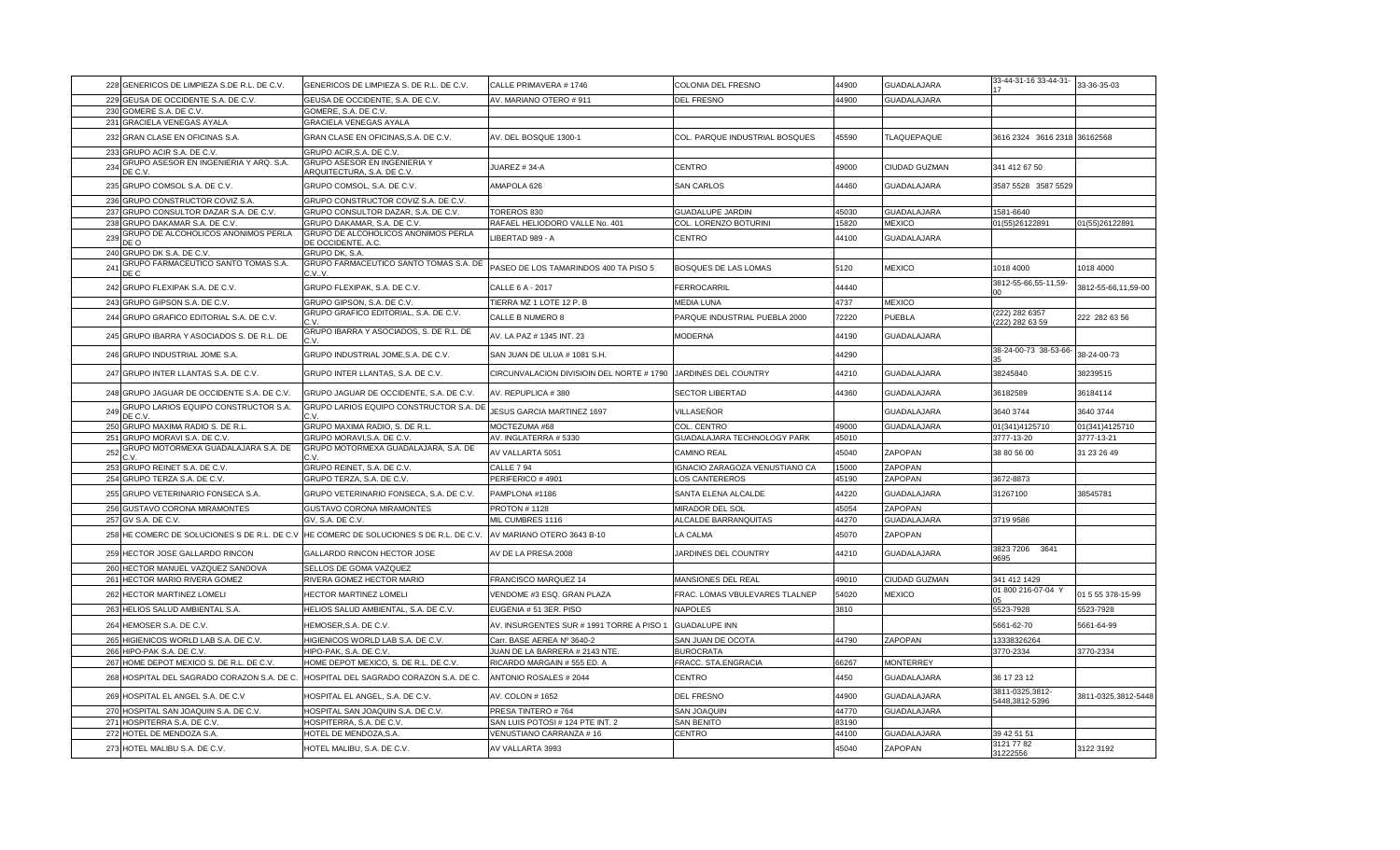| 229 GEUSA DE OCCIDENTE S.A. DE C.V.<br>GEUSA DE OCCIDENTE, S.A. DE C.V.<br>AV. MARIANO OTERO # 911<br><b>DEL FRESNO</b><br>44900<br><b>GUADALAJARA</b><br>230 GOMERE S.A. DE C.V.<br>GOMERE, S.A. DE C.V<br>231 GRACIELA VENEGAS AYALA<br>GRACIELA VENEGAS AYALA<br>GRAN CLASE EN OFICINAS, S.A. DE C.V.<br>232 GRAN CLASE EN OFICINAS S.A.<br>AV. DEL BOSQUE 1300-1<br>COL. PARQUE INDUSTRIAL BOSQUES<br>45590<br>TLAQUEPAQUE<br>3616 2324 3616 2318 36162568<br>233 GRUPO ACIR S.A. DE C.V<br>GRUPO ACIR, S.A. DE C.V<br>GRUPO ASESOR EN INGENIERIA Y ARQ. S.A.<br>GRUPO ASESOR EN INGENIERIA Y<br>234<br>JUAREZ # 34-A<br>CENTRO<br>49000<br>CIUDAD GUZMAN<br>341 412 67 50<br>DE C.V<br>ARQUITECTURA, S.A. DE C.V.<br>235 GRUPO COMSOL S.A. DE C.V.<br>GRUPO COMSOL, S.A. DE C.V.<br>AMAPOLA 626<br><b>SAN CARLOS</b><br>44460<br><b>GUADALAJARA</b><br>3587 5528 3587 5529<br>236 GRUPO CONSTRUCTOR COVIZ S.A.<br>GRUPO CONSTRUCTOR COVIZ S.A. DE C.V<br>237 GRUPO CONSULTOR DAZAR S.A. DE C.V.<br>GRUPO CONSULTOR DAZAR, S.A. DE C.V.<br><b>GUADALUPE JARDIN</b><br>45030<br>GUADALAJARA<br>TOREROS 830<br>1581-6640<br>238 GRUPO DAKAMAR S.A. DE C.V<br>GRUPO DAKAMAR, S.A. DE C.V.<br>RAFAEL HELIODORO VALLE No. 401<br>15820<br><b>MEXICO</b><br>COL. LORENZO BOTURINI<br>01(55)26122891<br>GRUPO DE ALCOHOLICOS ANONIMOS PERLA<br>GRUPO DE ALCOHOLICOS ANONIMOS PERLA<br>239<br>LIBERTAD 989 - A<br>44100<br><b>GUADALAJARA</b><br>CENTRO<br>DE O<br>DE OCCIDENTE, A.C.<br>240 GRUPO DK S.A. DE C.V.<br>GRUPO DK, S.A<br>GRUPO FARMACEUTICO SANTO TOMAS S.A.<br>GRUPO FARMACEUTICO SANTO TOMAS S.A. DE<br>241<br>PASEO DE LOS TAMARINDOS 400 TA PISO 5<br>BOSQUES DE LAS LOMAS<br>5120<br><b>MEXICO</b><br>1018 4000<br>DE C<br>C.V.V.<br>3812-55-66,55-11,59<br>242 GRUPO FLEXIPAK S.A. DE C.V.<br>GRUPO FLEXIPAK, S.A. DE C.V.<br>44440<br>CALLE 6 A - 2017<br>FERROCARRIL<br>243 GRUPO GIPSON S.A. DE C.V.<br>GRUPO GIPSON, S.A. DE C.V.<br>TIERRA MZ 1 LOTE 12 P. B<br><b>MEDIA LUNA</b><br>4737<br><b>MEXICO</b><br>GRUPO GRAFICO EDITORIAL, S.A. DE C.V.<br>(222) 282 6357<br>244 GRUPO GRAFICO EDITORIAL S.A. DE C.V.<br>CALLE B NUMERO 8<br>PARQUE INDUSTRIAL PUEBLA 2000<br>72220<br><b>PUEBLA</b> | 01(55)26122891<br>1018 4000<br>3812-55-66,11,59-00<br>222 282 63 56 |
|-----------------------------------------------------------------------------------------------------------------------------------------------------------------------------------------------------------------------------------------------------------------------------------------------------------------------------------------------------------------------------------------------------------------------------------------------------------------------------------------------------------------------------------------------------------------------------------------------------------------------------------------------------------------------------------------------------------------------------------------------------------------------------------------------------------------------------------------------------------------------------------------------------------------------------------------------------------------------------------------------------------------------------------------------------------------------------------------------------------------------------------------------------------------------------------------------------------------------------------------------------------------------------------------------------------------------------------------------------------------------------------------------------------------------------------------------------------------------------------------------------------------------------------------------------------------------------------------------------------------------------------------------------------------------------------------------------------------------------------------------------------------------------------------------------------------------------------------------------------------------------------------------------------------------------------------------------------------------------------------------------------------------------------------------------------------------------------------------------------------------------------------------------------------------------------------------------------------------|---------------------------------------------------------------------|
|                                                                                                                                                                                                                                                                                                                                                                                                                                                                                                                                                                                                                                                                                                                                                                                                                                                                                                                                                                                                                                                                                                                                                                                                                                                                                                                                                                                                                                                                                                                                                                                                                                                                                                                                                                                                                                                                                                                                                                                                                                                                                                                                                                                                                       |                                                                     |
|                                                                                                                                                                                                                                                                                                                                                                                                                                                                                                                                                                                                                                                                                                                                                                                                                                                                                                                                                                                                                                                                                                                                                                                                                                                                                                                                                                                                                                                                                                                                                                                                                                                                                                                                                                                                                                                                                                                                                                                                                                                                                                                                                                                                                       |                                                                     |
|                                                                                                                                                                                                                                                                                                                                                                                                                                                                                                                                                                                                                                                                                                                                                                                                                                                                                                                                                                                                                                                                                                                                                                                                                                                                                                                                                                                                                                                                                                                                                                                                                                                                                                                                                                                                                                                                                                                                                                                                                                                                                                                                                                                                                       |                                                                     |
|                                                                                                                                                                                                                                                                                                                                                                                                                                                                                                                                                                                                                                                                                                                                                                                                                                                                                                                                                                                                                                                                                                                                                                                                                                                                                                                                                                                                                                                                                                                                                                                                                                                                                                                                                                                                                                                                                                                                                                                                                                                                                                                                                                                                                       |                                                                     |
|                                                                                                                                                                                                                                                                                                                                                                                                                                                                                                                                                                                                                                                                                                                                                                                                                                                                                                                                                                                                                                                                                                                                                                                                                                                                                                                                                                                                                                                                                                                                                                                                                                                                                                                                                                                                                                                                                                                                                                                                                                                                                                                                                                                                                       |                                                                     |
|                                                                                                                                                                                                                                                                                                                                                                                                                                                                                                                                                                                                                                                                                                                                                                                                                                                                                                                                                                                                                                                                                                                                                                                                                                                                                                                                                                                                                                                                                                                                                                                                                                                                                                                                                                                                                                                                                                                                                                                                                                                                                                                                                                                                                       |                                                                     |
|                                                                                                                                                                                                                                                                                                                                                                                                                                                                                                                                                                                                                                                                                                                                                                                                                                                                                                                                                                                                                                                                                                                                                                                                                                                                                                                                                                                                                                                                                                                                                                                                                                                                                                                                                                                                                                                                                                                                                                                                                                                                                                                                                                                                                       |                                                                     |
|                                                                                                                                                                                                                                                                                                                                                                                                                                                                                                                                                                                                                                                                                                                                                                                                                                                                                                                                                                                                                                                                                                                                                                                                                                                                                                                                                                                                                                                                                                                                                                                                                                                                                                                                                                                                                                                                                                                                                                                                                                                                                                                                                                                                                       |                                                                     |
|                                                                                                                                                                                                                                                                                                                                                                                                                                                                                                                                                                                                                                                                                                                                                                                                                                                                                                                                                                                                                                                                                                                                                                                                                                                                                                                                                                                                                                                                                                                                                                                                                                                                                                                                                                                                                                                                                                                                                                                                                                                                                                                                                                                                                       |                                                                     |
|                                                                                                                                                                                                                                                                                                                                                                                                                                                                                                                                                                                                                                                                                                                                                                                                                                                                                                                                                                                                                                                                                                                                                                                                                                                                                                                                                                                                                                                                                                                                                                                                                                                                                                                                                                                                                                                                                                                                                                                                                                                                                                                                                                                                                       |                                                                     |
|                                                                                                                                                                                                                                                                                                                                                                                                                                                                                                                                                                                                                                                                                                                                                                                                                                                                                                                                                                                                                                                                                                                                                                                                                                                                                                                                                                                                                                                                                                                                                                                                                                                                                                                                                                                                                                                                                                                                                                                                                                                                                                                                                                                                                       |                                                                     |
|                                                                                                                                                                                                                                                                                                                                                                                                                                                                                                                                                                                                                                                                                                                                                                                                                                                                                                                                                                                                                                                                                                                                                                                                                                                                                                                                                                                                                                                                                                                                                                                                                                                                                                                                                                                                                                                                                                                                                                                                                                                                                                                                                                                                                       |                                                                     |
|                                                                                                                                                                                                                                                                                                                                                                                                                                                                                                                                                                                                                                                                                                                                                                                                                                                                                                                                                                                                                                                                                                                                                                                                                                                                                                                                                                                                                                                                                                                                                                                                                                                                                                                                                                                                                                                                                                                                                                                                                                                                                                                                                                                                                       |                                                                     |
|                                                                                                                                                                                                                                                                                                                                                                                                                                                                                                                                                                                                                                                                                                                                                                                                                                                                                                                                                                                                                                                                                                                                                                                                                                                                                                                                                                                                                                                                                                                                                                                                                                                                                                                                                                                                                                                                                                                                                                                                                                                                                                                                                                                                                       |                                                                     |
|                                                                                                                                                                                                                                                                                                                                                                                                                                                                                                                                                                                                                                                                                                                                                                                                                                                                                                                                                                                                                                                                                                                                                                                                                                                                                                                                                                                                                                                                                                                                                                                                                                                                                                                                                                                                                                                                                                                                                                                                                                                                                                                                                                                                                       |                                                                     |
| C.V.<br>222) 282 63 59                                                                                                                                                                                                                                                                                                                                                                                                                                                                                                                                                                                                                                                                                                                                                                                                                                                                                                                                                                                                                                                                                                                                                                                                                                                                                                                                                                                                                                                                                                                                                                                                                                                                                                                                                                                                                                                                                                                                                                                                                                                                                                                                                                                                |                                                                     |
| GRUPO IBARRA Y ASOCIADOS, S. DE R.L. DE<br>245 GRUPO IBARRA Y ASOCIADOS S. DE R.L. DE<br><b>GUADALAJARA</b><br>AV. LA PAZ # 1345 INT. 23<br><b>MODERNA</b><br>44190                                                                                                                                                                                                                                                                                                                                                                                                                                                                                                                                                                                                                                                                                                                                                                                                                                                                                                                                                                                                                                                                                                                                                                                                                                                                                                                                                                                                                                                                                                                                                                                                                                                                                                                                                                                                                                                                                                                                                                                                                                                   |                                                                     |
| 38-24-00-73 38-53-66-<br>GRUPO INDUSTRIAL JOME, S.A. DE C.V.<br>44290<br>246 GRUPO INDUSTRIAL JOME S.A.<br>SAN JUAN DE ULUA # 1081 S.H.                                                                                                                                                                                                                                                                                                                                                                                                                                                                                                                                                                                                                                                                                                                                                                                                                                                                                                                                                                                                                                                                                                                                                                                                                                                                                                                                                                                                                                                                                                                                                                                                                                                                                                                                                                                                                                                                                                                                                                                                                                                                               | 38-24-00-73                                                         |
| 38245840<br>247 GRUPO INTER LLANTAS S.A. DE C.V.<br>GRUPO INTER LLANTAS, S.A. DE C.V.<br>CIRCUNVALACION DIVISIOIN DEL NORTE #1790 JARDINES DEL COUNTRY<br>44210<br><b>GUADALAJARA</b>                                                                                                                                                                                                                                                                                                                                                                                                                                                                                                                                                                                                                                                                                                                                                                                                                                                                                                                                                                                                                                                                                                                                                                                                                                                                                                                                                                                                                                                                                                                                                                                                                                                                                                                                                                                                                                                                                                                                                                                                                                 | 38239515                                                            |
| 248 GRUPO JAGUAR DE OCCIDENTE S.A. DE C.V.<br>GRUPO JAGUAR DE OCCIDENTE, S.A. DE C.V.<br>AV. REPUPLICA #380<br><b>SECTOR LIBERTAD</b><br>44360<br><b>GUADALAJARA</b><br>36182589                                                                                                                                                                                                                                                                                                                                                                                                                                                                                                                                                                                                                                                                                                                                                                                                                                                                                                                                                                                                                                                                                                                                                                                                                                                                                                                                                                                                                                                                                                                                                                                                                                                                                                                                                                                                                                                                                                                                                                                                                                      | 36184114                                                            |
| GRUPO LARIOS EQUIPO CONSTRUCTOR S.A.<br>GRUPO LARIOS EQUIPO CONSTRUCTOR S.A. DE<br>√ILLASEÑOR<br>249<br>JESUS GARCIA MARTINEZ 1697<br>GUADALAJARA<br>3640 3744<br>DE C.V.<br>C.V.                                                                                                                                                                                                                                                                                                                                                                                                                                                                                                                                                                                                                                                                                                                                                                                                                                                                                                                                                                                                                                                                                                                                                                                                                                                                                                                                                                                                                                                                                                                                                                                                                                                                                                                                                                                                                                                                                                                                                                                                                                     | 3640 3744                                                           |
| 250 GRUPO MAXIMA RADIO S. DE R.L<br>GRUPO MAXIMA RADIO, S. DE R.L<br>MOCTEZUMA #68<br>COL. CENTRO<br>49000<br><b>GUADALAJARA</b><br>01(341)4125710                                                                                                                                                                                                                                                                                                                                                                                                                                                                                                                                                                                                                                                                                                                                                                                                                                                                                                                                                                                                                                                                                                                                                                                                                                                                                                                                                                                                                                                                                                                                                                                                                                                                                                                                                                                                                                                                                                                                                                                                                                                                    | 01(341)4125710                                                      |
| 251<br>GRUPO MORAVI S.A. DE C.V.<br>GRUPO MORAVI, S.A. DE C.V.<br>AV. INGLATERRA # 5330<br>GUADALAJARA TECHNOLOGY PARK<br>45010<br>3777-13-20<br>GRUPO MOTORMEXA GUADALAJARA S.A. DE<br>GRUPO MOTORMEXA GUADALAJARA, S.A. DE                                                                                                                                                                                                                                                                                                                                                                                                                                                                                                                                                                                                                                                                                                                                                                                                                                                                                                                                                                                                                                                                                                                                                                                                                                                                                                                                                                                                                                                                                                                                                                                                                                                                                                                                                                                                                                                                                                                                                                                          | 3777-13-21                                                          |
| 252<br>AV VALLARTA 5051<br>CAMINO REAL<br>45040<br>ZAPOPAN<br>38 80 56 00                                                                                                                                                                                                                                                                                                                                                                                                                                                                                                                                                                                                                                                                                                                                                                                                                                                                                                                                                                                                                                                                                                                                                                                                                                                                                                                                                                                                                                                                                                                                                                                                                                                                                                                                                                                                                                                                                                                                                                                                                                                                                                                                             | 31 23 26 49                                                         |
| 253 GRUPO REINET S.A. DE C.V<br>GRUPO REINET, S.A. DE C.V<br>CALLE 794<br>GNACIO ZARAGOZA VENUSTIANO CA<br>ZAPOPAN<br>15000                                                                                                                                                                                                                                                                                                                                                                                                                                                                                                                                                                                                                                                                                                                                                                                                                                                                                                                                                                                                                                                                                                                                                                                                                                                                                                                                                                                                                                                                                                                                                                                                                                                                                                                                                                                                                                                                                                                                                                                                                                                                                           |                                                                     |
| 254 GRUPO TERZA S.A. DE C.V.<br>GRUPO TERZA, S.A. DE C.V<br>PERIFERICO #4901<br>LOS CANTEREROS<br>45190<br>ZAPOPAN<br>3672-8873                                                                                                                                                                                                                                                                                                                                                                                                                                                                                                                                                                                                                                                                                                                                                                                                                                                                                                                                                                                                                                                                                                                                                                                                                                                                                                                                                                                                                                                                                                                                                                                                                                                                                                                                                                                                                                                                                                                                                                                                                                                                                       |                                                                     |
| 255 GRUPO VETERINARIO FONSECA S.A.<br>GRUPO VETERINARIO FONSECA, S.A. DE C.V.<br>PAMPLONA #1186<br>SANTA ELENA ALCALDE<br>44220<br><b>GUADALAJARA</b><br>31267100                                                                                                                                                                                                                                                                                                                                                                                                                                                                                                                                                                                                                                                                                                                                                                                                                                                                                                                                                                                                                                                                                                                                                                                                                                                                                                                                                                                                                                                                                                                                                                                                                                                                                                                                                                                                                                                                                                                                                                                                                                                     | 38545781                                                            |
| 256 GUSTAVO CORONA MIRAMONTES<br>GUSTAVO CORONA MIRAMONTES<br>45054<br>ZAPOPAN<br>PROTON #1128<br>MIRADOR DEL SOL                                                                                                                                                                                                                                                                                                                                                                                                                                                                                                                                                                                                                                                                                                                                                                                                                                                                                                                                                                                                                                                                                                                                                                                                                                                                                                                                                                                                                                                                                                                                                                                                                                                                                                                                                                                                                                                                                                                                                                                                                                                                                                     |                                                                     |
| 257 GV S.A. DE C.V.<br>GV, S.A. DE C.V<br>MIL CUMBRES 1116<br>ALCALDE BARRANQUITAS<br>44270<br><b>GUADALAJARA</b><br>3719 9586                                                                                                                                                                                                                                                                                                                                                                                                                                                                                                                                                                                                                                                                                                                                                                                                                                                                                                                                                                                                                                                                                                                                                                                                                                                                                                                                                                                                                                                                                                                                                                                                                                                                                                                                                                                                                                                                                                                                                                                                                                                                                        |                                                                     |
| HE COMERC DE SOLUCIONES S DE R.L. DE C.V.<br>HE COMERC DE SOLUCIONES S DE R.L. DE C.V.<br>AV MARIANO OTERO 3643 B-10<br>45070<br><b>ZAPOPAN</b><br>258<br><b>A CALMA</b><br>3823 7206 3641                                                                                                                                                                                                                                                                                                                                                                                                                                                                                                                                                                                                                                                                                                                                                                                                                                                                                                                                                                                                                                                                                                                                                                                                                                                                                                                                                                                                                                                                                                                                                                                                                                                                                                                                                                                                                                                                                                                                                                                                                            |                                                                     |
| 259 HECTOR JOSE GALLARDO RINCON<br>GALLARDO RINCON HECTOR JOSE<br>AV DE LA PRESA 2008<br><b>JARDINES DEL COUNTRY</b><br>44210<br><b>GUADALAJARA</b><br>0695                                                                                                                                                                                                                                                                                                                                                                                                                                                                                                                                                                                                                                                                                                                                                                                                                                                                                                                                                                                                                                                                                                                                                                                                                                                                                                                                                                                                                                                                                                                                                                                                                                                                                                                                                                                                                                                                                                                                                                                                                                                           |                                                                     |
| 260 HECTOR MANUEL VAZQUEZ SANDOVA<br>SELLOS DE GOMA VAZQUEZ                                                                                                                                                                                                                                                                                                                                                                                                                                                                                                                                                                                                                                                                                                                                                                                                                                                                                                                                                                                                                                                                                                                                                                                                                                                                                                                                                                                                                                                                                                                                                                                                                                                                                                                                                                                                                                                                                                                                                                                                                                                                                                                                                           |                                                                     |
| 261 HECTOR MARIO RIVERA GOMEZ<br>RIVERA GOMEZ HECTOR MARIO<br>FRANCISCO MARQUEZ 14<br><b>MANSIONES DEL REAL</b><br>49010<br>CIUDAD GUZMAN<br>341 412 1429<br>01 800 216-07-04 Y                                                                                                                                                                                                                                                                                                                                                                                                                                                                                                                                                                                                                                                                                                                                                                                                                                                                                                                                                                                                                                                                                                                                                                                                                                                                                                                                                                                                                                                                                                                                                                                                                                                                                                                                                                                                                                                                                                                                                                                                                                       |                                                                     |
| 262 HECTOR MARTINEZ LOMELI<br>VENDOME #3 ESQ. GRAN PLAZA<br>FRAC. LOMAS VBULEVARES TLALNEP<br>54020<br><b>MEXICO</b><br>HECTOR MARTINEZ LOMELI                                                                                                                                                                                                                                                                                                                                                                                                                                                                                                                                                                                                                                                                                                                                                                                                                                                                                                                                                                                                                                                                                                                                                                                                                                                                                                                                                                                                                                                                                                                                                                                                                                                                                                                                                                                                                                                                                                                                                                                                                                                                        | 01 5 55 378-15-99                                                   |
| 263 HELIOS SALUD AMBIENTAL S.A<br>HELIOS SALUD AMBIENTAL, S.A. DE C.V.<br>EUGENIA # 51 3ER. PISO<br><b>NAPOLES</b><br>3810<br>5523-7928                                                                                                                                                                                                                                                                                                                                                                                                                                                                                                                                                                                                                                                                                                                                                                                                                                                                                                                                                                                                                                                                                                                                                                                                                                                                                                                                                                                                                                                                                                                                                                                                                                                                                                                                                                                                                                                                                                                                                                                                                                                                               | 5523-7928                                                           |
| 264 HEMOSER S.A. DE C.V<br>HEMOSER, S.A. DE C.V.<br>AV. INSURGENTES SUR # 1991 TORRE A PISO 1<br><b>GUADALUPE INN</b><br>5661-62-70                                                                                                                                                                                                                                                                                                                                                                                                                                                                                                                                                                                                                                                                                                                                                                                                                                                                                                                                                                                                                                                                                                                                                                                                                                                                                                                                                                                                                                                                                                                                                                                                                                                                                                                                                                                                                                                                                                                                                                                                                                                                                   | 5661-64-99                                                          |
| 265 HIGIENICOS WORLD LAB S.A. DE C.V.<br>HIGIENICOS WORLD LAB S.A. DE C.V.<br>SAN JUAN DE OCOTA<br>ZAPOPAN<br>Carr. BASE AEREA Nº 3640-2<br>44790<br>13338326264                                                                                                                                                                                                                                                                                                                                                                                                                                                                                                                                                                                                                                                                                                                                                                                                                                                                                                                                                                                                                                                                                                                                                                                                                                                                                                                                                                                                                                                                                                                                                                                                                                                                                                                                                                                                                                                                                                                                                                                                                                                      |                                                                     |
| 266 HIPO-PAK S.A. DE C.V<br>JUAN DE LA BARRERA # 2143 NTE.<br><b>BUROCRATA</b><br>3770-2334<br>HIPO-PAK, S.A. DE C.V<br>267 HOME DEPOT MEXICO S. DE R.L. DE C.V.<br>HOME DEPOT MEXICO, S. DE R.L. DE C.V.<br>RICARDO MARGAIN # 555 ED. A<br>FRACC. STA.ENGRACIA<br>66267<br><b>MONTERREY</b>                                                                                                                                                                                                                                                                                                                                                                                                                                                                                                                                                                                                                                                                                                                                                                                                                                                                                                                                                                                                                                                                                                                                                                                                                                                                                                                                                                                                                                                                                                                                                                                                                                                                                                                                                                                                                                                                                                                          | 3770-2334                                                           |
|                                                                                                                                                                                                                                                                                                                                                                                                                                                                                                                                                                                                                                                                                                                                                                                                                                                                                                                                                                                                                                                                                                                                                                                                                                                                                                                                                                                                                                                                                                                                                                                                                                                                                                                                                                                                                                                                                                                                                                                                                                                                                                                                                                                                                       |                                                                     |
| 268<br>HOSPITAL DEL SAGRADO CORAZON S.A. DE C.<br>HOSPITAL DEL SAGRADO CORAZON S.A. DE C.<br>ANTONIO ROSALES # 2044<br>CENTRO<br>4450<br><b>GUADALAJARA</b><br>36 17 23 12<br>3811-0325,3812-                                                                                                                                                                                                                                                                                                                                                                                                                                                                                                                                                                                                                                                                                                                                                                                                                                                                                                                                                                                                                                                                                                                                                                                                                                                                                                                                                                                                                                                                                                                                                                                                                                                                                                                                                                                                                                                                                                                                                                                                                         |                                                                     |
| 269 HOSPITAL EL ANGEL S.A. DE C.V<br>HOSPITAL EL ANGEL, S.A. DE C.V.<br>AV. COLON # 1652<br><b>DEL FRESNO</b><br>44900<br>GUADALAJARA<br>5448,3812-5396<br><b>GUADALAJARA</b><br>270 HOSPITAL SAN JOAQUIN S.A. DE C.V.<br>HOSPITAL SAN JOAQUIN S.A. DE C.V.<br>PRESA TINTERO #764<br>SAN JOAQUIN<br>44770                                                                                                                                                                                                                                                                                                                                                                                                                                                                                                                                                                                                                                                                                                                                                                                                                                                                                                                                                                                                                                                                                                                                                                                                                                                                                                                                                                                                                                                                                                                                                                                                                                                                                                                                                                                                                                                                                                             | 3811-0325,3812-5448                                                 |
| 271 HOSPITERRA S.A. DE C.V<br>HOSPITERRA, S.A. DE C.V.<br>SAN LUIS POTOSI # 124 PTE INT. 2<br>SAN BENITO<br>83190                                                                                                                                                                                                                                                                                                                                                                                                                                                                                                                                                                                                                                                                                                                                                                                                                                                                                                                                                                                                                                                                                                                                                                                                                                                                                                                                                                                                                                                                                                                                                                                                                                                                                                                                                                                                                                                                                                                                                                                                                                                                                                     |                                                                     |
| 272 HOTEL DE MENDOZA S.A.<br>HOTEL DE MENDOZA, S.A.<br>VENUSTIANO CARRANZA #16<br>CENTRO<br>44100<br><b>GUADALAJARA</b><br>39 42 51 51                                                                                                                                                                                                                                                                                                                                                                                                                                                                                                                                                                                                                                                                                                                                                                                                                                                                                                                                                                                                                                                                                                                                                                                                                                                                                                                                                                                                                                                                                                                                                                                                                                                                                                                                                                                                                                                                                                                                                                                                                                                                                |                                                                     |
| 3121 77 82<br>273 HOTEL MALIBU S.A. DE C.V.<br>AV VALLARTA 3993<br>ZAPOPAN<br>HOTEL MALIBU, S.A. DE C.V.<br>45040<br>31222556                                                                                                                                                                                                                                                                                                                                                                                                                                                                                                                                                                                                                                                                                                                                                                                                                                                                                                                                                                                                                                                                                                                                                                                                                                                                                                                                                                                                                                                                                                                                                                                                                                                                                                                                                                                                                                                                                                                                                                                                                                                                                         | 3122 3192                                                           |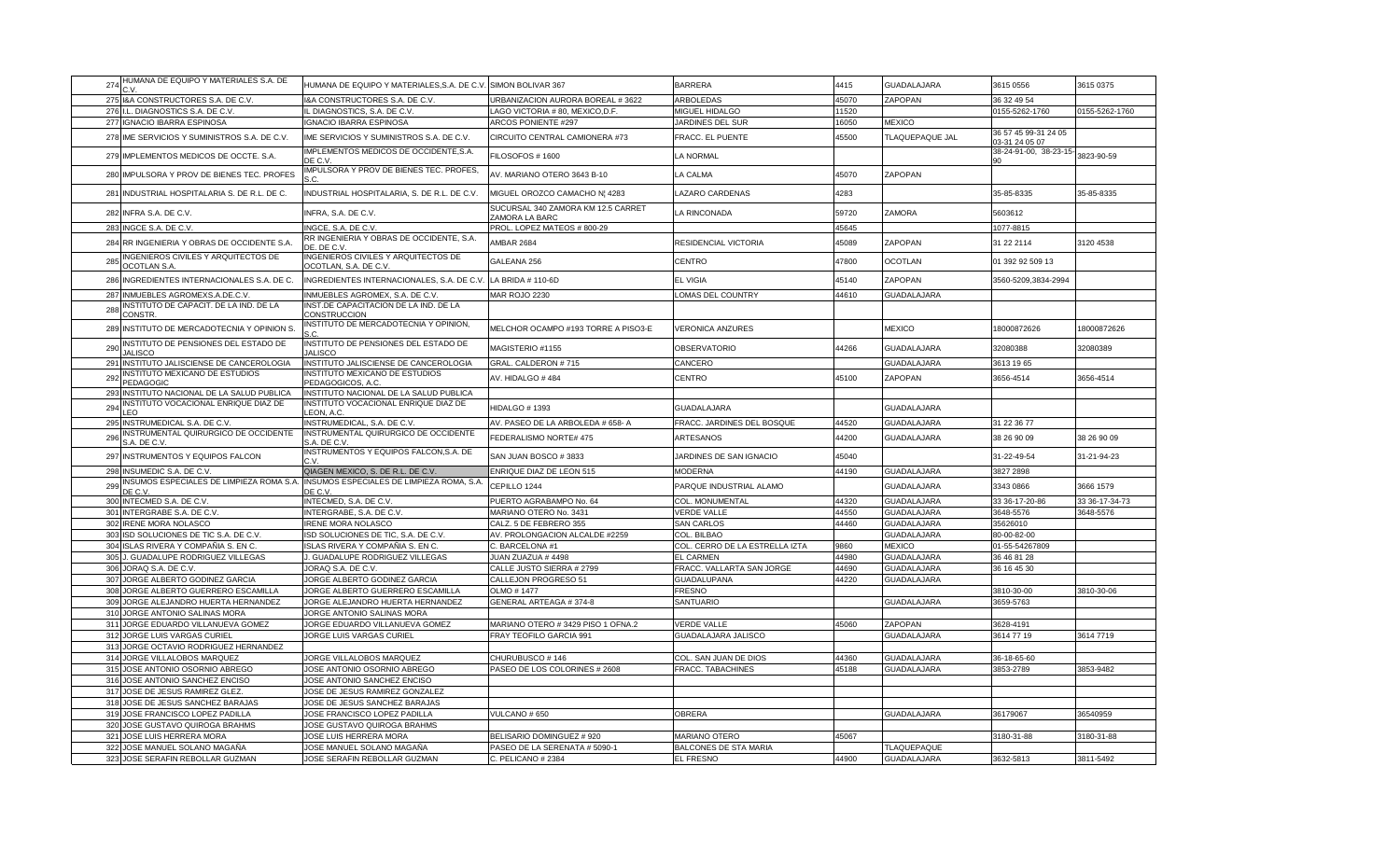| 274 | HUMANA DE EQUIPO Y MATERIALES S.A. DE                                | HUMANA DE EQUIPO Y MATERIALES, S.A. DE C.V. SIMON BOLIVAR 367 |                                                      | <b>BARRERA</b>                 | 4415  | <b>GUADALAJARA</b> | 3615 0556                              | 3615 0375      |
|-----|----------------------------------------------------------------------|---------------------------------------------------------------|------------------------------------------------------|--------------------------------|-------|--------------------|----------------------------------------|----------------|
|     | 275 I&A CONSTRUCTORES S.A. DE C.V.                                   | I&A CONSTRUCTORES S.A. DE C.V.                                | URBANIZACION AURORA BOREAL #3622                     | ARBOLEDAS                      | 45070 | ZAPOPAN            | 36 32 49 54                            |                |
|     | 276 I.L. DIAGNOSTICS S.A. DE C.V.                                    | L DIAGNOSTICS, S.A. DE C.V.                                   | LAGO VICTORIA # 80, MEXICO,D.F.                      | MIGUEL HIDALGO                 | 11520 |                    | 0155-5262-1760                         | 0155-5262-1760 |
|     | 277 IGNACIO IBARRA ESPINOSA                                          | <b>IGNACIO IBARRA ESPINOSA</b>                                | ARCOS PONIENTE #297                                  | JARDINES DEL SUR               | 16050 | <b>MEXICO</b>      |                                        |                |
|     | 278 IME SERVICIOS Y SUMINISTROS S.A. DE C.V.                         | IME SERVICIOS Y SUMINISTROS S.A. DE C.V.                      | CIRCUITO CENTRAL CAMIONERA #73                       | FRACC. EL PUENTE               | 15500 | TLAQUEPAQUE JAL    | 36 57 45 99-31 24 05<br>03-31 24 05 07 |                |
|     | 279 IMPLEMENTOS MEDICOS DE OCCTE. S.A.                               | IMPLEMENTOS MEDICOS DE OCCIDENTE, S.A.<br>DE C.V              | FILOSOFOS #1600                                      | LA NORMAL                      |       |                    | 38-24-91-00, 38-23-15-                 | 3823-90-59     |
|     | 280 IMPULSORA Y PROV DE BIENES TEC. PROFES                           | IMPULSORA Y PROV DE BIENES TEC. PROFES,<br>S.C.               | AV. MARIANO OTERO 3643 B-10                          | LA CALMA                       | 45070 | ZAPOPAN            |                                        |                |
| 281 | INDUSTRIAL HOSPITALARIA S. DE R.L. DE C.                             | INDUSTRIAL HOSPITALARIA, S. DE R.L. DE C.V.                   | MIGUEL OROZCO CAMACHO N¦ 4283                        | LAZARO CARDENAS                | 4283  |                    | 35-85-8335                             | 35-85-8335     |
|     | 282 INFRA S.A. DE C.V.                                               | INFRA, S.A. DE C.V.                                           | SUCURSAL 340 ZAMORA KM 12.5 CARRET<br>ZAMORA LA BARC | LA RINCONADA                   | 59720 | ZAMORA             | 5603612                                |                |
|     | 283 INGCE S.A. DE C.V                                                | INGCE, S.A. DE C.V.                                           | PROL. LOPEZ MATEOS # 800-29                          |                                | 45645 |                    | 1077-8815                              |                |
|     | 284 RR INGENIERIA Y OBRAS DE OCCIDENTE S.A.                          | RR INGENIERIA Y OBRAS DE OCCIDENTE, S.A.<br>DE. DE C.V        | <b>AMBAR 2684</b>                                    | RESIDENCIAL VICTORIA           | 45089 | ZAPOPAN            | 31 22 2114                             | 3120 4538      |
| 285 | <b>INGENIEROS CIVILES Y ARQUITECTOS DE</b><br><b>OCOTLAN S.A.</b>    | INGENIEROS CIVILES Y ARQUITECTOS DE<br>OCOTLAN, S.A. DE C.V   | GALEANA 256                                          | <b>CENTRO</b>                  | 47800 | <b>OCOTLAN</b>     | 01 392 92 509 13                       |                |
|     | 286 INGREDIENTES INTERNACIONALES S.A. DE C.                          | INGREDIENTES INTERNACIONALES, S.A. DE C.V                     | LA BRIDA # 110-6D                                    | <b>EL VIGIA</b>                | 45140 | ZAPOPAN            | 3560-5209,3834-2994                    |                |
| 287 | INMUEBLES AGROMEXS.A.DE.C.V.                                         | INMUEBLES AGROMEX, S.A. DE C.V.                               | MAR ROJO 2230                                        | LOMAS DEL COUNTRY              | 44610 | GUADALAJARA        |                                        |                |
| 288 | INSTITUTO DE CAPACIT. DE LA IND. DE LA<br>CONSTR.                    | INST.DE CAPACITACION DE LA IND. DE LA<br>CONSTRUCCION         |                                                      |                                |       |                    |                                        |                |
| 289 | INSTITUTO DE MERCADOTECNIA Y OPINION S                               | INSTITUTO DE MERCADOTECNIA Y OPINION,                         | MELCHOR OCAMPO #193 TORRE A PISO3-E                  | <b>VERONICA ANZURES</b>        |       | <b>MEXICO</b>      | 18000872626                            | 18000872626    |
| 290 | INSTITUTO DE PENSIONES DEL ESTADO DE<br><b>JALISCO</b>               | INSTITUTO DE PENSIONES DEL ESTADO DE<br><b>JALISCO</b>        | MAGISTERIO #1155                                     | <b>OBSERVATORIO</b>            | 44266 | GUADALAJARA        | 32080388                               | 32080389       |
| 291 | INSTITUTO JALISCIENSE DE CANCEROLOGIA                                | INSTITUTO JALISCIENSE DE CANCEROLOGIA                         | GRAL. CALDERON #715                                  | CANCERO                        |       | GUADALAJARA        | 3613 19 65                             |                |
| 292 | INSTITUTO MEXICANO DE ESTUDIOS<br>PEDAGOGIC                          | INSTITUTO MEXICANO DE ESTUDIOS<br>PEDAGOGICOS, A.C.           | AV. HIDALGO #484                                     | CENTRO                         | 45100 | ZAPOPAN            | 3656-4514                              | 3656-4514      |
|     | 293 INSTITUTO NACIONAL DE LA SALUD PUBLICA                           | INSTITUTO NACIONAL DE LA SALUD PUBLICA                        |                                                      |                                |       |                    |                                        |                |
| 294 | INSTITUTO VOCACIONAL ENRIQUE DIAZ DE<br><b>EO</b>                    | INSTITUTO VOCACIONAL ENRIQUE DIAZ DE<br>LEON, A.C.            | <b>HIDALGO # 1393</b>                                | <b>GUADALAJARA</b>             |       | GUADALAJARA        |                                        |                |
|     | 295 INSTRUMEDICAL S.A. DE C.V.                                       | INSTRUMEDICAL, S.A. DE C.V                                    | AV. PASEO DE LA ARBOLEDA # 658-A                     | FRACC. JARDINES DEL BOSQUE     | 44520 | GUADALAJARA        | 31 22 36 77                            |                |
| 296 | INSTRUMENTAL QUIRURGICO DE OCCIDENTE<br>S.A. DE C.V.                 | INSTRUMENTAL QUIRURGICO DE OCCIDENTE<br>S.A. DE C.V           | FEDERALISMO NORTE# 475                               | ARTESANOS                      | 14200 | GUADALAJARA        | 38 26 90 09                            | 38 26 90 09    |
| 297 | INSTRUMENTOS Y EQUIPOS FALCON                                        | INSTRUMENTOS Y EQUIPOS FALCON, S.A. DE<br>C.V.                | SAN JUAN BOSCO #3833                                 | JARDINES DE SAN IGNACIO        | 45040 |                    | 31-22-49-54                            | 31-21-94-23    |
|     | 298 INSUMEDIC S.A. DE C.V                                            | QIAGEN MEXICO, S. DE R.L. DE C.V                              | ENRIQUE DIAZ DE LEON 515                             | <b>MODERNA</b>                 | 44190 | GUADALAJARA        | 3827 2898                              |                |
| 299 | INSUMOS ESPECIALES DE LIMPIEZA ROMA S.A.<br>DE C.V                   | INSUMOS ESPECIALES DE LIMPIEZA ROMA, S.A.<br>DE C.V.          | CEPILLO 1244                                         | PARQUE INDUSTRIAL ALAMO        |       | GUADALAJARA        | 3343 0866                              | 3666 1579      |
| 300 | INTECMED S.A. DE C.V.                                                | INTECMED, S.A. DE C.V.                                        | PUERTO AGRABAMPO No. 64                              | COL. MONUMENTAL                | 44320 | GUADALAJARA        | 33 36-17-20-86                         | 33 36-17-34-73 |
|     | 301 INTERGRABE S.A. DE C.V                                           | INTERGRABE, S.A. DE C.V.                                      | MARIANO OTERO No. 3431                               | <b>VERDE VALLE</b>             | 44550 | GUADALAJARA        | 3648-5576                              | 3648-5576      |
|     | 302 IRENE MORA NOLASCO                                               | <b>IRENE MORA NOLASCO</b>                                     | CALZ. 5 DE FEBRERO 355                               | <b>SAN CARLOS</b>              | 44460 | <b>GUADALAJARA</b> | 35626010                               |                |
| 303 | ISD SOLUCIONES DE TIC S.A. DE C.V.                                   | ISD SOLUCIONES DE TIC. S.A. DE C.V.                           | AV. PROLONGACION ALCALDE #2259                       | COL. BILBAO                    |       | <b>GUADALAJARA</b> | 80-00-82-00                            |                |
|     | 304 ISLAS RIVERA Y COMPAÑIA S. EN C.                                 | ISLAS RIVERA Y COMPAÑIA S. EN C.                              | C. BARCELONA #1                                      | COL. CERRO DE LA ESTRELLA IZTA | 9860  | <b>MEXICO</b>      | 01-55-54267809                         |                |
|     | 305 J. GUADALUPE RODRIGUEZ VILLEGAS                                  | . GUADALUPE RODRIGUEZ VILLEGAS                                | JUAN ZUAZUA #4498                                    | EL CARMEN                      | 44980 | <b>GUADALAJARA</b> | 36 46 81 28                            |                |
|     | 306 JORAQ S.A. DE C.V.                                               | JORAQ S.A. DE C.V.                                            | CALLE JUSTO SIERRA # 2799                            | FRACC. VALLARTA SAN JORGE      | 44690 | GUADALAJARA        | 36 16 45 30                            |                |
|     | 307 JORGE ALBERTO GODINEZ GARCIA                                     | JORGE ALBERTO GODINEZ GARCIA                                  | CALLEJON PROGRESO 51                                 | <b>GUADALUPANA</b>             | 44220 | GUADALAJARA        |                                        |                |
|     | 308 JORGE ALBERTO GUERRERO ESCAMILLA                                 | JORGE ALBERTO GUERRERO ESCAMILLA                              | OLMO # 1477                                          | <b>FRESNO</b>                  |       |                    | 3810-30-00                             | 3810-30-06     |
|     | 309 JORGE ALEJANDRO HUERTA HERNANDEZ                                 | JORGE ALEJANDRO HUERTA HERNANDEZ                              | GENERAL ARTEAGA #374-8                               | SANTUARIO                      |       | <b>GUADALAJARA</b> | 3659-5763                              |                |
|     | 310 JORGE ANTONIO SALINAS MORA<br>311 JORGE EDUARDO VILLANUEVA GOMEZ | JORGE ANTONIO SALINAS MORA                                    | MARIANO OTERO #3429 PISO 1 OFNA.2                    | <b>VERDE VALLE</b>             | 45060 | ZAPOPAN            |                                        |                |
|     | 312 JORGE LUIS VARGAS CURIEL                                         | JORGE EDUARDO VILLANUEVA GOMEZ<br>JORGE LUIS VARGAS CURIEL    | FRAY TEOFILO GARCIA 991                              | GUADALAJARA JALISCO            |       | <b>GUADALAJARA</b> | 3628-4191<br>3614 77 19                | 3614 7719      |
|     | 313 JORGE OCTAVIO RODRIGUEZ HERNANDEZ                                |                                                               |                                                      |                                |       |                    |                                        |                |
|     | 314 JORGE VILLALOBOS MARQUEZ                                         | JORGE VILLALOBOS MARQUEZ                                      | CHURUBUSCO #146                                      | COL. SAN JUAN DE DIOS          | 44360 | GUADALAJARA        | 36-18-65-60                            |                |
|     | 315 JOSE ANTONIO OSORNIO ABREGO                                      | JOSE ANTONIO OSORNIO ABREGO                                   | PASEO DE LOS COLORINES # 2608                        | FRACC. TABACHINES              | 45188 | GUADALAJARA        | 3853-2789                              | 3853-9482      |
|     | 316 JOSE ANTONIO SANCHEZ ENCISO                                      | JOSE ANTONIO SANCHEZ ENCISO                                   |                                                      |                                |       |                    |                                        |                |
|     | 317 JOSE DE JESUS RAMIREZ GLEZ.                                      | JOSE DE JESUS RAMIREZ GONZALEZ                                |                                                      |                                |       |                    |                                        |                |
|     | 318 JOSE DE JESUS SANCHEZ BARAJAS                                    | JOSE DE JESUS SANCHEZ BARAJAS                                 |                                                      |                                |       |                    |                                        |                |
|     | 319 JOSE FRANCISCO LOPEZ PADILLA                                     | JOSE FRANCISCO LOPEZ PADILLA                                  | VULCANO #650                                         | OBRERA                         |       | GUADALAJARA        | 36179067                               | 36540959       |
|     | 320 JOSE GUSTAVO QUIROGA BRAHMS                                      | JOSE GUSTAVO QUIROGA BRAHMS                                   |                                                      |                                |       |                    |                                        |                |
|     | 321 JOSE LUIS HERRERA MORA                                           | JOSE LUIS HERRERA MORA                                        | BELISARIO DOMINGUEZ # 920                            | MARIANO OTERO                  | 45067 |                    | 3180-31-88                             | 3180-31-88     |
|     | 322 JOSE MANUEL SOLANO MAGAÑA                                        | JOSE MANUEL SOLANO MAGAÑA                                     | PASEO DE LA SERENATA # 5090-1                        | BALCONES DE STA MARIA          |       | TLAQUEPAQUE        |                                        |                |
|     | 323 JOSE SERAFIN REBOLLAR GUZMAN                                     | JOSE SERAFIN REBOLLAR GUZMAN                                  | C. PELICANO # 2384                                   | <b>EL FRESNO</b>               | 44900 | <b>GUADALAJARA</b> | 3632-5813                              | 3811-5492      |
|     |                                                                      |                                                               |                                                      |                                |       |                    |                                        |                |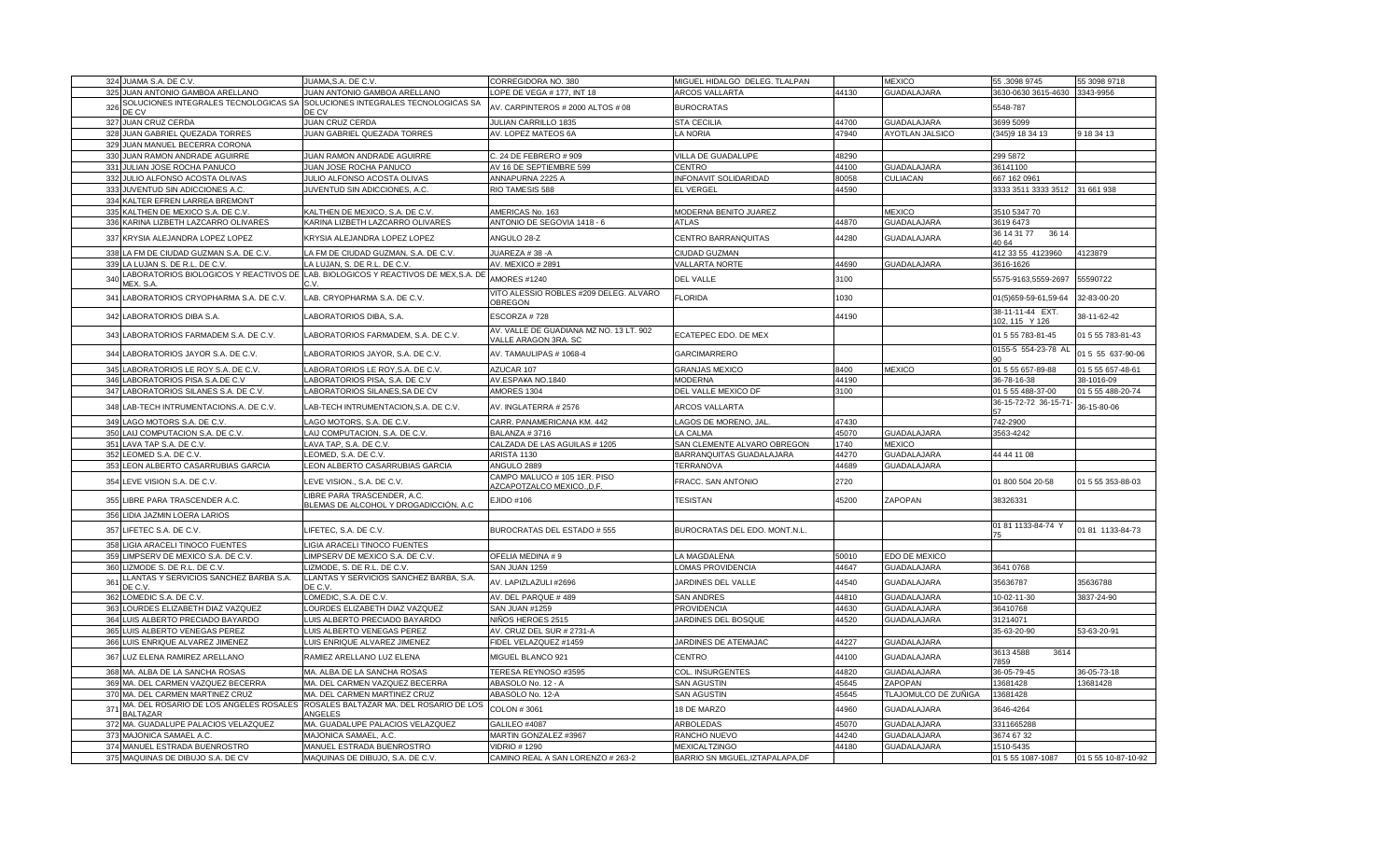|                 | 324 JUAMA S.A. DE C.V                                          | JUAMA, S.A. DE C.V.                                                              | CORREGIDORA NO. 380                                             | MIGUEL HIDALGO DELEG. TLALPAN    |                | <b>MEXICO</b>                     | 55.30989745                        | 55 3098 9718        |
|-----------------|----------------------------------------------------------------|----------------------------------------------------------------------------------|-----------------------------------------------------------------|----------------------------------|----------------|-----------------------------------|------------------------------------|---------------------|
|                 | 325 JUAN ANTONIO GAMBOA ARELLANO                               | JUAN ANTONIO GAMBOA ARELLANO                                                     | OPE DE VEGA # 177, INT 18                                       | <b>ARCOS VALLARTA</b>            | 44130          | <b>GUADALAJARA</b>                | 3630-0630 3615-4630                | 3343-9956           |
| 326             | SOLUCIONES INTEGRALES TECNOLOGICAS SA                          | SOLUCIONES INTEGRALES TECNOLOGICAS SA                                            | AV. CARPINTEROS # 2000 ALTOS # 08                               | <b>BUROCRATAS</b>                |                |                                   | 5548-787                           |                     |
|                 | <b>DE CV</b>                                                   | DE CV                                                                            |                                                                 |                                  |                |                                   |                                    |                     |
|                 | 327 JUAN CRUZ CERDA                                            | <b>JUAN CRUZ CERDA</b>                                                           | JULIAN CARRILLO 1835                                            | <b>STA CECILIA</b>               | 44700          | GUADALAJARA                       | 3699 5099                          |                     |
| 328             | <b>JUAN GABRIEL QUEZADA TORRES</b>                             | JUAN GABRIEL QUEZADA TORRES                                                      | AV. LOPEZ MATEOS 6A                                             | LA NORIA                         | 47940          | AYOTLAN JALSICO                   | (345) 918 34 13                    | 9 18 34 13          |
| 329             | JUAN MANUEL BECERRA CORONA                                     |                                                                                  |                                                                 |                                  |                |                                   |                                    |                     |
| 330             | JUAN RAMON ANDRADE AGUIRRE                                     | JUAN RAMON ANDRADE AGUIRRE                                                       | C. 24 DE FEBRERO # 909                                          | VILLA DE GUADALUPE               | 48290          |                                   | 299 5872                           |                     |
|                 | 331 JULIAN JOSE ROCHA PANUCO                                   | JUAN JOSE ROCHA PANUCO                                                           | AV 16 DE SEPTIEMBRE 599                                         | CENTRO                           | 44100          | <b>GUADALAJARA</b>                | 36141100                           |                     |
| 332             | JULIO ALFONSO ACOSTA OLIVAS                                    | JULIO ALFONSO ACOSTA OLIVAS                                                      | ANNAPURNA 2225 A                                                | INFONAVIT SOLIDARIDAD            | 80058          | CULIACAN                          | 667 162 0961                       |                     |
| 333             | JUVENTUD SIN ADICCIONES A.C.                                   | JUVENTUD SIN ADICCIONES, A.C.                                                    | RIO TAMESIS 588                                                 | EL VERGEL                        | 44590          |                                   | 3333 3511 3333 3512 31 661 938     |                     |
| 334             | KALTER EFREN LARREA BREMONT                                    |                                                                                  |                                                                 |                                  |                |                                   |                                    |                     |
| 335             | <b>KALTHEN DE MEXICO S.A. DE C.V</b>                           | KALTHEN DE MEXICO, S.A. DE C.V.                                                  | AMERICAS No. 163                                                | MODERNA BENITO JUAREZ            |                | <b>MEXICO</b>                     | 3510 5347 70                       |                     |
| 336             | KARINA LIZBETH LAZCARRO OLIVARES                               | KARINA LIZBETH LAZCARRO OLIVARES                                                 | ANTONIO DE SEGOVIA 1418 - 6                                     | ATLAS                            | 44870          | GUADALAJARA                       | 3619 6473<br>36 14 31 77<br>36 14  |                     |
| 337             | KRYSIA ALEJANDRA LOPEZ LOPEZ                                   | KRYSIA ALEJANDRA LOPEZ LOPEZ                                                     | ANGULO 28-Z                                                     | CENTRO BARRANQUITAS              | 44280          | GUADALAJARA                       | 40 64                              |                     |
| 338             | LA FM DE CIUDAD GUZMAN S.A. DE C.V.                            | LA FM DE CIUDAD GUZMAN, S.A. DE C.V.                                             | JUAREZA # 38 -A                                                 | CIUDAD GUZMAN                    |                |                                   | 412 33 55 4123960                  | 4123879             |
| 339             | A LUJAN S. DE R.L. DE C.V                                      | A LUJAN, S. DE R.L. DE C.V                                                       | AV. MEXICO # 2891                                               | <b>VALLARTA NORTE</b>            | 44690          | GUADALAJARA                       | 3616-1626                          |                     |
| 34              |                                                                | ABORATORIOS BIOLOGICOS Y REACTIVOS DE LAB. BIOLOGICOS Y REACTIVOS DE MEX,S.A. DE | AMORES #1240                                                    | <b>DEL VALLE</b>                 | 3100           |                                   | 5575-9163,5559-2697                | 55590722            |
|                 | MEX. S.A                                                       | r. v                                                                             |                                                                 |                                  |                |                                   |                                    |                     |
| 341             | LABORATORIOS CRYOPHARMA S.A. DE C.V.                           | LAB. CRYOPHARMA S.A. DE C.V.                                                     | VITO ALESSIO ROBLES #209 DELEG. ALVARO<br>OBREGON               | <b>FLORIDA</b>                   | 1030           |                                   | 01(5)659-59-61,59-64               | 32-83-00-20         |
| 342             | LABORATORIOS DIBA S.A.                                         | LABORATORIOS DIBA, S.A.                                                          | ESCORZA #728                                                    |                                  | 44190          |                                   | 38-11-11-44 EXT.<br>102, 115 Y 126 | 38-11-62-42         |
| 343             | LABORATORIOS FARMADEM S.A. DE C.V.                             | LABORATORIOS FARMADEM, S.A. DE C.V.                                              | AV. VALLE DE GUADIANA MZ NO. 13 LT. 902<br>VALLE ARAGON 3RA. SC | ECATEPEC EDO. DE MEX             |                |                                   | 01 5 55 783-81-45                  | 01 5 55 783-81-43   |
| 344             | LABORATORIOS JAYOR S.A. DE C.V.                                | LABORATORIOS JAYOR, S.A. DE C.V.                                                 | AV. TAMAULIPAS # 1068-4                                         | GARCIMARRERO                     |                |                                   | 0155-5 554-23-78 AL                | 01 5 55 637-90-06   |
| 345             | ABORATORIOS LE ROY S.A. DE C.V.                                | LABORATORIOS LE ROY, S.A. DE C.V.                                                | AZUCAR 107                                                      | <b>GRANJAS MEXICO</b>            | 8400           | <b>MEXICO</b>                     | 01 5 55 657-89-88                  | 01 5 55 657-48-61   |
| 346             | LABORATORIOS PISA S.A.DE C.V                                   | LABORATORIOS PISA, S.A. DE C.V                                                   | AV.ESPA¥A NO.1840                                               | <b>MODERNA</b>                   | 44190          |                                   | 36-78-16-38                        | 38-1016-09          |
| 347             | LABORATORIOS SILANES S.A. DE C.V                               | LABORATORIOS SILANES, SA DE CV                                                   | AMORES 1304                                                     | DEL VALLE MEXICO DF              | 3100           |                                   | 01 5 55 488-37-00                  | 01 5 55 488-20-74   |
| 348             | LAB-TECH INTRUMENTACIONS.A. DE C.V.                            | LAB-TECH INTRUMENTACION, S.A. DE C.V.                                            | AV. INGLATERRA # 2576                                           | <b>ARCOS VALLARTA</b>            |                |                                   | 36-15-72-72 36-15-71               | 36-15-80-06         |
| 349             | LAGO MOTORS S.A. DE C.V                                        | LAGO MOTORS, S.A. DE C.V                                                         | CARR. PANAMERICANA KM. 442                                      | LAGOS DE MORENO, JAL             | 47430          |                                   | 742-2900                           |                     |
| 350             | AIJ COMPUTACION S.A. DE C.V.                                   | LAIJ COMPUTACION, S.A. DE C.V                                                    | BALANZA #3716                                                   | LA CALMA                         | 45070          | <b>GUADALAJARA</b>                | 3563-4242                          |                     |
| 351             | LAVA TAP S.A. DE C.V.                                          | LAVA TAP, S.A. DE C.V.                                                           | CALZADA DE LAS AGUILAS # 1205                                   | SAN CLEMENTE ALVARO OBREGON      | 1740           | <b>MEXICO</b>                     |                                    |                     |
| 352             | LEOMED S.A. DE C.V.                                            | LEOMED, S.A. DE C.V.                                                             | ARISTA 1130                                                     | BARRANQUITAS GUADALAJARA         | 44270          | <b>GUADALAJARA</b>                | 44 44 11 08                        |                     |
| 353             | LEON ALBERTO CASARRUBIAS GARCIA                                | LEON ALBERTO CASARRUBIAS GARCIA                                                  | ANGULO 2889                                                     | <b><i>FERRANOVA</i></b>          | 44689          | <b>GUADALAJARA</b>                |                                    |                     |
| 354             | LEVE VISION S.A. DE C.V.                                       | LEVE VISION., S.A. DE C.V.                                                       | CAMPO MALUCO # 105 1ER. PISO                                    | FRACC. SAN ANTONIO               | 2720           |                                   | 01 800 504 20-58                   | 01 5 55 353-88-03   |
|                 |                                                                | LIBRE PARA TRASCENDER, A.C.                                                      | AZCAPOTZALCO MEXICO., D.F.                                      |                                  |                |                                   |                                    |                     |
| 355             | LIBRE PARA TRASCENDER A.C.                                     | BLEMAS DE ALCOHOL Y DROGADICCIÓN, A.C                                            | <b>EJIDO #106</b>                                               | <b>TESISTAN</b>                  | 45200          | ZAPOPAN                           | 38326331                           |                     |
| 356             | LIDIA JAZMIN LOERA LARIOS                                      |                                                                                  |                                                                 |                                  |                |                                   |                                    |                     |
| 357             | LIFETEC S.A. DE C.V.                                           | LIFETEC, S.A. DE C.V.                                                            | BUROCRATAS DEL ESTADO # 555                                     | BUROCRATAS DEL EDO. MONT.N.L.    |                |                                   | 01 81 1133-84-74 Y                 | 0181 1133-84-73     |
| 358             | LIGIA ARACELI TINOCO FUENTES                                   | LIGIA ARACELI TINOCO FUENTES                                                     |                                                                 |                                  |                |                                   |                                    |                     |
| 359             | LIMPSERV DE MEXICO S.A. DE C.V.                                | LIMPSERV DE MEXICO S.A. DE C.V.                                                  | OFELIA MEDINA #9                                                | <b>A MAGDALENA</b>               | 50010          | EDO DE MEXICO                     |                                    |                     |
| 360             | LIZMODE S. DE R.L. DE C.V.                                     | LIZMODE, S. DE R.L. DE C.V.                                                      | SAN JUAN 1259                                                   | LOMAS PROVIDENCIA                | 44647          | GUADALAJARA                       | 3641 0768                          |                     |
| 36 <sup>°</sup> | LANTAS Y SERVICIOS SANCHEZ BARBA S.A.<br>DE C.V.               | LLANTAS Y SERVICIOS SANCHEZ BARBA, S.A.<br>DE C.V.                               | AV. LAPIZLAZULI #2696                                           | JARDINES DEL VALLE               | 44540          | <b>GUADALAJARA</b>                | 35636787                           | 35636788            |
| 362             | LOMEDIC S.A. DE C.V.                                           | LOMEDIC, S.A. DE C.V.                                                            | AV. DEL PARQUE #489                                             | SAN ANDRES                       | 44810          | <b>GUADALAJARA</b>                | 10-02-11-30                        | 3837-24-90          |
| 363             | LOURDES ELIZABETH DIAZ VAZQUEZ                                 | LOURDES ELIZABETH DIAZ VAZQUEZ                                                   | <b>SAN JUAN #1259</b>                                           | <b>PROVIDENCIA</b>               | 44630          | GUADALAJARA                       | 36410768                           |                     |
| 364             | LUIS ALBERTO PRECIADO BAYARDO                                  | LUIS ALBERTO PRECIADO BAYARDO                                                    | NIÑOS HEROES 2515                                               | JARDINES DEL BOSQUE              | 44520          | <b>GUADALAJARA</b>                | 31214071                           |                     |
| 365             | LUIS ALBERTO VENEGAS PEREZ                                     | LUIS ALBERTO VENEGAS PEREZ                                                       | AV. CRUZ DEL SUR # 2731-A                                       |                                  |                |                                   | 35-63-20-90                        | 53-63-20-91         |
| 366             | LUIS ENRIQUE ALVAREZ JIMENEZ                                   | LUIS ENRIQUE ALVAREZ JIMENEZ                                                     | FIDEL VELAZQUEZ #1459                                           | JARDINES DE ATEMAJAC             | 44227          | <b>GUADALAJARA</b>                |                                    |                     |
| 367             | LUZ ELENA RAMIREZ ARELLANO                                     | RAMIEZ ARELLANO LUZ ELENA                                                        | MIGUEL BLANCO 921                                               | CENTRO                           | 44100          | <b>GUADALAJARA</b>                | 3614<br>3613 4588<br>7859          |                     |
| 368             | MA, ALBA DE LA SANCHA ROSAS                                    | MA. ALBA DE LA SANCHA ROSAS                                                      | TERESA REYNOSO #3595                                            | COL. INSURGENTES                 | 14820          | <b>GUADALAJARA</b>                | 36-05-79-45                        | 36-05-73-18         |
|                 | 369 MA. DEL CARMEN VAZQUEZ BECERRA                             | MA. DEL CARMEN VAZQUEZ BECERRA                                                   | ABASOLO No. 12 - A                                              | SAN AGUSTIN                      | 15645          | ZAPOPAN                           | 13681428                           | 13681428            |
|                 | 370 MA. DEL CARMEN MARTINEZ CRUZ                               | MA. DEL CARMEN MARTINEZ CRUZ                                                     | ABASOLO No. 12-A                                                | SAN AGUSTIN                      | 45645          | TLAJOMULCO DE ZUÑIGA              | 13681428                           |                     |
| 371             |                                                                | MA. DEL ROSARIO DE LOS ANGELES ROSALES │ROSALES BALTAZAR MA. DEL ROSARIO DE LOS  | <b>COLON #3061</b>                                              | 18 DE MARZO                      | 44960          | <b>GUADALAJARA</b>                | 3646-4264                          |                     |
|                 | <b>BALTAZAR</b>                                                | ANGELES                                                                          |                                                                 |                                  |                |                                   |                                    |                     |
| 373             | 372 MA. GUADALUPE PALACIOS VELAZQUEZ<br>MAJONICA SAMAEL A.C.   | MA. GUADALUPE PALACIOS VELAZQUEZ<br>MAJONICA SAMAEL, A.C.                        | GALILEO #4087<br>MARTIN GONZALEZ #3967                          | <b>ARBOLEDAS</b>                 | 45070<br>44240 | <b>GUADALAJARA</b><br>GUADALAJARA | 3311665288<br>3674 67 32           |                     |
| 374             |                                                                |                                                                                  | <b>VIDRIO # 1290</b>                                            | RANCHO NUEVO                     |                |                                   |                                    |                     |
|                 | MANUEL ESTRADA BUENROSTRO<br>375 MAQUINAS DE DIBUJO S.A. DE CV | MANUEL ESTRADA BUENROSTRO<br>MAQUINAS DE DIBUJO, S.A. DE C.V.                    |                                                                 | <b>MEXICALTZINGO</b>             | 44180          | <b>GUADALAJARA</b>                | 1510-5435                          |                     |
|                 |                                                                |                                                                                  | CAMINO REAL A SAN LORENZO # 263-2                               | BARRIO SN MIGUEL, IZTAPALAPA, DF |                |                                   | 01 5 55 1087-1087                  | 01 5 55 10-87-10-92 |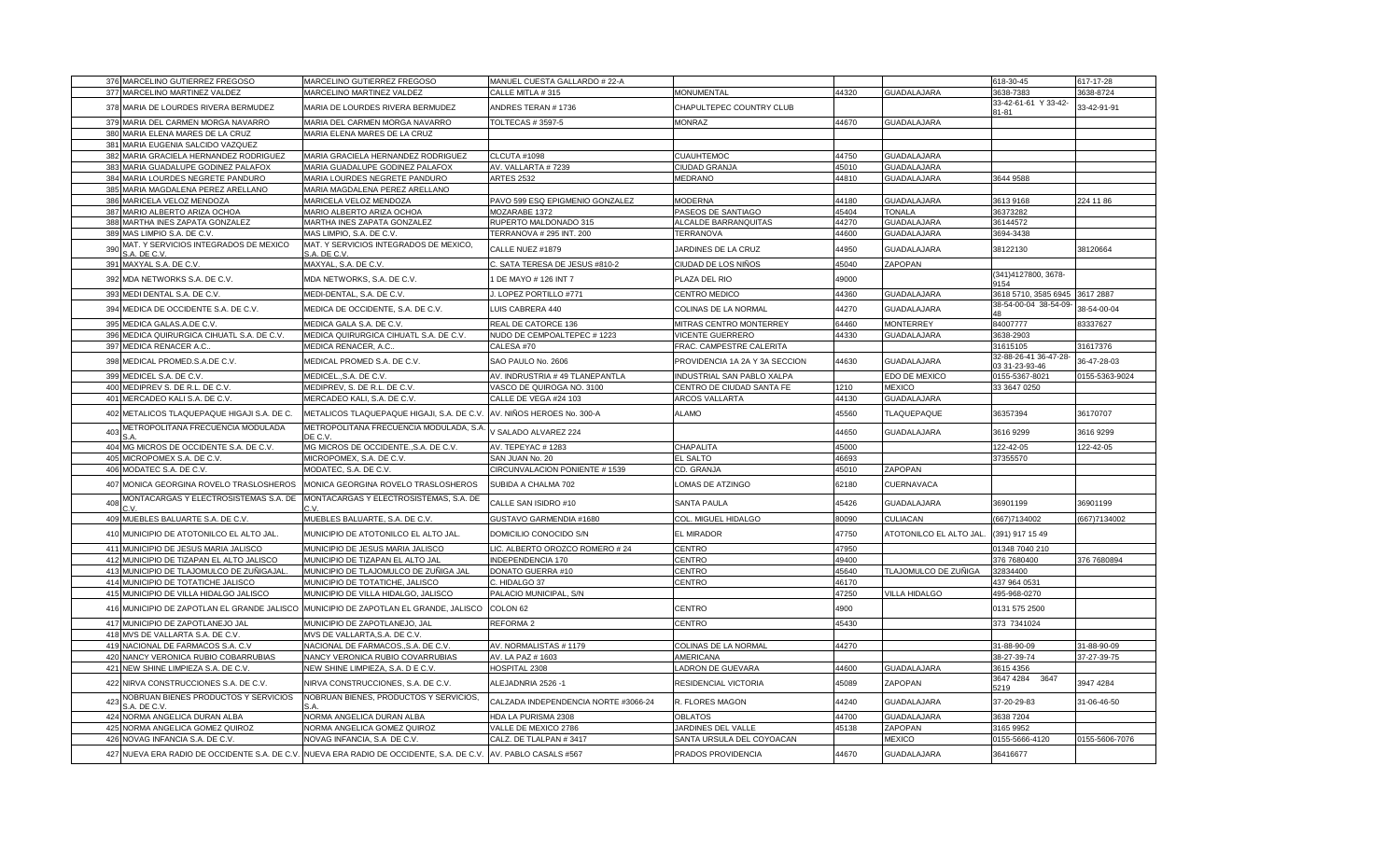| 376 MARCELINO GUTIERREZ FREGOSO                                                          | MARCELINO GUTIERREZ FREGOSO                            | MANUEL CUESTA GALLARDO # 22-A        |                                |       |                        | 618-30-45                                      | 617-17-28      |
|------------------------------------------------------------------------------------------|--------------------------------------------------------|--------------------------------------|--------------------------------|-------|------------------------|------------------------------------------------|----------------|
| 377 MARCELINO MARTINEZ VALDEZ                                                            | MARCELINO MARTINEZ VALDEZ                              | CALLE MITLA #315                     | <b>MONUMENTAL</b>              | 44320 | <b>GUADALAJARA</b>     | 3638-7383                                      | 3638-8724      |
| 378 MARIA DE LOURDES RIVERA BERMUDEZ                                                     | MARIA DE LOURDES RIVERA BERMUDEZ                       | ANDRES TERAN # 1736                  | CHAPULTEPEC COUNTRY CLUB       |       |                        | 33-42-61-61 Y 33-42-<br>81-81                  | 33-42-91-91    |
| 379 MARIA DEL CARMEN MORGA NAVARRO                                                       | MARIA DEL CARMEN MORGA NAVARRO                         | <b>TOLTECAS # 3597-5</b>             | <b>MONRAZ</b>                  | 44670 | <b>GUADALAJARA</b>     |                                                |                |
| 380 MARIA ELENA MARES DE LA CRUZ                                                         | MARIA ELENA MARES DE LA CRUZ                           |                                      |                                |       |                        |                                                |                |
| 381 MARIA EUGENIA SALCIDO VAZQUEZ                                                        |                                                        |                                      |                                |       |                        |                                                |                |
| MARIA GRACIELA HERNANDEZ RODRIGUEZ<br>382                                                | MARIA GRACIELA HERNANDEZ RODRIGUEZ                     | CLCUTA #1098                         | <b>CUAUHTEMOC</b>              | 44750 | <b>GUADALAJARA</b>     |                                                |                |
| 383 MARIA GUADALUPE GODINEZ PALAFOX                                                      | MARIA GUADALUPE GODINEZ PALAFOX                        | AV. VALLARTA #7239                   | CIUDAD GRANJA                  | 45010 | <b>GUADALAJARA</b>     |                                                |                |
| 384 MARIA LOURDES NEGRETE PANDURO                                                        | MARIA LOURDES NEGRETE PANDURO                          | <b>ARTES 2532</b>                    | <b>MEDRANO</b>                 | 44810 | <b>GUADALAJARA</b>     | 3644 9588                                      |                |
| 385 MARIA MAGDALENA PEREZ ARELLANO                                                       | MARIA MAGDALENA PEREZ ARELLANO                         |                                      |                                |       |                        |                                                |                |
| 386 MARICELA VELOZ MENDOZA                                                               | MARICELA VELOZ MENDOZA                                 | PAVO 599 ESQ EPIGMENIO GONZALEZ      | <b>MODERNA</b>                 | 44180 | <b>GUADALAJARA</b>     | 3613 9168                                      | 224 11 86      |
| 387 MARIO ALBERTO ARIZA OCHOA                                                            | MARIO ALBERTO ARIZA OCHOA                              | MOZARABE 1372                        | PASEOS DE SANTIAGO             | 45404 | <b>TONALA</b>          | 36373282                                       |                |
| 388 MARTHA INES ZAPATA GONZALEZ                                                          | MARTHA INES ZAPATA GONZALEZ                            | RUPERTO MALDONADO 315                | ALCALDE BARRANQUITAS           | 44270 | <b>GUADALAJARA</b>     | 36144572                                       |                |
| 389 MAS LIMPIO S.A. DE C.V.                                                              | MAS LIMPIO, S.A. DE C.V.                               | TERRANOVA # 295 INT. 200             | <b>TERRANOVA</b>               | 44600 | <b>GUADALAJARA</b>     | 3694-3438                                      |                |
| MAT. Y SERVICIOS INTEGRADOS DE MEXICO<br>390<br>S.A. DE C.V.                             | MAT. Y SERVICIOS INTEGRADOS DE MEXICO,<br>S.A. DE C.V. | CALLE NUEZ #1879                     | JARDINES DE LA CRUZ            | 44950 | <b>GUADALAJARA</b>     | 38122130                                       | 38120664       |
| 391 MAXYAL S.A. DE C.V.                                                                  | MAXYAL, S.A. DE C.V.                                   | C. SATA TERESA DE JESUS #810-2       | CIUDAD DE LOS NIÑOS            | 45040 | ZAPOPAN                |                                                |                |
| 392 MDA NETWORKS S.A. DE C.V.                                                            | MDA NETWORKS, S.A. DE C.V.                             | 1 DE MAYO # 126 INT 7                | PLAZA DEL RIO                  | 49000 |                        | (341)4127800, 3678-<br>9154                    |                |
| 393 MEDI DENTAL S.A. DE C.V.                                                             | MEDI-DENTAL, S.A. DE C.V.                              | J. LOPEZ PORTILLO #771               | CENTRO MEDICO                  | 44360 | <b>GUADALAJARA</b>     | 3618 5710, 3585 6945 3617 2887                 |                |
| 394 MEDICA DE OCCIDENTE S.A. DE C.V.                                                     | MEDICA DE OCCIDENTE, S.A. DE C.V.                      | LUIS CABRERA 440                     | COLINAS DE LA NORMAL           | 44270 | <b>GUADALAJARA</b>     | 38-54-00-04 38-54-09-<br>$\Delta$ <sub>R</sub> | 38-54-00-04    |
| 395 MEDICA GALAS.A.DE C.V.                                                               | MEDICA GALA S.A. DE C.V.                               | REAL DE CATORCE 136                  | MITRAS CENTRO MONTERREY        | 64460 | <b>MONTERREY</b>       | 84007777                                       | 83337627       |
| 396 MEDICA QUIRURGICA CIHUATL S.A. DE C.V.                                               | MEDICA QUIRURGICA CIHUATL S.A. DE C.V.                 | NUDO DE CEMPOALTEPEC # 1223          | <b>VICENTE GUERRERO</b>        | 44330 | <b>GUADALAJARA</b>     | 3638-2903                                      |                |
| 397 MEDICA RENACER A.C.                                                                  | MEDICA RENACER, A.C.                                   | CALESA #70                           | FRAC. CAMPESTRE CALERITA       |       |                        | 31615105                                       | 31617376       |
| 398 MEDICAL PROMED.S.A.DE C.V.                                                           | MEDICAL PROMED S.A. DE C.V.                            | SAO PAULO No. 2606                   | PROVIDENCIA 1A 2A Y 3A SECCION | 44630 | <b>GUADALAJARA</b>     | 32-88-26-41 36-47-28-<br>03 31-23-93-46        | 36-47-28-03    |
| 399 MEDICEL S.A. DE C.V                                                                  | MEDICEL., S.A. DE C.V.                                 | AV. INDRUSTRIA # 49 TLANEPANTLA      | INDUSTRIAL SAN PABLO XALPA     |       | EDO DE MEXICO          | 0155-5367-8021                                 | 0155-5363-9024 |
| 400 MEDIPREV S. DE R.L. DE C.V                                                           | MEDIPREV, S. DE R.L. DE C.V.                           | VASCO DE QUIROGA NO. 3100            | CENTRO DE CIUDAD SANTA FE      | 1210  | <b>MEXICO</b>          | 33 3647 0250                                   |                |
| 401 MERCADEO KALI S.A. DE C.V.                                                           | MERCADEO KALI, S.A. DE C.V.                            | CALLE DE VEGA #24 103                | ARCOS VALLARTA                 | 44130 | <b>GUADALAJARA</b>     |                                                |                |
| 402 METALICOS TLAQUEPAQUE HIGAJI S.A. DE C.                                              | METALICOS TLAQUEPAQUE HIGAJI, S.A. DE C.V.             | AV. NIÑOS HEROES No. 300-A           | ALAMO                          | 45560 | <b>TLAQUEPAQUE</b>     | 36357394                                       | 36170707       |
| METROPOLITANA FRECUENCIA MODULADA<br>403                                                 | METROPOLITANA FRECUENCIA MODULADA, S.A<br>DE C.V.      | V SALADO ALVAREZ 224                 |                                | 44650 | <b>GUADALAJARA</b>     | 3616 9299                                      | 3616 9299      |
| 404 MG MICROS DE OCCIDENTE S.A. DE C.V.                                                  | MG MICROS DE OCCIDENTE., S.A. DE C.V.                  | AV. TEPEYAC # 1283                   | CHAPALITA                      | 45000 |                        | 122-42-05                                      | 122-42-05      |
| 405 MICROPOMEX S.A. DE C.V                                                               | MICROPOMEX, S.A. DE C.V                                | SAN JUAN No. 20                      | EL SALTO                       | 46693 |                        | 37355570                                       |                |
| 406 MODATEC S.A. DE C.V.                                                                 | MODATEC, S.A. DE C.V.                                  | CIRCUNVALACION PONIENTE # 1539       | CD. GRANJA                     | 45010 | ZAPOPAN                |                                                |                |
| 407 MONICA GEORGINA ROVELO TRASLOSHEROS                                                  | MONICA GEORGINA ROVELO TRASLOSHEROS                    | SUBIDA A CHALMA 702                  | LOMAS DE ATZINGO               | 62180 | <b>CUERNAVACA</b>      |                                                |                |
| MONTACARGAS Y ELECTROSISTEMAS S.A. DE<br>408                                             | MONTACARGAS Y ELECTROSISTEMAS, S.A. DE                 | CALLE SAN ISIDRO #10                 | <b>SANTA PAULA</b>             | 45426 | <b>GUADALAJARA</b>     | 36901199                                       | 36901199       |
| 409 MUEBLES BALUARTE S.A. DE C.V.                                                        | MUEBLES BALUARTE, S.A. DE C.V.                         | GUSTAVO GARMENDIA #1680              | COL. MIGUEL HIDALGO            | 80090 | <b>CULIACAN</b>        | (667)7134002                                   | (667)7134002   |
| 410 MUNICIPIO DE ATOTONILCO EL ALTO JAL.                                                 | MUNICIPIO DE ATOTONILCO EL ALTO JAL.                   | DOMICILIO CONOCIDO S/N               | EL MIRADOR                     | 47750 | ATOTONILCO EL ALTO JAL | (391) 917 15 49                                |                |
| 411 MUNICIPIO DE JESUS MARIA JALISCO                                                     | MUNICIPIO DE JESUS MARIA JALISCO                       | LIC. ALBERTO OROZCO ROMERO #24       | CENTRO                         | 47950 |                        | 01348 7040 210                                 |                |
| 412 MUNICIPIO DE TIZAPAN EL ALTO JALISCO                                                 | MUNICIPIO DE TIZAPAN EL ALTO JAL                       | INDEPENDENCIA 170                    | CENTRO                         | 49400 |                        | 376 7680400                                    | 376 7680894    |
| 413 MUNICIPIO DE TLAJOMULCO DE ZUÑIGAJAL.                                                | MUNICIPIO DE TLAJOMULCO DE ZUÑIGA JAL                  | DONATO GUERRA #10                    | CENTRO                         | 45640 | TLAJOMULCO DE ZUÑIGA   | 32834400                                       |                |
| 414 MUNICIPIO DE TOTATICHE JALISCO                                                       | MUNICIPIO DE TOTATICHE, JALISCO                        | C. HIDALGO 37                        | CENTRO                         | 46170 |                        | 437 964 0531                                   |                |
| 415 MUNICIPIO DE VILLA HIDALGO JALISCO                                                   | MUNICIPIO DE VILLA HIDALGO, JALISCO                    | PALACIO MUNICIPAL, S/N               |                                | 47250 | <b>VILLA HIDALGO</b>   | 495-968-0270                                   |                |
| 416 MUNICIPIO DE ZAPOTLAN EL GRANDE JALISCO MUNICIPIO DE ZAPOTLAN EL GRANDE, JALISCO     |                                                        | COLON <sub>62</sub>                  | CENTRO                         | 4900  |                        | 0131 575 2500                                  |                |
| 417 MUNICIPIO DE ZAPOTLANEJO JAL                                                         | MUNICIPIO DE ZAPOTLANEJO, JAL                          | <b>REFORMA 2</b>                     | CENTRO                         | 45430 |                        | 373 7341024                                    |                |
| 418 MVS DE VALLARTA S.A. DE C.V.                                                         | MVS DE VALLARTA,S.A. DE C.V.                           |                                      |                                |       |                        |                                                |                |
| 419 NACIONAL DE FARMACOS S.A. C.V                                                        | NACIONAL DE FARMACOS., S.A. DE C.V.                    | AV. NORMALISTAS # 1179               | COLINAS DE LA NORMAL           | 44270 |                        | 31-88-90-09                                    | 31-88-90-09    |
| 420 NANCY VERONICA RUBIO COBARRUBIAS                                                     | NANCY VERONICA RUBIO COVARRUBIAS                       | AV. LA PAZ # 1603                    | AMERICANA                      |       |                        | 38-27-39-74                                    | 37-27-39-75    |
| 421 NEW SHINE LIMPIEZA S.A. DE C.V.                                                      | NEW SHINE LIMPIEZA, S.A. D E C.V.                      | HOSPITAL 2308                        | LADRON DE GUEVARA              | 44600 | <b>GUADALAJARA</b>     | 3615 4356                                      |                |
| 422 NIRVA CONSTRUCCIONES S.A. DE C.V.                                                    | NIRVA CONSTRUCCIONES, S.A. DE C.V.                     | ALEJADNRIA 2526 -1                   | RESIDENCIAL VICTORIA           | 45089 | ZAPOPAN                | 3647 4284<br>3647<br>5219                      | 3947 4284      |
| NOBRUAN BIENES PRODUCTOS Y SERVICIOS<br>423<br>S.A. DE C.V                               | NOBRUAN BIENES, PRODUCTOS Y SERVICIOS,                 | CALZADA INDEPENDENCIA NORTE #3066-24 | R. FLORES MAGON                | 44240 | <b>GUADALAJARA</b>     | 37-20-29-83                                    | 31-06-46-50    |
| 424 NORMA ANGELICA DURAN ALBA                                                            | NORMA ANGELICA DURAN ALBA                              | HDA LA PURISMA 2308                  | <b>OBLATOS</b>                 | 44700 | <b>GUADALAJARA</b>     | 3638 7204                                      |                |
| 425 NORMA ANGELICA GOMEZ QUIROZ                                                          | NORMA ANGELICA GOMEZ QUIROZ                            | VALLE DE MEXICO 2786                 | JARDINES DEL VALLE             | 45138 | ZAPOPAN                | 3165 9952                                      |                |
| 426 NOVAG INFANCIA S.A. DE C.V.                                                          | NOVAG INFANCIA, S.A DE C.V.                            | CALZ. DE TLALPAN #3417               | SANTA URSULA DEL COYOACAN      |       | <b>MEXICO</b>          | 0155-5666-4120                                 | 0155-5606-7076 |
| 427 NUEVA ERA RADIO DE OCCIDENTE S.A. DE C.V. NUEVA ERA RADIO DE OCCIDENTE, S.A. DE C.V. |                                                        | AV. PABLO CASALS #567                | PRADOS PROVIDENCIA             | 44670 | <b>GUADALAJARA</b>     | 36416677                                       |                |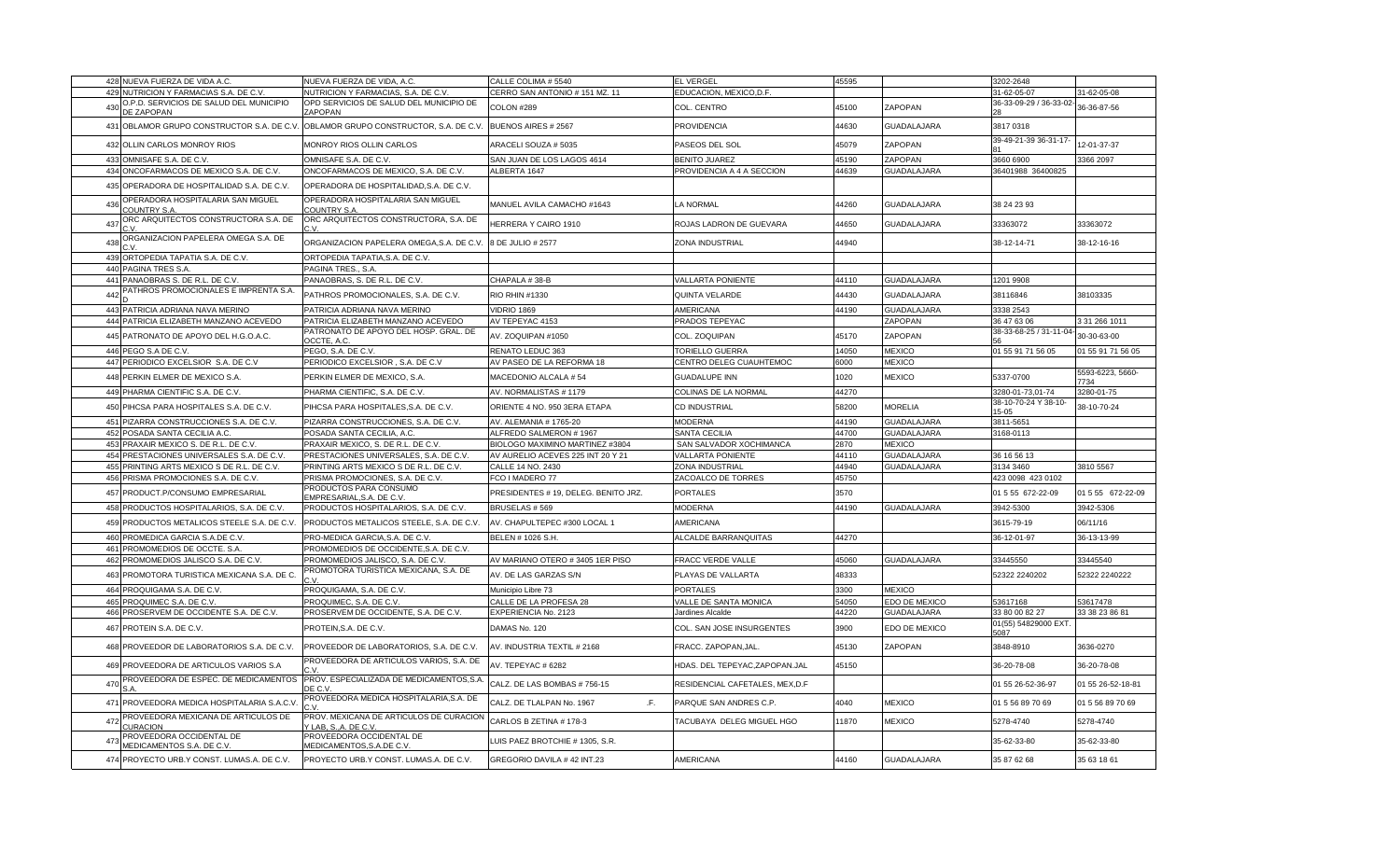| 428 NUEVA FUERZA DE VIDA A.C.                                       | NUEVA FUERZA DE VIDA, A.C.                                   | CALLE COLIMA # 5540                  | <b>EL VERGEL</b>                | 45595 |                    | 3202-2648                    |                          |
|---------------------------------------------------------------------|--------------------------------------------------------------|--------------------------------------|---------------------------------|-------|--------------------|------------------------------|--------------------------|
| 429<br>NUTRICION Y FARMACIAS S.A. DE C.V.                           | NUTRICION Y FARMACIAS, S.A. DE C.V.                          | CERRO SAN ANTONIO # 151 MZ. 11       | EDUCACION, MEXICO, D.F.         |       |                    | 31-62-05-07                  | 31-62-05-08              |
| O.P.D. SERVICIOS DE SALUD DEL MUNICIPIO<br>430<br><b>JE ZAPOPAN</b> | OPD SERVICIOS DE SALUD DEL MUNICIPIO DE<br>ZAPOPAN           | COLON #289                           | COL. CENTRO                     | 45100 | ZAPOPAN            | 36-33-09-29 / 36-33-02       | 36-36-87-56              |
| OBLAMOR GRUPO CONSTRUCTOR S.A. DE C.V.<br>431                       | OBLAMOR GRUPO CONSTRUCTOR, S.A. DE C.V                       | BUENOS AIRES # 2567                  | <b>PROVIDENCIA</b>              | 44630 | <b>GUADALAJARA</b> | 3817 0318                    |                          |
| 432<br>OLLIN CARLOS MONROY RIOS                                     | MONROY RIOS OLLIN CARLOS                                     | ARACELI SOUZA # 5035                 | PASEOS DEL SOL                  | 45079 | ZAPOPAN            | 39-49-21-39 36-31-17-        | 12-01-37-37              |
| OMNISAFE S.A. DE C.V.<br>433                                        | OMNISAFE S.A. DE C.V.                                        | SAN JUAN DE LOS LAGOS 4614           | <b>BENITO JUAREZ</b>            | 45190 | ZAPOPAN            | 3660 6900                    | 3366 2097                |
| 434<br>ONCOFARMACOS DE MEXICO S.A. DE C.V.                          | ONCOFARMACOS DE MEXICO, S.A. DE C.V.                         | ALBERTA 1647                         | PROVIDENCIA A 4 A SECCION       | 44639 | GUADALAJARA        | 36401988 36400825            |                          |
| 435<br>OPERADORA DE HOSPITALIDAD S.A. DE C.V.                       | OPERADORA DE HOSPITALIDAD, S.A. DE C.V.                      |                                      |                                 |       |                    |                              |                          |
| OPERADORA HOSPITALARIA SAN MIGUEL<br>436<br>COUNTRY S.A             | OPERADORA HOSPITALARIA SAN MIGUEL<br>COUNTRY S.A             | MANUEL AVILA CAMACHO #1643           | LA NORMAL                       | 44260 | GUADALAJARA        | 38 24 23 93                  |                          |
| ORC ARQUITECTOS CONSTRUCTORA S.A. DE<br>437                         | ORC ARQUITECTOS CONSTRUCTORA, S.A. DE<br>C.V.                | HERRERA Y CAIRO 1910                 | ROJAS LADRON DE GUEVARA         | 44650 | GUADALAJARA        | 33363072                     | 33363072                 |
| ORGANIZACION PAPELERA OMEGA S.A. DE<br>438                          | ORGANIZACION PAPELERA OMEGA, S.A. DE C.V.                    | 8 DE JULIO # 2577                    | ZONA INDUSTRIAL                 | 44940 |                    | 38-12-14-71                  | 38-12-16-16              |
| 439<br>ORTOPEDIA TAPATIA S.A. DE C.V                                | ORTOPEDIA TAPATIA, S.A. DE C.V.                              |                                      |                                 |       |                    |                              |                          |
| 440<br>PAGINA TRES S.A                                              | PAGINA TRES., S.A.                                           |                                      |                                 |       |                    |                              |                          |
| 441 PANAOBRAS S. DE R.L. DE C.V.                                    | PANAOBRAS, S. DE R.L. DE C.V.                                | CHAPALA #38-B                        | <b>VALLARTA PONIENTE</b>        | 44110 | GUADALAJARA        | 1201 9908                    |                          |
| ATHROS PROMOCIONALES E IMPRENTA S.A.<br>442                         | PATHROS PROMOCIONALES, S.A. DE C.V.                          | RIO RHIN #1330                       | QUINTA VELARDE                  | 44430 | GUADALAJARA        | 38116846                     | 38103335                 |
| PATRICIA ADRIANA NAVA MERINO<br>443                                 | PATRICIA ADRIANA NAVA MERINO                                 | <b>VIDRIO 1869</b>                   | <b>AMERICANA</b>                | 44190 | GUADALAJARA        | 3338 2543                    |                          |
| 444 PATRICIA ELIZABETH MANZANO ACEVEDO                              | PATRICIA ELIZABETH MANZANO ACEVEDO                           | AV TEPEYAC 4153                      | PRADOS TEPEYAC                  |       | ZAPOPAN            | 36 47 63 06                  | 31 266 1011              |
| 445<br>PATRONATO DE APOYO DEL H.G.O.A.C.                            | PATRONATO DE APOYO DEL HOSP. GRAL. DE<br>OCCTE. A.C          | AV. ZOQUIPAN #1050                   | COL. ZOQUIPAN                   | 45170 | ZAPOPAN            | 38-33-68-25 / 31-11-04       | 30-30-63-00              |
| 446<br>PEGO S.A DE C.V                                              | PEGO, S.A. DE C.V.                                           | RENATO LEDUC 363                     | TORIELLO GUERRA                 | 14050 | <b>MEXICO</b>      | 01 55 91 71 56 05            | 01 55 91 71 56 05        |
| 447 PERIODICO EXCELSIOR S.A. DE C.V                                 | PERIODICO EXCELSIOR, S.A. DE C.V                             | AV PASEO DE LA REFORMA 18            | CENTRO DELEG CUAUHTEMOC         | 6000  | <b>MEXICO</b>      |                              |                          |
| PERKIN ELMER DE MEXICO S.A.<br>448                                  | PERKIN ELMER DE MEXICO, S.A.                                 | MACEDONIO ALCALA #54                 | <b>GUADALUPE INN</b>            | 1020  | <b>MEXICO</b>      | 5337-0700                    | 5593-6223, 5660-<br>7734 |
| 449<br>PHARMA CIENTIFIC S.A. DE C.V.                                | PHARMA CIENTIFIC, S.A. DE C.V.                               | AV. NORMALISTAS #1179                | COLINAS DE LA NORMAL            | 44270 |                    | 3280-01-73,01-74             | 3280-01-75               |
| PIHCSA PARA HOSPITALES S.A. DE C.V.<br>450                          | PIHCSA PARA HOSPITALES, S.A. DE C.V.                         | ORIENTE 4 NO. 950 3ERA ETAPA         | CD INDUSTRIAL                   | 58200 | <b>MORELIA</b>     | 38-10-70-24 Y 38-10-<br>5-05 | 38-10-70-24              |
| 451<br>PIZARRA CONSTRUCCIONES S.A. DE C.V                           | PIZARRA CONSTRUCCIONES, S.A. DE C.V.                         | AV. ALEMANIA # 1765-20               | <b>MODERNA</b>                  | 44190 | GUADALAJARA        | 3811-5651                    |                          |
| 452<br>POSADA SANTA CECILIA A.C.                                    | POSADA SANTA CECILIA, A.C.                                   | ALFREDO SALMERON #1967               | <b>SANTA CECILIA</b>            | 44700 | GUADALAJARA        | 3168-0113                    |                          |
| PRAXAIR MEXICO S. DE R.L. DE C.V.<br>453                            | PRAXAIR MEXICO, S. DE R.L. DE C.V.                           | BIOLOGO MAXIMINO MARTINEZ #3804      | SAN SALVADOR XOCHIMANCA         | 2870  | <b>MEXICO</b>      |                              |                          |
| 454 PRESTACIONES UNIVERSALES S.A. DE C.V.                           | PRESTACIONES UNIVERSALES, S.A. DE C.V.                       | AV AURELIO ACEVES 225 INT 20 Y 21    | <b>VALLARTA PONIENTE</b>        | 44110 | <b>GUADALAJARA</b> | 36 16 56 13                  |                          |
| 455<br>PRINTING ARTS MEXICO S DE R.L. DE C.V.                       | PRINTING ARTS MEXICO S DE R.L. DE C.V                        | CALLE 14 NO. 2430                    | <b>ZONA INDUSTRIAI</b>          | 44940 | GUADALAJARA        | 3134 3460                    | 3810 5567                |
| 456<br>PRISMA PROMOCIONES S.A. DE C.V                               | PRISMA PROMOCIONES, S.A. DE C.V.                             | FCO I MADERO 77                      | ZACOALCO DE TORRES              | 45750 |                    | 423 0098 423 0102            |                          |
| 457<br>PRODUCT.P/CONSUMO EMPRESARIAL                                | PRODUCTOS PARA CONSUMO<br>EMPRESARIAL, S.A. DE C.V           | PRESIDENTES # 19, DELEG. BENITO JRZ. | PORTALES                        | 3570  |                    | 01 5 55 672-22-09            | 01 5 55 672-22-09        |
| PRODUCTOS HOSPITALARIOS, S.A. DE C.V<br>458                         | PRODUCTOS HOSPITALARIOS, S.A. DE C.V.                        | BRUSELAS #569                        | <b>MODERNA</b>                  | 44190 | GUADALAJARA        | 3942-5300                    | 3942-5306                |
| 459<br>PRODUCTOS METALICOS STEELE S.A. DE C.V.                      | PRODUCTOS METALICOS STEELE, S.A. DE C.V.                     | AV. CHAPULTEPEC #300 LOCAL 1         | <b>AMERICANA</b>                |       |                    | 3615-79-19                   | 06/11/16                 |
| PROMEDICA GARCIA S.A.DE C.V.<br>460                                 | PRO-MEDICA GARCIA, S.A. DE C.V.                              | BELEN # 1026 S.H.                    | ALCALDE BARRANQUITAS            | 44270 |                    | 36-12-01-97                  | 36-13-13-99              |
| 461<br>PROMOMEDIOS DE OCCTE. S.A.                                   | PROMOMEDIOS DE OCCIDENTE, S.A. DE C.V.                       |                                      |                                 |       |                    |                              |                          |
| 462 PROMOMEDIOS JALISCO S.A. DE C.V.                                | PROMOMEDIOS JALISCO, S.A. DE C.V.                            | AV MARIANO OTERO #3405 1ER PISO      | FRACC VERDE VALLE               | 45060 | GUADALAJARA        | 33445550                     | 33445540                 |
| 463<br>PROMOTORA TURISTICA MEXICANA S.A. DE C.                      | PROMOTORA TURISTICA MEXICANA, S.A. DE                        | AV. DE LAS GARZAS S/N                | PLAYAS DE VALLARTA              | 48333 |                    | 52322 2240202                | 52322 2240222            |
| 464 PROQUIGAMA S.A. DE C.V.                                         | PROQUIGAMA, S.A. DE C.V.                                     | Municipio Libre 73                   | <b>PORTALES</b>                 | 3300  | <b>MEXICO</b>      |                              |                          |
| 465<br>PROQUIMEC S.A. DE C.V.                                       | PROQUIMEC, S.A. DE C.V.                                      | CALLE DE LA PROFESA 28               | VALLE DE SANTA MONICA           | 54050 | EDO DE MEXICO      | 53617168                     | 53617478                 |
| PROSERVEM DE OCCIDENTE S.A. DE C.V.<br>466                          | PROSERVEM DE OCCIDENTE, S.A. DE C.V.                         | EXPERIENCIA No. 2123                 | Jardines Alcalde                | 44220 | GUADALAJARA        | 33 80 00 82 27               | 33 38 23 86 81           |
| 467<br>PROTEIN S.A. DE C.V.                                         | PROTEIN, S.A. DE C.V.                                        | DAMAS No. 120                        | COL. SAN JOSE INSURGENTES       | 3900  | EDO DE MEXICO      | 01(55) 54829000 EXT.<br>5087 |                          |
| PROVEEDOR DE LABORATORIOS S.A. DE C.V.<br>468                       | PROVEEDOR DE LABORATORIOS, S.A. DE C.V.                      | AV. INDUSTRIA TEXTIL # 2168          | FRACC. ZAPOPAN, JAL             | 45130 | ZAPOPAN            | 3848-8910                    | 3636-0270                |
| PROVEEDORA DE ARTICULOS VARIOS S.A<br>469                           | PROVEEDORA DE ARTICULOS VARIOS, S.A. DE                      | AV. TEPEYAC # 6282                   | HDAS. DEL TEPEYAC, ZAPOPAN. JAL | 45150 |                    | 36-20-78-08                  | 36-20-78-08              |
| PROVEEDORA DE ESPEC. DE MEDICAMENTOS<br>470<br>S.A                  | PROV. ESPECIALIZADA DE MEDICAMENTOS, S.A<br>DE C.V.          | CALZ. DE LAS BOMBAS #756-15          | RESIDENCIAL CAFETALES, MEX, D.F |       |                    | 01 55 26-52-36-97            | 01 55 26-52-18-81        |
| 471<br>PROVEEDORA MEDICA HOSPITALARIA S.A.C.                        | PROVEEDORA MEDICA HOSPITALARIA, S.A. DE                      | .F.<br>CALZ. DE TLALPAN No. 1967     | PARQUE SAN ANDRES C.P.          | 4040  | <b>MEXICO</b>      | 01 5 56 89 70 69             | 01 5 56 89 70 69         |
| PROVEEDORA MEXICANA DE ARTICULOS DE<br>472<br>CURACION              | PROV. MEXICANA DE ARTICULOS DE CURACIO!<br>Y LAB. SA. DE C.V | CARLOS B ZETINA #178-3               | TACUBAYA DELEG MIGUEL HGO       | 1870  | <b>MEXICO</b>      | 5278-4740                    | 5278-4740                |
| PROVEEDORA OCCIDENTAL DE<br>473<br>MEDICAMENTOS S.A. DE C.V.        | PROVEEDORA OCCIDENTAL DE<br>MEDICAMENTOS, S.A.DE C.V.        | LUIS PAEZ BROTCHIE # 1305, S.R.      |                                 |       |                    | 35-62-33-80                  | 35-62-33-80              |
| 474<br>PROYECTO URB.Y CONST. LUMAS.A. DE C.V.                       | PROYECTO URB.Y CONST. LUMAS.A. DE C.V.                       | GREGORIO DAVILA #42 INT.23           | <b>AMERICANA</b>                | 44160 | GUADALAJARA        | 35 87 62 68                  | 35 63 18 61              |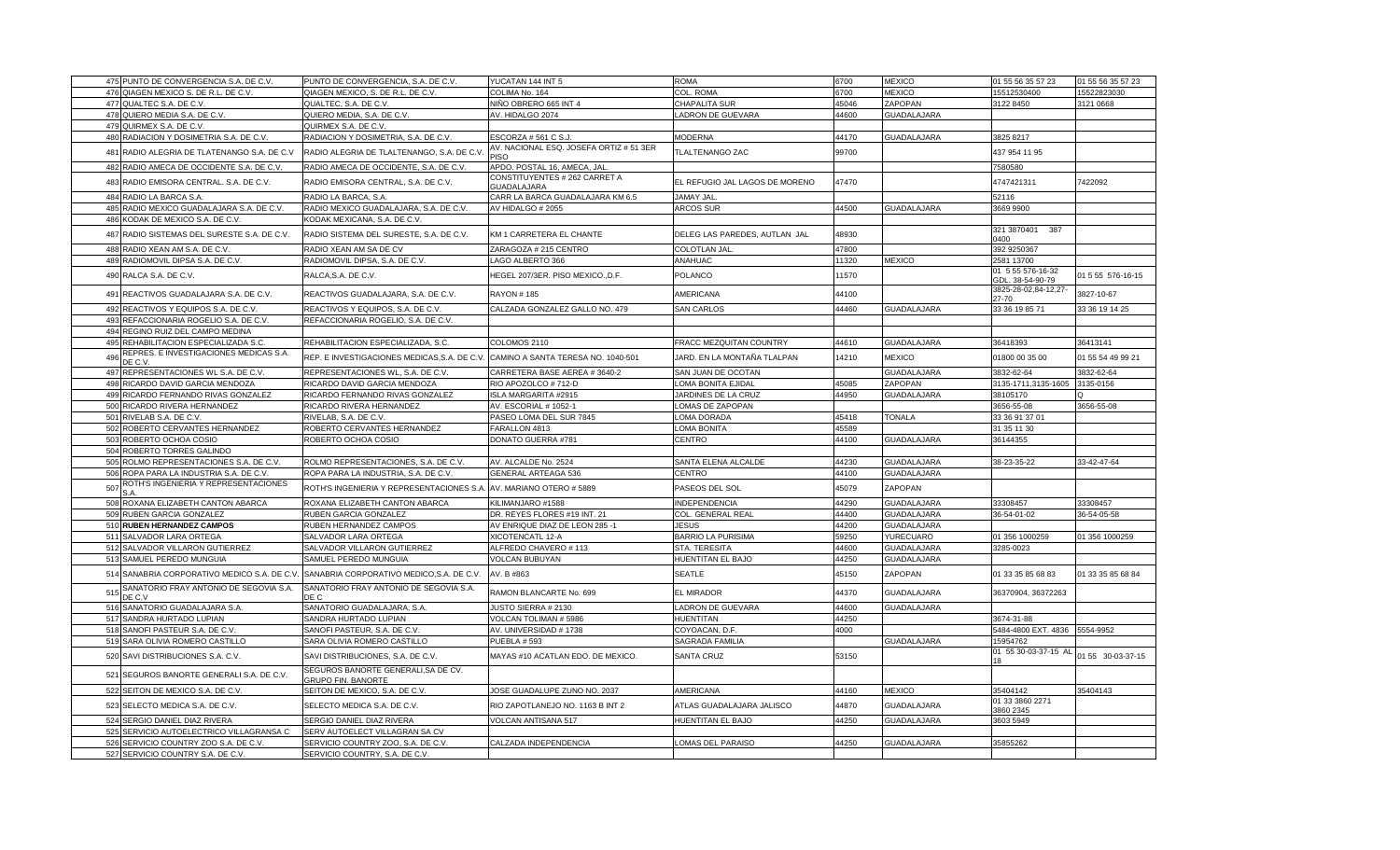|     | 475 PUNTO DE CONVERGENCIA S.A. DE C.V.            | PUNTO DE CONVERGENCIA, S.A. DE C.V.                              | YUCATAN 144 INT 5                            | ROMA                           | 6700  | <b>MEXICO</b>      | 01 55 56 35 57 23                     | 01 55 56 35 57 23 |
|-----|---------------------------------------------------|------------------------------------------------------------------|----------------------------------------------|--------------------------------|-------|--------------------|---------------------------------------|-------------------|
|     | 476 QIAGEN MEXICO S. DE R.L. DE C.V.              | QIAGEN MEXICO, S. DE R.L. DE C.V.                                | COLIMA No. 164                               | COL. ROMA                      | 6700  | <b>MEXICO</b>      | 15512530400                           | 15522823030       |
|     | 477 QUALTEC S.A. DE C.V.                          | QUALTEC, S.A. DE C.V.                                            | NIÑO OBRERO 665 INT 4                        | CHAPALITA SUR                  | 45046 | ZAPOPAN            | 3122 8450                             | 3121 0668         |
|     | 478 QUIERO MEDIA S.A. DE C.V.                     | QUIERO MEDIA, S.A. DE C.V                                        | AV. HIDALGO 2074                             | <b>ADRON DE GUEVARA</b>        | 44600 | <b>GUADALAJARA</b> |                                       |                   |
|     | 479 QUIRMEX S.A. DE C.V.                          | QUIRMEX S.A. DE C.V.                                             |                                              |                                |       |                    |                                       |                   |
|     | 480 RADIACION Y DOSIMETRIA S.A. DE C.V.           | RADIACION Y DOSIMETRIA, S.A. DE C.V.                             | ESCORZA # 561 C S.J                          | <b>MODERNA</b>                 | 44170 | <b>GUADALAJARA</b> | 3825 8217                             |                   |
|     | 481 RADIO ALEGRIA DE TLATENANGO S.A. DE C.V       | RADIO ALEGRIA DE TLALTENANGO, S.A. DE C.V.                       | AV. NACIONAL ESQ. JOSEFA ORTIZ # 51 3ER      | <b>TLALTENANGO ZAC</b>         | 99700 |                    | 437 954 11 95                         |                   |
|     | 482 RADIO AMECA DE OCCIDENTE S.A. DE C.V.         | RADIO AMECA DE OCCIDENTE, S.A. DE C.V.                           | APDO. POSTAL 16, AMECA, JAL                  |                                |       |                    | 7580580                               |                   |
|     | 483 RADIO EMISORA CENTRAL. S.A. DE C.V.           | RADIO EMISORA CENTRAL, S.A. DE C.V.                              | CONSTITUYENTES # 262 CARRET A<br>GUADALAJARA | EL REFUGIO JAL LAGOS DE MORENO | 47470 |                    | 4747421311                            | 7422092           |
| 484 | RADIO LA BARCA S.A                                | RADIO LA BARCA, S.A                                              | CARR LA BARCA GUADALAJARA KM 6.5             | <b>JAMAY JAL</b>               |       |                    | 52116                                 |                   |
|     | 485 RADIO MEXICO GUADALAJARA S.A. DE C.V.         | RADIO MEXICO GUADALAJARA, S.A. DE C.V.                           | AV HIDALGO # 2055                            | <b>ARCOS SUR</b>               | 44500 | <b>GUADALAJARA</b> | 3669 9900                             |                   |
| 486 | KODAK DE MEXICO S.A. DE C.V.                      | KODAK MEXICANA, S.A. DE C.V.                                     |                                              |                                |       |                    |                                       |                   |
|     | 487 RADIO SISTEMAS DEL SURESTE S.A. DE C.V.       | RADIO SISTEMA DEL SURESTE, S.A. DE C.V.                          |                                              |                                |       |                    | 321 3870401 387                       |                   |
|     |                                                   |                                                                  | KM 1 CARRETERA EL CHANTE                     | DELEG LAS PAREDES, AUTLAN JAL  | 48930 |                    | 0400                                  |                   |
|     | 488 RADIO XEAN AM S.A. DE C.V.                    | RADIO XEAN AM SA DE CV                                           | ZARAGOZA # 215 CENTRO                        | COLOTLAN JAL                   | 47800 |                    | 392 9250367                           |                   |
|     | 489 RADIOMOVIL DIPSA S.A. DE C.V.                 | RADIOMOVIL DIPSA, S.A. DE C.V.                                   | AGO ALBERTO 366                              | ANAHUAC                        | 11320 | <b>MEXICO</b>      | 2581 13700                            |                   |
|     | 490 RALCA S.A. DE C.V.                            | RALCA,S.A. DE C.V.                                               | HEGEL 207/3ER. PISO MEXICO., D.F.            | POLANCO                        | 11570 |                    | 01 5 55 576-16-32<br>GDL. 38-54-90-79 | 01 5 55 576-16-15 |
|     | 491 REACTIVOS GUADALAJARA S.A. DE C.V.            | REACTIVOS GUADALAJARA, S.A. DE C.V.                              | <b>RAYON #185</b>                            | AMERICANA                      | 44100 |                    | 3825-28-02,84-12,27-<br>27-70         | 3827-10-67        |
| 492 | REACTIVOS Y EQUIPOS S.A. DE C.V.                  | REACTIVOS Y EQUIPOS, S.A. DE C.V.                                | CALZADA GONZALEZ GALLO NO. 479               | <b>SAN CARLOS</b>              | 44460 | <b>GUADALAJARA</b> | 33 36 19 85 71                        | 33 36 19 14 25    |
| 493 | REFACCIONARIA ROGELIO S.A. DE C.V.                | REFACCIONARIA ROGELIO, S.A. DE C.V                               |                                              |                                |       |                    |                                       |                   |
|     | 494 REGINO RUIZ DEL CAMPO MEDINA                  |                                                                  |                                              |                                |       |                    |                                       |                   |
|     | 495 REHABILITACION ESPECIALIZADA S.C.             | REHABILITACION ESPECIALIZADA, S.C.                               | COLOMOS 2110                                 | FRACC MEZQUITAN COUNTRY        | 44610 | <b>GUADALAJARA</b> | 36418393                              | 36413141          |
| 496 | REPRES. E INVESTIGACIONES MEDICAS S.A.<br>DE C.V. | REP. E INVESTIGACIONES MEDICAS, S.A. DE C.V.                     | CAMINO A SANTA TERESA NO. 1040-501           | JARD. EN LA MONTAÑA TLALPAN    | 14210 | <b>MEXICO</b>      | 01800 00 35 00                        | 01 55 54 49 99 21 |
|     | 497 REPRESENTACIONES WL S.A. DE C.V               | REPRESENTACIONES WL, S.A. DE C.V                                 | CARRETERA BASE AEREA # 3640-2                | SAN JUAN DE OCOTAN             |       | <b>GUADALAJARA</b> | 3832-62-64                            | 3832-62-64        |
| 498 | RICARDO DAVID GARCIA MENDOZA                      | RICARDO DAVID GARCIA MENDOZA                                     | RIO APOZOLCO # 712-D                         | LOMA BONITA EJIDAI             | 45085 | ZAPOPAN            | 3135-1711,3135-1605                   | 3135-0156         |
|     | 499 RICARDO FERNANDO RIVAS GONZALEZ               | RICARDO FERNANDO RIVAS GONZALEZ                                  | SLA MARGARITA #2915                          | JARDINES DE LA CRUZ            | 44950 | <b>GUADALAJARA</b> | 38105170                              |                   |
|     | 500 RICARDO RIVERA HERNANDEZ                      | RICARDO RIVERA HERNANDEZ                                         | AV. ESCORIAL # 1052-1                        | LOMAS DE ZAPOPAN               |       |                    | 3656-55-08                            | 3656-55-08        |
|     | 501 RIVELAB S.A. DE C.V.                          | RIVELAB, S.A. DE C.V.                                            | PASEO LOMA DEL SUR 7845                      | LOMA DORADA                    | 45418 | <b>TONALA</b>      | 33 36 91 37 01                        |                   |
| 502 | ROBERTO CERVANTES HERNANDEZ                       | ROBERTO CERVANTES HERNANDEZ                                      | FARALLON 4813                                | LOMA BONITA                    | 45589 |                    | 31 35 11 30                           |                   |
| 503 | ROBERTO OCHOA COSIO                               | ROBERTO OCHOA COSIO                                              | DONATO GUERRA #781                           | CENTRO                         | 44100 | <b>GUADALAJARA</b> | 36144355                              |                   |
| 504 | ROBERTO TORRES GALINDO                            |                                                                  |                                              |                                |       |                    |                                       |                   |
| 505 | ROLMO REPRESENTACIONES S.A. DE C.V.               | ROLMO REPRESENTACIONES, S.A. DE C.V                              | AV. ALCALDE No. 2524                         | SANTA ELENA ALCALDE            | 44230 | <b>GUADALAJARA</b> | 38-23-35-22                           | 33-42-47-64       |
|     | 506 ROPA PARA LA INDUSTRIA S.A. DE C.V.           | ROPA PARA LA INDUSTRIA, S.A. DE C.V.                             | GENERAL ARTEAGA 536                          | CENTRO                         | 44100 | GUADALAJARA        |                                       |                   |
| 507 | ROTH'S INGENIERIA Y REPRESENTACIONES              | ROTH'S INGENIERIA Y REPRESENTACIONES S.A                         | AV. MARIANO OTERO # 5889                     | PASEOS DEL SOL                 | 45079 | ZAPOPAN            |                                       |                   |
| 508 | ROXANA ELIZABETH CANTON ABARCA                    | ROXANA ELIZABETH CANTON ABARCA                                   | KILIMANJARO #1588                            | <b>INDEPENDENCIA</b>           | 44290 | <b>GUADALAJARA</b> | 33308457                              | 33308457          |
|     | 509 RUBEN GARCIA GONZALEZ                         | RUBEN GARCIA GONZALEZ                                            | DR. REYES FLORES #19 INT. 21                 | COL. GENERAL REAL              | 44400 | <b>GUADALAJARA</b> | 36-54-01-02                           | 36-54-05-58       |
| 510 | <b>RUBEN HERNANDEZ CAMPOS</b>                     | RUBEN HERNANDEZ CAMPOS                                           | AV ENRIQUE DIAZ DE LEON 285 -1               | <b>JESUS</b>                   | 44200 | GUADALAJARA        |                                       |                   |
|     | 511 SALVADOR LARA ORTEGA                          | SALVADOR LARA ORTEGA                                             | XICOTENCATL 12-A                             | <b>BARRIO LA PURISIMA</b>      | 59250 | YURECUARO          | 01 356 1000259                        | 01 356 1000259    |
| 512 | SALVADOR VILLARON GUTIERREZ                       | SALVADOR VILLARON GUTIERREZ                                      | ALFREDO CHAVERO # 113                        | STA. TERESITA                  | 44600 | <b>GUADALAJARA</b> | 3285-0023                             |                   |
|     | 513 SAMUEL PEREDO MUNGUIA                         | SAMUEL PEREDO MUNGUIA                                            | /OLCAN BUBUYAN                               | HUENTITAN EL BAJO              | 44250 | GUADALAJARA        |                                       |                   |
|     | 514 SANABRIA CORPORATIVO MEDICO S.A. DE C.V       | SANABRIA CORPORATIVO MEDICO, S.A. DE C.V.                        | AV. B #863                                   | <b>SEATLE</b>                  | 45150 | ZAPOPAN            | 01 33 35 85 68 83                     | 01 33 35 85 68 84 |
| 515 | SANATORIO FRAY ANTONIO DE SEGOVIA S.A.<br>DE C.V  | SANATORIO FRAY ANTONIO DE SEGOVIA S.A.<br>DE C                   | RAMON BLANCARTE No. 699                      | EL MIRADOR                     | 44370 | <b>GUADALAJARA</b> | 36370904, 36372263                    |                   |
|     | 516 SANATORIO GUADALAJARA S.A.                    | SANATORIO GUADALAJARA, S.A.                                      | JUSTO SIERRA # 2130                          | LADRON DE GUEVARA              | 44600 | <b>GUADALAJARA</b> |                                       |                   |
|     | 517 SANDRA HURTADO LUPIAN                         | SANDRA HURTADO LUPIAN                                            | VOLCAN TOLIMAN # 5986                        | HUENTITAN                      | 44250 |                    | 3674-31-88                            |                   |
| 518 | SANOFI PASTEUR S.A. DE C.V.                       | SANOFI PASTEUR, S.A. DE C.V                                      | AV. UNIVERSIDAD # 1738                       | COYOACAN, D.F.                 | 4000  |                    | 5484-4800 EXT. 4836                   | 5554-9952         |
|     | 519 SARA OLIVIA ROMERO CASTILLO                   | SARA OLIVIA ROMERO CASTILLO                                      | <b>PUEBLA # 593</b>                          | SAGRADA FAMILIA                |       | GUADALAJARA        | 15954762                              |                   |
|     | 520 SAVI DISTRIBUCIONES S.A. C.V.                 | SAVI DISTRIBUCIONES, S.A. DE C.V.                                | MAYAS #10 ACATLAN EDO. DE MEXICO.            | <b>SANTA CRUZ</b>              | 53150 |                    | 01 55 30-03-37-15 AL<br>18            | 01 55 30-03-37-15 |
|     | 521 SEGUROS BANORTE GENERALI S.A. DE C.V.         | SEGUROS BANORTE GENERALI, SA DE CV.<br><b>GRUPO FIN. BANORTE</b> |                                              |                                |       |                    |                                       |                   |
|     | 522 SEITON DE MEXICO S.A. DE C.V.                 | SEITON DE MEXICO, S.A. DE C.V.                                   | JOSE GUADALUPE ZUNO NO. 2037                 | AMERICANA                      | 44160 | <b>MEXICO</b>      | 35404142                              | 35404143          |
|     | 523 SELECTO MEDICA S.A. DE C.V.                   | SELECTO MEDICA S.A. DE C.V.                                      | RIO ZAPOTLANEJO NO. 1163 B INT 2             | ATLAS GUADALAJARA JALISCO      | 44870 | <b>GUADALAJARA</b> | 01 33 3860 2271<br>3860 2345          |                   |
|     | 524 SERGIO DANIEL DIAZ RIVERA                     | SERGIO DANIEL DIAZ RIVERA                                        | VOLCAN ANTISANA 517                          | HUENTITAN EL BAJO              | 44250 | <b>GUADALAJARA</b> | 3603 5949                             |                   |
| 525 | SERVICIO AUTOELECTRICO VILLAGRANSA C              | SERV AUTOELECT VILLAGRAN SA CV                                   |                                              |                                |       |                    |                                       |                   |
| 526 | SERVICIO COUNTRY ZOO S.A. DE C.V.                 | SERVICIO COUNTRY ZOO, S.A. DE C.V.                               | CALZADA INDEPENDENCIA                        | OMAS DEL PARAISO               | 44250 | <b>GUADALAJARA</b> | 35855262                              |                   |
|     | 527 SERVICIO COUNTRY S.A. DE C.V                  | SERVICIO COUNTRY, S.A. DE C.V.                                   |                                              |                                |       |                    |                                       |                   |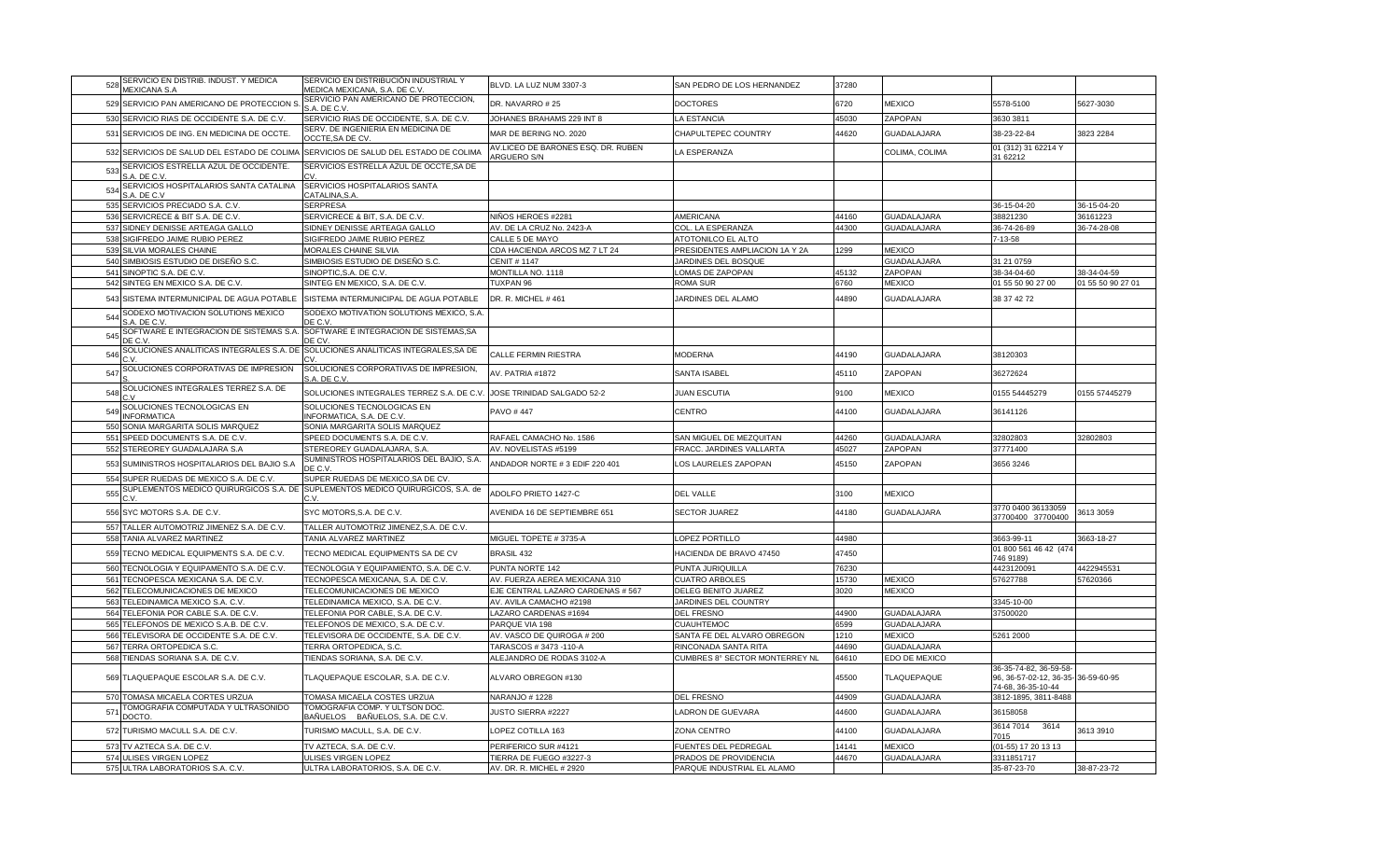| 528 | SERVICIO EN DISTRIB. INDUST. Y MEDICA                                            | SERVICIO EN DISTRIBUCIÓN INDUSTRIAL Y                                                  | BLVD. LA LUZ NUM 3307-3                                  | SAN PEDRO DE LOS HERNANDEZ     | 37280 |                    |                                                                                     |                         |
|-----|----------------------------------------------------------------------------------|----------------------------------------------------------------------------------------|----------------------------------------------------------|--------------------------------|-------|--------------------|-------------------------------------------------------------------------------------|-------------------------|
|     | <b>MEXICANA S.A</b>                                                              | MEDICA MEXICANA, S.A. DE C.V.                                                          |                                                          |                                |       |                    |                                                                                     |                         |
|     | 529 SERVICIO PAN AMERICANO DE PROTECCION S.                                      | SERVICIO PAN AMERICANO DE PROTECCION,<br>S.A. DE C.V                                   | DR. NAVARRO #25                                          | <b>DOCTORES</b>                | 6720  | <b>MEXICO</b>      | 5578-5100                                                                           | 5627-3030               |
|     | 530 SERVICIO RIAS DE OCCIDENTE S.A. DE C.V.                                      | SERVICIO RIAS DE OCCIDENTE, S.A. DE C.V.                                               | JOHANES BRAHAMS 229 INT 8                                | A ESTANCIA                     | 45030 | ZAPOPAN            | 3630 3811                                                                           |                         |
| 531 | SERVICIOS DE ING. EN MEDICINA DE OCCTE.                                          | SERV. DE INGENIERIA EN MEDICINA DE                                                     | MAR DE BERING NO. 2020                                   | CHAPULTEPEC COUNTRY            | 44620 | <b>GUADALAJARA</b> | 38-23-22-84                                                                         | 3823 2284               |
|     |                                                                                  | OCCTE, SA DE CV.                                                                       |                                                          |                                |       |                    |                                                                                     |                         |
| 532 | SERVICIOS DE SALUD DEL ESTADO DE COLIMA                                          | SERVICIOS DE SALUD DEL ESTADO DE COLIMA                                                | AV.LICEO DE BARONES ESQ. DR. RUBEN<br><b>ARGUERO S/N</b> | LA ESPERANZA                   |       | COLIMA, COLIMA     | 01 (312) 31 62214 Y<br>31 62212                                                     |                         |
| 533 | SERVICIOS ESTRELLA AZUL DE OCCIDENTE.<br>A. DE C.V                               | SERVICIOS ESTRELLA AZUL DE OCCTE, SA DE                                                |                                                          |                                |       |                    |                                                                                     |                         |
| 534 | SERVICIOS HOSPITALARIOS SANTA CATALINA                                           | SERVICIOS HOSPITALARIOS SANTA                                                          |                                                          |                                |       |                    |                                                                                     |                         |
|     | S.A. DE C.V                                                                      | CATALINA, S.A<br><b>SERPRESA</b>                                                       |                                                          |                                |       |                    |                                                                                     |                         |
|     | 535 SERVICIOS PRECIADO S.A. C.V.<br>536 SERVICRECE & BIT S.A. DE C.V.            | SERVICRECE & BIT, S.A. DE C.V.                                                         | NIÑOS HEROES #2281                                       | AMERICANA                      | 44160 | <b>GUADALAJARA</b> | 36-15-04-20<br>38821230                                                             | 36-15-04-20<br>36161223 |
|     | 537 SIDNEY DENISSE ARTEAGA GALLO                                                 | SIDNEY DENISSE ARTEAGA GALLO                                                           | AV. DE LA CRUZ No. 2423-A                                | COL. LA ESPERANZA              | 44300 | <b>GUADALAJARA</b> | 36-74-26-89                                                                         | 36-74-28-08             |
|     | 538 SIGIFREDO JAIME RUBIO PEREZ                                                  | SIGIFREDO JAIME RUBIO PEREZ                                                            | CALLE 5 DE MAYO                                          | <b>ATOTONILCO EL ALTO</b>      |       |                    | 7-13-58                                                                             |                         |
|     | 539 SILVIA MORALES CHAINE                                                        | MORALES CHAINE SILVIA                                                                  | CDA HACIENDA ARCOS MZ 7 LT 24                            | PRESIDENTES AMPLIACION 1A Y 2A | 1299  | <b>MEXICO</b>      |                                                                                     |                         |
|     | 540 SIMBIOSIS ESTUDIO DE DISEÑO S.C.                                             | SIMBIOSIS ESTUDIO DE DISEÑO S.C.                                                       | <b>CENIT # 1147</b>                                      | JARDINES DEL BOSQUE            |       | GUADALAJARA        | 31 21 0759                                                                          |                         |
|     | 541 SINOPTIC S.A. DE C.V                                                         | SINOPTIC,S.A. DE C.V                                                                   | MONTILLA NO. 1118                                        | OMAS DE ZAPOPAN                | 45132 | <b>ZAPOPAN</b>     | 38-34-04-60                                                                         | 38-34-04-59             |
|     | 542 SINTEG EN MEXICO S.A. DE C.V.                                                | SINTEG EN MEXICO, S.A. DE C.V.                                                         | TUXPAN 96                                                | ROMA SUR                       | 6760  | <b>MEXICO</b>      | 01 55 50 90 27 00                                                                   | 01 55 50 90 27 01       |
|     |                                                                                  |                                                                                        |                                                          |                                |       |                    |                                                                                     |                         |
|     | 543 SISTEMA INTERMUNICIPAL DE AGUA POTABLE                                       | SISTEMA INTERMUNICIPAL DE AGUA POTABLE                                                 | DR. R. MICHEL #461                                       | JARDINES DEL ALAMO             | 14890 | <b>GUADALAJARA</b> | 38 37 42 72                                                                         |                         |
| 544 | SODEXO MOTIVACION SOLUTIONS MEXICO<br>S.A. DE C.V                                | SODEXO MOTIVATION SOLUTIONS MEXICO, S.A.<br>DE C.V.                                    |                                                          |                                |       |                    |                                                                                     |                         |
| 545 | SOFTWARE E INTEGRACION DE SISTEMAS S.A                                           | SOFTWARE E INTEGRACION DE SISTEMAS, SA                                                 |                                                          |                                |       |                    |                                                                                     |                         |
|     | DE C.\                                                                           | DE CV                                                                                  |                                                          |                                |       |                    |                                                                                     |                         |
| 546 | SOLUCIONES ANALITICAS INTEGRALES S.A. DE SOLUCIONES ANALITICAS INTEGRALES, SA DE |                                                                                        | CALLE FERMIN RIESTRA                                     | <b>MODERNA</b>                 | 44190 | <b>GUADALAJARA</b> | 38120303                                                                            |                         |
| 547 | SOLUCIONES CORPORATIVAS DE IMPRESION                                             | SOLUCIONES CORPORATIVAS DE IMPRESION,<br>S.A. DE C.V.                                  | AV. PATRIA #1872                                         | SANTA ISABEL                   | 45110 | ZAPOPAN            | 36272624                                                                            |                         |
| 548 | SOLUCIONES INTEGRALES TERREZ S.A. DE                                             | SOLUCIONES INTEGRALES TERREZ S.A. DE C.V                                               | JOSE TRINIDAD SALGADO 52-2                               | <b>JUAN ESCUTIA</b>            | 9100  | <b>MEXICO</b>      | 0155 54445279                                                                       | 0155 57445279           |
| 549 | SOLUCIONES TECNOLOGICAS EN<br><b>INFORMATICA</b>                                 | SOLUCIONES TECNOLOGICAS EN<br>INFORMATICA, S.A. DE C.V                                 | PAVO #447                                                | CENTRO                         | 44100 | <b>GUADALAJARA</b> | 36141126                                                                            |                         |
|     | 550 SONIA MARGARITA SOLIS MARQUEZ                                                | SONIA MARGARITA SOLIS MARQUEZ                                                          |                                                          |                                |       |                    |                                                                                     |                         |
| 551 | SPEED DOCUMENTS S.A. DE C.V                                                      | SPEED DOCUMENTS S.A. DE C.V.                                                           | RAFAEL CAMACHO No. 1586                                  | SAN MIGUEL DE MEZQUITAN        | 44260 | <b>GUADALAJARA</b> | 32802803                                                                            | 32802803                |
|     | 552 STEREOREY GUADALAJARA S.A                                                    | STEREOREY GUADALAJARA, S.A.                                                            | AV. NOVELISTAS #5199                                     | FRACC. JARDINES VALLARTA       | 45027 | ZAPOPAN            | 37771400                                                                            |                         |
| 553 | SUMINISTROS HOSPITALARIOS DEL BAJIO S.A                                          | SUMINISTROS HOSPITALARIOS DEL BAJIO, S.A.<br>DE C.V                                    | ANDADOR NORTE # 3 EDIF 220 401                           | OS LAURELES ZAPOPAN            | 45150 | ZAPOPAN            | 3656 3246                                                                           |                         |
|     | 554 SUPER RUEDAS DE MEXICO S.A. DE C.V.                                          | SUPER RUEDAS DE MEXICO.SA DE CV.                                                       |                                                          |                                |       |                    |                                                                                     |                         |
| 555 |                                                                                  | SUPLEMENTOS MEDICO QUIRURGICOS S.A. DE SUPLEMENTOS MEDICO QUIRURGICOS, S.A. de<br>C.V. | ADOLFO PRIETO 1427-C                                     | DEL VALLE                      | 3100  | <b>MEXICO</b>      |                                                                                     |                         |
|     |                                                                                  |                                                                                        |                                                          |                                |       |                    | 3770 0400 36133059                                                                  |                         |
|     | 556 SYC MOTORS S.A. DE C.V.                                                      | SYC MOTORS, S.A. DE C.V.                                                               | AVENIDA 16 DE SEPTIEMBRE 651                             | <b>SECTOR JUAREZ</b>           | 44180 | <b>GUADALAJARA</b> | 37700400 37700400                                                                   | 3613 3059               |
| 557 | TALLER AUTOMOTRIZ JIMENEZ S.A. DE C.V.                                           | TALLER AUTOMOTRIZ JIMENEZ, S.A. DE C.V.                                                |                                                          |                                |       |                    |                                                                                     |                         |
|     | 558 TANIA ALVAREZ MARTINEZ                                                       | TANIA ALVAREZ MARTINEZ                                                                 | MIGUEL TOPETE #3735-A                                    | OPEZ PORTILLO                  | 44980 |                    | 3663-99-11                                                                          | 3663-18-27              |
|     | 559 TECNO MEDICAL EQUIPMENTS S.A. DE C.V.                                        | TECNO MEDICAL EQUIPMENTS SA DE CV                                                      | <b>BRASIL 432</b>                                        | HACIENDA DE BRAVO 47450        | 47450 |                    | 01 800 561 46 42 (474<br>746 9189)                                                  |                         |
| 560 | TECNOLOGIA Y EQUIPAMENTO S.A. DE C.V.                                            | TECNOLOGIA Y EQUIPAMIENTO, S.A. DE C.V.                                                | PUNTA NORTE 142                                          | PUNTA JURIQUILLA               | 76230 |                    | 4423120091                                                                          | 4422945531              |
|     | 561 TECNOPESCA MEXICANA S.A. DE C.V.                                             | TECNOPESCA MEXICANA, S.A. DE C.V                                                       | AV. FUERZA AEREA MEXICANA 310                            | <b>CUATRO ARBOLES</b>          | 15730 | <b>MEXICO</b>      | 57627788                                                                            | 57620366                |
|     | 562 TELECOMUNICACIONES DE MEXICO                                                 | TELECOMUNICACIONES DE MEXICO                                                           | EJE CENTRAL LAZARO CARDENAS # 567                        | DELEG BENITO JUAREZ            | 3020  | <b>MEXICO</b>      |                                                                                     |                         |
|     | 563 TELEDINAMICA MEXICO S.A. C.V.                                                | TELEDINAMICA MEXICO, S.A. DE C.V.                                                      | AV. AVILA CAMACHO #2198                                  | JARDINES DEL COUNTRY           |       |                    | 3345-10-00                                                                          |                         |
|     | 564 TELEFONIA POR CABLE S.A. DE C.V                                              | TELEFONIA POR CABLE, S.A. DE C.V.                                                      | LAZARO CARDENAS #1694                                    | <b>DEL FRESNO</b>              | 44900 | <b>GUADALAJARA</b> | 37500020                                                                            |                         |
|     | 565 TELEFONOS DE MEXICO S.A.B. DE C.V.                                           | TELEFONOS DE MEXICO, S.A. DE C.V                                                       | PARQUE VIA 198                                           | <b>CUAUHTEMOC</b>              | 6599  | <b>GUADALAJARA</b> |                                                                                     |                         |
|     | 566 TELEVISORA DE OCCIDENTE S.A. DE C.V.                                         | TELEVISORA DE OCCIDENTE, S.A. DE C.V.                                                  | AV. VASCO DE QUIROGA # 200                               | SANTA FE DEL ALVARO OBREGON    | 1210  | <b>MEXICO</b>      | 5261 2000                                                                           |                         |
|     | 567 TERRA ORTOPEDICA S.C.                                                        | TERRA ORTOPEDICA, S.C.                                                                 | TARASCOS # 3473 -110-A                                   | RINCONADA SANTA RITA           | 44690 | GUADALAJARA        |                                                                                     |                         |
|     | 568 TIENDAS SORIANA S.A. DE C.V.                                                 | TIENDAS SORIANA, S.A. DE C.V                                                           | ALEJANDRO DE RODAS 3102-A                                | CUMBRES 8° SECTOR MONTERREY NL | 64610 | EDO DE MEXICO      |                                                                                     |                         |
| 569 | TLAQUEPAQUE ESCOLAR S.A. DE C.V.                                                 | TLAQUEPAQUE ESCOLAR, S.A. DE C.V.                                                      | ALVARO OBREGON #130                                      |                                | 15500 | TLAQUEPAQUE        | 36-35-74-82, 36-59-58-<br>96, 36-57-02-12, 36-35- 36-59-60-95<br>74-68, 36-35-10-44 |                         |
| 570 | TOMASA MICAELA CORTES URZUA                                                      | TOMASA MICAELA COSTES URZUA                                                            | NARANJO # 1228                                           | <b>DEL FRESNO</b>              | 44909 | <b>GUADALAJARA</b> | 3812-1895, 3811-8488                                                                |                         |
| 571 | <b>FOMOGRAFIA COMPUTADA Y ULTRASONIDO</b><br>DOCTO                               | TOMOGRAFIA COMP. Y ULTSON DOC<br>BAÑUELOS BAÑUELOS, S.A. DE C.V                        | <b>JUSTO SIERRA #2227</b>                                | ADRON DE GUEVARA               | 44600 | <b>GUADALAJARA</b> | 36158058                                                                            |                         |
| 572 | TURISMO MACULL S.A. DE C.V.                                                      | TURISMO MACULL, S.A. DE C.V.                                                           | LOPEZ COTILLA 163                                        | ZONA CENTRO                    | 44100 | <b>GUADALAJARA</b> | 3614 7014 3614<br>7015                                                              | 3613 3910               |
|     | 573 TV AZTECA S.A. DE C.V.                                                       | TV AZTECA, S.A. DE C.V.                                                                | PERIFERICO SUR #4121                                     | FUENTES DEL PEDREGAL           | 14141 | <b>MEXICO</b>      | (01-55) 17 20 13 13                                                                 |                         |
|     | 574 ULISES VIRGEN LOPEZ                                                          | ULISES VIRGEN LOPEZ                                                                    | TIERRA DE FUEGO #3227-3                                  | PRADOS DE PROVIDENCIA          | 44670 | <b>GUADALAJARA</b> | 3311851717                                                                          |                         |
|     | 575 ULTRA LABORATORIOS S.A. C.V.                                                 | ULTRA LABORATORIOS, S.A. DE C.V.                                                       | AV. DR. R. MICHEL # 2920                                 | PARQUE INDUSTRIAL EL ALAMO     |       |                    | 35-87-23-70                                                                         | 38-87-23-72             |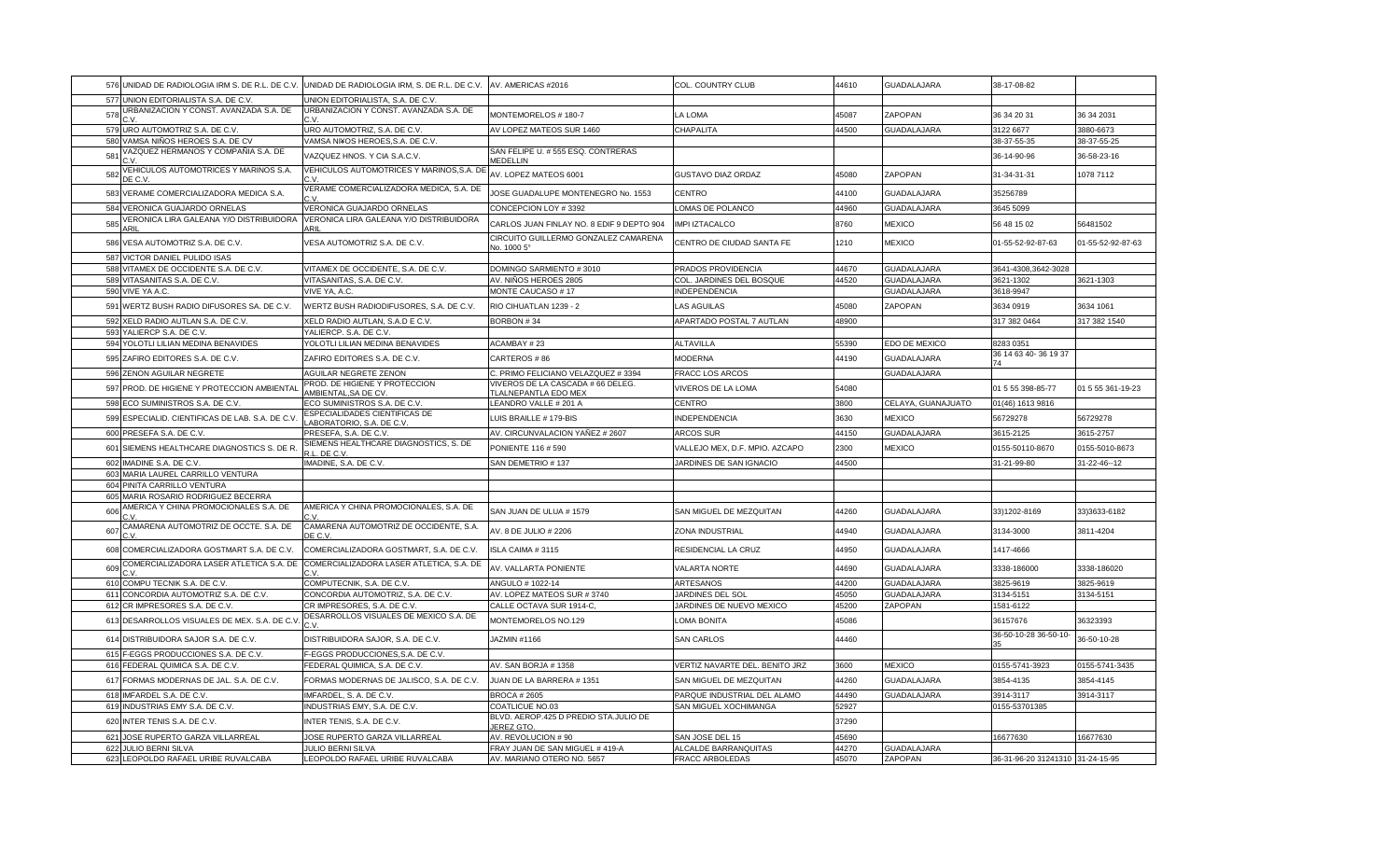|     |                                                  | 576 UNIDAD DE RADIOLOGIA IRM S. DE R.L. DE C.V. UNIDAD DE RADIOLOGIA IRM, S. DE R.L. DE C.V. AV. AMERICAS #2016 |                                                           | COL. COUNTRY CLUB              | 44610 | <b>GUADALAJARA</b> | 38-17-08-82                      |                   |
|-----|--------------------------------------------------|-----------------------------------------------------------------------------------------------------------------|-----------------------------------------------------------|--------------------------------|-------|--------------------|----------------------------------|-------------------|
|     | 577 UNION EDITORIALISTA S.A. DE C.V.             | UNION EDITORIALISTA, S.A. DE C.V.                                                                               |                                                           |                                |       |                    |                                  |                   |
| 578 | URBANIZACION Y CONST. AVANZADA S.A. DE           | URBANIZACION Y CONST. AVANZADA S.A. DE                                                                          | MONTEMORELOS # 180-7                                      | LA LOMA                        | 45087 | ZAPOPAN            | 36 34 20 31                      | 36 34 2031        |
|     | 579 URO AUTOMOTRIZ S.A. DE C.V.                  | URO AUTOMOTRIZ, S.A. DE C.V.                                                                                    | AV LOPEZ MATEOS SUR 1460                                  | CHAPALITA                      | 44500 | GUADALAJARA        | 3122 6677                        | 3880-6673         |
|     | 580 VAMSA NIÑOS HEROES S.A. DE CV                | VAMSA NI¥OS HEROES, S.A. DE C.V.                                                                                |                                                           |                                |       |                    | 38-37-55-35                      | 38-37-55-25       |
| 581 | VAZQUEZ HERMANOS Y COMPAÑIA S.A. DE              | VAZQUEZ HNOS. Y CIA S.A.C.V.                                                                                    | SAN FELIPE U. # 555 ESQ. CONTRERAS<br>MEDELLIN            |                                |       |                    | 36-14-90-96                      | 36-58-23-16       |
| 582 | VEHICULOS AUTOMOTRICES Y MARINOS S.A.<br>DE C.V. | VEHICULOS AUTOMOTRICES Y MARINOS, S.A. DE<br>C.V                                                                | AV. LOPEZ MATEOS 6001                                     | GUSTAVO DIAZ ORDAZ             | 45080 | ZAPOPAN            | 31-34-31-31                      | 1078 7112         |
|     | 583 VERAME COMERCIALIZADORA MEDICA S.A.          | VERAME COMERCIALIZADORA MEDICA, S.A. DE                                                                         | JOSE GUADALUPE MONTENEGRO No. 1553                        | CENTRO                         | 44100 | GUADALAJARA        | 35256789                         |                   |
|     | 584 VERONICA GUAJARDO ORNELAS                    | VERONICA GUAJARDO ORNELAS                                                                                       | CONCEPCION LOY #3392                                      | LOMAS DE POLANCO               | 44960 | GUADALAJARA        | 3645 5099                        |                   |
| 585 | VERONICA LIRA GALEANA Y/O DISTRIBUIDORA<br>ARIL  | VERONICA LIRA GALEANA Y/O DISTRIBUIDORA<br>ARIL                                                                 | CARLOS JUAN FINLAY NO. 8 EDIF 9 DEPTO 904                 | IMPI IZTACALCO                 | 8760  | <b>MEXICO</b>      | 56 48 15 02                      | 56481502          |
|     | 586 VESA AUTOMOTRIZ S.A. DE C.V.                 | VESA AUTOMOTRIZ S.A. DE C.V.                                                                                    | CIRCUITO GUILLERMO GONZALEZ CAMARENA<br>No. 1000 5°       | CENTRO DE CIUDAD SANTA FE      | 1210  | <b>MEXICO</b>      | 01-55-52-92-87-63                | 01-55-52-92-87-63 |
|     | 587 VICTOR DANIEL PULIDO ISAS                    |                                                                                                                 |                                                           |                                |       |                    |                                  |                   |
|     | 588 VITAMEX DE OCCIDENTE S.A. DE C.V.            | VITAMEX DE OCCIDENTE, S.A. DE C.V.                                                                              | DOMINGO SARMIENTO #3010                                   | PRADOS PROVIDENCIA             | 44670 | GUADALAJARA        | 3641-4308,3642-3028              |                   |
|     | 589 VITASANITAS S.A. DE C.V.                     | VITASANITAS, S.A. DE C.V.                                                                                       | AV. NIÑOS HEROES 2805                                     | COL. JARDINES DEL BOSQUE       | 44520 | <b>GUADALAJARA</b> | 3621-1302                        | 3621-1303         |
|     | 590 VIVE YA A.C.                                 | VIVE YA, A.C.                                                                                                   | MONTE CAUCASO #17                                         | INDEPENDENCIA                  |       | GUADALAJARA        | 3618-9947                        |                   |
|     | 591 WERTZ BUSH RADIO DIFUSORES SA. DE C.V.       | WERTZ BUSH RADIODIFUSORES, S.A. DE C.V.                                                                         | RIO CIHUATLAN 1239 - 2                                    | <b>LAS AGUILAS</b>             | 45080 | ZAPOPAN            | 3634 0919                        | 3634 1061         |
|     | 592 XELD RADIO AUTLAN S.A. DE C.V.               | XELD RADIO AUTLAN, S.A.D E C.V.                                                                                 | BORBON #34                                                | APARTADO POSTAL 7 AUTLAN       | 48900 |                    | 317 382 0464                     | 317 382 1540      |
|     | 593 YALIERCP S.A. DE C.V                         | YALIERCP. S.A. DE C.V                                                                                           |                                                           |                                |       |                    |                                  |                   |
|     | 594 YOLOTLI LILIAN MEDINA BENAVIDES              | YOLOTLI LILIAN MEDINA BENAVIDES                                                                                 | ACAMBAY #23                                               | <b>ALTAVILLA</b>               | 55390 | EDO DE MEXICO      | 8283 0351                        |                   |
|     | 595 ZAFIRO EDITORES S.A. DE C.V.                 | ZAFIRO EDITORES S.A. DE C.V.                                                                                    | CARTEROS #86                                              | <b>MODERNA</b>                 | 44190 | GUADALAJARA        | 36 14 63 40-36 19 37             |                   |
|     | 596 ZENON AGUILAR NEGRETE                        | AGUILAR NEGRETE ZENON                                                                                           | C. PRIMO FELICIANO VELAZQUEZ # 3394                       | FRACC LOS ARCOS                |       | GUADALAJARA        |                                  |                   |
|     | 597 PROD. DE HIGIENE Y PROTECCION AMBIENTAL      | PROD. DE HIGIENE Y PROTECCION<br>AMBIENTAL, SA DE CV.                                                           | VIVEROS DE LA CASCADA # 66 DELEG.<br>TLALNEPANTLA EDO MEX | <b>VIVEROS DE LA LOMA</b>      | 54080 |                    | 01 5 55 398-85-77                | 01 5 55 361-19-23 |
|     | 598 ECO SUMINISTROS S.A. DE C.V.                 | ECO SUMINISTROS S.A. DE C.V                                                                                     | LEANDRO VALLE # 201 A                                     | CENTRO                         | 3800  | CELAYA, GUANAJUATO | 01(46) 1613 9816                 |                   |
|     | 599 ESPECIALID. CIENTIFICAS DE LAB. S.A. DE C.V. | ESPECIALIDADES CIENTIFICAS DE<br>ABORATORIO, S.A. DE C.V.                                                       | LUIS BRAILLE # 179-BIS                                    | <b>INDEPENDENCIA</b>           | 3630  | <b>MEXICO</b>      | 56729278                         | 56729278          |
|     | 600 PRESEFA S.A. DE C.V.                         | PRESEFA, S.A. DE C.V                                                                                            | AV. CIRCUNVALACION YAÑEZ # 2607                           | ARCOS SUR                      | 44150 | GUADALAJARA        | 3615-2125                        | 3615-2757         |
|     | 601 SIEMENS HEALTHCARE DIAGNOSTICS S. DE R.      | SIEMENS HEALTHCARE DIAGNOSTICS, S. DE<br>LL. DE C.V.                                                            | PONIENTE 116 # 590                                        | VALLEJO MEX, D.F. MPIO. AZCAPO | 2300  | <b>MEXICO</b>      | 0155-50110-8670                  | 0155-5010-8673    |
|     | 602 IMADINE S.A. DE C.V.                         | IMADINE, S.A. DE C.V.                                                                                           | SAN DEMETRIO #137                                         | JARDINES DE SAN IGNACIO        | 44500 |                    | 31-21-99-80                      | 31-22-46--12      |
|     | 603 MARIA LAUREL CARRILLO VENTURA                |                                                                                                                 |                                                           |                                |       |                    |                                  |                   |
|     | 604 PINITA CARRILLO VENTURA                      |                                                                                                                 |                                                           |                                |       |                    |                                  |                   |
|     | 605 MARIA ROSARIO RODRIGUEZ BECERRA              |                                                                                                                 |                                                           |                                |       |                    |                                  |                   |
| 606 | AMERICA Y CHINA PROMOCIONALES S.A. DE            | AMERICA Y CHINA PROMOCIONALES, S.A. DE                                                                          | SAN JUAN DE ULUA # 1579                                   | SAN MIGUEL DE MEZQUITAN        | 44260 | GUADALAJARA        | 33)1202-8169                     | 33)3633-6182      |
| 607 | CAMARENA AUTOMOTRIZ DE OCCTE. S.A. DE            | CAMARENA AUTOMOTRIZ DE OCCIDENTE, S.A.<br>DE C.V.                                                               | AV. 8 DE JULIO # 2206                                     | ZONA INDUSTRIAL                | 44940 | GUADALAJARA        | 3134-3000                        | 3811-4204         |
|     | 608 COMERCIALIZADORA GOSTMART S.A. DE C.V.       | COMERCIALIZADORA GOSTMART, S.A. DE C.V.                                                                         | ISLA CAIMA #3115                                          | RESIDENCIAL LA CRUZ            | 44950 | GUADALAJARA        | 1417-4666                        |                   |
| 609 | COMERCIALIZADORA LASER ATLETICA S.A. DE          | COMERCIALIZADORA LASER ATLETICA, S.A. DE                                                                        | AV. VALLARTA PONIENTE                                     | <b>VALARTA NORTE</b>           | 44690 | <b>GUADALAJARA</b> | 3338-186000                      | 3338-186020       |
|     | 610 COMPU TECNIK S.A. DE C.V                     | COMPUTECNIK, S.A. DE C.V.                                                                                       | ANGULO # 1022-14                                          | ARTESANOS                      | 44200 | GUADALAJARA        | 3825-9619                        | 3825-9619         |
|     | 611 CONCORDIA AUTOMOTRIZ S.A. DE C.V.            | CONCORDIA AUTOMOTRIZ, S.A. DE C.V.                                                                              | AV. LOPEZ MATEOS SUR #3740                                | JARDINES DEL SOL               | 45050 | GUADALAJARA        | 3134-5151                        | 3134-5151         |
|     | 612 CR IMPRESORES S.A. DE C.V.                   | CR IMPRESORES, S.A. DE C.V.                                                                                     | CALLE OCTAVA SUR 1914-C,                                  | JARDINES DE NUEVO MEXICO       | 45200 | ZAPOPAN            | 1581-6122                        |                   |
|     | 613 DESARROLLOS VISUALES DE MEX. S.A. DE C.V     | DESARROLLOS VISUALES DE MEXICO S.A. DE                                                                          | MONTEMORELOS NO.129                                       | OMA BONITA.                    | 45086 |                    | 36157676                         | 36323393          |
|     | 614 DISTRIBUIDORA SAJOR S.A. DE C.V.             | DISTRIBUIDORA SAJOR, S.A. DE C.V.                                                                               | JAZMIN #1166                                              | <b>SAN CARLOS</b>              | 44460 |                    | 36-50-10-28 36-50-10-            | 36-50-10-28       |
|     | 615 F-EGGS PRODUCCIONES S.A. DE C.V.             | F-EGGS PRODUCCIONES, S.A. DE C.V.                                                                               |                                                           |                                |       |                    |                                  |                   |
|     | 616 FEDERAL QUIMICA S.A. DE C.V.                 | FEDERAL QUIMICA, S.A. DE C.V.                                                                                   | AV. SAN BORJA # 1358                                      | VERTIZ NAVARTE DEL. BENITO JRZ | 3600  | <b>MEXICO</b>      | 0155-5741-3923                   | 0155-5741-3435    |
|     | 617 FORMAS MODERNAS DE JAL. S.A. DE C.V.         | FORMAS MODERNAS DE JALISCO, S.A. DE C.V.                                                                        | JUAN DE LA BARRERA #1351                                  | SAN MIGUEL DE MEZQUITAN        | 44260 | GUADALAJARA        | 3854-4135                        | 3854-4145         |
|     | 618 IMFARDEL S.A. DE C.V.                        | IMFARDEL, S. A. DE C.V.                                                                                         | <b>BROCA #2605</b>                                        | PARQUE INDUSTRIAL DEL ALAMO    | 44490 | GUADALAJARA        | 3914-3117                        | 3914-3117         |
|     | 619 INDUSTRIAS EMY S.A. DE C.V.                  | INDUSTRIAS EMY, S.A. DE C.V.                                                                                    | <b>COATLICUE NO.03</b>                                    | SAN MIGUEL XOCHIMANGA          | 52927 |                    | 0155-53701385                    |                   |
|     | 620 INTER TENIS S.A. DE C.V.                     | INTER TENIS, S.A. DE C.V.                                                                                       | BLVD. AEROP.425 D PREDIO STA.JULIO DE<br><b>JEREZ GTO</b> |                                | 37290 |                    |                                  |                   |
|     | 621 JOSE RUPERTO GARZA VILLARREAL                | JOSE RUPERTO GARZA VILLARREAL                                                                                   | AV. REVOLUCION # 90                                       | SAN JOSE DEL 15                | 45690 |                    | 16677630                         | 16677630          |
|     | 622 JULIO BERNI SILVA                            | <b>JULIO BERNI SILVA</b>                                                                                        | FRAY JUAN DE SAN MIGUEL # 419-A                           | ALCALDE BARRANQUITAS           | 44270 | GUADALAJARA        |                                  |                   |
|     | 623 LEOPOLDO RAFAEL URIBE RUVALCABA              | LEOPOLDO RAFAEL URIBE RUVALCABA                                                                                 | AV. MARIANO OTERO NO. 5657                                | <b>FRACC ARBOLEDAS</b>         | 45070 | ZAPOPAN            | 36-31-96-20 31241310 31-24-15-95 |                   |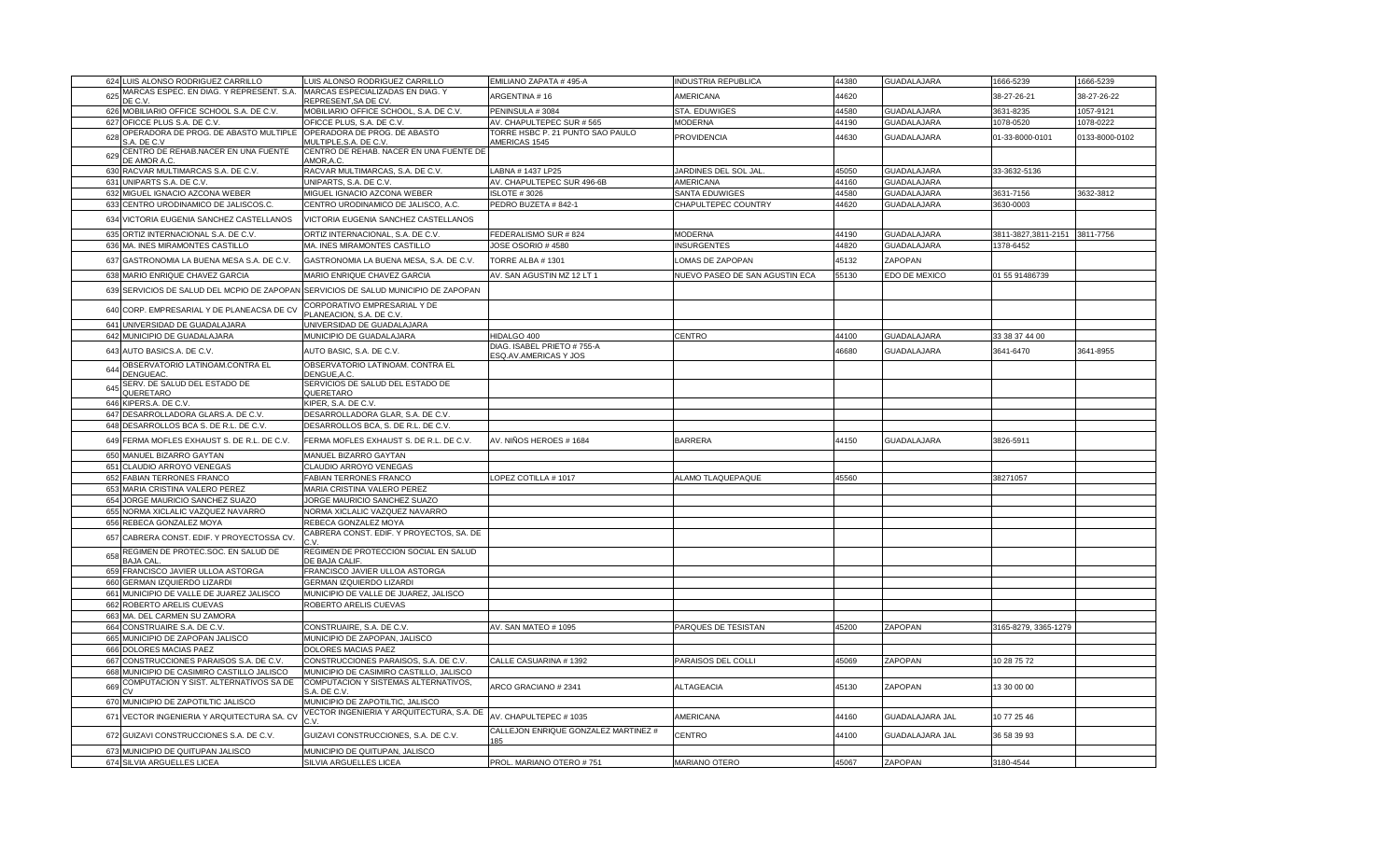|     | 624 LUIS ALONSO RODRIGUEZ CARRILLO                    | LUIS ALONSO RODRIGUEZ CARRILLO                                                      | EMILIANO ZAPATA #495-A                              | <b>INDUSTRIA REPUBLICA</b>     | 44380 | GUADALAJARA        | 1666-5239           | 1666-5239      |
|-----|-------------------------------------------------------|-------------------------------------------------------------------------------------|-----------------------------------------------------|--------------------------------|-------|--------------------|---------------------|----------------|
| 625 | MARCAS ESPEC. EN DIAG. Y REPRESENT. S.A.<br>DE C.V    | MARCAS ESPECIALIZADAS EN DIAG. Y<br>REPRESENT, SA DE CV                             | ARGENTINA # 16                                      | AMERICANA                      | 44620 |                    | 38-27-26-21         | 38-27-26-22    |
|     | 626 MOBILIARIO OFFICE SCHOOL S.A. DE C.V.             | MOBILIARIO OFFICE SCHOOL, S.A. DE C.V.                                              | PENINSULA #3084                                     | STA. EDUWIGES                  | 44580 | <b>GUADALAJARA</b> | 3631-8235           | 057-9121       |
| 627 | OFICCE PLUS S.A. DE C.V                               | OFICCE PLUS, S.A. DE C.V.                                                           | AV. CHAPULTEPEC SUR # 565                           | <b>MODERNA</b>                 | 44190 | <b>GUADALAJARA</b> | 1078-0520           | 1078-0222      |
| 628 | OPERADORA DE PROG. DE ABASTO MULTIPLE<br>S.A. DE C.V  | OPERADORA DE PROG. DE ABASTO<br>MULTIPLE, S.A. DE C.V.                              | TORRE HSBC P. 21 PUNTO SAO PAULO<br>AMERICAS 1545   | PROVIDENCIA                    | 44630 | <b>GUADALAJARA</b> | 01-33-8000-0101     | 0133-8000-0102 |
| 629 | CENTRO DE REHAB.NACER EN UNA FUENTE<br>DE AMOR A.C    | CENTRO DE REHAB. NACER EN UNA FUENTE DE<br>AMOR, A.C                                |                                                     |                                |       |                    |                     |                |
|     | 630 RACVAR MULTIMARCAS S.A. DE C.V.                   | RACVAR MULTIMARCAS, S.A. DE C.V.                                                    | LABNA # 1437 LP25                                   | JARDINES DEL SOL JAL           | 45050 | GUADALAJARA        | 33-3632-5136        |                |
| 631 | JNIPARTS S.A. DE C.V.                                 | UNIPARTS, S.A. DE C.V.                                                              | AV. CHAPULTEPEC SUR 496-6B                          | <b>AMERICANA</b>               | 44160 | <b>GUADALAJARA</b> |                     |                |
| 632 | MIGUEL IGNACIO AZCONA WEBER                           | MIGUEL IGNACIO AZCONA WEBER                                                         | <b>ISLOTE #3026</b>                                 | SANTA EDUWIGES                 | 44580 | <b>GUADALAJARA</b> | 3631-7156           | 3632-3812      |
|     | 633 CENTRO URODINAMICO DE JALISCOS.C.                 | CENTRO URODINAMICO DE JALISCO, A.C.                                                 | PEDRO BUZETA #842-1                                 | CHAPULTEPEC COUNTRY            | 44620 | GUADALAJARA        | 3630-0003           |                |
|     | 634 VICTORIA EUGENIA SANCHEZ CASTELLANOS              | VICTORIA EUGENIA SANCHEZ CASTELLANOS                                                |                                                     |                                |       |                    |                     |                |
| 635 | ORTIZ INTERNACIONAL S.A. DE C.V                       | ORTIZ INTERNACIONAL, S.A. DE C.V.                                                   | FEDERALISMO SUR #824                                | <b>MODERNA</b>                 | 44190 | <b>GUADALAJARA</b> | 3811-3827,3811-2151 | 3811-7756      |
|     | 636 MA. INES MIRAMONTES CASTILLO                      | MA. INES MIRAMONTES CASTILLO                                                        | JOSE OSORIO # 4580                                  | <b>INSURGENTES</b>             | 44820 | GUADALAJARA        | 1378-6452           |                |
|     | 637 GASTRONOMIA LA BUENA MESA S.A. DE C.V.            | GASTRONOMIA LA BUENA MESA, S.A. DE C.V.                                             | TORRE ALBA #1301                                    | OMAS DE ZAPOPAN                | 45132 | ZAPOPAN            |                     |                |
|     | 638 MARIO ENRIQUE CHAVEZ GARCIA                       | MARIO ENRIQUE CHAVEZ GARCIA                                                         | AV. SAN AGUSTIN MZ 12 LT 1                          | NUEVO PASEO DE SAN AGUSTIN ECA | 55130 | EDO DE MEXICO      | 01 55 91486739      |                |
|     |                                                       | 639 SERVICIOS DE SALUD DEL MCPIO DE ZAPOPAN SERVICIOS DE SALUD MUNICIPIO DE ZAPOPAN |                                                     |                                |       |                    |                     |                |
|     |                                                       | CORPORATIVO EMPRESARIAL Y DE                                                        |                                                     |                                |       |                    |                     |                |
|     | 640 CORP. EMPRESARIAL Y DE PLANEACSA DE CV            | PLANEACION, S.A. DE C.V.                                                            |                                                     |                                |       |                    |                     |                |
| 641 | UNIVERSIDAD DE GUADALAJARA                            | UNIVERSIDAD DE GUADALAJARA                                                          |                                                     |                                |       |                    |                     |                |
|     | 642 MUNICIPIO DE GUADALAJARA                          | MUNICIPIO DE GUADALAJARA                                                            | HIDALGO 400                                         | <b>CENTRO</b>                  | 44100 | <b>GUADALAJARA</b> | 33 38 37 44 00      |                |
|     | 643 AUTO BASICS.A. DE C.V.                            | AUTO BASIC, S.A. DE C.V.                                                            | DIAG. ISABEL PRIETO #755-A<br>ESQ.AV.AMERICAS Y JOS |                                | 46680 | GUADALAJARA        | 3641-6470           | 3641-8955      |
| 64  | OBSERVATORIO LATINOAM.CONTRA EL<br>DENGUEAC           | OBSERVATORIO LATINOAM. CONTRA EL<br>DENGUE, A.C                                     |                                                     |                                |       |                    |                     |                |
| 645 | SERV. DE SALUD DEL ESTADO DE<br>QUERETARO             | SERVICIOS DE SALUD DEL ESTADO DE<br>QUERETARO                                       |                                                     |                                |       |                    |                     |                |
|     | 646 KIPERS.A. DE C.V.                                 | KIPER, S.A. DE C.V.                                                                 |                                                     |                                |       |                    |                     |                |
| 647 | DESARROLLADORA GLARS.A. DE C.V.                       | DESARROLLADORA GLAR, S.A. DE C.V.                                                   |                                                     |                                |       |                    |                     |                |
|     | 648 DESARROLLOS BCA S. DE R.L. DE C.V.                | DESARROLLOS BCA, S. DE R.L. DE C.V.                                                 |                                                     |                                |       |                    |                     |                |
| 649 | FERMA MOFLES EXHAUST S. DE R.L. DE C.V.               | FERMA MOFLES EXHAUST S. DE R.L. DE C.V.                                             | AV. NIÑOS HEROES # 1684                             | <b>BARRERA</b>                 | 44150 | GUADALAJARA        | 3826-5911           |                |
|     | 650 MANUEL BIZARRO GAYTAN                             | MANUEL BIZARRO GAYTAN                                                               |                                                     |                                |       |                    |                     |                |
| 651 | CLAUDIO ARROYO VENEGAS                                | CLAUDIO ARROYO VENEGAS                                                              |                                                     |                                |       |                    |                     |                |
|     | 652 FABIAN TERRONES FRANCO                            | FABIAN TERRONES FRANCO                                                              | LOPEZ COTILLA # 1017                                | ALAMO TLAQUEPAQUE              | 45560 |                    | 38271057            |                |
|     | 653 MARIA CRISTINA VALERO PEREZ                       | MARIA CRISTINA VALERO PEREZ                                                         |                                                     |                                |       |                    |                     |                |
| 654 | ORGE MAURICIO SANCHEZ SUAZO                           | JORGE MAURICIO SANCHEZ SUAZO                                                        |                                                     |                                |       |                    |                     |                |
| 655 | <b>NORMA XICLALIC VAZQUEZ NAVARRO</b>                 | NORMA XICLALIC VAZQUEZ NAVARRO                                                      |                                                     |                                |       |                    |                     |                |
| 656 | REBECA GONZALEZ MOYA                                  | REBECA GONZALEZ MOYA                                                                |                                                     |                                |       |                    |                     |                |
| 657 | CABRERA CONST. EDIF. Y PROYECTOSSA CV.                | CABRERA CONST. EDIF. Y PROYECTOS, SA. DE<br>٠v                                      |                                                     |                                |       |                    |                     |                |
| 658 | REGIMEN DE PROTEC.SOC. EN SALUD DE<br><b>BAJA CAL</b> | REGIMEN DE PROTECCION SOCIAL EN SALUD<br>DE BAJA CALIF.                             |                                                     |                                |       |                    |                     |                |
|     | 659 FRANCISCO JAVIER ULLOA ASTORGA                    | FRANCISCO JAVIER ULLOA ASTORGA                                                      |                                                     |                                |       |                    |                     |                |
| 660 | GERMAN IZQUIERDO LIZARDI                              | GERMAN IZQUIERDO LIZARDI                                                            |                                                     |                                |       |                    |                     |                |
| 661 | MUNICIPIO DE VALLE DE JUAREZ JALISCO                  | MUNICIPIO DE VALLE DE JUAREZ, JALISCO                                               |                                                     |                                |       |                    |                     |                |
| 662 | ROBERTO ARELIS CUEVAS                                 | ROBERTO ARELIS CUEVAS                                                               |                                                     |                                |       |                    |                     |                |
|     | 663 MA. DEL CARMEN SU ZAMORA                          |                                                                                     |                                                     |                                |       |                    |                     |                |
| 664 | CONSTRUAIRE S.A. DE C.V.                              | CONSTRUAIRE, S.A. DE C.V                                                            | AV. SAN MATEO # 1095                                | PARQUES DE TESISTAN            | 45200 | ZAPOPAN            | 165-8279, 3365-1279 |                |
| 665 | MUNICIPIO DE ZAPOPAN JALISCO                          | MUNICIPIO DE ZAPOPAN, JALISCO                                                       |                                                     |                                |       |                    |                     |                |
|     | 666 DOLORES MACIAS PAEZ                               | DOLORES MACIAS PAEZ                                                                 |                                                     |                                |       |                    |                     |                |
| 667 | CONSTRUCCIONES PARAISOS S.A. DE C.V.                  | CONSTRUCCIONES PARAISOS, S.A. DE C.V                                                | CALLE CASUARINA #1392                               | PARAISOS DEL COLLI             | 45069 | ZAPOPAN            | 10 28 75 72         |                |
| 668 | MUNICIPIO DE CASIMIRO CASTILLO JALISCO                | MUNICIPIO DE CASIMIRO CASTILLO, JALISCO                                             |                                                     |                                |       |                    |                     |                |
| 669 | COMPUTACION Y SIST. ALTERNATIVOS SA DE                | COMPUTACION Y SISTEMAS ALTERNATIVOS,<br>S.A. DE C.V                                 | ARCO GRACIANO # 2341                                | ALTAGEACIA                     | 45130 | ZAPOPAN            | 13 30 00 00         |                |
|     | 670 MUNICIPIO DE ZAPOTILTIC JALISCO                   | MUNICIPIO DE ZAPOTILTIC, JALISCO                                                    |                                                     |                                |       |                    |                     |                |
|     | 671 VECTOR INGENIERIA Y ARQUITECTURA SA. CV           | VECTOR INGENIERIA Y ARQUITECTURA, S.A. DE                                           | AV. CHAPULTEPEC # 1035                              | AMERICANA                      | 44160 | GUADALAJARA JAL    | 10 77 25 46         |                |
|     | 672 GUIZAVI CONSTRUCCIONES S.A. DE C.V.               | GUIZAVI CONSTRUCCIONES, S.A. DE C.V.                                                | CALLEJON ENRIQUE GONZALEZ MARTINEZ #<br>185         | CENTRO                         | 44100 | GUADALAJARA JAL    | 36 58 39 93         |                |
| 673 | MUNICIPIO DE QUITUPAN JALISCO                         | MUNICIPIO DE QUITUPAN, JALISCO                                                      |                                                     |                                |       |                    |                     |                |
|     | 674 SILVIA ARGUELLES LICEA                            | SILVIA ARGUELLES LICEA                                                              | PROL. MARIANO OTERO #751                            | MARIANO OTERO                  | 45067 | ZAPOPAN            | 3180-4544           |                |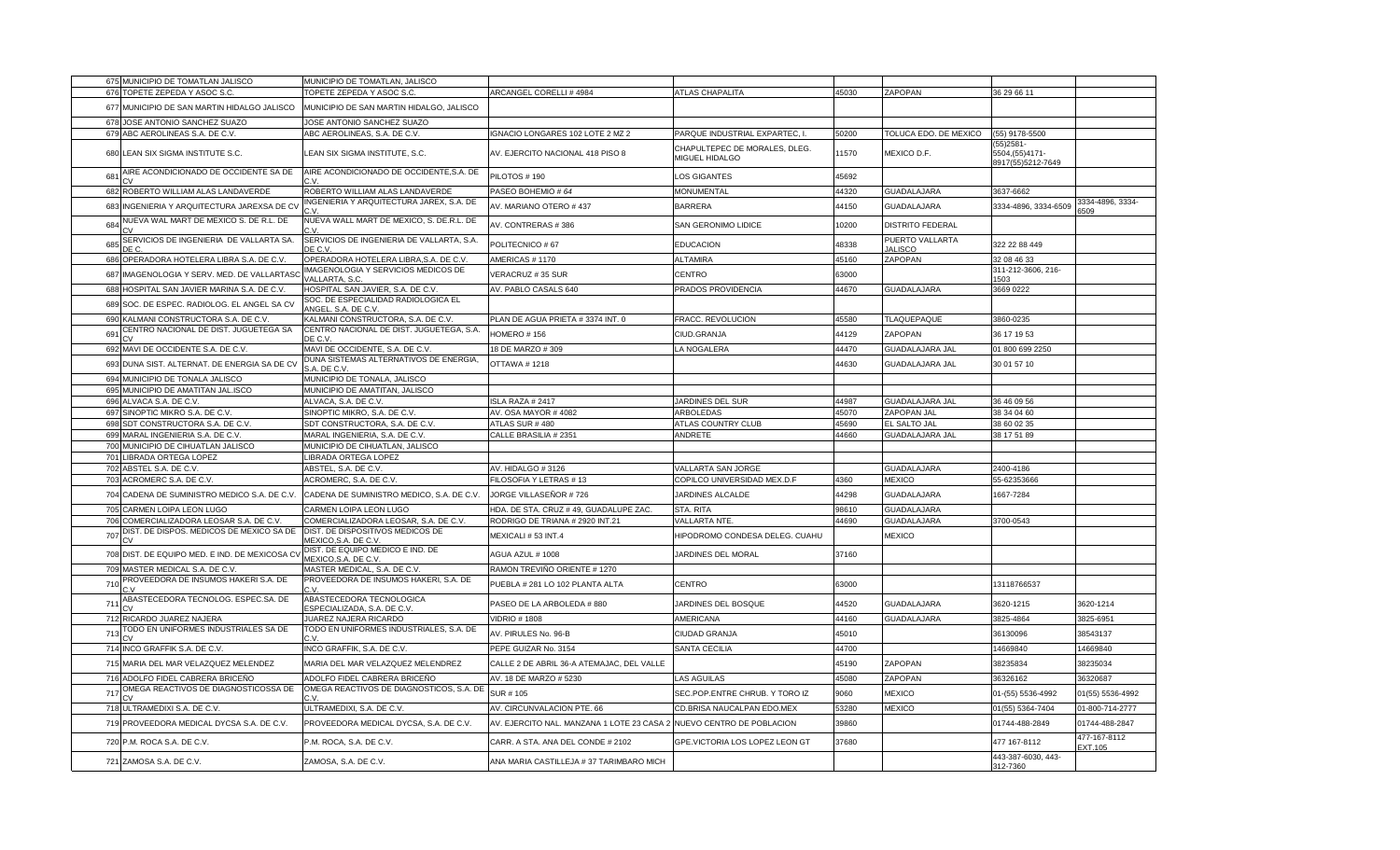|             | 675 MUNICIPIO DE TOMATLAN JALISCO                                  | MUNICIPIO DE TOMATLAN, JALISCO                                      |                                                                  |                                                   |                |                                          |                                                      |                         |
|-------------|--------------------------------------------------------------------|---------------------------------------------------------------------|------------------------------------------------------------------|---------------------------------------------------|----------------|------------------------------------------|------------------------------------------------------|-------------------------|
|             | 676 TOPETE ZEPEDA Y ASOC S.C.                                      | TOPETE ZEPEDA Y ASOC S.C.                                           | ARCANGEL CORELLI #4984                                           | ATLAS CHAPALITA                                   | 45030          | ZAPOPAN                                  | 36 29 66 11                                          |                         |
| 677         | MUNICIPIO DE SAN MARTIN HIDALGO JALISCO                            | MUNICIPIO DE SAN MARTIN HIDALGO, JALISCO                            |                                                                  |                                                   |                |                                          |                                                      |                         |
| 678         | JOSE ANTONIO SANCHEZ SUAZO                                         | JOSE ANTONIO SANCHEZ SUAZO                                          |                                                                  |                                                   |                |                                          |                                                      |                         |
|             | 679 ABC AEROLINEAS S.A. DE C.V.                                    | ABC AEROLINEAS, S.A. DE C.V.                                        | GNACIO LONGARES 102 LOTE 2 MZ 2                                  | PARQUE INDUSTRIAL EXPARTEC, I.                    | 50200          | TOLUCA EDO. DE MEXICO                    | (55) 9178-5500                                       |                         |
| 680         | LEAN SIX SIGMA INSTITUTE S.C.                                      | LEAN SIX SIGMA INSTITUTE, S.C.                                      | AV. EJERCITO NACIONAL 418 PISO 8                                 | CHAPULTEPEC DE MORALES, DLEG.<br>MIGUEL HIDALGO   | 11570          | MEXICO D.F.                              | (55) 2581 -<br>5504, (55) 4171-<br>3917(55)5212-7649 |                         |
| 681         | AIRE ACONDICIONADO DE OCCIDENTE SA DE                              | AIRE ACONDICIONADO DE OCCIDENTE, S.A. DE                            | PILOTOS # 190                                                    | LOS GIGANTES                                      | 45692          |                                          |                                                      |                         |
| 682         | ROBERTO WILLIAM ALAS LANDAVERDE                                    | ROBERTO WILLIAM ALAS LANDAVERDE                                     | PASEO BOHEMIO # 64                                               | <b>MONUMENTAL</b>                                 | 44320          | GUADALAJARA                              | 3637-6662                                            |                         |
| 683         | INGENIERIA Y ARQUITECTURA JAREXSA DE CV                            | NGENIERIA Y ARQUITECTURA JAREX, S.A. DE                             | AV. MARIANO OTERO #437                                           | <b>BARRERA</b>                                    | 44150          | GUADALAJARA                              | 3334-4896, 3334-6509                                 | 3334-4896, 3334-<br>509 |
| 684         | <b>NUEVA WAL MART DE MEXICO S. DE R.L. DE</b>                      | NUEVA WALL MART DE MEXICO, S. DE.R.L. DE                            | AV. CONTRERAS #386                                               | SAN GERONIMO LIDICE                               | 10200          | <b>DISTRITO FEDERAL</b>                  |                                                      |                         |
| 685<br>∩ ⊐ר | SERVICIOS DE INGENIERIA DE VALLARTA SA                             | SERVICIOS DE INGENIERIA DE VALLARTA, S.A.<br>JE C. V                | POLITECNICO #67                                                  | <b>EDUCACION</b>                                  | 48338          | PUERTO VALLARTA<br><b>JALISCO</b>        | 322 22 88 449                                        |                         |
| 686         | OPERADORA HOTELERA LIBRA S.A. DE C.V.                              | OPERADORA HOTELERA LIBRA, S.A. DE C.V.                              | AMERICAS # 1170                                                  | <b>ALTAMIRA</b>                                   | 45160          | ZAPOPAN                                  | 32 08 46 33                                          |                         |
| 687         | IMAGENOLOGIA Y SERV. MED. DE VALLARTAS                             | MAGENOLOGIA Y SERVICIOS MEDICOS DE<br>/ALLARTA, S.C                 | VERACRUZ # 35 SUR                                                | CENTRO                                            | 63000          |                                          | 311-212-3606, 216-<br>503                            |                         |
| 688         | HOSPITAL SAN JAVIER MARINA S.A. DE C.V.                            | HOSPITAL SAN JAVIER, S.A. DE C.V.                                   | AV. PABLO CASALS 640                                             | PRADOS PROVIDENCIA                                | 44670          | GUADALAJARA                              | 3669 0222                                            |                         |
| 689         | SOC. DE ESPEC. RADIOLOG. EL ANGEL SA CV                            | SOC. DE ESPECIALIDAD RADIOLOGICA EL<br>INGEL, S.A. DE C.V           |                                                                  |                                                   |                |                                          |                                                      |                         |
| 690         | (ALMANI CONSTRUCTORA S.A. DE C.V                                   | KALMANI CONSTRUCTORA, S.A. DE C.V                                   | PLAN DE AGUA PRIETA # 3374 INT. 0                                | FRACC. REVOLUCION                                 | 45580          | TLAQUEPAQUE                              | 3860-0235                                            |                         |
| 691         | CENTRO NACIONAL DE DIST. JUGUETEGA SA                              | CENTRO NACIONAL DE DIST. JUGUETEGA, S.A.<br>DE C.V.                 | <b>IOMERO # 156</b>                                              | CIUD.GRANJA                                       | 44129          | ZAPOPAN                                  | 36 17 19 53                                          |                         |
|             | 692 MAVI DE OCCIDENTE S.A. DE C.V                                  | MAVI DE OCCIDENTE, S.A. DE C.V.                                     | 18 DE MARZO # 309                                                | LA NOGALERA                                       | 44470          | GUADALAJARA JAL                          | 01 800 699 2250                                      |                         |
| 693         | DUNA SIST. ALTERNAT. DE ENERGIA SA DE CV                           | DUNA SISTEMAS ALTERNATIVOS DE ENERGIA,<br>S.A. DE C.V               | OTTAWA #1218                                                     |                                                   | 44630          | GUADALAJARA JAL                          | 30 01 57 10                                          |                         |
|             | 694 MUNICIPIO DE TONALA JALISCO                                    | MUNICIPIO DE TONALA, JALISCO                                        |                                                                  |                                                   |                |                                          |                                                      |                         |
|             | 695 MUNICIPIO DE AMATITAN JAL.ISCO                                 | MUNICIPIO DE AMATITAN, JALISCO                                      |                                                                  |                                                   |                |                                          |                                                      |                         |
|             | 696 ALVACA S.A. DE C.V.                                            | ALVACA, S.A. DE C.V.                                                | <b>SLA RAZA # 2417</b>                                           | JARDINES DEL SUR                                  | 44987          | GUADALAJARA JAL                          | 36 46 09 56                                          |                         |
| 697         | SINOPTIC MIKRO S.A. DE C.V.                                        | SINOPTIC MIKRO, S.A. DE C.V.                                        | AV. OSA MAYOR #4082                                              | ARBOLEDAS                                         | 45070          | ZAPOPAN JAL                              | 38 34 04 60                                          |                         |
|             | 698 SDT CONSTRUCTORA S.A. DE C.V.                                  | SDT CONSTRUCTORA, S.A. DE C.V.                                      | ATLAS SUR # 480                                                  | ATLAS COUNTRY CLUB                                | 45690          | EL SALTO JAL                             | 38 60 02 35                                          |                         |
|             | 699 MARAL INGENIERIA S.A. DE C.V.                                  | MARAL INGENIERIA, S.A. DE C.V.                                      | CALLE BRASILIA # 2351                                            | ANDRETE                                           | 44660          | GUADALAJARA JAL                          | 38 17 51 89                                          |                         |
|             | 700 MUNICIPIO DE CIHUATLAN JALISCO                                 | MUNICIPIO DE CIHUATLAN, JALISCO                                     |                                                                  |                                                   |                |                                          |                                                      |                         |
| 701         | LIBRADA ORTEGA LOPEZ                                               | <b>IBRADA ORTEGA LOPEZ</b>                                          |                                                                  |                                                   |                |                                          |                                                      |                         |
| 702         | ABSTEL S.A. DE C.V.<br>703 ACROMERC S.A. DE C.V.                   | ABSTEL, S.A. DE C.V.<br>ACROMERC, S.A. DE C.V.                      | <b>NV. HIDALGO #3126</b><br>FILOSOFIA Y LETRAS # 13              | VALLARTA SAN JORGE<br>COPILCO UNIVERSIDAD MEX.D.F | 4360           | <b>GUADALAJARA</b><br><b>MEXICO</b>      | 2400-4186<br>55-62353666                             |                         |
|             |                                                                    |                                                                     |                                                                  |                                                   |                |                                          |                                                      |                         |
| 704<br>705  | CADENA DE SUMINISTRO MEDICO S.A. DE C.V.<br>CARMEN LOIPA LEON LUGO | CADENA DE SUMINISTRO MEDICO, S.A. DE C.V.<br>CARMEN LOIPA LEON LUGO | JORGE VILLASEÑOR # 726<br>HDA. DE STA. CRUZ # 49, GUADALUPE ZAC. | JARDINES ALCALDE<br>STA. RITA                     | 44298<br>98610 | <b>GUADALAJARA</b><br><b>GUADALAJARA</b> | 1667-7284                                            |                         |
| 706         | COMERCIALIZADORA LEOSAR S.A. DE C.V.                               | COMERCIALIZADORA LEOSAR, S.A. DE C.V.                               | RODRIGO DE TRIANA # 2920 INT.21                                  | VALLARTA NTE.                                     | 44690          | GUADALAJARA                              | 3700-0543                                            |                         |
| 707         | DIST. DE DISPOS. MEDICOS DE MEXICO SA DE                           | DIST. DE DISPOSITIVOS MEDICOS DE<br>MEXICO, S.A. DE C.V.            | MEXICALI # 53 INT.4                                              | HIPODROMO CONDESA DELEG. CUAHU                    |                | <b>MEXICO</b>                            |                                                      |                         |
| 708         | DIST. DE EQUIPO MED. E IND. DE MEXICOSA CV                         | DIST. DE EQUIPO MEDICO E IND. DE                                    | AGUA AZUL # 1008                                                 | JARDINES DEL MORAL                                | 37160          |                                          |                                                      |                         |
| 709         | MASTER MEDICAL S.A. DE C.V                                         | <u>MEXICO,S.A. DE C.V.</u><br>MASTER MEDICAL, S.A. DE C.V.          | RAMON TREVIÑO ORIENTE # 1270                                     |                                                   |                |                                          |                                                      |                         |
| 710         | PROVEEDORA DE INSUMOS HAKERI S.A. DE                               | PROVEEDORA DE INSUMOS HAKERI, S.A. DE                               | PUEBLA # 281 LO 102 PLANTA ALTA                                  | CENTRO                                            | 63000          |                                          | 13118766537                                          |                         |
| 711         | ABASTECEDORA TECNOLOG. ESPEC.SA. DE                                | ABASTECEDORA TECNOLOGICA<br>ESPECIALIZADA, S.A. DE C.V              | PASEO DE LA ARBOLEDA # 880                                       | JARDINES DEL BOSQUE                               | 44520          | GUADALAJARA                              | 3620-1215                                            | 3620-1214               |
|             | 712 RICARDO JUAREZ NAJERA                                          | JUAREZ NAJERA RICARDO                                               | <b>VIDRIO # 1808</b>                                             | AMERICANA                                         | 44160          | GUADALAJARA                              | 3825-4864                                            | 3825-6951               |
| 713         | TODO EN UNIFORMES INDUSTRIALES SA DE                               | TODO EN UNIFORMES INDUSTRIALES, S.A. DE<br>٠v                       | AV. PIRULES No. 96-B                                             | CIUDAD GRANJA                                     | 45010          |                                          | 36130096                                             | 38543137                |
|             | 714 INCO GRAFFIK S.A. DE C.V.                                      | INCO GRAFFIK, S.A. DE C.V                                           | PEPE GUIZAR No. 3154                                             | SANTA CECILIA                                     | 44700          |                                          | 14669840                                             | 14669840                |
|             | 715 MARIA DEL MAR VELAZQUEZ MELENDEZ                               | MARIA DEL MAR VELAZQUEZ MELENDREZ                                   | CALLE 2 DE ABRIL 36-A ATEMAJAC, DEL VALLE                        |                                                   | 45190          | ZAPOPAN                                  | 38235834                                             | 38235034                |
| 716         | ADOLFO FIDEL CABRERA BRICEÑO                                       | ADOLFO FIDEL CABRERA BRICEÑO                                        | AV. 18 DE MARZO # 5230                                           | LAS AGUILAS                                       | 45080          | ZAPOPAN                                  | 36326162                                             | 36320687                |
| 717         | OMEGA REACTIVOS DE DIAGNOSTICOSSA DE                               | OMEGA REACTIVOS DE DIAGNOSTICOS, S.A. DE                            | SUR # 105                                                        | SEC.POP.ENTRE CHRUB. Y TORO IZ                    | 9060           | <b>MEXICO</b>                            | 01-(55) 5536-4992                                    | 01(55) 5536-4992        |
|             | 718 ULTRAMEDIXI S.A. DE C.V.                                       | JLTRAMEDIXI, S.A. DE C.V                                            | AV. CIRCUNVALACION PTE. 66                                       | CD.BRISA NAUCALPAN EDO.MEX                        | 53280          | <b>MEXICO</b>                            | 01(55) 5364-7404                                     | 01-800-714-2777         |
| 719         | PROVEEDORA MEDICAL DYCSA S.A. DE C.V.                              | PROVEEDORA MEDICAL DYCSA, S.A. DE C.V.                              | AV. EJERCITO NAL. MANZANA 1 LOTE 23 CASA 2                       | NUEVO CENTRO DE POBLACION                         | 39860          |                                          | 01744-488-2849                                       | 01744-488-2847          |
| 720         | P.M. ROCA S.A. DE C.V.                                             | P.M. ROCA, S.A. DE C.V.                                             | CARR. A STA. ANA DEL CONDE # 2102                                | GPE.VICTORIA LOS LOPEZ LEON GT                    | 37680          |                                          | 477 167-8112                                         | 477-167-8112<br>EXT.105 |
|             | 721 ZAMOSA S.A. DE C.V.                                            | ZAMOSA, S.A. DE C.V.                                                | ANA MARIA CASTILLEJA # 37 TARIMBARO MICH                         |                                                   |                |                                          | 443-387-6030, 443-<br>312-7360                       |                         |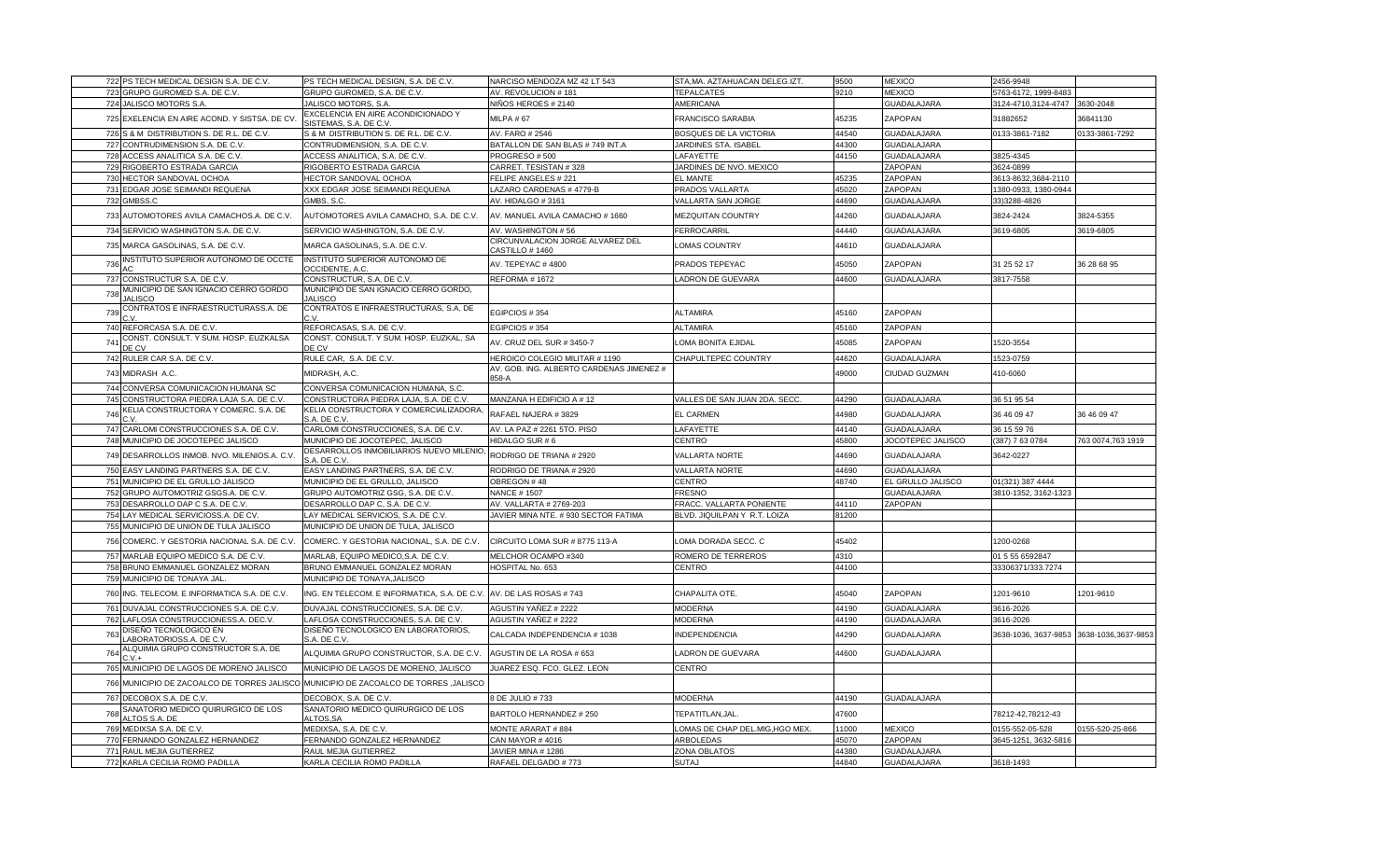| 722 PS TECH MEDICAL DESIGN S.A. DE C.V.                                              | PS TECH MEDICAL DESIGN, S.A. DE C.V.                        | NARCISO MENDOZA MZ 42 LT 543                        | STA, MA. AZTAHUACAN DELEG.IZT. | 9500  | <b>MEXICO</b>      | 2456-9948            |                     |
|--------------------------------------------------------------------------------------|-------------------------------------------------------------|-----------------------------------------------------|--------------------------------|-------|--------------------|----------------------|---------------------|
| 723 GRUPO GUROMED S.A. DE C.V.                                                       | GRUPO GUROMED, S.A. DE C.V.                                 | AV. REVOLUCION #181                                 | <b>TEPALCATES</b>              | 9210  | <b>MEXICO</b>      | 5763-6172, 1999-8483 |                     |
| 724 JALISCO MOTORS S.A.                                                              | JALISCO MOTORS, S.A.                                        | NIÑOS HEROES # 2140                                 | AMERICANA                      |       | <b>GUADALAJARA</b> | 3124-4710,3124-4747  | 3630-2048           |
| 725 EXELENCIA EN AIRE ACOND. Y SISTSA. DE CV                                         | EXCELENCIA EN AIRE ACONDICIONADO Y<br>SISTEMAS, S.A. DE C.V | MILPA #67                                           | <b>FRANCISCO SARABIA</b>       | 45235 | ZAPOPAN            | 31882652             | 36841130            |
| 726<br>S & M DISTRIBUTION S. DE R.L. DE C.V.                                         | S & M DISTRIBUTION S. DE R.L. DE C.V.                       | AV. FARO # 2546                                     | <b>BOSQUES DE LA VICTORIA</b>  | 44540 | <b>GUADALAJARA</b> | 0133-3861-7182       | 0133-3861-7292      |
| 727 CONTRUDIMENSION S.A. DE C.V.                                                     | CONTRUDIMENSION, S.A. DE C.V.                               | BATALLON DE SAN BLAS # 749 INT.A                    | JARDINES STA. ISABEL           | 44300 | <b>GUADALAJARA</b> |                      |                     |
| 728 ACCESS ANALITICA S.A. DE C.V.                                                    | ACCESS ANALITICA, S.A. DE C.V.                              | PROGRESO #500                                       | LAFAYETTE                      | 44150 | GUADALAJARA        | 3825-4345            |                     |
| 729 RIGOBERTO ESTRADA GARCIA                                                         | RIGOBERTO ESTRADA GARCIA                                    | CARRET. TESISTAN #328                               | JARDINES DE NVO. MEXICO        |       | ZAPOPAN            | 3624-0899            |                     |
| 730 HECTOR SANDOVAL OCHOA                                                            | <b>HECTOR SANDOVAL OCHOA</b>                                | FELIPE ANGELES # 221                                | <b>EL MANTE</b>                | 45235 | ZAPOPAN            | 3613-8632,3684-2110  |                     |
| 731 EDGAR JOSE SEIMANDI REQUENA                                                      | XXX EDGAR JOSE SEIMANDI REQUENA                             | LAZARO CARDENAS #4779-B                             | PRADOS VALLARTA                | 45020 | ZAPOPAN            | 1380-0933, 1380-0944 |                     |
| 732 GMBSS.C                                                                          | GMBS, S.C.                                                  | AV. HIDALGO #3161                                   | VALLARTA SAN JORGE             | 44690 | <b>GUADALAJARA</b> | 33)3288-4826         |                     |
| 733 AUTOMOTORES AVILA CAMACHOS.A. DE C.V.                                            | AUTOMOTORES AVILA CAMACHO, S.A. DE C.V.                     | AV. MANUEL AVILA CAMACHO # 1660                     | MEZQUITAN COUNTRY              | 44260 | <b>GUADALAJARA</b> | 3824-2424            | 3824-5355           |
| 734 SERVICIO WASHINGTON S.A. DE C.V                                                  | SERVICIO WASHINGTON, S.A. DE C.V.                           | AV. WASHINGTON #56                                  | FERROCARRIL                    | 44440 | GUADALAJARA        | 3619-6805            | 3619-6805           |
| 735 MARCA GASOLINAS, S.A. DE C.V.                                                    | MARCA GASOLINAS, S.A. DE C.V.                               | CIRCUNVALACION JORGE ALVAREZ DEL<br>CASTILLO # 1460 | <b>LOMAS COUNTRY</b>           | 44610 | <b>GUADALAJARA</b> |                      |                     |
| INSTITUTO SUPERIOR AUTONOMO DE OCCTE<br>736                                          | INSTITUTO SUPERIOR AUTONOMO DE<br>OCCIDENTE, A.C.           | AV. TEPEYAC #4800                                   | PRADOS TEPEYAC                 | 45050 | ZAPOPAN            | 31 25 52 17          | 36 28 68 95         |
| 737 CONSTRUCTUR S.A. DE C.V.                                                         | CONSTRUCTUR, S.A. DE C.V                                    | REFORMA # 1672                                      | LADRON DE GUEVARA              | 44600 | <b>GUADALAJARA</b> | 3817-7558            |                     |
| MUNICIPIO DE SAN IGNACIO CERRO GORDO<br>738                                          | MUNICIPIO DE SAN IGNACIO CERRO GORDO,                       |                                                     |                                |       |                    |                      |                     |
| <b>JALISCO</b><br>CONTRATOS E INFRAESTRUCTURASS.A. DE                                | <b>JALISCO</b><br>CONTRATOS E INFRAESTRUCTURAS, S.A. DE     |                                                     |                                |       |                    |                      |                     |
| 739<br>٠v                                                                            |                                                             | EGIPCIOS #354                                       | <b>ALTAMIRA</b>                | 45160 | ZAPOPAN            |                      |                     |
| 740 REFORCASA S.A. DE C.V                                                            | REFORCASAS, S.A. DE C.V                                     | EGIPCIOS #354                                       | <b>ALTAMIRA</b>                | 45160 | ZAPOPAN            |                      |                     |
| CONST. CONSULT. Y SUM. HOSP. EUZKALSA<br>741<br>DE CV                                | CONST. CONSULT. Y SUM. HOSP. EUZKAL, SA<br>DE CV            | AV. CRUZ DEL SUR #3450-7                            | OMA BONITA EJIDAL              | 45085 | ZAPOPAN            | 1520-3554            |                     |
| 742 RULER CAR S.A. DE C.V.                                                           | RULE CAR, S.A. DE C.V                                       | HEROICO COLEGIO MILITAR # 1190                      | CHAPULTEPEC COUNTRY            | 44620 | <b>GUADALAJARA</b> | 1523-0759            |                     |
| 743 MIDRASH A.C.                                                                     | MIDRASH, A.C.                                               | AV. GOB. ING. ALBERTO CARDENAS JIMENEZ #<br>858-A   |                                | 49000 | CIUDAD GUZMAN      | 410-6060             |                     |
| 744 CONVERSA COMUNICACION HUMANA SC                                                  | CONVERSA COMUNICACION HUMANA, S.C.                          |                                                     |                                |       |                    |                      |                     |
| 745 CONSTRUCTORA PIEDRA LAJA S.A. DE C.V                                             | CONSTRUCTORA PIEDRA LAJA, S.A. DE C.V.                      | MANZANA H EDIFICIO A #12                            | VALLES DE SAN JUAN 2DA. SECC   | 44290 | <b>GUADALAJARA</b> | 36 51 95 54          |                     |
| KELIA CONSTRUCTORA Y COMERC. S.A. DE<br>746                                          | KELIA CONSTRUCTORA Y COMERCIALIZADORA<br>S.A. DE C.V.       | RAFAEL NAJERA #3829                                 | <b>EL CARMEN</b>               | 44980 | GUADALAJARA        | 36 46 09 47          | 36 46 09 47         |
| 747 CARLOMI CONSTRUCCIONES S.A. DE C.V                                               | CARLOMI CONSTRUCCIONES, S.A. DE C.V                         | AV. LA PAZ # 2261 5TO. PISO                         | LAFAYETTE                      | 44140 | <b>GUADALAJARA</b> | 36 15 59 76          |                     |
| 748 MUNICIPIO DE JOCOTEPEC JALISCO                                                   | MUNICIPIO DE JOCOTEPEC, JALISCO                             | HIDALGO SUR #6                                      | CENTRO                         | 45800 | JOCOTEPEC JALISCO  | 387) 7 63 0784       | 763 0074,763 1919   |
| 749 DESARROLLOS INMOB. NVO. MILENIOS.A. C.V.                                         | DESARROLLOS INMOBILIARIOS NUEVO MILENIO<br>S.A. DE C.V      | RODRIGO DE TRIANA # 2920                            | <b>VALLARTA NORTE</b>          | 44690 | <b>GUADALAJARA</b> | 3642-0227            |                     |
| 750 EASY LANDING PARTNERS S.A. DE C.V.                                               | EASY LANDING PARTNERS, S.A. DE C.V.                         | RODRIGO DE TRIANA # 2920                            | VALLARTA NORTE                 | 44690 | <b>GUADALAJARA</b> |                      |                     |
| 751 MUNICIPIO DE EL GRULLO JALISCO                                                   | MUNICIPIO DE EL GRULLO, JALISCO                             | OBREGON #48                                         | CENTRO                         | 48740 | EL GRULLO JALISCO  | 01(321) 387 4444     |                     |
| 752 GRUPO AUTOMOTRIZ GSGS.A. DE C.V.                                                 | GRUPO AUTOMOTRIZ GSG, S.A. DE C.V.                          | <b>NANCE #1507</b>                                  | <b>FRESNO</b>                  |       | GUADALAJARA        | 3810-1352, 3162-1323 |                     |
| 753 DESARROLLO DAP C S.A. DE C.V.                                                    | DESARROLLO DAP C, S.A. DE C.V.                              | AV. VALLARTA # 2769-203                             | FRACC. VALLARTA PONIENTE       | 44110 | ZAPOPAN            |                      |                     |
| 754 LAY MEDICAL SERVICIOSS.A. DE CV                                                  | LAY MEDICAL SERVICIOS, S.A. DE C.V.                         | JAVIER MINA NTE. # 930 SECTOR FATIMA                | BLVD. JIQUILPAN Y R.T. LOIZA   | 81200 |                    |                      |                     |
| 755 MUNICIPIO DE UNION DE TULA JALISCO                                               | MUNICIPIO DE UNION DE TULA, JALISCO                         |                                                     |                                |       |                    |                      |                     |
| 756 COMERC. Y GESTORIA NACIONAL S.A. DE C.V.                                         | COMERC. Y GESTORIA NACIONAL, S.A. DE C.V.                   | CIRCUITO LOMA SUR # 8775 113-A                      | LOMA DORADA SECC. C            | 45402 |                    | 1200-0268            |                     |
| 757 MARLAB EQUIPO MEDICO S.A. DE C.V.                                                | MARLAB, EQUIPO MEDICO, S.A. DE C.V.                         | MELCHOR OCAMPO #340                                 | ROMERO DE TERREROS             | 4310  |                    | 01 5 55 6592847      |                     |
| 758 BRUNO EMMANUEL GONZALEZ MORAN                                                    | BRUNO EMMANUEL GONZALEZ MORAN                               | HOSPITAL No. 653                                    | CENTRO                         | 44100 |                    | 33306371/333.7274    |                     |
| 759 MUNICIPIO DE TONAYA JAL                                                          | MUNICIPIO DE TONAYA, JALISCO                                |                                                     |                                |       |                    |                      |                     |
| 760 ING. TELECOM. E INFORMATICA S.A. DE C.V.                                         | ING. EN TELECOM. E INFORMATICA, S.A. DE C.V                 | AV. DE LAS ROSAS #743                               | CHAPALITA OTE.                 | 45040 | ZAPOPAN            | 1201-9610            | 1201-9610           |
| 761 DUVAJAL CONSTRUCCIONES S.A. DE C.V.                                              | DUVAJAL CONSTRUCCIONES, S.A. DE C.V.                        | AGUSTIN YAÑEZ # 2222                                | <b>MODERNA</b>                 | 44190 | GUADALAJARA        | 3616-2026            |                     |
| 762 LAFLOSA CONSTRUCCIONESS.A. DEC.V.                                                | LAFLOSA CONSTRUCCIONES, S.A. DE C.V                         | AGUSTIN YAÑEZ # 2222                                | <b>MODERNA</b>                 | 44190 | <b>GUADALAJARA</b> | 3616-2026            |                     |
| DISEÑO TECNOLOGICO EN<br>763<br>ABORATORIOSS.A. DE C.V                               | DISEÑO TECNOLOGICO EN LABORATORIOS,<br>S.A. DE C.V          | CALCADA INDEPENDENCIA # 1038                        | <b>INDEPENDENCIA</b>           | 14290 | <b>GUADALAJARA</b> | 3638-1036, 3637-9853 | 3638-1036,3637-9853 |
| ALQUIMIA GRUPO CONSTRUCTOR S.A. DE<br>764<br>$C.V.+$                                 | ALQUIMIA GRUPO CONSTRUCTOR, S.A. DE C.V                     | AGUSTIN DE LA ROSA # 653                            | LADRON DE GUEVARA              | 44600 | <b>GUADALAJARA</b> |                      |                     |
| 765 MUNICIPIO DE LAGOS DE MORENO JALISCO                                             | MUNICIPIO DE LAGOS DE MORENO, JALISCO                       | JUAREZ ESQ. FCO. GLEZ. LEON                         | CENTRO                         |       |                    |                      |                     |
| 766 MUNICIPIO DE ZACOALCO DE TORRES JALISCO MUNICIPIO DE ZACOALCO DE TORRES ,JALISCO |                                                             |                                                     |                                |       |                    |                      |                     |
| 767 DECOBOX S.A. DE C.V.                                                             | DECOBOX, S.A. DE C.V.                                       | 8 DE JULIO #733                                     | <b>MODERNA</b>                 | 44190 | <b>GUADALAJARA</b> |                      |                     |
| SANATORIO MEDICO QUIRURGICO DE LOS                                                   | SANATORIO MEDICO QUIRURGICO DE LOS                          |                                                     |                                |       |                    |                      |                     |
| 768<br>ALTOS S.A. DE                                                                 | ALTOS, SA                                                   | BARTOLO HERNANDEZ # 250                             | TEPATITLAN, JAL                | 47600 |                    | 78212-42,78212-43    |                     |
| 769 MEDIXSA S.A. DE C.V.                                                             |                                                             |                                                     |                                |       | <b>MEXICO</b>      |                      | 155-520-25-866      |
|                                                                                      | MEDIXSA, S.A. DE C.V.                                       | MONTE ARARAT #884                                   | OMAS DE CHAP DEL.MIG, HGO MEX  | 11000 |                    | 0155-552-05-528      |                     |
| 770 FERNANDO GONZALEZ HERNANDEZ                                                      | FERNANDO GONZALEZ HERNANDEZ                                 | CAN MAYOR #4016                                     | ARBOLEDAS                      | 45070 | ZAPOPAN            | 3645-1251, 3632-5816 |                     |
| 771 RAUL MEJIA GUTIERREZ                                                             | RAUL MEJIA GUTIERREZ                                        | JAVIER MINA #1286                                   | ZONA OBLATOS                   | 44380 | GUADALAJARA        |                      |                     |
| 772 KARLA CECILIA ROMO PADILLA                                                       | KARLA CECILIA ROMO PADILLA                                  | RAFAEL DELGADO #773                                 | <b>SUTAJ</b>                   | 44840 | <b>GUADALAJARA</b> | 3618-1493            |                     |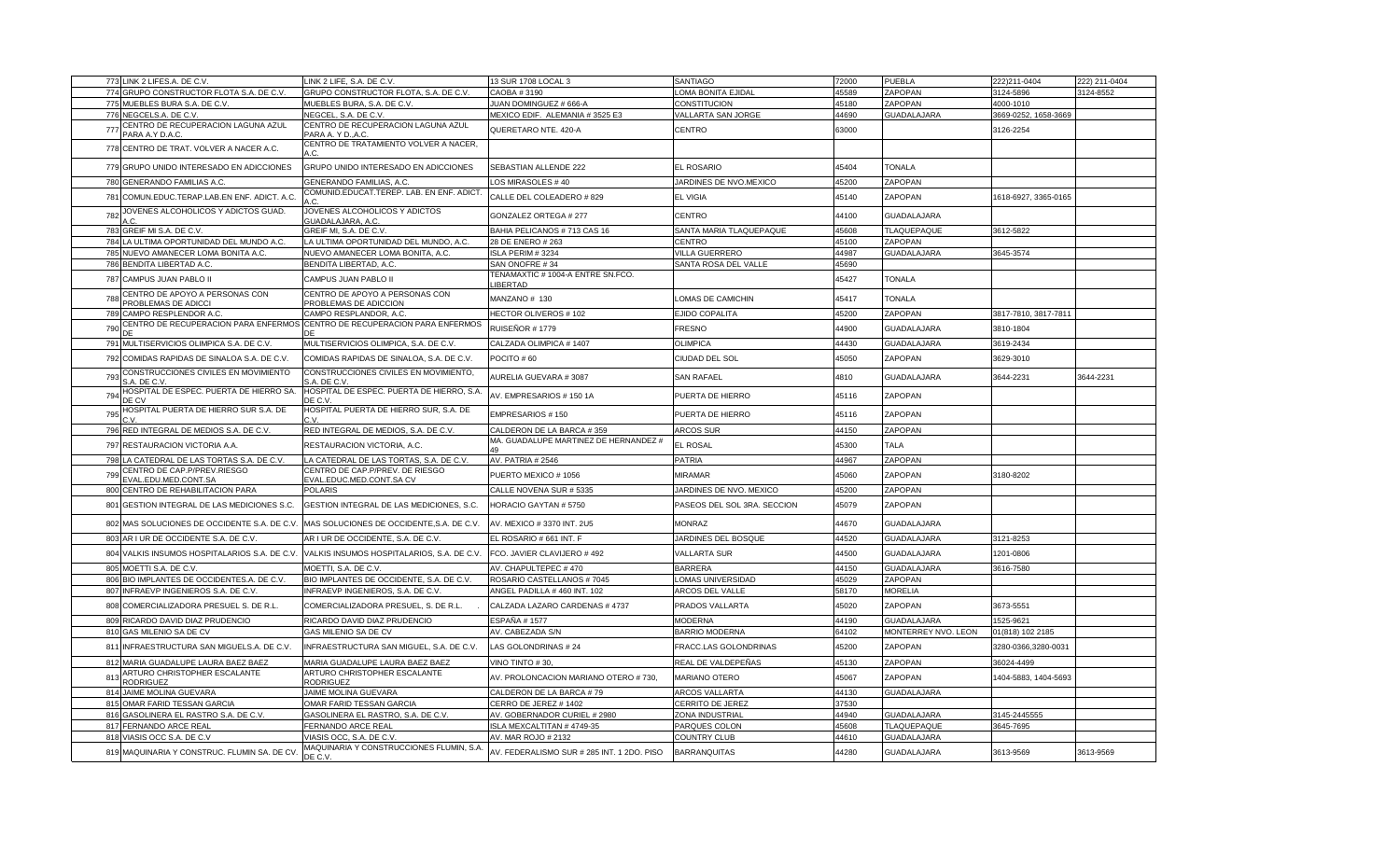|     | 773 LINK 2 LIFES.A. DE C.V.                           | LINK 2 LIFE, S.A. DE C.V.                                                 | 13 SUR 1708 LOCAL 3                           | SANTIAGO                    | 72000 | <b>PUEBLA</b>       | 222)211-0404         | 222) 211-0404 |
|-----|-------------------------------------------------------|---------------------------------------------------------------------------|-----------------------------------------------|-----------------------------|-------|---------------------|----------------------|---------------|
|     | 774 GRUPO CONSTRUCTOR FLOTA S.A. DE C.V.              | GRUPO CONSTRUCTOR FLOTA, S.A. DE C.V.                                     | CAOBA #3190                                   | LOMA BONITA EJIDAL          | 45589 | ZAPOPAN             | 3124-5896            | 3124-8552     |
|     | 775 MUEBLES BURA S.A. DE C.V.                         | MUEBLES BURA, S.A. DE C.V.                                                | JUAN DOMINGUEZ # 666-A                        | <b>CONSTITUCION</b>         | 45180 | ZAPOPAN             | 4000-1010            |               |
|     | 776 NEGCELS.A. DE C.V.                                | NEGCEL, S.A. DE C.V.                                                      | MEXICO EDIF. ALEMANIA #3525 E3                | VALLARTA SAN JORGE          | 44690 | GUADALAJARA         | 3669-0252, 1658-3669 |               |
| 777 | CENTRO DE RECUPERACION LAGUNA AZUL<br>PARA A.Y D.A.C. | CENTRO DE RECUPERACION LAGUNA AZUL<br>PARA A. Y D., A.C.                  | QUERETARO NTE. 420-A                          | CENTRO                      | 63000 |                     | 3126-2254            |               |
|     | 778 CENTRO DE TRAT. VOLVER A NACER A.C.               | CENTRO DE TRATAMIENTO VOLVER A NACER,                                     |                                               |                             |       |                     |                      |               |
|     | 779 GRUPO UNIDO INTERESADO EN ADICCIONES              | GRUPO UNIDO INTERESADO EN ADICCIONES                                      | SEBASTIAN ALLENDE 222                         | EL ROSARIO                  | 45404 | TONALA              |                      |               |
|     | 780 GENERANDO FAMILIAS A.C.                           | GENERANDO FAMILIAS, A.C.                                                  | LOS MIRASOLES #40                             | JARDINES DE NVO.MEXICO      | 45200 | ZAPOPAN             |                      |               |
|     | 781 COMUN.EDUC.TERAP.LAB.EN ENF. ADICT. A.C.          | COMUNID.EDUCAT.TEREP. LAB. EN ENF. ADICT                                  | CALLE DEL COLEADERO # 829                     | <b>EL VIGIA</b>             | 45140 | ZAPOPAN             | 1618-6927, 3365-0165 |               |
| 782 | JOVENES ALCOHOLICOS Y ADICTOS GUAD.                   | JOVENES ALCOHOLICOS Y ADICTOS<br>GUADALAJARA, A.C.                        | GONZALEZ ORTEGA # 277                         | CENTRO                      | 44100 | GUADALAJARA         |                      |               |
|     | 783 GREIF MI S.A. DE C.V                              | GREIF MI, S.A. DE C.V                                                     | BAHIA PELICANOS # 713 CAS 16                  | SANTA MARIA TLAQUEPAQUE     | 45608 | TLAQUEPAQUE         | 3612-5822            |               |
|     | 784 LA ULTIMA OPORTUNIDAD DEL MUNDO A.C.              | LA ULTIMA OPORTUNIDAD DEL MUNDO, A.C.                                     | 28 DE ENERO # 263                             | CENTRO                      | 45100 | ZAPOPAN             |                      |               |
|     | 785 NUEVO AMANECER LOMA BONITA A.C.                   | NUEVO AMANECER LOMA BONITA, A.C.                                          | ISLA PERIM # 3234                             | VILLA GUERRERO              | 44987 | GUADALAJARA         | 3645-3574            |               |
|     | 786 BENDITA LIBERTAD A.C.                             | BENDITA LIBERTAD, A.C.                                                    | SAN ONOFRE #34                                | SANTA ROSA DEL VALLE        | 45690 |                     |                      |               |
|     | 787 CAMPUS JUAN PABLO II                              | CAMPUS JUAN PABLO II                                                      | TENAMAXTIC # 1004-A ENTRE SN.FCO.<br>LIBERTAD |                             | 45427 | <b>TONALA</b>       |                      |               |
| 788 | CENTRO DE APOYO A PERSONAS CON<br>PROBLEMAS DE ADICCI | CENTRO DE APOYO A PERSONAS CON<br>PROBLEMAS DE ADICCION                   | MANZANO # 130                                 | OMAS DE CAMICHIN            | 45417 | <b>TONALA</b>       |                      |               |
|     | 789 CAMPO RESPLENDOR A.C.                             | CAMPO RESPLANDOR, A.C                                                     | HECTOR OLIVEROS # 102                         | EJIDO COPALITA              | 45200 | ZAPOPAN             | 3817-7810, 3817-7811 |               |
| 790 |                                                       | CENTRO DE RECUPERACION PARA ENFERMOS CENTRO DE RECUPERACION PARA ENFERMOS | RUISEÑOR # 1779                               | FRESNO                      | 44900 | GUADALAJARA         | 3810-1804            |               |
|     | 791 MULTISERVICIOS OLIMPICA S.A. DE C.V               | MULTISERVICIOS OLIMPICA, S.A. DE C.V.                                     | CALZADA OLIMPICA #1407                        | OLIMPICA                    | 44430 | <b>GUADALAJARA</b>  | 3619-2434            |               |
|     | 792 COMIDAS RAPIDAS DE SINALOA S.A. DE C.V.           | COMIDAS RAPIDAS DE SINALOA, S.A. DE C.V.                                  | POCITO #60                                    | CIUDAD DEL SOL              | 45050 | ZAPOPAN             | 3629-3010            |               |
| 793 | CONSTRUCCIONES CIVILES EN MOVIMIENTO<br>S.A. DE C.V   | CONSTRUCCIONES CIVILES EN MOVIMIENTO,<br>S.A. DE C.V                      | AURELIA GUEVARA # 3087                        | SAN RAFAEL                  | 4810  | GUADALAJARA         | 3644-2231            | 3644-2231     |
| 794 | HOSPITAL DE ESPEC. PUERTA DE HIERRO SA.<br>DE CV      | HOSPITAL DE ESPEC. PUERTA DE HIERRO, S.A.<br>DE C.V                       | AV. EMPRESARIOS # 150 1A                      | PUERTA DE HIERRO            | 45116 | ZAPOPAN             |                      |               |
| 795 | HOSPITAL PUERTA DE HIERRO SUR S.A. DE                 | HOSPITAL PUERTA DE HIERRO SUR, S.A. DE                                    | EMPRESARIOS #150                              | PUERTA DE HIERRO            | 45116 | ZAPOPAN             |                      |               |
|     | 796 RED INTEGRAL DE MEDIOS S.A. DE C.V.               | RED INTEGRAL DE MEDIOS, S.A. DE C.V.                                      | CALDERON DE LA BARCA #359                     | <b>ARCOS SUR</b>            | 44150 | ZAPOPAN             |                      |               |
|     | 797 RESTAURACION VICTORIA A.A.                        | RESTAURACION VICTORIA, A.C.                                               | MA. GUADALUPE MARTINEZ DE HERNANDEZ #         | EL ROSAL                    | 45300 | TALA                |                      |               |
| 798 | LA CATEDRAL DE LAS TORTAS S.A. DE C.V.                | LA CATEDRAL DE LAS TORTAS, S.A. DE C.V.                                   | AV. PATRIA # 2546                             | <b>PATRIA</b>               | 44967 | ZAPOPAN             |                      |               |
| 799 | CENTRO DE CAP.P/PREV.RIESGO<br>EVAL.EDU.MED.CONT.SA   | CENTRO DE CAP.P/PREV. DE RIESGO<br>EVAL.EDUC.MED.CONT.SA CV               | PUERTO MEXICO #1056                           | MIRAMAR                     | 45060 | ZAPOPAN             | 3180-8202            |               |
|     | 800 CENTRO DE REHABILITACION PARA                     | <b>POLARIS</b>                                                            | CALLE NOVENA SUR # 5335                       | JARDINES DE NVO. MEXICO     | 45200 | ZAPOPAN             |                      |               |
|     | 801 GESTION INTEGRAL DE LAS MEDICIONES S.C.           | GESTION INTEGRAL DE LAS MEDICIONES, S.C.                                  | HORACIO GAYTAN # 5750                         | PASEOS DEL SOL 3RA. SECCION | 45079 | ZAPOPAN             |                      |               |
|     | 802 MAS SOLUCIONES DE OCCIDENTE S.A. DE C.V.          | MAS SOLUCIONES DE OCCIDENTE, S.A. DE C.V.                                 | AV. MEXICO # 3370 INT. 2U5                    | MONRAZ                      | 44670 | GUADALAJARA         |                      |               |
|     | 803 AR I UR DE OCCIDENTE S.A. DE C.V                  | AR I UR DE OCCIDENTE, S.A. DE C.V.                                        | EL ROSARIO # 661 INT. F                       | JARDINES DEL BOSQUE         | 44520 | GUADALAJARA         | 3121-8253            |               |
|     | 804 VALKIS INSUMOS HOSPITALARIOS S.A. DE C.V.         | VALKIS INSUMOS HOSPITALARIOS, S.A. DE C.V.                                | FCO. JAVIER CLAVIJERO # 492                   | <b>VALLARTA SUR</b>         | 44500 | GUADALAJARA         | 1201-0806            |               |
|     | 805 MOETTI S.A. DE C.V.                               | MOETTI, S.A. DE C.V.                                                      | AV. CHAPULTEPEC #470                          | <b>BARRERA</b>              | 44150 | GUADALAJARA         | 3616-7580            |               |
|     | 806 BIO IMPLANTES DE OCCIDENTES.A. DE C.V.            | BIO IMPLANTES DE OCCIDENTE, S.A. DE C.V.                                  | ROSARIO CASTELLANOS #7045                     | OMAS UNIVERSIDAD            | 45029 | ZAPOPAN             |                      |               |
|     | 807 INFRAEVP INGENIEROS S.A. DE C.V.                  | INFRAEVP INGENIEROS, S.A. DE C.V.                                         | ANGEL PADILLA #460 INT. 102                   | ARCOS DEL VALLE             | 58170 | <b>MORELIA</b>      |                      |               |
|     | 808 COMERCIALIZADORA PRESUEL S. DE R.L                | COMERCIALIZADORA PRESUEL, S. DE R.L.                                      | CALZADA LAZARO CARDENAS #4737                 | PRADOS VALLARTA             | 45020 | ZAPOPAN             | 3673-5551            |               |
|     | 809 RICARDO DAVID DIAZ PRUDENCIO                      | RICARDO DAVID DIAZ PRUDENCIO                                              | ESPAÑA # 1577                                 | <b>MODERNA</b>              | 44190 | GUADALAJARA         | 1525-9621            |               |
|     | 810 GAS MILENIO SA DE CV                              | GAS MILENIO SA DE CV                                                      | AV. CABEZADA S/N                              | <b>BARRIO MODERNA</b>       | 64102 | MONTERREY NVO. LEON | 01(818) 102 2185     |               |
|     | 811 INFRAESTRUCTURA SAN MIGUELS.A. DE C.V.            | INFRAESTRUCTURA SAN MIGUEL, S.A. DE C.V.                                  | LAS GOLONDRINAS #24                           | FRACC.LAS GOLONDRINAS       | 45200 | ZAPOPAN             | 3280-0366,3280-0031  |               |
|     | 812 MARIA GUADALUPE LAURA BAEZ BAEZ                   | MARIA GUADALUPE LAURA BAEZ BAEZ                                           | VINO TINTO #30.                               | REAL DE VALDEPEÑAS          | 45130 | ZAPOPAN             | 36024-4499           |               |
| 813 | ARTURO CHRISTOPHER ESCALANTE<br><b>RODRIGUEZ</b>      | ARTURO CHRISTOPHER ESCALANTE<br><b>RODRIGUEZ</b>                          | AV. PROLONCACION MARIANO OTERO # 730,         | MARIANO OTERO               | 45067 | ZAPOPAN             | 1404-5883, 1404-5693 |               |
|     | 814 JAIME MOLINA GUEVARA                              | JAIME MOLINA GUEVARA                                                      | CALDERON DE LA BARCA #79                      | ARCOS VALLARTA              | 44130 | GUADALAJARA         |                      |               |
|     | 815 OMAR FARID TESSAN GARCIA                          | OMAR FARID TESSAN GARCIA                                                  | CERRO DE JEREZ # 1402                         | CERRITO DE JEREZ            | 37530 |                     |                      |               |
|     | 816 GASOLINERA EL RASTRO S.A. DE C.V.                 | GASOLINERA EL RASTRO, S.A. DE C.V.                                        | AV. GOBERNADOR CURIEL # 2980                  | ZONA INDUSTRIAL             | 44940 | <b>GUADALAJARA</b>  | 3145-2445555         |               |
|     | 817 FERNANDO ARCE REAL                                | FERNANDO ARCE REAL                                                        | SLA MEXCALTITAN #4749-35                      | PARQUES COLON               | 45608 | TLAQUEPAQUE         | 3645-7695            |               |
|     | 818 VIASIS OCC S.A. DE C.V                            | VIASIS OCC, S.A. DE C.V.                                                  | AV. MAR ROJO # 2132                           | COUNTRY CLUB                | 44610 | GUADALAJARA         |                      |               |
|     | 819 MAQUINARIA Y CONSTRUC. FLUMIN SA. DE CV.          | MAQUINARIA Y CONSTRUCCIONES FLUMIN, S.A<br>DE C.V.                        | AV. FEDERALISMO SUR # 285 INT. 1 2DO. PISO    | <b>BARRANQUITAS</b>         | 44280 | GUADALAJARA         | 3613-9569            | 3613-9569     |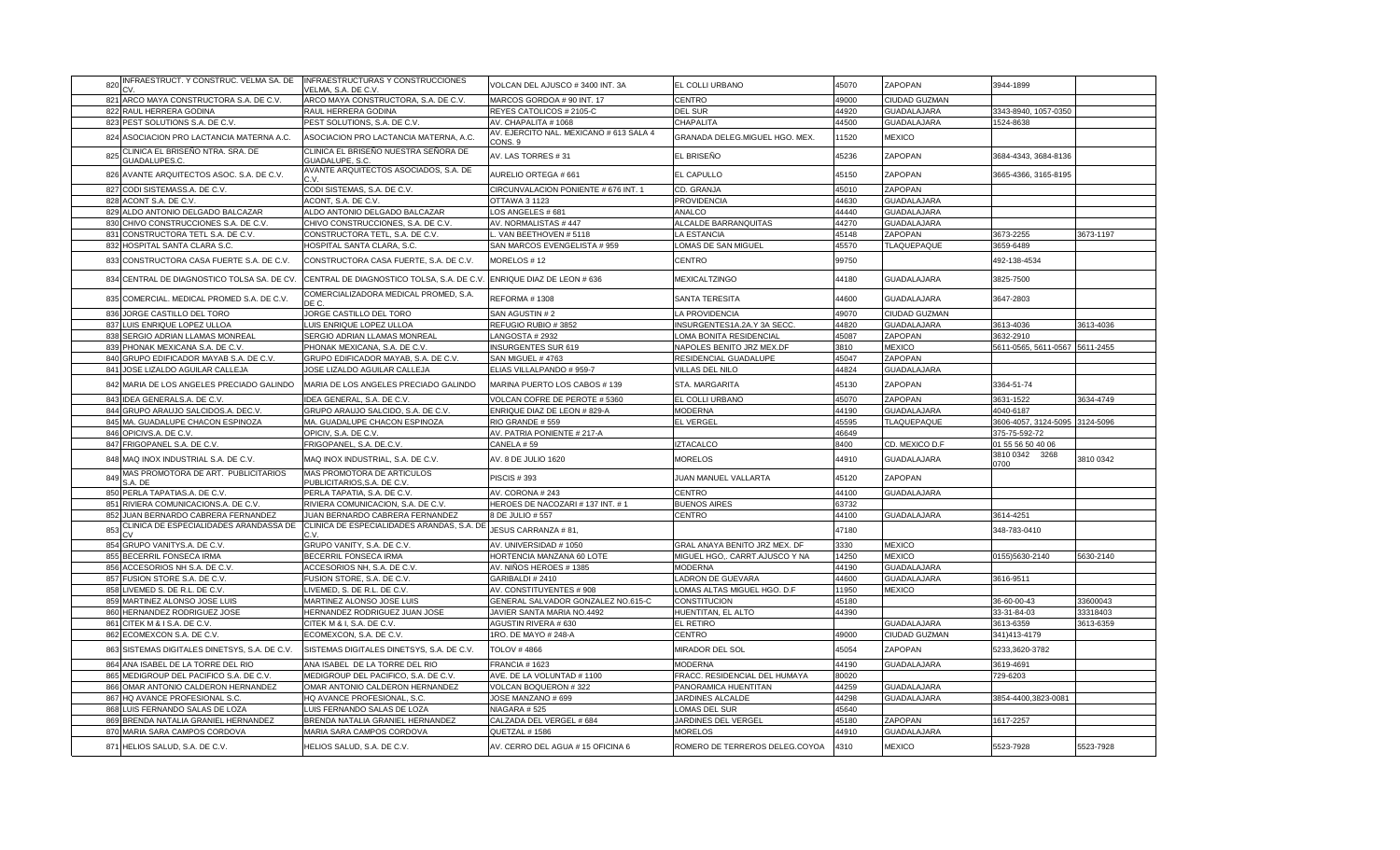| INFRAESTRUCT. Y CONSTRUC. VELMA SA. DE<br>820            | INFRAESTRUCTURAS Y CONSTRUCCIONES<br>VELMA, S.A. DE C.V.      | VOLCAN DEL AJUSCO # 3400 INT. 3A                   | EL COLLI URBANO                | 45070 | ZAPOPAN            | 3944-1899                      |           |
|----------------------------------------------------------|---------------------------------------------------------------|----------------------------------------------------|--------------------------------|-------|--------------------|--------------------------------|-----------|
| 821 ARCO MAYA CONSTRUCTORA S.A. DE C.V                   | ARCO MAYA CONSTRUCTORA, S.A. DE C.V.                          | MARCOS GORDOA # 90 INT. 17                         | CENTRO                         | 49000 | CIUDAD GUZMAN      |                                |           |
| 822 RAUL HERRERA GODINA                                  | RAUL HERRERA GODINA                                           | REYES CATOLICOS # 2105-C                           | <b>DEL SUR</b>                 | 44920 | GUADALAJARA        | 3343-8940, 1057-0350           |           |
| 823 PEST SOLUTIONS S.A. DE C.V.                          | PEST SOLUTIONS, S.A. DE C.V.                                  | AV. CHAPALITA #1068                                | CHAPALITA                      | 44500 | <b>GUADALAJARA</b> | 1524-8638                      |           |
| 824 ASOCIACION PRO LACTANCIA MATERNA A.C.                | ASOCIACION PRO LACTANCIA MATERNA, A.C.                        | AV. EJERCITO NAL. MEXICANO # 613 SALA 4<br>CONS. 9 | GRANADA DELEG.MIGUEL HGO. MEX. | 11520 | <b>MEXICO</b>      |                                |           |
| CLINICA EL BRISEÑO NTRA. SRA. DE<br>825<br>GUADALUPES.C. | CLINICA EL BRISEÑO NUESTRA SEÑORA DE<br><b>GUADALUPE, S.C</b> | AV. LAS TORRES #31                                 | EL BRISEÑO                     | 45236 | ZAPOPAN            | 3684-4343, 3684-8136           |           |
| 826 AVANTE ARQUITECTOS ASOC. S.A. DE C.V.                | AVANTE ARQUITECTOS ASOCIADOS, S.A. DE<br>r. v                 | AURELIO ORTEGA # 661                               | EL CAPULLO                     | 45150 | ZAPOPAN            | 3665-4366, 3165-8195           |           |
| 827 CODI SISTEMASS.A. DE C.V.                            | CODI SISTEMAS, S.A. DE C.V                                    | CIRCUNVALACION PONIENTE # 676 INT. 1               | CD. GRANJA                     | 45010 | ZAPOPAN            |                                |           |
| 828 ACONT S.A. DE C.V.                                   | ACONT. S.A. DE C.V.                                           | OTTAWA 3 1123                                      | <b>PROVIDENCIA</b>             | 44630 | <b>GUADALAJARA</b> |                                |           |
| 829 ALDO ANTONIO DELGADO BALCAZAR                        | ALDO ANTONIO DELGADO BALCAZAR                                 | LOS ANGELES # 681                                  | ANALCO                         | 44440 | <b>GUADALAJARA</b> |                                |           |
| CHIVO CONSTRUCCIONES S.A. DE C.V.<br>830                 | CHIVO CONSTRUCCIONES, S.A. DE C.V                             | AV. NORMALISTAS #447                               | ALCALDE BARRANQUITAS           | 44270 | <b>GUADALAJARA</b> |                                |           |
| 831<br>CONSTRUCTORA TETL S.A. DE C.V.                    | CONSTRUCTORA TETL, S.A. DE C.V.                               | L. VAN BEETHOVEN # 5118                            | <b>LA ESTANCIA</b>             | 45148 | ZAPOPAN            | 3673-2255                      | 3673-1197 |
| 832 HOSPITAL SANTA CLARA S.C.                            | HOSPITAL SANTA CLARA, S.C.                                    | SAN MARCOS EVENGELISTA # 959                       | OMAS DE SAN MIGUEL             | 45570 | TLAQUEPAQUE        | 3659-6489                      |           |
| 833 CONSTRUCTORA CASA FUERTE S.A. DE C.V.                | CONSTRUCTORA CASA FUERTE, S.A. DE C.V.                        | MORELOS #12                                        | CENTRO                         | 99750 |                    | 492-138-4534                   |           |
| 834 CENTRAL DE DIAGNOSTICO TOLSA SA. DE CV               | CENTRAL DE DIAGNOSTICO TOLSA, S.A. DE C.V                     | ENRIQUE DIAZ DE LEON # 636                         | <b>MEXICALTZINGO</b>           | 44180 | <b>GUADALAJARA</b> | 3825-7500                      |           |
| 835 COMERCIAL. MEDICAL PROMED S.A. DE C.V.               | COMERCIALIZADORA MEDICAL PROMED. S.A.<br>DE C.                | REFORMA #1308                                      | <b>SANTA TERESITA</b>          | 44600 | <b>GUADALAJARA</b> | 3647-2803                      |           |
| 836 JORGE CASTILLO DEL TORO                              | JORGE CASTILLO DEL TORO                                       | SAN AGUSTIN #2                                     | <b>LA PROVIDENCIA</b>          | 49070 | CIUDAD GUZMAN      |                                |           |
| 837 LUIS ENRIQUE LOPEZ ULLOA                             | LUIS ENRIQUE LOPEZ ULLOA                                      | REFUGIO RUBIO #3852                                | INSURGENTES1A.2A.Y 3A SECC.    | 44820 | <b>GUADALAJARA</b> | 3613-4036                      | 3613-4036 |
| 838 SERGIO ADRIAN LLAMAS MONREAL                         | SERGIO ADRIAN LLAMAS MONREAL                                  | LANGOSTA # 2932                                    | LOMA BONITA RESIDENCIAL        | 45087 | ZAPOPAN            | 3632-2910                      |           |
| 839 PHONAK MEXICANA S.A. DE C.V.                         | PHONAK MEXICANA, S.A. DE C.V.                                 | <b>INSURGENTES SUR 619</b>                         | NAPOLES BENITO JRZ MEX.DF      | 3810  | <b>MEXICO</b>      | 5611-0565, 5611-0567 5611-2455 |           |
| 840 GRUPO EDIFICADOR MAYAB S.A. DE C.V.                  | GRUPO EDIFICADOR MAYAB, S.A. DE C.V.                          | SAN MIGUEL #4763                                   | RESIDENCIAL GUADALUPE          | 45047 | ZAPOPAN            |                                |           |
| 841 JOSE LIZALDO AGUILAR CALLEJA                         | JOSE LIZALDO AGUILAR CALLEJA                                  | ELIAS VILLALPANDO # 959-7                          | VILLAS DEL NILO                | 44824 | <b>GUADALAJARA</b> |                                |           |
| 842 MARIA DE LOS ANGELES PRECIADO GALINDO                | MARIA DE LOS ANGELES PRECIADO GALINDO                         | MARINA PUERTO LOS CABOS # 139                      | STA. MARGARITA                 | 45130 | ZAPOPAN            | 3364-51-74                     |           |
| 843 IDEA GENERALS.A. DE C.V.                             | IDEA GENERAL, S.A. DE C.V.                                    | VOLCAN COFRE DE PEROTE # 5360                      | EL COLLI URBANO                | 45070 | ZAPOPAN            | 3631-1522                      | 3634-4749 |
| 844 GRUPO ARAUJO SALCIDOS.A. DEC.V.                      | GRUPO ARAUJO SALCIDO, S.A. DE C.V.                            | ENRIQUE DIAZ DE LEON # 829-A                       | <b>MODERNA</b>                 | 44190 | <b>GUADALAJARA</b> | 4040-6187                      |           |
| 845 MA. GUADALUPE CHACON ESPINOZA                        | MA. GUADALUPE CHACON ESPINOZA                                 |                                                    |                                | 45595 |                    |                                |           |
|                                                          |                                                               | RIO GRANDE #559                                    | <b>EL VERGEI</b>               |       | <b>TLAQUEPAQUE</b> | 3606-4057, 3124-5095 3124-5096 |           |
| 846 OPICIVS.A. DE C.V.                                   | OPICIV, S.A. DE C.V.                                          | AV. PATRIA PONIENTE # 217-A                        |                                | 46649 |                    | 375-75-592-72                  |           |
| 847 FRIGOPANEL S.A. DE C.V.                              | FRIGOPANEL, S.A. DE.C.V.                                      | CANELA #59                                         | <b>IZTACALCO</b>               | 8400  | CD. MEXICO D.F     | 01 55 56 50 40 06              |           |
| 848 MAQ INOX INDUSTRIAL S.A. DE C.V.                     | MAQ INOX INDUSTRIAL, S.A. DE C.V.                             | AV. 8 DE JULIO 1620                                | <b>MORELOS</b>                 | 44910 | <b>GUADALAJARA</b> | 3810 0342 3268<br>0070         | 3810 0342 |
| MAS PROMOTORA DE ART. PUBLICITARIOS<br>849<br>S.A. DE    | MAS PROMOTORA DE ARTICULOS<br>PUBLICITARIOS, S.A. DE C.V.     | <b>PISCIS #393</b>                                 | JUAN MANUEL VALLARTA           | 45120 | ZAPOPAN            |                                |           |
| 850 PERLA TAPATIAS.A. DE C.V.                            | PERLA TAPATIA, S.A. DE C.V.                                   | AV. CORONA #243                                    | <b>CENTRO</b>                  | 44100 | <b>GUADALAJARA</b> |                                |           |
| 851 RIVIERA COMUNICACIONS.A. DE C.V                      | RIVIERA COMUNICACION, S.A. DE C.V.                            | HEROES DE NACOZARI # 137 INT. # 1                  | <b>BUENOS AIRES</b>            | 63732 |                    |                                |           |
| 852 JUAN BERNARDO CABRERA FERNANDEZ                      | JUAN BERNARDO CABRERA FERNANDEZ                               | 8 DE JULIO # 557                                   | CENTRO                         | 44100 | <b>GUADALAJARA</b> | 3614-4251                      |           |
| CLINICA DE ESPECIALIDADES ARANDASSA DE<br>853            | CLINICA DE ESPECIALIDADES ARANDAS, S.A. D<br>r. v             | JESUS CARRANZA # 81,                               |                                | 47180 |                    | 348-783-0410                   |           |
| 854 GRUPO VANITYS.A. DE C.V.                             | GRUPO VANITY, S.A. DE C.V.                                    | AV. UNIVERSIDAD # 1050                             | GRAL ANAYA BENITO JRZ MEX. DF  | 3330  | <b>MEXICO</b>      |                                |           |
| 855 BECERRIL FONSECA IRMA                                | BECERRIL FONSECA IRMA                                         | HORTENCIA MANZANA 60 LOTE                          | MIGUEL HGO,. CARRT.AJUSCO Y NA | 14250 | <b>MEXICO</b>      | 0155)5630-2140                 | 5630-2140 |
| 856 ACCESORIOS NH S.A. DE C.V                            | ACCESORIOS NH, S.A. DE C.V                                    | AV. NIÑOS HEROES # 1385                            | <b>MODERNA</b>                 | 44190 | <b>GUADALAJARA</b> |                                |           |
| 857 FUSION STORE S.A. DE C.V.                            | FUSION STORE, S.A. DE C.V.                                    | GARIBALDI #2410                                    | LADRON DE GUEVARA              | 44600 | <b>GUADALAJARA</b> | 3616-9511                      |           |
| 858 LIVEMED S. DE R.L. DE C.V.                           | LIVEMED, S. DE R.L. DE C.V.                                   | AV. CONSTITUYENTES # 908                           | LOMAS ALTAS MIGUEL HGO. D.F    | 11950 | <b>MEXICO</b>      |                                |           |
| 859 MARTINEZ ALONSO JOSE LUIS                            | MARTINEZ ALONSO JOSE LUIS                                     | GENERAL SALVADOR GONZALEZ NO.615-C                 | <b>CONSTITUCION</b>            | 45180 |                    | 36-60-00-43                    | 33600043  |
| 860 HERNANDEZ RODRIGUEZ JOSE                             | HERNANDEZ RODRIGUEZ JUAN JOSE                                 | JAVIER SANTA MARIA NO.4492                         | HUENTITAN, EL ALTO             | 44390 |                    | 33-31-84-03                    | 33318403  |
| 861 CITEK M & I S.A. DE C.V.                             | CITEK M & I, S.A. DE C.V.                                     | AGUSTIN RIVERA # 630                               | <b>EL RETIRO</b>               |       | GUADALAJARA        | 3613-6359                      | 3613-6359 |
| 862 ECOMEXCON S.A. DE C.V                                | ECOMEXCON, S.A. DE C.V.                                       | 1RO. DE MAYO # 248-A                               | <b>CENTRO</b>                  | 49000 | CIUDAD GUZMAN      | 341)413-4179                   |           |
| 863 SISTEMAS DIGITALES DINETSYS, S.A. DE C.V.            | SISTEMAS DIGITALES DINETSYS, S.A. DE C.V.                     | <b>TOLOV #4866</b>                                 | MIRADOR DEL SOL                | 45054 | ZAPOPAN            | 5233,3620-3782                 |           |
| 864 ANA ISABEL DE LA TORRE DEL RIO                       | ANA ISABEL DE LA TORRE DEL RIO                                | <b>FRANCIA # 1623</b>                              | <b>MODERNA</b>                 | 44190 | <b>GUADALAJARA</b> | 3619-4691                      |           |
| 865 MEDIGROUP DEL PACIFICO S.A. DE C.V.                  | MEDIGROUP DEL PACIFICO, S.A. DE C.V.                          | AVE. DE LA VOLUNTAD # 1100                         | FRACC. RESIDENCIAL DEL HUMAYA  | 80020 |                    | 729-6203                       |           |
| 866 OMAR ANTONIO CALDERON HERNANDEZ                      | OMAR ANTONIO CALDERON HERNANDEZ                               | VOLCAN BOQUERON #322                               | PANORAMICA HUENTITAN           | 44259 | <b>GUADALAJARA</b> |                                |           |
| 867 HQ AVANCE PROFESIONAL S.C.                           | HQ AVANCE PROFESIONAL, S.C.                                   | JOSE MANZANO # 699                                 | JARDINES ALCALDE               | 44298 | <b>GUADALAJARA</b> | 3854-4400,3823-0081            |           |
| 868 LUIS FERNANDO SALAS DE LOZA                          | LUIS FERNANDO SALAS DE LOZA                                   | NIAGARA #525                                       | OMAS DEL SUR                   | 45640 |                    |                                |           |
| 869 BRENDA NATALIA GRANIEL HERNANDEZ                     | BRENDA NATALIA GRANIEL HERNANDEZ                              | CALZADA DEL VERGEL # 684                           | JARDINES DEL VERGEL            | 45180 | ZAPOPAN            | 1617-2257                      |           |
| 870 MARIA SARA CAMPOS CORDOVA                            | MARIA SARA CAMPOS CORDOVA                                     | QUETZAL #1586                                      | <b>MORELOS</b>                 | 44910 | <b>GUADALAJARA</b> |                                |           |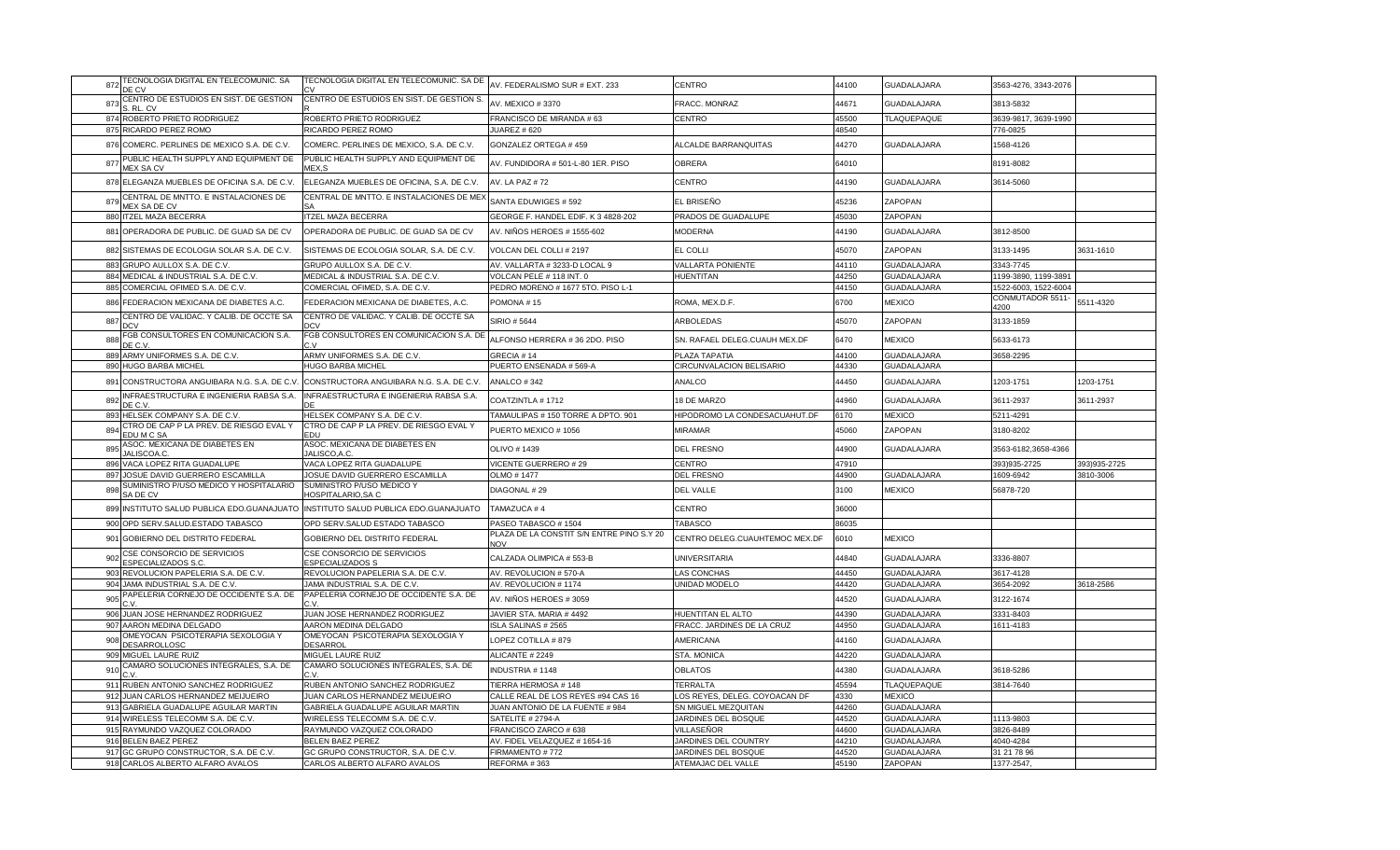| 872             | TECNOLOGIA DIGITAL EN TELECOMUNIC. SA<br>DE CV                             | TECNOLOGIA DIGITAL EN TELECOMUNIC. SA DE                           | AV. FEDERALISMO SUR # EXT. 233                          | CENTRO                                    | 44100          | <b>GUADALAJARA</b>     | 3563-4276, 3343-2076             |              |
|-----------------|----------------------------------------------------------------------------|--------------------------------------------------------------------|---------------------------------------------------------|-------------------------------------------|----------------|------------------------|----------------------------------|--------------|
| 873             | CENTRO DE ESTUDIOS EN SIST. DE GESTION                                     | CENTRO DE ESTUDIOS EN SIST. DE GESTION S.                          | AV. MEXICO #3370                                        | FRACC. MONRAZ                             | 44671          | GUADALAJARA            | 3813-5832                        |              |
|                 | S. RL. CV                                                                  |                                                                    |                                                         |                                           |                |                        |                                  |              |
|                 | 874 ROBERTO PRIETO RODRIGUEZ<br>875 RICARDO PEREZ ROMO                     | ROBERTO PRIETO RODRIGUEZ<br>RICARDO PEREZ ROMO                     | FRANCISCO DE MIRANDA # 63<br><b>JUAREZ # 620</b>        | CENTRO                                    | 45500<br>48540 | <b>TLAQUEPAQUE</b>     | 3639-9817, 3639-1990<br>776-0825 |              |
|                 |                                                                            |                                                                    |                                                         |                                           |                |                        |                                  |              |
|                 | 876 COMERC. PERLINES DE MEXICO S.A. DE C.V                                 | COMERC. PERLINES DE MEXICO, S.A. DE C.V.                           | GONZALEZ ORTEGA #459                                    | ALCALDE BARRANQUITAS                      | 44270          | GUADALAJARA            | 1568-4126                        |              |
| 877             | PUBLIC HEALTH SUPPLY AND EQUIPMENT DE<br><b>MEX SA CV</b>                  | PUBLIC HEALTH SUPPLY AND EQUIPMENT DE<br>MEX.S                     | AV. FUNDIDORA #501-L-80 1ER. PISO                       | <b>OBRERA</b>                             | 64010          |                        | 8191-8082                        |              |
|                 | 878 ELEGANZA MUEBLES DE OFICINA S.A. DE C.V.                               | ELEGANZA MUEBLES DE OFICINA, S.A. DE C.V.                          | AV. LA PAZ # 72                                         | <b>CENTRO</b>                             | 44190          | <b>GUADALAJARA</b>     | 3614-5060                        |              |
| 879             | CENTRAL DE MNTTO. E INSTALACIONES DE<br>MEX SA DE CV                       | CENTRAL DE MNTTO. E INSTALACIONES DE MEI                           | SANTA EDUWIGES # 592                                    | EL BRISEÑO                                | 45236          | ZAPOPAN                |                                  |              |
|                 | 880 ITZEL MAZA BECERRA                                                     | <b>ITZEL MAZA BECERRA</b>                                          | GEORGE F. HANDEL EDIF. K 3 4828-202                     | PRADOS DE GUADALUPE                       | 45030          | ZAPOPAN                |                                  |              |
|                 | 881 OPERADORA DE PUBLIC. DE GUAD SA DE CV                                  | OPERADORA DE PUBLIC. DE GUAD SA DE CV                              | AV. NIÑOS HEROES # 1555-602                             | <b>MODERNA</b>                            | 44190          | <b>GUADALAJARA</b>     | 3812-8500                        |              |
|                 | 882 SISTEMAS DE ECOLOGIA SOLAR S.A. DE C.V.                                | SISTEMAS DE ECOLOGIA SOLAR, S.A. DE C.V.                           | VOLCAN DEL COLLI # 2197                                 | EL COLLI                                  | 45070          | ZAPOPAN                | 3133-1495                        | 3631-1610    |
|                 | 883 GRUPO AULLOX S.A. DE C.V.                                              | GRUPO AULLOX S.A. DE C.V.                                          | AV. VALLARTA # 3233-D LOCAL 9                           | VALLARTA PONIENTE                         | 44110          | GUADALAJARA            | 3343-7745                        |              |
|                 | 884 MEDICAL & INDUSTRIAL S.A. DE C.V.                                      | MEDICAL & INDUSTRIAL S.A. DE C.V.                                  | VOLCAN PELE # 118 INT. 0                                | <b>HUENTITAN</b>                          | 44250          | GUADALAJARA            | 1199-3890, 1199-3891             |              |
|                 | 885 COMERCIAL OFIMED S.A. DE C.V.                                          | COMERCIAL OFIMED, S.A. DE C.V.                                     | PEDRO MORENO # 1677 5TO. PISO L-1                       |                                           | 44150          | <b>GUADALAJARA</b>     | 1522-6003, 1522-6004             |              |
|                 | 886 FEDERACION MEXICANA DE DIABETES A.C.                                   | FEDERACION MEXICANA DE DIABETES, A.C.                              | POMONA#15                                               | ROMA, MEX.D.F.                            | 6700           | MEXICO                 | CONMUTADOR 5511-<br>4200         | 5511-4320    |
| 887             | CENTRO DE VALIDAC. Y CALIB. DE OCCTE SA<br>DCV                             | CENTRO DE VALIDAC. Y CALIB. DE OCCTE SA<br>DCV                     | SIRIO # 5644                                            | ARBOLEDAS                                 | 45070          | ZAPOPAN                | 3133-1859                        |              |
| 888             | FGB CONSULTORES EN COMUNICACION S.A.<br>DE C.V                             | FGB CONSULTORES EN COMUNICACION S.A. DI                            | ALFONSO HERRERA # 36 2DO. PISO                          | SN. RAFAEL DELEG.CUAUH MEX.DF             | 6470           | <b>MEXICO</b>          | 5633-6173                        |              |
| 889             | ARMY UNIFORMES S.A. DE C.V.                                                | ARMY UNIFORMES S.A. DE C.V.                                        | GRECIA #14                                              | PLAZA TAPATIA                             | 44100          | <b>GUADALAJARA</b>     | 3658-2295                        |              |
|                 | 890 HUGO BARBA MICHEL                                                      | HUGO BARBA MICHEL                                                  | PUERTO ENSENADA # 569-A                                 | CIRCUNVALACION BELISARIO                  | 44330          | GUADALAJARA            |                                  |              |
| 891             | CONSTRUCTORA ANGUIBARA N.G. S.A. DE C.V.                                   | CONSTRUCTORA ANGUIBARA N.G. S.A. DE C.V.                           | ANALCO #342                                             | ANALCO                                    | 44450          | GUADALAJARA            | 1203-1751                        | 1203-1751    |
| 892             | INFRAESTRUCTURA E INGENIERIA RABSA S.A.<br>DE C.V                          | INFRAESTRUCTURA E INGENIERIA RABSA S.A<br>DF                       | COATZINTLA #1712                                        | <b>18 DE MARZO</b>                        | 44960          | GUADALAJARA            | 3611-2937                        | 3611-2937    |
|                 | 893 HELSEK COMPANY S.A. DE C.V                                             | HELSEK COMPANY S.A. DE C.V.                                        | TAMAULIPAS # 150 TORRE A DPTO. 901                      | HIPODROMO LA CONDESACUAHUT.DF             | 6170           | <b>MEXICO</b>          | 5211-4291                        |              |
|                 |                                                                            |                                                                    |                                                         |                                           |                |                        |                                  |              |
| 894             | CTRO DE CAP P LA PREV. DE RIESGO EVAL Y                                    | CTRO DE CAP P LA PREV. DE RIESGO EVAL Y<br>EDU                     | PUERTO MEXICO #1056                                     | <b>MIRAMAR</b>                            | 45060          | ZAPOPAN                | 3180-8202                        |              |
| 895             | EDU M C SA<br>ASOC. MEXICANA DE DIABETES EN                                | ASOC. MEXICANA DE DIABETES EN                                      | OLIVO #1439                                             | <b>DEL FRESNO</b>                         | 44900          | GUADALAJARA            | 3563-6182,3658-4366              |              |
|                 | JALISCOA.C.<br>896 VACA LOPEZ RITA GUADALUPE                               | JALISCO.A.C<br>VACA LOPEZ RITA GUADALUPE                           | VICENTE GUERRERO # 29                                   | <b>CENTRO</b>                             | 47910          |                        | 393)935-2725                     | 393)935-2725 |
|                 | 897 JOSUE DAVID GUERRERO ESCAMILLA                                         | JOSUE DAVID GUERRERO ESCAMILLA                                     | OLMO # 1477                                             | <b>DEL FRESNO</b>                         | 44900          | GUADALAJARA            | 1609-6942                        | 3810-3006    |
| 898             | SUMINISTRO P/USO MEDICO Y HOSPITALARIO                                     | SUMINISTRO P/USO MEDICO Y                                          | DIAGONAL #29                                            | DEL VALLE                                 | 3100           | <b>MEXICO</b>          | 56878-720                        |              |
|                 | SA DE CV<br>899 INSTITUTO SALUD PUBLICA EDO.GUANAJUATO                     | HOSPITALARIO, SA C<br>INSTITUTO SALUD PUBLICA EDO.GUANAJUATO       | TAMAZUCA #4                                             | <b>CENTRO</b>                             | 36000          |                        |                                  |              |
|                 | 900 OPD SERV.SALUD.ESTADO TABASCO                                          | OPD SERV.SALUD ESTADO TABASCO                                      | PASEO TABASCO #1504                                     | TABASCO                                   | 86035          |                        |                                  |              |
| 901             | GOBIERNO DEL DISTRITO FEDERAL                                              | GOBIERNO DEL DISTRITO FEDERAL                                      | PLAZA DE LA CONSTIT S/N ENTRE PINO S.Y 20<br><b>NOV</b> | CENTRO DELEG.CUAUHTEMOC MEX.DF            | 6010           | <b>MEXICO</b>          |                                  |              |
| 902             | CSE CONSORCIO DE SERVICIOS                                                 | CSE CONSORCIO DE SERVICIOS                                         | CALZADA OLIMPICA # 553-B                                | UNIVERSITARIA                             | 44840          | GUADALAJARA            | 3336-8807                        |              |
|                 | ESPECIALIZADOS S.C.<br>903 REVOLUCION PAPELERIA S.A. DE C.V.               | <b>ESPECIALIZADOS S</b><br>REVOLUCION PAPELERIA S.A. DE C.V.       | AV. REVOLUCION # 570-A                                  | <b>LAS CONCHAS</b>                        | 44450          | <b>GUADALAJARA</b>     | 3617-4128                        |              |
| 904             | JAMA INDUSTRIAL S.A. DE C.V                                                | JAMA INDUSTRIAL S.A. DE C.V                                        | AV. REVOLUCION #1174                                    | JNIDAD MODELO                             | 44420          | GUADALAJARA            | 3654-2092                        | 8618-2586    |
| 905             | PAPELERIA CORNEJO DE OCCIDENTE S.A. DE                                     | PAPELERIA CORNEJO DE OCCIDENTE S.A. DE                             | AV. NIÑOS HEROES # 3059                                 |                                           | 44520          | <b>GUADALAJARA</b>     | 3122-1674                        |              |
|                 | 906 JUAN JOSE HERNANDEZ RODRIGUEZ                                          | JUAN JOSE HERNANDEZ RODRIGUEZ                                      | JAVIER STA. MARIA #4492                                 | HUENTITAN EL ALTO                         | 44390          | GUADALAJARA            | 3331-8403                        |              |
|                 | 907 AARON MEDINA DELGADO                                                   | AARON MEDINA DELGADO                                               | ISLA SALINAS # 2565                                     | FRACC. JARDINES DE LA CRUZ                | 44950          | GUADALAJARA            | 1611-4183                        |              |
| 908             | OMEYOCAN PSICOTERAPIA SEXOLOGIA Y<br>DESARROLLOSC                          | OMEYOCAN PSICOTERAPIA SEXOLOGIA Y<br>DESARROL                      | LOPEZ COTILLA # 879                                     | AMERICANA                                 | 44160          | GUADALAJARA            |                                  |              |
|                 | 909 MIGUEL LAURE RUIZ                                                      | MIGUEL LAURE RUIZ                                                  | ALICANTE #2249                                          | STA. MONICA                               | 44220          | <b>GUADALAJARA</b>     |                                  |              |
| 91 <sub>C</sub> | CAMARO SOLUCIONES INTEGRALES, S.A. DE                                      | CAMARO SOLUCIONES INTEGRALES, S.A. DE                              | <b>INDUSTRIA #1148</b>                                  | <b>OBLATOS</b>                            | 44380          | <b>GUADALAJARA</b>     | 3618-5286                        |              |
|                 | 911 RUBEN ANTONIO SANCHEZ RODRIGUEZ                                        | RUBEN ANTONIO SANCHEZ RODRIGUEZ                                    | TIERRA HERMOSA #148                                     | <b>TERRALTA</b>                           | 45594          | <b>TLAQUEPAQUE</b>     | 3814-7640                        |              |
|                 | 912 JUAN CARLOS HERNANDEZ MEIJUEIRO                                        | JUAN CARLOS HERNANDEZ MEIJUEIRO                                    | CALLE REAL DE LOS REYES #94 CAS 16                      | LOS REYES, DELEG. COYOACAN DF             | 4330           | <b>MEXICO</b>          |                                  |              |
|                 | 913 GABRIELA GUADALUPE AGUILAR MARTIN                                      | GABRIELA GUADALUPE AGUILAR MARTIN                                  | JUAN ANTONIO DE LA FUENTE # 984                         | SN MIGUEL MEZQUITAN                       | 44260          | GUADALAJARA            |                                  |              |
|                 | 914 WIRELESS TELECOMM S.A. DE C.V                                          | WIRELESS TELECOMM S.A. DE C.V                                      | SATELITE # 2794-A                                       | JARDINES DEL BOSQUE                       | 44520          | GUADALAJARA            | 1113-9803                        |              |
|                 | 915 RAYMUNDO VAZQUEZ COLORADO                                              | RAYMUNDO VAZQUEZ COLORADO                                          | FRANCISCO ZARCO #638                                    | VILLASEÑOR                                | 44600          | GUADALAJARA            | 3826-8489                        |              |
|                 | 916 BELEN BAEZ PEREZ                                                       | <b>BELEN BAEZ PEREZ</b>                                            | AV. FIDEL VELAZQUEZ # 1654-16                           | JARDINES DEL COUNTRY                      | 44210          | <b>GUADALAJARA</b>     | 4040-4284                        |              |
|                 | 917 GC GRUPO CONSTRUCTOR, S.A. DE C.V.<br>918 CARLOS ALBERTO ALFARO AVALOS | GC GRUPO CONSTRUCTOR, S.A. DE C.V.<br>CARLOS ALBERTO ALFARO AVALOS | FIRMAMENTO #772<br>REFORMA #363                         | JARDINES DEL BOSQUE<br>ATEMAJAC DEL VALLE | 44520<br>45190 | GUADALAJARA<br>ZAPOPAN | 31 21 78 96<br>1377-2547.        |              |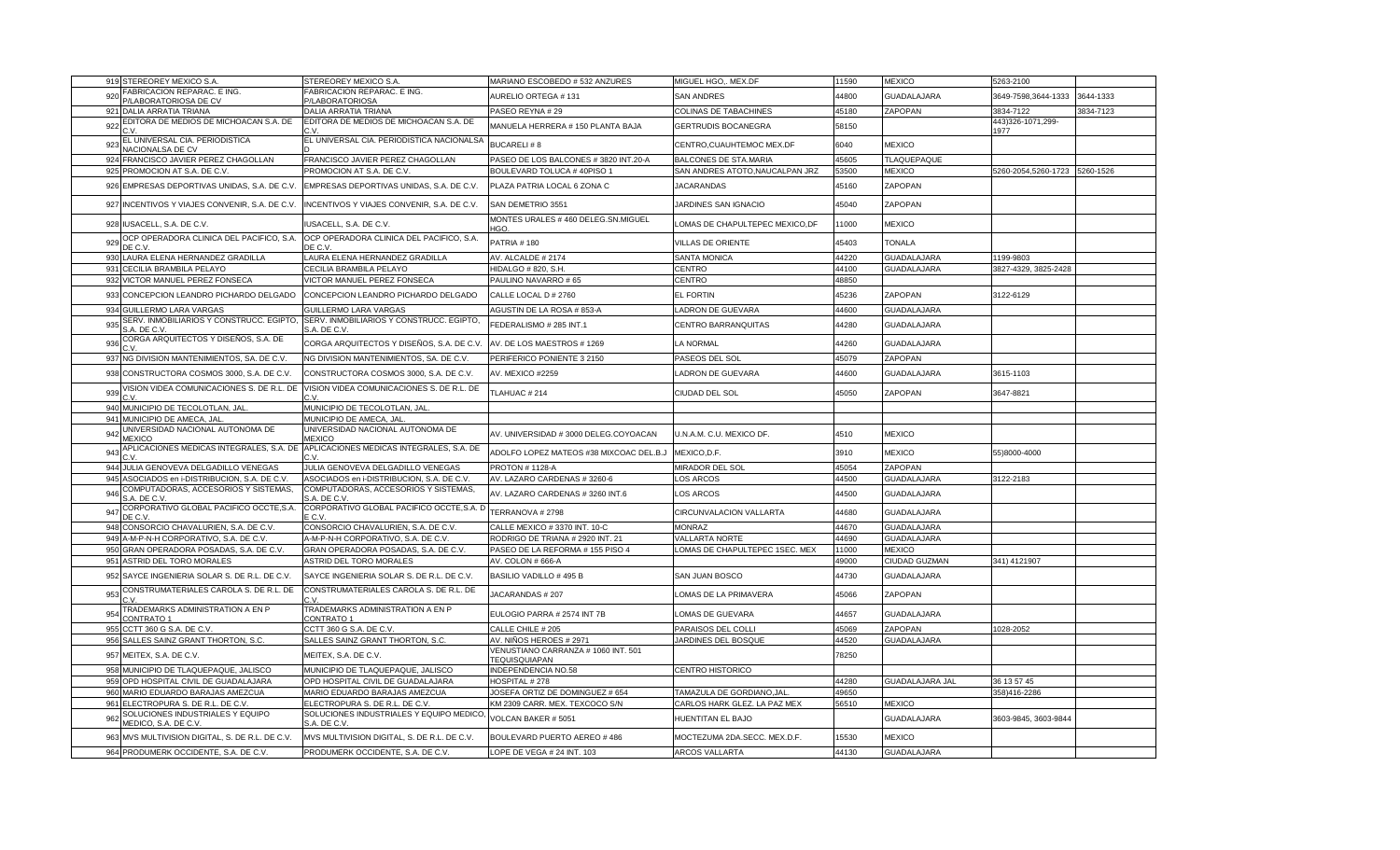| 44800<br>92<br>AURELIO ORTEGA # 131<br><b>SAN ANDRES</b><br><b>GUADALAJARA</b><br>3649-7598,3644-1333<br>/LABORATORIOSA DE CV<br>//LABORATORIOSA<br>DALIA ARRATIA TRIANA<br>DALIA ARRATIA TRIANA<br>PASEO REYNA # 29<br><b>COLINAS DE TABACHINES</b><br>45180<br>ZAPOPAN<br>3834-7122<br>921<br>EDITORA DE MEDIOS DE MICHOACAN S.A. DE<br>EDITORA DE MEDIOS DE MICHOACAN S.A. DE<br>443)326-1071,299-<br>MANUELA HERRERA # 150 PLANTA BAJA<br>58150<br>922<br><b>GERTRUDIS BOCANEGRA</b><br>1977<br>EL UNIVERSAL CIA. PERIODISTICA NACIONALSA<br>EL UNIVERSAL CIA. PERIODISTICA<br><b>BUCARELI#8</b><br>CENTRO, CUAUHTEMOC MEX.DF<br>6040<br><b>MEXICO</b><br>92<br><b>JACIONALSA DE CV</b><br>924<br>FRANCISCO JAVIER PEREZ CHAGOLLAN<br>FRANCISCO JAVIER PEREZ CHAGOLLAN<br>PASEO DE LOS BALCONES # 3820 INT.20-A<br>BALCONES DE STA.MARIA<br>45605<br><b>TLAQUEPAQUE</b><br>925<br>PROMOCION AT S.A. DE C.V.<br>PROMOCION AT S.A. DE C.V.<br>BOULEVARD TOLUCA #40PISO 1<br>SAN ANDRES ATOTO, NAUCALPAN JRZ<br>53500<br><b>MEXICO</b><br>5260-2054,5260-1723 5260-1526<br><b>JACARANDAS</b><br>45160<br>ZAPOPAN<br>926 EMPRESAS DEPORTIVAS UNIDAS, S.A. DE C.V.<br>EMPRESAS DEPORTIVAS UNIDAS, S.A. DE C.V.<br>PLAZA PATRIA LOCAL 6 ZONA C<br>45040<br>INCENTIVOS Y VIAJES CONVENIR, S.A. DE C.V.<br>INCENTIVOS Y VIAJES CONVENIR, S.A. DE C.V.<br>SAN DEMETRIO 3551<br>ZAPOPAN<br>927<br>JARDINES SAN IGNACIO<br>MONTES URALES #460 DELEG.SN.MIGUEL<br>928 IUSACELL, S.A. DE C.V.<br>LOMAS DE CHAPULTEPEC MEXICO.DF<br>IUSACELL, S.A. DE C.V.<br>11000<br><b>MEXICO</b><br>ብርብ<br>OCP OPERADORA CLINICA DEL PACIFICO, S.A.<br>OCP OPERADORA CLINICA DEL PACIFICO, S.A.<br>92<br>PATRIA #180<br><b>VILLAS DE ORIENTE</b><br>45403<br>TONALA<br>י ∩ ⊐ר<br>י ∩ F<br>AURA ELENA HERNANDEZ GRADILLA<br>AURA ELENA HERNANDEZ GRADILLA<br>AV. ALCALDE # 2174<br>SANTA MONICA<br>44220<br><b>GUADALAJARA</b><br>1199-9803<br>93<br>931<br>CECILIA BRAMBILA PELAYO<br>CECILIA BRAMBILA PELAYO<br>IIDALGO # 820, S.H.<br>CENTRO<br>44100<br><b>GUADALAJARA</b><br>3827-4329, 3825-2428<br>932<br>VICTOR MANUEL PEREZ FONSECA<br>VICTOR MANUEL PEREZ FONSECA<br>PAULINO NAVARRO #65<br>CENTRO<br>48850<br>EL FORTIN<br>933<br>CONCEPCION LEANDRO PICHARDO DELGADO<br>CONCEPCION LEANDRO PICHARDO DELGADO<br>CALLE LOCAL D # 2760<br>45236<br>ZAPOPAN<br>3122-6129<br>934 GUILLERMO LARA VARGAS<br><b>GUILLERMO LARA VARGAS</b><br>AGUSTIN DE LA ROSA # 853-A<br>LADRON DE GUEVARA<br><b>GUADALAJARA</b><br>44600<br>SERV. INMOBILIARIOS Y CONSTRUCC. EGIPTO, SERV. INMOBILIARIOS Y CONSTRUCC. EGIPTO,<br>FEDERALISMO # 285 INT.1<br>44280<br>93<br>CENTRO BARRANQUITAS<br><b>GUADALAJARA</b><br>S.A. DE C.V.<br>S.A. DE C.V.<br>CORGA ARQUITECTOS Y DISEÑOS, S.A. DE<br>CORGA ARQUITECTOS Y DISEÑOS, S.A. DE C.V.<br>936<br>AV. DE LOS MAESTROS # 1269<br><b>LA NORMAL</b><br>44260<br><b>GUADALAJARA</b><br>NG DIVISION MANTENIMIENTOS, SA. DE C.V.<br>NG DIVISION MANTENIMIENTOS, SA. DE C.V.<br>PERIFERICO PONIENTE 3 2150<br>45079<br>ZAPOPAN<br>937<br>PASEOS DEL SOL<br>CONSTRUCTORA COSMOS 3000, S.A. DE C.V.<br>CONSTRUCTORA COSMOS 3000, S.A. DE C.V.<br><b>AV. MEXICO #2259</b><br><b>ADRON DE GUEVARA</b><br>44600<br>GUADALAJARA<br>3615-1103<br>938<br>VISION VIDEA COMUNICACIONES S. DE R.L. DE<br>VISION VIDEA COMUNICACIONES S. DE R.L. DE<br>TLAHUAC # 214<br>CIUDAD DEL SOL<br>45050<br>ZAPOPAN<br>3647-8821<br>93<br>940<br>MUNICIPIO DE TECOLOTLAN, JAL<br>MUNICIPIO DE TECOLOTLAN, JAL<br>MUNICIPIO DE AMECA, JAL<br>MUNICIPIO DE AMECA, JAL<br>941<br>JNIVERSIDAD NACIONAL AUTONOMA DE<br>JNIVERSIDAD NACIONAL AUTONOMA DE<br>94<br>AV. UNIVERSIDAD # 3000 DELEG.COYOACAN<br>U.N.A.M. C.U. MEXICO DF.<br>4510<br><b>MEXICO</b><br><b>IEXICO</b><br><b>JEXICO</b><br>APLICACIONES MEDICAS INTEGRALES, S.A. DE<br>APLICACIONES MEDICAS INTEGRALES, S.A. DE<br>94<br>ADOLFO LOPEZ MATEOS #38 MIXCOAC DEL.B.J<br>3910<br><b>MEXICO</b><br>MEXICO,D.F.<br>55)8000-4000<br>944 JULIA GENOVEVA DELGADILLO VENEGAS<br>JULIA GENOVEVA DELGADILLO VENEGAS<br><b>PROTON # 1128-A</b><br>MIRADOR DEL SOL<br>45054<br><b>ZAPOPAN</b><br>ASOCIADOS en i-DISTRIBUCION, S.A. DE C.V.<br>ASOCIADOS en i-DISTRIBUCION, S.A. DE C.V.<br>AV. LAZARO CARDENAS # 3260-6<br>LOS ARCOS<br>44500<br><b>GUADALAJARA</b><br>3122-2183<br>945<br>COMPUTADORAS, ACCESORIOS Y SISTEMAS,<br>COMPUTADORAS, ACCESORIOS Y SISTEMAS.<br>AV. LAZARO CARDENAS # 3260 INT.6<br>LOS ARCOS<br>44500<br><b>GUADALAJARA</b><br>94<br>A. DE C.V<br>.A. DE C.\<br>CORPORATIVO GLOBAL PACIFICO OCCTE, S.A.<br>CORPORATIVO GLOBAL PACIFICO OCCTE, S.A. D<br>TERRANOVA # 2798<br>CIRCUNVALACION VALLARTA<br>44680<br>GUADALAJARA<br>94<br><b>FCV</b><br>C V<br>948<br>CONSORCIO CHAVALURIEN, S.A. DE C.V.<br>CONSORCIO CHAVALURIEN, S.A. DE C.V.<br>CALLE MEXICO # 3370 INT. 10-C<br>44670<br><b>GUADALAJARA</b><br><b>MONRAZ</b><br>949<br>A-M-P-N-H CORPORATIVO, S.A. DE C.V.<br>4-M-P-N-H CORPORATIVO, S.A. DE C.V.<br>RODRIGO DE TRIANA # 2920 INT. 21<br><b>VALLARTA NORTE</b><br>44690<br><b>GUADALAJARA</b><br>950<br>LOMAS DE CHAPULTEPEC 1SEC. MEX<br>GRAN OPERADORA POSADAS, S.A. DE C.V.<br>GRAN OPERADORA POSADAS, S.A. DE C.V.<br>PASEO DE LA REFORMA # 155 PISO 4<br>11000<br><b>MEXICO</b><br>951 ASTRID DEL TORO MORALES<br>ASTRID DEL TORO MORALES<br>AV. COLON # 666-A<br>49000<br>341) 4121907<br>CIUDAD GUZMAN<br>SAYCE INGENIERIA SOLAR S. DE R.L. DE C.V.<br>SAYCE INGENIERIA SOLAR S. DE R.L. DE C.V.<br>BASILIO VADILLO # 495 B<br>14730<br><b>GUADALAJARA</b><br>95<br>SAN JUAN BOSCO<br>CONSTRUMATERIALES CAROLA S. DE R.L. DE<br>CONSTRUMATERIALES CAROLA S. DE R.L. DE<br>JACARANDAS # 207<br>LOMAS DE LA PRIMAVERA<br>45066<br>ZAPOPAN<br>95<br>TRADEMARKS ADMINISTRATION A EN P<br>TRADEMARKS ADMINISTRATION A EN P<br>EULOGIO PARRA # 2574 INT 7B<br>LOMAS DE GUEVARA<br>44657<br><b>GUADALAJARA</b><br>95<br>CONTRATO 1<br>CONTRATO 1<br>CCTT 360 G S.A. DE C.V<br>CCTT 360 G S.A. DE C.V.<br>CALLE CHILE # 205<br>PARAISOS DEL COLLI<br>45069<br>ZAPOPAN<br>1028-2052<br>955<br>956 SALLES SAINZ GRANT THORTON, S.C.<br>SALLES SAINZ GRANT THORTON, S.C.<br>AV. NIÑOS HEROES # 2971<br>JARDINES DEL BOSQUE<br>44520<br>GUADALAJARA<br>VENUSTIANO CARRANZA # 1060 INT. 501<br>957 MEITEX, S.A. DE C.V.<br>78250<br>MEITEX, S.A. DE C.V.<br>TEQUISQUIAPAN<br>MUNICIPIO DE TLAQUEPAQUE, JALISCO<br>MUNICIPIO DE TLAQUEPAQUE, JALISCO<br>958<br>INDEPENDENCIA NO.58<br><b>CENTRO HISTORICO</b><br>OPD HOSPITAL CIVIL DE GUADALAJARA<br>36 13 57 45<br>959<br>OPD HOSPITAL CIVIL DE GUADALAJARA<br><b>OSPITAL #278</b><br>44280<br><b>GUADALAJARA JAL</b><br>MARIO EDUARDO BARAJAS AMEZCUA<br>MARIO EDUARDO BARAJAS AMEZCUA<br>JOSEFA ORTIZ DE DOMINGUEZ # 654<br>49650<br>960<br>TAMAZULA DE GORDIANO,JAL<br>358)416-2286<br>56510<br>ELECTROPURA S. DE R.L. DE C.V.<br>ELECTROPURA S. DE R.L. DE C.V.<br>KM 2309 CARR. MEX. TEXCOCO S/N<br>CARLOS HARK GLEZ. LA PAZ MEX<br><b>MEXICO</b><br>961<br>SOLUCIONES INDUSTRIALES Y EQUIPO MEDICO<br>SOLUCIONES INDUSTRIALES Y EQUIPO<br>96<br>VOLCAN BAKER # 5051<br>HUENTITAN EL BAJO<br><b>GUADALAJARA</b><br>3603-9845, 3603-9844<br>AEDICO, S.A. DE C.V.<br>S.A. DE C.V.<br>963 MVS MULTIVISION DIGITAL, S. DE R.L. DE C.V.<br>MVS MULTIVISION DIGITAL, S. DE R.L. DE C.V.<br>BOULEVARD PUERTO AEREO # 486<br>15530<br>MOCTEZUMA 2DA.SECC. MEX.D.F.<br><b>MEXICO</b> | 919 STEREOREY MEXICO S.A.  | STEREOREY MEXICO S.A.      | MARIANO ESCOBEDO # 532 ANZURES | MIGUEL HGO,. MEX.DF | 11590 | <b>MEXICO</b> | 5263-2100 |           |
|-----------------------------------------------------------------------------------------------------------------------------------------------------------------------------------------------------------------------------------------------------------------------------------------------------------------------------------------------------------------------------------------------------------------------------------------------------------------------------------------------------------------------------------------------------------------------------------------------------------------------------------------------------------------------------------------------------------------------------------------------------------------------------------------------------------------------------------------------------------------------------------------------------------------------------------------------------------------------------------------------------------------------------------------------------------------------------------------------------------------------------------------------------------------------------------------------------------------------------------------------------------------------------------------------------------------------------------------------------------------------------------------------------------------------------------------------------------------------------------------------------------------------------------------------------------------------------------------------------------------------------------------------------------------------------------------------------------------------------------------------------------------------------------------------------------------------------------------------------------------------------------------------------------------------------------------------------------------------------------------------------------------------------------------------------------------------------------------------------------------------------------------------------------------------------------------------------------------------------------------------------------------------------------------------------------------------------------------------------------------------------------------------------------------------------------------------------------------------------------------------------------------------------------------------------------------------------------------------------------------------------------------------------------------------------------------------------------------------------------------------------------------------------------------------------------------------------------------------------------------------------------------------------------------------------------------------------------------------------------------------------------------------------------------------------------------------------------------------------------------------------------------------------------------------------------------------------------------------------------------------------------------------------------------------------------------------------------------------------------------------------------------------------------------------------------------------------------------------------------------------------------------------------------------------------------------------------------------------------------------------------------------------------------------------------------------------------------------------------------------------------------------------------------------------------------------------------------------------------------------------------------------------------------------------------------------------------------------------------------------------------------------------------------------------------------------------------------------------------------------------------------------------------------------------------------------------------------------------------------------------------------------------------------------------------------------------------------------------------------------------------------------------------------------------------------------------------------------------------------------------------------------------------------------------------------------------------------------------------------------------------------------------------------------------------------------------------------------------------------------------------------------------------------------------------------------------------------------------------------------------------------------------------------------------------------------------------------------------------------------------------------------------------------------------------------------------------------------------------------------------------------------------------------------------------------------------------------------------------------------------------------------------------------------------------------------------------------------------------------------------------------------------------------------------------------------------------------------------------------------------------------------------------------------------------------------------------------------------------------------------------------------------------------------------------------------------------------------------------------------------------------------------------------------------------------------------------------------------------------------------------------------------------------------------------------------------------------------------------------------------------------------------------------------------------------------------------------------------------------------------------------------------------------------------------------------------------------------------------------------------------------------------------------------------------------------------------------------------------------------------------------------------------------------------------------------------------------------------------------------------------------------------------------------------------------------------------------------------------------------------------------------------------------------------------------------------------------------------------------------------------------------------------------------------------------------------------------------------------------------------------------------------------------------------------------------------------------------------------------------------------------------------------------------------------------------------------------------------------------------------------------------------------------------------------------------------------------------------------------------------------------------------------------------------------------------------------------------------------------------------------------------------------------------|----------------------------|----------------------------|--------------------------------|---------------------|-------|---------------|-----------|-----------|
|                                                                                                                                                                                                                                                                                                                                                                                                                                                                                                                                                                                                                                                                                                                                                                                                                                                                                                                                                                                                                                                                                                                                                                                                                                                                                                                                                                                                                                                                                                                                                                                                                                                                                                                                                                                                                                                                                                                                                                                                                                                                                                                                                                                                                                                                                                                                                                                                                                                                                                                                                                                                                                                                                                                                                                                                                                                                                                                                                                                                                                                                                                                                                                                                                                                                                                                                                                                                                                                                                                                                                                                                                                                                                                                                                                                                                                                                                                                                                                                                                                                                                                                                                                                                                                                                                                                                                                                                                                                                                                                                                                                                                                                                                                                                                                                                                                                                                                                                                                                                                                                                                                                                                                                                                                                                                                                                                                                                                                                                                                                                                                                                                                                                                                                                                                                                                                                                                                                                                                                                                                                                                                                                                                                                                                                                                                                                                                                                                                                                                                                                                                                                                                                                                                                                                                                                                                                                                                                                                                                                                                                                                                                                                                                                                                                                                                                                                                                                                 | ABRICACION REPARAC. E ING. | ABRICACION REPARAC. E ING. |                                |                     |       |               |           | 3644-1333 |
|                                                                                                                                                                                                                                                                                                                                                                                                                                                                                                                                                                                                                                                                                                                                                                                                                                                                                                                                                                                                                                                                                                                                                                                                                                                                                                                                                                                                                                                                                                                                                                                                                                                                                                                                                                                                                                                                                                                                                                                                                                                                                                                                                                                                                                                                                                                                                                                                                                                                                                                                                                                                                                                                                                                                                                                                                                                                                                                                                                                                                                                                                                                                                                                                                                                                                                                                                                                                                                                                                                                                                                                                                                                                                                                                                                                                                                                                                                                                                                                                                                                                                                                                                                                                                                                                                                                                                                                                                                                                                                                                                                                                                                                                                                                                                                                                                                                                                                                                                                                                                                                                                                                                                                                                                                                                                                                                                                                                                                                                                                                                                                                                                                                                                                                                                                                                                                                                                                                                                                                                                                                                                                                                                                                                                                                                                                                                                                                                                                                                                                                                                                                                                                                                                                                                                                                                                                                                                                                                                                                                                                                                                                                                                                                                                                                                                                                                                                                                                 |                            |                            |                                |                     |       |               |           | 3834-7123 |
|                                                                                                                                                                                                                                                                                                                                                                                                                                                                                                                                                                                                                                                                                                                                                                                                                                                                                                                                                                                                                                                                                                                                                                                                                                                                                                                                                                                                                                                                                                                                                                                                                                                                                                                                                                                                                                                                                                                                                                                                                                                                                                                                                                                                                                                                                                                                                                                                                                                                                                                                                                                                                                                                                                                                                                                                                                                                                                                                                                                                                                                                                                                                                                                                                                                                                                                                                                                                                                                                                                                                                                                                                                                                                                                                                                                                                                                                                                                                                                                                                                                                                                                                                                                                                                                                                                                                                                                                                                                                                                                                                                                                                                                                                                                                                                                                                                                                                                                                                                                                                                                                                                                                                                                                                                                                                                                                                                                                                                                                                                                                                                                                                                                                                                                                                                                                                                                                                                                                                                                                                                                                                                                                                                                                                                                                                                                                                                                                                                                                                                                                                                                                                                                                                                                                                                                                                                                                                                                                                                                                                                                                                                                                                                                                                                                                                                                                                                                                                 |                            |                            |                                |                     |       |               |           |           |
|                                                                                                                                                                                                                                                                                                                                                                                                                                                                                                                                                                                                                                                                                                                                                                                                                                                                                                                                                                                                                                                                                                                                                                                                                                                                                                                                                                                                                                                                                                                                                                                                                                                                                                                                                                                                                                                                                                                                                                                                                                                                                                                                                                                                                                                                                                                                                                                                                                                                                                                                                                                                                                                                                                                                                                                                                                                                                                                                                                                                                                                                                                                                                                                                                                                                                                                                                                                                                                                                                                                                                                                                                                                                                                                                                                                                                                                                                                                                                                                                                                                                                                                                                                                                                                                                                                                                                                                                                                                                                                                                                                                                                                                                                                                                                                                                                                                                                                                                                                                                                                                                                                                                                                                                                                                                                                                                                                                                                                                                                                                                                                                                                                                                                                                                                                                                                                                                                                                                                                                                                                                                                                                                                                                                                                                                                                                                                                                                                                                                                                                                                                                                                                                                                                                                                                                                                                                                                                                                                                                                                                                                                                                                                                                                                                                                                                                                                                                                                 |                            |                            |                                |                     |       |               |           |           |
|                                                                                                                                                                                                                                                                                                                                                                                                                                                                                                                                                                                                                                                                                                                                                                                                                                                                                                                                                                                                                                                                                                                                                                                                                                                                                                                                                                                                                                                                                                                                                                                                                                                                                                                                                                                                                                                                                                                                                                                                                                                                                                                                                                                                                                                                                                                                                                                                                                                                                                                                                                                                                                                                                                                                                                                                                                                                                                                                                                                                                                                                                                                                                                                                                                                                                                                                                                                                                                                                                                                                                                                                                                                                                                                                                                                                                                                                                                                                                                                                                                                                                                                                                                                                                                                                                                                                                                                                                                                                                                                                                                                                                                                                                                                                                                                                                                                                                                                                                                                                                                                                                                                                                                                                                                                                                                                                                                                                                                                                                                                                                                                                                                                                                                                                                                                                                                                                                                                                                                                                                                                                                                                                                                                                                                                                                                                                                                                                                                                                                                                                                                                                                                                                                                                                                                                                                                                                                                                                                                                                                                                                                                                                                                                                                                                                                                                                                                                                                 |                            |                            |                                |                     |       |               |           |           |
|                                                                                                                                                                                                                                                                                                                                                                                                                                                                                                                                                                                                                                                                                                                                                                                                                                                                                                                                                                                                                                                                                                                                                                                                                                                                                                                                                                                                                                                                                                                                                                                                                                                                                                                                                                                                                                                                                                                                                                                                                                                                                                                                                                                                                                                                                                                                                                                                                                                                                                                                                                                                                                                                                                                                                                                                                                                                                                                                                                                                                                                                                                                                                                                                                                                                                                                                                                                                                                                                                                                                                                                                                                                                                                                                                                                                                                                                                                                                                                                                                                                                                                                                                                                                                                                                                                                                                                                                                                                                                                                                                                                                                                                                                                                                                                                                                                                                                                                                                                                                                                                                                                                                                                                                                                                                                                                                                                                                                                                                                                                                                                                                                                                                                                                                                                                                                                                                                                                                                                                                                                                                                                                                                                                                                                                                                                                                                                                                                                                                                                                                                                                                                                                                                                                                                                                                                                                                                                                                                                                                                                                                                                                                                                                                                                                                                                                                                                                                                 |                            |                            |                                |                     |       |               |           |           |
|                                                                                                                                                                                                                                                                                                                                                                                                                                                                                                                                                                                                                                                                                                                                                                                                                                                                                                                                                                                                                                                                                                                                                                                                                                                                                                                                                                                                                                                                                                                                                                                                                                                                                                                                                                                                                                                                                                                                                                                                                                                                                                                                                                                                                                                                                                                                                                                                                                                                                                                                                                                                                                                                                                                                                                                                                                                                                                                                                                                                                                                                                                                                                                                                                                                                                                                                                                                                                                                                                                                                                                                                                                                                                                                                                                                                                                                                                                                                                                                                                                                                                                                                                                                                                                                                                                                                                                                                                                                                                                                                                                                                                                                                                                                                                                                                                                                                                                                                                                                                                                                                                                                                                                                                                                                                                                                                                                                                                                                                                                                                                                                                                                                                                                                                                                                                                                                                                                                                                                                                                                                                                                                                                                                                                                                                                                                                                                                                                                                                                                                                                                                                                                                                                                                                                                                                                                                                                                                                                                                                                                                                                                                                                                                                                                                                                                                                                                                                                 |                            |                            |                                |                     |       |               |           |           |
|                                                                                                                                                                                                                                                                                                                                                                                                                                                                                                                                                                                                                                                                                                                                                                                                                                                                                                                                                                                                                                                                                                                                                                                                                                                                                                                                                                                                                                                                                                                                                                                                                                                                                                                                                                                                                                                                                                                                                                                                                                                                                                                                                                                                                                                                                                                                                                                                                                                                                                                                                                                                                                                                                                                                                                                                                                                                                                                                                                                                                                                                                                                                                                                                                                                                                                                                                                                                                                                                                                                                                                                                                                                                                                                                                                                                                                                                                                                                                                                                                                                                                                                                                                                                                                                                                                                                                                                                                                                                                                                                                                                                                                                                                                                                                                                                                                                                                                                                                                                                                                                                                                                                                                                                                                                                                                                                                                                                                                                                                                                                                                                                                                                                                                                                                                                                                                                                                                                                                                                                                                                                                                                                                                                                                                                                                                                                                                                                                                                                                                                                                                                                                                                                                                                                                                                                                                                                                                                                                                                                                                                                                                                                                                                                                                                                                                                                                                                                                 |                            |                            |                                |                     |       |               |           |           |
|                                                                                                                                                                                                                                                                                                                                                                                                                                                                                                                                                                                                                                                                                                                                                                                                                                                                                                                                                                                                                                                                                                                                                                                                                                                                                                                                                                                                                                                                                                                                                                                                                                                                                                                                                                                                                                                                                                                                                                                                                                                                                                                                                                                                                                                                                                                                                                                                                                                                                                                                                                                                                                                                                                                                                                                                                                                                                                                                                                                                                                                                                                                                                                                                                                                                                                                                                                                                                                                                                                                                                                                                                                                                                                                                                                                                                                                                                                                                                                                                                                                                                                                                                                                                                                                                                                                                                                                                                                                                                                                                                                                                                                                                                                                                                                                                                                                                                                                                                                                                                                                                                                                                                                                                                                                                                                                                                                                                                                                                                                                                                                                                                                                                                                                                                                                                                                                                                                                                                                                                                                                                                                                                                                                                                                                                                                                                                                                                                                                                                                                                                                                                                                                                                                                                                                                                                                                                                                                                                                                                                                                                                                                                                                                                                                                                                                                                                                                                                 |                            |                            |                                |                     |       |               |           |           |
|                                                                                                                                                                                                                                                                                                                                                                                                                                                                                                                                                                                                                                                                                                                                                                                                                                                                                                                                                                                                                                                                                                                                                                                                                                                                                                                                                                                                                                                                                                                                                                                                                                                                                                                                                                                                                                                                                                                                                                                                                                                                                                                                                                                                                                                                                                                                                                                                                                                                                                                                                                                                                                                                                                                                                                                                                                                                                                                                                                                                                                                                                                                                                                                                                                                                                                                                                                                                                                                                                                                                                                                                                                                                                                                                                                                                                                                                                                                                                                                                                                                                                                                                                                                                                                                                                                                                                                                                                                                                                                                                                                                                                                                                                                                                                                                                                                                                                                                                                                                                                                                                                                                                                                                                                                                                                                                                                                                                                                                                                                                                                                                                                                                                                                                                                                                                                                                                                                                                                                                                                                                                                                                                                                                                                                                                                                                                                                                                                                                                                                                                                                                                                                                                                                                                                                                                                                                                                                                                                                                                                                                                                                                                                                                                                                                                                                                                                                                                                 |                            |                            |                                |                     |       |               |           |           |
|                                                                                                                                                                                                                                                                                                                                                                                                                                                                                                                                                                                                                                                                                                                                                                                                                                                                                                                                                                                                                                                                                                                                                                                                                                                                                                                                                                                                                                                                                                                                                                                                                                                                                                                                                                                                                                                                                                                                                                                                                                                                                                                                                                                                                                                                                                                                                                                                                                                                                                                                                                                                                                                                                                                                                                                                                                                                                                                                                                                                                                                                                                                                                                                                                                                                                                                                                                                                                                                                                                                                                                                                                                                                                                                                                                                                                                                                                                                                                                                                                                                                                                                                                                                                                                                                                                                                                                                                                                                                                                                                                                                                                                                                                                                                                                                                                                                                                                                                                                                                                                                                                                                                                                                                                                                                                                                                                                                                                                                                                                                                                                                                                                                                                                                                                                                                                                                                                                                                                                                                                                                                                                                                                                                                                                                                                                                                                                                                                                                                                                                                                                                                                                                                                                                                                                                                                                                                                                                                                                                                                                                                                                                                                                                                                                                                                                                                                                                                                 |                            |                            |                                |                     |       |               |           |           |
|                                                                                                                                                                                                                                                                                                                                                                                                                                                                                                                                                                                                                                                                                                                                                                                                                                                                                                                                                                                                                                                                                                                                                                                                                                                                                                                                                                                                                                                                                                                                                                                                                                                                                                                                                                                                                                                                                                                                                                                                                                                                                                                                                                                                                                                                                                                                                                                                                                                                                                                                                                                                                                                                                                                                                                                                                                                                                                                                                                                                                                                                                                                                                                                                                                                                                                                                                                                                                                                                                                                                                                                                                                                                                                                                                                                                                                                                                                                                                                                                                                                                                                                                                                                                                                                                                                                                                                                                                                                                                                                                                                                                                                                                                                                                                                                                                                                                                                                                                                                                                                                                                                                                                                                                                                                                                                                                                                                                                                                                                                                                                                                                                                                                                                                                                                                                                                                                                                                                                                                                                                                                                                                                                                                                                                                                                                                                                                                                                                                                                                                                                                                                                                                                                                                                                                                                                                                                                                                                                                                                                                                                                                                                                                                                                                                                                                                                                                                                                 |                            |                            |                                |                     |       |               |           |           |
|                                                                                                                                                                                                                                                                                                                                                                                                                                                                                                                                                                                                                                                                                                                                                                                                                                                                                                                                                                                                                                                                                                                                                                                                                                                                                                                                                                                                                                                                                                                                                                                                                                                                                                                                                                                                                                                                                                                                                                                                                                                                                                                                                                                                                                                                                                                                                                                                                                                                                                                                                                                                                                                                                                                                                                                                                                                                                                                                                                                                                                                                                                                                                                                                                                                                                                                                                                                                                                                                                                                                                                                                                                                                                                                                                                                                                                                                                                                                                                                                                                                                                                                                                                                                                                                                                                                                                                                                                                                                                                                                                                                                                                                                                                                                                                                                                                                                                                                                                                                                                                                                                                                                                                                                                                                                                                                                                                                                                                                                                                                                                                                                                                                                                                                                                                                                                                                                                                                                                                                                                                                                                                                                                                                                                                                                                                                                                                                                                                                                                                                                                                                                                                                                                                                                                                                                                                                                                                                                                                                                                                                                                                                                                                                                                                                                                                                                                                                                                 |                            |                            |                                |                     |       |               |           |           |
|                                                                                                                                                                                                                                                                                                                                                                                                                                                                                                                                                                                                                                                                                                                                                                                                                                                                                                                                                                                                                                                                                                                                                                                                                                                                                                                                                                                                                                                                                                                                                                                                                                                                                                                                                                                                                                                                                                                                                                                                                                                                                                                                                                                                                                                                                                                                                                                                                                                                                                                                                                                                                                                                                                                                                                                                                                                                                                                                                                                                                                                                                                                                                                                                                                                                                                                                                                                                                                                                                                                                                                                                                                                                                                                                                                                                                                                                                                                                                                                                                                                                                                                                                                                                                                                                                                                                                                                                                                                                                                                                                                                                                                                                                                                                                                                                                                                                                                                                                                                                                                                                                                                                                                                                                                                                                                                                                                                                                                                                                                                                                                                                                                                                                                                                                                                                                                                                                                                                                                                                                                                                                                                                                                                                                                                                                                                                                                                                                                                                                                                                                                                                                                                                                                                                                                                                                                                                                                                                                                                                                                                                                                                                                                                                                                                                                                                                                                                                                 |                            |                            |                                |                     |       |               |           |           |
|                                                                                                                                                                                                                                                                                                                                                                                                                                                                                                                                                                                                                                                                                                                                                                                                                                                                                                                                                                                                                                                                                                                                                                                                                                                                                                                                                                                                                                                                                                                                                                                                                                                                                                                                                                                                                                                                                                                                                                                                                                                                                                                                                                                                                                                                                                                                                                                                                                                                                                                                                                                                                                                                                                                                                                                                                                                                                                                                                                                                                                                                                                                                                                                                                                                                                                                                                                                                                                                                                                                                                                                                                                                                                                                                                                                                                                                                                                                                                                                                                                                                                                                                                                                                                                                                                                                                                                                                                                                                                                                                                                                                                                                                                                                                                                                                                                                                                                                                                                                                                                                                                                                                                                                                                                                                                                                                                                                                                                                                                                                                                                                                                                                                                                                                                                                                                                                                                                                                                                                                                                                                                                                                                                                                                                                                                                                                                                                                                                                                                                                                                                                                                                                                                                                                                                                                                                                                                                                                                                                                                                                                                                                                                                                                                                                                                                                                                                                                                 |                            |                            |                                |                     |       |               |           |           |
|                                                                                                                                                                                                                                                                                                                                                                                                                                                                                                                                                                                                                                                                                                                                                                                                                                                                                                                                                                                                                                                                                                                                                                                                                                                                                                                                                                                                                                                                                                                                                                                                                                                                                                                                                                                                                                                                                                                                                                                                                                                                                                                                                                                                                                                                                                                                                                                                                                                                                                                                                                                                                                                                                                                                                                                                                                                                                                                                                                                                                                                                                                                                                                                                                                                                                                                                                                                                                                                                                                                                                                                                                                                                                                                                                                                                                                                                                                                                                                                                                                                                                                                                                                                                                                                                                                                                                                                                                                                                                                                                                                                                                                                                                                                                                                                                                                                                                                                                                                                                                                                                                                                                                                                                                                                                                                                                                                                                                                                                                                                                                                                                                                                                                                                                                                                                                                                                                                                                                                                                                                                                                                                                                                                                                                                                                                                                                                                                                                                                                                                                                                                                                                                                                                                                                                                                                                                                                                                                                                                                                                                                                                                                                                                                                                                                                                                                                                                                                 |                            |                            |                                |                     |       |               |           |           |
|                                                                                                                                                                                                                                                                                                                                                                                                                                                                                                                                                                                                                                                                                                                                                                                                                                                                                                                                                                                                                                                                                                                                                                                                                                                                                                                                                                                                                                                                                                                                                                                                                                                                                                                                                                                                                                                                                                                                                                                                                                                                                                                                                                                                                                                                                                                                                                                                                                                                                                                                                                                                                                                                                                                                                                                                                                                                                                                                                                                                                                                                                                                                                                                                                                                                                                                                                                                                                                                                                                                                                                                                                                                                                                                                                                                                                                                                                                                                                                                                                                                                                                                                                                                                                                                                                                                                                                                                                                                                                                                                                                                                                                                                                                                                                                                                                                                                                                                                                                                                                                                                                                                                                                                                                                                                                                                                                                                                                                                                                                                                                                                                                                                                                                                                                                                                                                                                                                                                                                                                                                                                                                                                                                                                                                                                                                                                                                                                                                                                                                                                                                                                                                                                                                                                                                                                                                                                                                                                                                                                                                                                                                                                                                                                                                                                                                                                                                                                                 |                            |                            |                                |                     |       |               |           |           |
|                                                                                                                                                                                                                                                                                                                                                                                                                                                                                                                                                                                                                                                                                                                                                                                                                                                                                                                                                                                                                                                                                                                                                                                                                                                                                                                                                                                                                                                                                                                                                                                                                                                                                                                                                                                                                                                                                                                                                                                                                                                                                                                                                                                                                                                                                                                                                                                                                                                                                                                                                                                                                                                                                                                                                                                                                                                                                                                                                                                                                                                                                                                                                                                                                                                                                                                                                                                                                                                                                                                                                                                                                                                                                                                                                                                                                                                                                                                                                                                                                                                                                                                                                                                                                                                                                                                                                                                                                                                                                                                                                                                                                                                                                                                                                                                                                                                                                                                                                                                                                                                                                                                                                                                                                                                                                                                                                                                                                                                                                                                                                                                                                                                                                                                                                                                                                                                                                                                                                                                                                                                                                                                                                                                                                                                                                                                                                                                                                                                                                                                                                                                                                                                                                                                                                                                                                                                                                                                                                                                                                                                                                                                                                                                                                                                                                                                                                                                                                 |                            |                            |                                |                     |       |               |           |           |
|                                                                                                                                                                                                                                                                                                                                                                                                                                                                                                                                                                                                                                                                                                                                                                                                                                                                                                                                                                                                                                                                                                                                                                                                                                                                                                                                                                                                                                                                                                                                                                                                                                                                                                                                                                                                                                                                                                                                                                                                                                                                                                                                                                                                                                                                                                                                                                                                                                                                                                                                                                                                                                                                                                                                                                                                                                                                                                                                                                                                                                                                                                                                                                                                                                                                                                                                                                                                                                                                                                                                                                                                                                                                                                                                                                                                                                                                                                                                                                                                                                                                                                                                                                                                                                                                                                                                                                                                                                                                                                                                                                                                                                                                                                                                                                                                                                                                                                                                                                                                                                                                                                                                                                                                                                                                                                                                                                                                                                                                                                                                                                                                                                                                                                                                                                                                                                                                                                                                                                                                                                                                                                                                                                                                                                                                                                                                                                                                                                                                                                                                                                                                                                                                                                                                                                                                                                                                                                                                                                                                                                                                                                                                                                                                                                                                                                                                                                                                                 |                            |                            |                                |                     |       |               |           |           |
|                                                                                                                                                                                                                                                                                                                                                                                                                                                                                                                                                                                                                                                                                                                                                                                                                                                                                                                                                                                                                                                                                                                                                                                                                                                                                                                                                                                                                                                                                                                                                                                                                                                                                                                                                                                                                                                                                                                                                                                                                                                                                                                                                                                                                                                                                                                                                                                                                                                                                                                                                                                                                                                                                                                                                                                                                                                                                                                                                                                                                                                                                                                                                                                                                                                                                                                                                                                                                                                                                                                                                                                                                                                                                                                                                                                                                                                                                                                                                                                                                                                                                                                                                                                                                                                                                                                                                                                                                                                                                                                                                                                                                                                                                                                                                                                                                                                                                                                                                                                                                                                                                                                                                                                                                                                                                                                                                                                                                                                                                                                                                                                                                                                                                                                                                                                                                                                                                                                                                                                                                                                                                                                                                                                                                                                                                                                                                                                                                                                                                                                                                                                                                                                                                                                                                                                                                                                                                                                                                                                                                                                                                                                                                                                                                                                                                                                                                                                                                 |                            |                            |                                |                     |       |               |           |           |
|                                                                                                                                                                                                                                                                                                                                                                                                                                                                                                                                                                                                                                                                                                                                                                                                                                                                                                                                                                                                                                                                                                                                                                                                                                                                                                                                                                                                                                                                                                                                                                                                                                                                                                                                                                                                                                                                                                                                                                                                                                                                                                                                                                                                                                                                                                                                                                                                                                                                                                                                                                                                                                                                                                                                                                                                                                                                                                                                                                                                                                                                                                                                                                                                                                                                                                                                                                                                                                                                                                                                                                                                                                                                                                                                                                                                                                                                                                                                                                                                                                                                                                                                                                                                                                                                                                                                                                                                                                                                                                                                                                                                                                                                                                                                                                                                                                                                                                                                                                                                                                                                                                                                                                                                                                                                                                                                                                                                                                                                                                                                                                                                                                                                                                                                                                                                                                                                                                                                                                                                                                                                                                                                                                                                                                                                                                                                                                                                                                                                                                                                                                                                                                                                                                                                                                                                                                                                                                                                                                                                                                                                                                                                                                                                                                                                                                                                                                                                                 |                            |                            |                                |                     |       |               |           |           |
|                                                                                                                                                                                                                                                                                                                                                                                                                                                                                                                                                                                                                                                                                                                                                                                                                                                                                                                                                                                                                                                                                                                                                                                                                                                                                                                                                                                                                                                                                                                                                                                                                                                                                                                                                                                                                                                                                                                                                                                                                                                                                                                                                                                                                                                                                                                                                                                                                                                                                                                                                                                                                                                                                                                                                                                                                                                                                                                                                                                                                                                                                                                                                                                                                                                                                                                                                                                                                                                                                                                                                                                                                                                                                                                                                                                                                                                                                                                                                                                                                                                                                                                                                                                                                                                                                                                                                                                                                                                                                                                                                                                                                                                                                                                                                                                                                                                                                                                                                                                                                                                                                                                                                                                                                                                                                                                                                                                                                                                                                                                                                                                                                                                                                                                                                                                                                                                                                                                                                                                                                                                                                                                                                                                                                                                                                                                                                                                                                                                                                                                                                                                                                                                                                                                                                                                                                                                                                                                                                                                                                                                                                                                                                                                                                                                                                                                                                                                                                 |                            |                            |                                |                     |       |               |           |           |
|                                                                                                                                                                                                                                                                                                                                                                                                                                                                                                                                                                                                                                                                                                                                                                                                                                                                                                                                                                                                                                                                                                                                                                                                                                                                                                                                                                                                                                                                                                                                                                                                                                                                                                                                                                                                                                                                                                                                                                                                                                                                                                                                                                                                                                                                                                                                                                                                                                                                                                                                                                                                                                                                                                                                                                                                                                                                                                                                                                                                                                                                                                                                                                                                                                                                                                                                                                                                                                                                                                                                                                                                                                                                                                                                                                                                                                                                                                                                                                                                                                                                                                                                                                                                                                                                                                                                                                                                                                                                                                                                                                                                                                                                                                                                                                                                                                                                                                                                                                                                                                                                                                                                                                                                                                                                                                                                                                                                                                                                                                                                                                                                                                                                                                                                                                                                                                                                                                                                                                                                                                                                                                                                                                                                                                                                                                                                                                                                                                                                                                                                                                                                                                                                                                                                                                                                                                                                                                                                                                                                                                                                                                                                                                                                                                                                                                                                                                                                                 |                            |                            |                                |                     |       |               |           |           |
|                                                                                                                                                                                                                                                                                                                                                                                                                                                                                                                                                                                                                                                                                                                                                                                                                                                                                                                                                                                                                                                                                                                                                                                                                                                                                                                                                                                                                                                                                                                                                                                                                                                                                                                                                                                                                                                                                                                                                                                                                                                                                                                                                                                                                                                                                                                                                                                                                                                                                                                                                                                                                                                                                                                                                                                                                                                                                                                                                                                                                                                                                                                                                                                                                                                                                                                                                                                                                                                                                                                                                                                                                                                                                                                                                                                                                                                                                                                                                                                                                                                                                                                                                                                                                                                                                                                                                                                                                                                                                                                                                                                                                                                                                                                                                                                                                                                                                                                                                                                                                                                                                                                                                                                                                                                                                                                                                                                                                                                                                                                                                                                                                                                                                                                                                                                                                                                                                                                                                                                                                                                                                                                                                                                                                                                                                                                                                                                                                                                                                                                                                                                                                                                                                                                                                                                                                                                                                                                                                                                                                                                                                                                                                                                                                                                                                                                                                                                                                 |                            |                            |                                |                     |       |               |           |           |
|                                                                                                                                                                                                                                                                                                                                                                                                                                                                                                                                                                                                                                                                                                                                                                                                                                                                                                                                                                                                                                                                                                                                                                                                                                                                                                                                                                                                                                                                                                                                                                                                                                                                                                                                                                                                                                                                                                                                                                                                                                                                                                                                                                                                                                                                                                                                                                                                                                                                                                                                                                                                                                                                                                                                                                                                                                                                                                                                                                                                                                                                                                                                                                                                                                                                                                                                                                                                                                                                                                                                                                                                                                                                                                                                                                                                                                                                                                                                                                                                                                                                                                                                                                                                                                                                                                                                                                                                                                                                                                                                                                                                                                                                                                                                                                                                                                                                                                                                                                                                                                                                                                                                                                                                                                                                                                                                                                                                                                                                                                                                                                                                                                                                                                                                                                                                                                                                                                                                                                                                                                                                                                                                                                                                                                                                                                                                                                                                                                                                                                                                                                                                                                                                                                                                                                                                                                                                                                                                                                                                                                                                                                                                                                                                                                                                                                                                                                                                                 |                            |                            |                                |                     |       |               |           |           |
|                                                                                                                                                                                                                                                                                                                                                                                                                                                                                                                                                                                                                                                                                                                                                                                                                                                                                                                                                                                                                                                                                                                                                                                                                                                                                                                                                                                                                                                                                                                                                                                                                                                                                                                                                                                                                                                                                                                                                                                                                                                                                                                                                                                                                                                                                                                                                                                                                                                                                                                                                                                                                                                                                                                                                                                                                                                                                                                                                                                                                                                                                                                                                                                                                                                                                                                                                                                                                                                                                                                                                                                                                                                                                                                                                                                                                                                                                                                                                                                                                                                                                                                                                                                                                                                                                                                                                                                                                                                                                                                                                                                                                                                                                                                                                                                                                                                                                                                                                                                                                                                                                                                                                                                                                                                                                                                                                                                                                                                                                                                                                                                                                                                                                                                                                                                                                                                                                                                                                                                                                                                                                                                                                                                                                                                                                                                                                                                                                                                                                                                                                                                                                                                                                                                                                                                                                                                                                                                                                                                                                                                                                                                                                                                                                                                                                                                                                                                                                 |                            |                            |                                |                     |       |               |           |           |
|                                                                                                                                                                                                                                                                                                                                                                                                                                                                                                                                                                                                                                                                                                                                                                                                                                                                                                                                                                                                                                                                                                                                                                                                                                                                                                                                                                                                                                                                                                                                                                                                                                                                                                                                                                                                                                                                                                                                                                                                                                                                                                                                                                                                                                                                                                                                                                                                                                                                                                                                                                                                                                                                                                                                                                                                                                                                                                                                                                                                                                                                                                                                                                                                                                                                                                                                                                                                                                                                                                                                                                                                                                                                                                                                                                                                                                                                                                                                                                                                                                                                                                                                                                                                                                                                                                                                                                                                                                                                                                                                                                                                                                                                                                                                                                                                                                                                                                                                                                                                                                                                                                                                                                                                                                                                                                                                                                                                                                                                                                                                                                                                                                                                                                                                                                                                                                                                                                                                                                                                                                                                                                                                                                                                                                                                                                                                                                                                                                                                                                                                                                                                                                                                                                                                                                                                                                                                                                                                                                                                                                                                                                                                                                                                                                                                                                                                                                                                                 |                            |                            |                                |                     |       |               |           |           |
|                                                                                                                                                                                                                                                                                                                                                                                                                                                                                                                                                                                                                                                                                                                                                                                                                                                                                                                                                                                                                                                                                                                                                                                                                                                                                                                                                                                                                                                                                                                                                                                                                                                                                                                                                                                                                                                                                                                                                                                                                                                                                                                                                                                                                                                                                                                                                                                                                                                                                                                                                                                                                                                                                                                                                                                                                                                                                                                                                                                                                                                                                                                                                                                                                                                                                                                                                                                                                                                                                                                                                                                                                                                                                                                                                                                                                                                                                                                                                                                                                                                                                                                                                                                                                                                                                                                                                                                                                                                                                                                                                                                                                                                                                                                                                                                                                                                                                                                                                                                                                                                                                                                                                                                                                                                                                                                                                                                                                                                                                                                                                                                                                                                                                                                                                                                                                                                                                                                                                                                                                                                                                                                                                                                                                                                                                                                                                                                                                                                                                                                                                                                                                                                                                                                                                                                                                                                                                                                                                                                                                                                                                                                                                                                                                                                                                                                                                                                                                 |                            |                            |                                |                     |       |               |           |           |
|                                                                                                                                                                                                                                                                                                                                                                                                                                                                                                                                                                                                                                                                                                                                                                                                                                                                                                                                                                                                                                                                                                                                                                                                                                                                                                                                                                                                                                                                                                                                                                                                                                                                                                                                                                                                                                                                                                                                                                                                                                                                                                                                                                                                                                                                                                                                                                                                                                                                                                                                                                                                                                                                                                                                                                                                                                                                                                                                                                                                                                                                                                                                                                                                                                                                                                                                                                                                                                                                                                                                                                                                                                                                                                                                                                                                                                                                                                                                                                                                                                                                                                                                                                                                                                                                                                                                                                                                                                                                                                                                                                                                                                                                                                                                                                                                                                                                                                                                                                                                                                                                                                                                                                                                                                                                                                                                                                                                                                                                                                                                                                                                                                                                                                                                                                                                                                                                                                                                                                                                                                                                                                                                                                                                                                                                                                                                                                                                                                                                                                                                                                                                                                                                                                                                                                                                                                                                                                                                                                                                                                                                                                                                                                                                                                                                                                                                                                                                                 |                            |                            |                                |                     |       |               |           |           |
|                                                                                                                                                                                                                                                                                                                                                                                                                                                                                                                                                                                                                                                                                                                                                                                                                                                                                                                                                                                                                                                                                                                                                                                                                                                                                                                                                                                                                                                                                                                                                                                                                                                                                                                                                                                                                                                                                                                                                                                                                                                                                                                                                                                                                                                                                                                                                                                                                                                                                                                                                                                                                                                                                                                                                                                                                                                                                                                                                                                                                                                                                                                                                                                                                                                                                                                                                                                                                                                                                                                                                                                                                                                                                                                                                                                                                                                                                                                                                                                                                                                                                                                                                                                                                                                                                                                                                                                                                                                                                                                                                                                                                                                                                                                                                                                                                                                                                                                                                                                                                                                                                                                                                                                                                                                                                                                                                                                                                                                                                                                                                                                                                                                                                                                                                                                                                                                                                                                                                                                                                                                                                                                                                                                                                                                                                                                                                                                                                                                                                                                                                                                                                                                                                                                                                                                                                                                                                                                                                                                                                                                                                                                                                                                                                                                                                                                                                                                                                 |                            |                            |                                |                     |       |               |           |           |
|                                                                                                                                                                                                                                                                                                                                                                                                                                                                                                                                                                                                                                                                                                                                                                                                                                                                                                                                                                                                                                                                                                                                                                                                                                                                                                                                                                                                                                                                                                                                                                                                                                                                                                                                                                                                                                                                                                                                                                                                                                                                                                                                                                                                                                                                                                                                                                                                                                                                                                                                                                                                                                                                                                                                                                                                                                                                                                                                                                                                                                                                                                                                                                                                                                                                                                                                                                                                                                                                                                                                                                                                                                                                                                                                                                                                                                                                                                                                                                                                                                                                                                                                                                                                                                                                                                                                                                                                                                                                                                                                                                                                                                                                                                                                                                                                                                                                                                                                                                                                                                                                                                                                                                                                                                                                                                                                                                                                                                                                                                                                                                                                                                                                                                                                                                                                                                                                                                                                                                                                                                                                                                                                                                                                                                                                                                                                                                                                                                                                                                                                                                                                                                                                                                                                                                                                                                                                                                                                                                                                                                                                                                                                                                                                                                                                                                                                                                                                                 |                            |                            |                                |                     |       |               |           |           |
|                                                                                                                                                                                                                                                                                                                                                                                                                                                                                                                                                                                                                                                                                                                                                                                                                                                                                                                                                                                                                                                                                                                                                                                                                                                                                                                                                                                                                                                                                                                                                                                                                                                                                                                                                                                                                                                                                                                                                                                                                                                                                                                                                                                                                                                                                                                                                                                                                                                                                                                                                                                                                                                                                                                                                                                                                                                                                                                                                                                                                                                                                                                                                                                                                                                                                                                                                                                                                                                                                                                                                                                                                                                                                                                                                                                                                                                                                                                                                                                                                                                                                                                                                                                                                                                                                                                                                                                                                                                                                                                                                                                                                                                                                                                                                                                                                                                                                                                                                                                                                                                                                                                                                                                                                                                                                                                                                                                                                                                                                                                                                                                                                                                                                                                                                                                                                                                                                                                                                                                                                                                                                                                                                                                                                                                                                                                                                                                                                                                                                                                                                                                                                                                                                                                                                                                                                                                                                                                                                                                                                                                                                                                                                                                                                                                                                                                                                                                                                 |                            |                            |                                |                     |       |               |           |           |
|                                                                                                                                                                                                                                                                                                                                                                                                                                                                                                                                                                                                                                                                                                                                                                                                                                                                                                                                                                                                                                                                                                                                                                                                                                                                                                                                                                                                                                                                                                                                                                                                                                                                                                                                                                                                                                                                                                                                                                                                                                                                                                                                                                                                                                                                                                                                                                                                                                                                                                                                                                                                                                                                                                                                                                                                                                                                                                                                                                                                                                                                                                                                                                                                                                                                                                                                                                                                                                                                                                                                                                                                                                                                                                                                                                                                                                                                                                                                                                                                                                                                                                                                                                                                                                                                                                                                                                                                                                                                                                                                                                                                                                                                                                                                                                                                                                                                                                                                                                                                                                                                                                                                                                                                                                                                                                                                                                                                                                                                                                                                                                                                                                                                                                                                                                                                                                                                                                                                                                                                                                                                                                                                                                                                                                                                                                                                                                                                                                                                                                                                                                                                                                                                                                                                                                                                                                                                                                                                                                                                                                                                                                                                                                                                                                                                                                                                                                                                                 |                            |                            |                                |                     |       |               |           |           |
|                                                                                                                                                                                                                                                                                                                                                                                                                                                                                                                                                                                                                                                                                                                                                                                                                                                                                                                                                                                                                                                                                                                                                                                                                                                                                                                                                                                                                                                                                                                                                                                                                                                                                                                                                                                                                                                                                                                                                                                                                                                                                                                                                                                                                                                                                                                                                                                                                                                                                                                                                                                                                                                                                                                                                                                                                                                                                                                                                                                                                                                                                                                                                                                                                                                                                                                                                                                                                                                                                                                                                                                                                                                                                                                                                                                                                                                                                                                                                                                                                                                                                                                                                                                                                                                                                                                                                                                                                                                                                                                                                                                                                                                                                                                                                                                                                                                                                                                                                                                                                                                                                                                                                                                                                                                                                                                                                                                                                                                                                                                                                                                                                                                                                                                                                                                                                                                                                                                                                                                                                                                                                                                                                                                                                                                                                                                                                                                                                                                                                                                                                                                                                                                                                                                                                                                                                                                                                                                                                                                                                                                                                                                                                                                                                                                                                                                                                                                                                 |                            |                            |                                |                     |       |               |           |           |
|                                                                                                                                                                                                                                                                                                                                                                                                                                                                                                                                                                                                                                                                                                                                                                                                                                                                                                                                                                                                                                                                                                                                                                                                                                                                                                                                                                                                                                                                                                                                                                                                                                                                                                                                                                                                                                                                                                                                                                                                                                                                                                                                                                                                                                                                                                                                                                                                                                                                                                                                                                                                                                                                                                                                                                                                                                                                                                                                                                                                                                                                                                                                                                                                                                                                                                                                                                                                                                                                                                                                                                                                                                                                                                                                                                                                                                                                                                                                                                                                                                                                                                                                                                                                                                                                                                                                                                                                                                                                                                                                                                                                                                                                                                                                                                                                                                                                                                                                                                                                                                                                                                                                                                                                                                                                                                                                                                                                                                                                                                                                                                                                                                                                                                                                                                                                                                                                                                                                                                                                                                                                                                                                                                                                                                                                                                                                                                                                                                                                                                                                                                                                                                                                                                                                                                                                                                                                                                                                                                                                                                                                                                                                                                                                                                                                                                                                                                                                                 |                            |                            |                                |                     |       |               |           |           |
|                                                                                                                                                                                                                                                                                                                                                                                                                                                                                                                                                                                                                                                                                                                                                                                                                                                                                                                                                                                                                                                                                                                                                                                                                                                                                                                                                                                                                                                                                                                                                                                                                                                                                                                                                                                                                                                                                                                                                                                                                                                                                                                                                                                                                                                                                                                                                                                                                                                                                                                                                                                                                                                                                                                                                                                                                                                                                                                                                                                                                                                                                                                                                                                                                                                                                                                                                                                                                                                                                                                                                                                                                                                                                                                                                                                                                                                                                                                                                                                                                                                                                                                                                                                                                                                                                                                                                                                                                                                                                                                                                                                                                                                                                                                                                                                                                                                                                                                                                                                                                                                                                                                                                                                                                                                                                                                                                                                                                                                                                                                                                                                                                                                                                                                                                                                                                                                                                                                                                                                                                                                                                                                                                                                                                                                                                                                                                                                                                                                                                                                                                                                                                                                                                                                                                                                                                                                                                                                                                                                                                                                                                                                                                                                                                                                                                                                                                                                                                 |                            |                            |                                |                     |       |               |           |           |
|                                                                                                                                                                                                                                                                                                                                                                                                                                                                                                                                                                                                                                                                                                                                                                                                                                                                                                                                                                                                                                                                                                                                                                                                                                                                                                                                                                                                                                                                                                                                                                                                                                                                                                                                                                                                                                                                                                                                                                                                                                                                                                                                                                                                                                                                                                                                                                                                                                                                                                                                                                                                                                                                                                                                                                                                                                                                                                                                                                                                                                                                                                                                                                                                                                                                                                                                                                                                                                                                                                                                                                                                                                                                                                                                                                                                                                                                                                                                                                                                                                                                                                                                                                                                                                                                                                                                                                                                                                                                                                                                                                                                                                                                                                                                                                                                                                                                                                                                                                                                                                                                                                                                                                                                                                                                                                                                                                                                                                                                                                                                                                                                                                                                                                                                                                                                                                                                                                                                                                                                                                                                                                                                                                                                                                                                                                                                                                                                                                                                                                                                                                                                                                                                                                                                                                                                                                                                                                                                                                                                                                                                                                                                                                                                                                                                                                                                                                                                                 |                            |                            |                                |                     |       |               |           |           |
|                                                                                                                                                                                                                                                                                                                                                                                                                                                                                                                                                                                                                                                                                                                                                                                                                                                                                                                                                                                                                                                                                                                                                                                                                                                                                                                                                                                                                                                                                                                                                                                                                                                                                                                                                                                                                                                                                                                                                                                                                                                                                                                                                                                                                                                                                                                                                                                                                                                                                                                                                                                                                                                                                                                                                                                                                                                                                                                                                                                                                                                                                                                                                                                                                                                                                                                                                                                                                                                                                                                                                                                                                                                                                                                                                                                                                                                                                                                                                                                                                                                                                                                                                                                                                                                                                                                                                                                                                                                                                                                                                                                                                                                                                                                                                                                                                                                                                                                                                                                                                                                                                                                                                                                                                                                                                                                                                                                                                                                                                                                                                                                                                                                                                                                                                                                                                                                                                                                                                                                                                                                                                                                                                                                                                                                                                                                                                                                                                                                                                                                                                                                                                                                                                                                                                                                                                                                                                                                                                                                                                                                                                                                                                                                                                                                                                                                                                                                                                 |                            |                            |                                |                     |       |               |           |           |
|                                                                                                                                                                                                                                                                                                                                                                                                                                                                                                                                                                                                                                                                                                                                                                                                                                                                                                                                                                                                                                                                                                                                                                                                                                                                                                                                                                                                                                                                                                                                                                                                                                                                                                                                                                                                                                                                                                                                                                                                                                                                                                                                                                                                                                                                                                                                                                                                                                                                                                                                                                                                                                                                                                                                                                                                                                                                                                                                                                                                                                                                                                                                                                                                                                                                                                                                                                                                                                                                                                                                                                                                                                                                                                                                                                                                                                                                                                                                                                                                                                                                                                                                                                                                                                                                                                                                                                                                                                                                                                                                                                                                                                                                                                                                                                                                                                                                                                                                                                                                                                                                                                                                                                                                                                                                                                                                                                                                                                                                                                                                                                                                                                                                                                                                                                                                                                                                                                                                                                                                                                                                                                                                                                                                                                                                                                                                                                                                                                                                                                                                                                                                                                                                                                                                                                                                                                                                                                                                                                                                                                                                                                                                                                                                                                                                                                                                                                                                                 |                            |                            |                                |                     |       |               |           |           |
|                                                                                                                                                                                                                                                                                                                                                                                                                                                                                                                                                                                                                                                                                                                                                                                                                                                                                                                                                                                                                                                                                                                                                                                                                                                                                                                                                                                                                                                                                                                                                                                                                                                                                                                                                                                                                                                                                                                                                                                                                                                                                                                                                                                                                                                                                                                                                                                                                                                                                                                                                                                                                                                                                                                                                                                                                                                                                                                                                                                                                                                                                                                                                                                                                                                                                                                                                                                                                                                                                                                                                                                                                                                                                                                                                                                                                                                                                                                                                                                                                                                                                                                                                                                                                                                                                                                                                                                                                                                                                                                                                                                                                                                                                                                                                                                                                                                                                                                                                                                                                                                                                                                                                                                                                                                                                                                                                                                                                                                                                                                                                                                                                                                                                                                                                                                                                                                                                                                                                                                                                                                                                                                                                                                                                                                                                                                                                                                                                                                                                                                                                                                                                                                                                                                                                                                                                                                                                                                                                                                                                                                                                                                                                                                                                                                                                                                                                                                                                 |                            |                            |                                |                     |       |               |           |           |
|                                                                                                                                                                                                                                                                                                                                                                                                                                                                                                                                                                                                                                                                                                                                                                                                                                                                                                                                                                                                                                                                                                                                                                                                                                                                                                                                                                                                                                                                                                                                                                                                                                                                                                                                                                                                                                                                                                                                                                                                                                                                                                                                                                                                                                                                                                                                                                                                                                                                                                                                                                                                                                                                                                                                                                                                                                                                                                                                                                                                                                                                                                                                                                                                                                                                                                                                                                                                                                                                                                                                                                                                                                                                                                                                                                                                                                                                                                                                                                                                                                                                                                                                                                                                                                                                                                                                                                                                                                                                                                                                                                                                                                                                                                                                                                                                                                                                                                                                                                                                                                                                                                                                                                                                                                                                                                                                                                                                                                                                                                                                                                                                                                                                                                                                                                                                                                                                                                                                                                                                                                                                                                                                                                                                                                                                                                                                                                                                                                                                                                                                                                                                                                                                                                                                                                                                                                                                                                                                                                                                                                                                                                                                                                                                                                                                                                                                                                                                                 |                            |                            |                                |                     |       |               |           |           |
|                                                                                                                                                                                                                                                                                                                                                                                                                                                                                                                                                                                                                                                                                                                                                                                                                                                                                                                                                                                                                                                                                                                                                                                                                                                                                                                                                                                                                                                                                                                                                                                                                                                                                                                                                                                                                                                                                                                                                                                                                                                                                                                                                                                                                                                                                                                                                                                                                                                                                                                                                                                                                                                                                                                                                                                                                                                                                                                                                                                                                                                                                                                                                                                                                                                                                                                                                                                                                                                                                                                                                                                                                                                                                                                                                                                                                                                                                                                                                                                                                                                                                                                                                                                                                                                                                                                                                                                                                                                                                                                                                                                                                                                                                                                                                                                                                                                                                                                                                                                                                                                                                                                                                                                                                                                                                                                                                                                                                                                                                                                                                                                                                                                                                                                                                                                                                                                                                                                                                                                                                                                                                                                                                                                                                                                                                                                                                                                                                                                                                                                                                                                                                                                                                                                                                                                                                                                                                                                                                                                                                                                                                                                                                                                                                                                                                                                                                                                                                 |                            |                            |                                |                     |       |               |           |           |
|                                                                                                                                                                                                                                                                                                                                                                                                                                                                                                                                                                                                                                                                                                                                                                                                                                                                                                                                                                                                                                                                                                                                                                                                                                                                                                                                                                                                                                                                                                                                                                                                                                                                                                                                                                                                                                                                                                                                                                                                                                                                                                                                                                                                                                                                                                                                                                                                                                                                                                                                                                                                                                                                                                                                                                                                                                                                                                                                                                                                                                                                                                                                                                                                                                                                                                                                                                                                                                                                                                                                                                                                                                                                                                                                                                                                                                                                                                                                                                                                                                                                                                                                                                                                                                                                                                                                                                                                                                                                                                                                                                                                                                                                                                                                                                                                                                                                                                                                                                                                                                                                                                                                                                                                                                                                                                                                                                                                                                                                                                                                                                                                                                                                                                                                                                                                                                                                                                                                                                                                                                                                                                                                                                                                                                                                                                                                                                                                                                                                                                                                                                                                                                                                                                                                                                                                                                                                                                                                                                                                                                                                                                                                                                                                                                                                                                                                                                                                                 |                            |                            |                                |                     |       |               |           |           |
|                                                                                                                                                                                                                                                                                                                                                                                                                                                                                                                                                                                                                                                                                                                                                                                                                                                                                                                                                                                                                                                                                                                                                                                                                                                                                                                                                                                                                                                                                                                                                                                                                                                                                                                                                                                                                                                                                                                                                                                                                                                                                                                                                                                                                                                                                                                                                                                                                                                                                                                                                                                                                                                                                                                                                                                                                                                                                                                                                                                                                                                                                                                                                                                                                                                                                                                                                                                                                                                                                                                                                                                                                                                                                                                                                                                                                                                                                                                                                                                                                                                                                                                                                                                                                                                                                                                                                                                                                                                                                                                                                                                                                                                                                                                                                                                                                                                                                                                                                                                                                                                                                                                                                                                                                                                                                                                                                                                                                                                                                                                                                                                                                                                                                                                                                                                                                                                                                                                                                                                                                                                                                                                                                                                                                                                                                                                                                                                                                                                                                                                                                                                                                                                                                                                                                                                                                                                                                                                                                                                                                                                                                                                                                                                                                                                                                                                                                                                                                 |                            |                            |                                |                     |       |               |           |           |
| 964 PRODUMERK OCCIDENTE, S.A. DE C.V.<br>PRODUMERK OCCIDENTE, S.A. DE C.V.<br>LOPE DE VEGA # 24 INT. 103<br><b>ARCOS VALLARTA</b><br>44130<br><b>GUADALAJARA</b>                                                                                                                                                                                                                                                                                                                                                                                                                                                                                                                                                                                                                                                                                                                                                                                                                                                                                                                                                                                                                                                                                                                                                                                                                                                                                                                                                                                                                                                                                                                                                                                                                                                                                                                                                                                                                                                                                                                                                                                                                                                                                                                                                                                                                                                                                                                                                                                                                                                                                                                                                                                                                                                                                                                                                                                                                                                                                                                                                                                                                                                                                                                                                                                                                                                                                                                                                                                                                                                                                                                                                                                                                                                                                                                                                                                                                                                                                                                                                                                                                                                                                                                                                                                                                                                                                                                                                                                                                                                                                                                                                                                                                                                                                                                                                                                                                                                                                                                                                                                                                                                                                                                                                                                                                                                                                                                                                                                                                                                                                                                                                                                                                                                                                                                                                                                                                                                                                                                                                                                                                                                                                                                                                                                                                                                                                                                                                                                                                                                                                                                                                                                                                                                                                                                                                                                                                                                                                                                                                                                                                                                                                                                                                                                                                                                |                            |                            |                                |                     |       |               |           |           |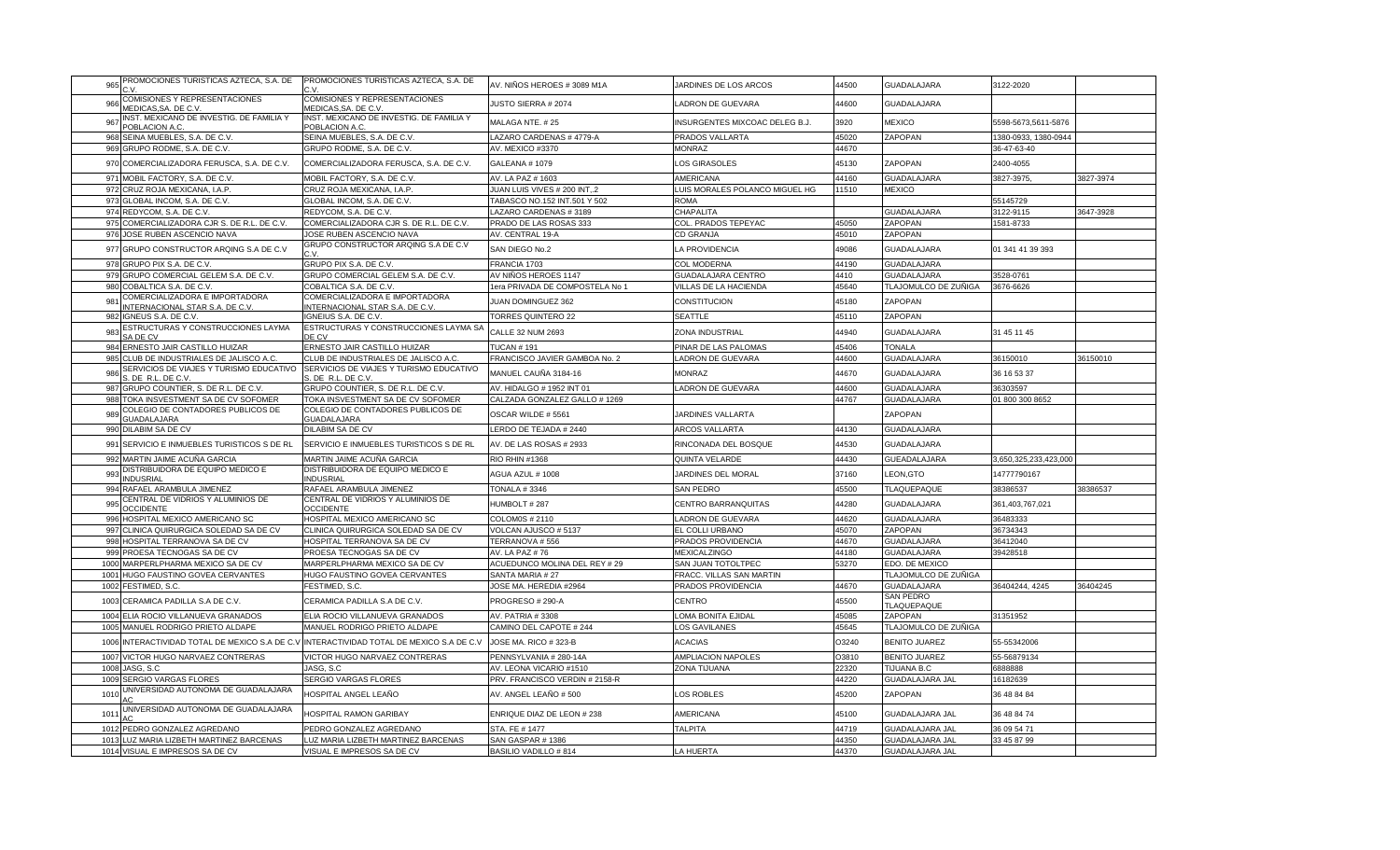| PROMOCIONES TURISTICAS AZTECA, S.A. DE<br>965                                            | PROMOCIONES TURISTICAS AZTECA, S.A. DE                       | AV. NIÑOS HEROES # 3089 M1A                             | JARDINES DE LOS ARCOS          | 44500          | GUADALAJARA                               | 3122-2020               |           |
|------------------------------------------------------------------------------------------|--------------------------------------------------------------|---------------------------------------------------------|--------------------------------|----------------|-------------------------------------------|-------------------------|-----------|
| COMISIONES Y REPRESENTACIONES<br>966<br>MEDICAS, SA. DE C.V                              | COMISIONES Y REPRESENTACIONES<br>MEDICAS, SA. DE C.V         | <b>JUSTO SIERRA # 2074</b>                              | LADRON DE GUEVARA              | 44600          | <b>GUADALAJARA</b>                        |                         |           |
| INST. MEXICANO DE INVESTIG. DE FAMILIA Y<br>967<br>POBLACION A.C.                        | INST. MEXICANO DE INVESTIG. DE FAMILIA Y<br>POBLACION A.C.   | MALAGA NTE. #25                                         | INSURGENTES MIXCOAC DELEG B.J. | 3920           | <b>MEXICO</b>                             | 5598-5673,5611-5876     |           |
| 968 SEINA MUEBLES, S.A. DE C.V.                                                          | SEINA MUEBLES, S.A. DE C.V.                                  | LAZARO CARDENAS # 4779-A                                | PRADOS VALLARTA                | 45020          | ZAPOPAN                                   | 1380-0933, 1380-0944    |           |
| 969 GRUPO RODME, S.A. DE C.V.                                                            | GRUPO RODME, S.A. DE C.V.                                    | AV. MEXICO #3370                                        | <b>MONRAZ</b>                  | 44670          |                                           | 36-47-63-40             |           |
|                                                                                          |                                                              |                                                         |                                |                |                                           |                         |           |
| 970 COMERCIALIZADORA FERUSCA, S.A. DE C.V.                                               | COMERCIALIZADORA FERUSCA, S.A. DE C.V.                       | GALEANA #1079                                           | <b>OS GIRASOLES</b>            | 45130          | ZAPOPAN                                   | 2400-4055               |           |
| 971 MOBIL FACTORY, S.A. DE C.V.                                                          | MOBIL FACTORY, S.A. DE C.V.                                  | AV. LA PAZ # 1603                                       | <b>AMERICANA</b>               | 44160          | <b>GUADALAJARA</b>                        | 3827-3975,              | 3827-3974 |
| CRUZ ROJA MEXICANA, I.A.P.<br>972                                                        | CRUZ ROJA MEXICANA, I.A.P.                                   | JUAN LUIS VIVES # 200 INT,.2                            | LUIS MORALES POLANCO MIGUEL HG | 11510          | <b>MEXICO</b>                             |                         |           |
| 973 GLOBAL INCOM, S.A. DE C.V.                                                           | GLOBAL INCOM, S.A. DE C.V.                                   | TABASCO NO.152 INT.501 Y 502                            | <b>ROMA</b>                    |                |                                           | 55145729                |           |
| 974 REDYCOM, S.A. DE C.V.                                                                | REDYCOM, S.A. DE C.V.                                        | LAZARO CARDENAS # 3189                                  | CHAPALITA                      |                | <b>GUADALAJARA</b>                        | 3122-9115               | 3647-3928 |
| 975 COMERCIALIZADORA CJR S. DE R.L. DE C.V.                                              | COMERCIALIZADORA CJR S. DE R.L. DE C.V.                      | PRADO DE LAS ROSAS 333                                  | COL. PRADOS TEPEYAC            | 45050          | ZAPOPAN                                   | 1581-8733               |           |
| 976 JOSE RUBEN ASCENCIO NAVA                                                             | JOSE RUBEN ASCENCIO NAVA                                     | AV. CENTRAL 19-A                                        | CD GRANJA                      | 45010          | ZAPOPAN                                   |                         |           |
|                                                                                          | GRUPO CONSTRUCTOR ARQING S.A DE C.V                          |                                                         |                                |                |                                           |                         |           |
| 977 GRUPO CONSTRUCTOR ARQING S.A DE C.V                                                  |                                                              | SAN DIEGO No.2                                          | LA PROVIDENCIA                 | 49086          | <b>GUADALAJARA</b>                        | 01 341 41 39 393        |           |
| 978 GRUPO PIX S.A. DE C.V.                                                               | GRUPO PIX S.A. DE C.V                                        | FRANCIA 1703                                            | <b>COL MODERNA</b>             | 44190          | <b>GUADALAJARA</b>                        |                         |           |
| 979 GRUPO COMERCIAL GELEM S.A. DE C.V.                                                   | GRUPO COMERCIAL GELEM S.A. DE C.V                            | AV NIÑOS HEROES 1147                                    | <b>GUADALAJARA CENTRO</b>      | 4410           | <b>GUADALAJARA</b>                        | 3528-0761               |           |
| 980 COBALTICA S.A. DE C.V                                                                | COBALTICA S.A. DE C.V                                        | 1era PRIVADA DE COMPOSTELA No 1                         | VILLAS DE LA HACIENDA          | 45640          | TLAJOMULCO DE ZUÑIGA                      | 3676-6626               |           |
| COMERCIALIZADORA E IMPORTADORA                                                           | COMERCIALIZADORA E IMPORTADORA                               |                                                         |                                |                |                                           |                         |           |
| 981<br>INTERNACIONAL STAR S.A. DE C.V.                                                   | INTERNACIONAL STAR S.A. DE C.V.                              | <b>IUAN DOMINGUEZ 362</b>                               | CONSTITUCION                   | 45180          | ZAPOPAN                                   |                         |           |
| 982<br>IGNEUS S.A. DE C.V.                                                               | IGNEIUS S.A. DE C.V.                                         | <b>TORRES QUINTERO 22</b>                               | <b>SEATTLE</b>                 | 45110          | ZAPOPAN                                   |                         |           |
| ESTRUCTURAS Y CONSTRUCCIONES LAYMA<br>983                                                | ESTRUCTURAS Y CONSTRUCCIONES LAYMA S/                        | CALLE 32 NUM 2693                                       | ZONA INDUSTRIAL                | 44940          | <b>GUADALAJARA</b>                        | 31 45 11 45             |           |
| SA DE CV                                                                                 | DE CV                                                        |                                                         |                                |                |                                           |                         |           |
| 984 ERNESTO JAIR CASTILLO HUIZAR                                                         | ERNESTO JAIR CASTILLO HUIZAR                                 | <b>TUCAN # 191</b>                                      | PINAR DE LAS PALOMAS           | 45406          | <b>TONALA</b>                             |                         |           |
| CLUB DE INDUSTRIALES DE JALISCO A.C.<br>985                                              | CLUB DE INDUSTRIALES DE JALISCO A.C.                         | FRANCISCO JAVIER GAMBOA No. 2                           | <b>LADRON DE GUEVARA</b>       | 44600          | <b>GUADALAJARA</b>                        | 36150010                | 36150010  |
| SERVICIOS DE VIAJES Y TURISMO EDUCATIVO<br>986<br>S. DE R.L. DE C.V                      | SERVICIOS DE VIAJES Y TURISMO EDUCATIVO<br>S. DE R.L. DE C.V | MANUEL CAUÑA 3184-16                                    | <b>MONRAZ</b>                  | 44670          | <b>GUADALAJARA</b>                        | 36 16 53 37             |           |
| 987 GRUPO COUNTIER, S. DE R.L. DE C.V                                                    | GRUPO COUNTIER, S. DE R.L. DE C.V                            | AV. HIDALGO # 1952 INT 01                               | LADRON DE GUEVARA              | 44600          | <b>GUADALAJARA</b>                        | 36303597                |           |
| 988<br>TOKA INSVESTMENT SA DE CV SOFOMER                                                 | TOKA INSVESTMENT SA DE CV SOFOMER                            | CALZADA GONZALEZ GALLO # 1269                           |                                | 44767          | <b>GUADALAJARA</b>                        | 01 800 300 8652         |           |
| COLEGIO DE CONTADORES PUBLICOS DE                                                        | COLEGIO DE CONTADORES PUBLICOS DE                            |                                                         |                                |                |                                           |                         |           |
| 989<br><b>GUADALAJARA</b>                                                                | GUADALAJARA                                                  | OSCAR WILDE #5561                                       | <b>JARDINES VALLARTA</b>       |                | ZAPOPAN                                   |                         |           |
| 990 DILABIM SA DE CV                                                                     | DILABIM SA DE CV                                             | LERDO DE TEJADA # 2440                                  | ARCOS VALLARTA                 | 44130          | GUADALAJARA                               |                         |           |
| 991 SERVICIO E INMUEBLES TURISTICOS S DE RL                                              | SERVICIO E INMUEBLES TURISTICOS S DE RL                      | AV. DE LAS ROSAS # 2933                                 | RINCONADA DEL BOSQUE           | 44530          | <b>GUADALAJARA</b>                        |                         |           |
| 992 MARTIN JAIME ACUÑA GARCIA                                                            | MARTIN JAIME ACUÑA GARCIA                                    | RIO RHIN #1368                                          | QUINTA VELARDE                 | 44430          | GUEADALAJARA                              | 3,650,325,233,423,000   |           |
| DISTRIBUIDORA DE EQUIPO MEDICO E                                                         | DISTRIBUIDORA DE EQUIPO MEDICO E                             |                                                         |                                |                |                                           |                         |           |
| 993<br><b>INDUSRIAL</b>                                                                  | <b>INDUSRIAL</b>                                             | AGUA AZUL # 1008                                        | JARDINES DEL MORAL             | 37160          | LEON, GTO                                 | 14777790167             |           |
| 994 RAFAEL ARAMBULA JIMENEZ                                                              | RAFAEL ARAMBULA JIMENEZ                                      | <b>TONALA #3346</b>                                     | <b>SAN PEDRO</b>               | 45500          | TLAQUEPAQUE                               | 38386537                | 38386537  |
| CENTRAL DE VIDRIOS Y ALUMINIOS DE<br>995                                                 | CENTRAL DE VIDRIOS Y ALUMINIOS DE                            | HUMBOLT #287                                            | CENTRO BARRANQUITAS            | 44280          | <b>GUADALAJARA</b>                        | 361,403,767,021         |           |
| <b>OCCIDENTE</b>                                                                         | <b>OCCIDENTE</b>                                             |                                                         |                                |                |                                           |                         |           |
| HOSPITAL MEXICO AMERICANO SC<br>996                                                      | HOSPITAL MEXICO AMERICANO SC                                 | COLOM0S # 2110                                          | LADRON DE GUEVARA              | 44620          | <b>GUADALAJARA</b>                        | 36483333                |           |
| 997 CLINICA QUIRURGICA SOLEDAD SA DE CV                                                  | CLINICA QUIRURGICA SOLEDAD SA DE CV                          | VOLCAN AJUSCO #5137                                     | EL COLLI URBANO                | 45070          | ZAPOPAN                                   | 36734343                |           |
| 998 HOSPITAL TERRANOVA SA DE CV                                                          | HOSPITAL TERRANOVA SA DE CV                                  | TERRANOVA #556                                          | PRADOS PROVIDENCIA             | 44670          | <b>GUADALAJARA</b>                        | 36412040                |           |
| 999 PROESA TECNOGAS SA DE CV                                                             | PROESA TECNOGAS SA DE CV                                     | AV. LA PAZ #76                                          | <b>MEXICALZINGO</b>            | 44180          | GUADALAJARA                               | 39428518                |           |
| 1000 MARPERLPHARMA MEXICO SA DE CV                                                       | MARPERLPHARMA MEXICO SA DE CV                                | ACUEDUNCO MOLINA DEL REY # 29                           | SAN JUAN TOTOLTPEC             | 53270          | EDO. DE MEXICO                            |                         |           |
| 1001 HUGO FAUSTINO GOVEA CERVANTES                                                       | HUGO FAUSTINO GOVEA CERVANTES                                | SANTA MARIA # 27                                        | FRACC. VILLAS SAN MARTIN       |                | TLAJOMULCO DE ZUÑIGA                      |                         |           |
| 1002 FESTIMED, S.C.                                                                      | FESTIMED, S.C                                                | JOSE MA. HEREDIA #2964                                  | PRADOS PROVIDENCIA             | 44670          | <b>GUADALAJARA</b>                        | 36404244, 4245          | 36404245  |
|                                                                                          |                                                              |                                                         |                                |                | SAN PEDRO                                 |                         |           |
| 1003 CERAMICA PADILLA S.A DE C.V.                                                        | CERAMICA PADILLA S.A DE C.V.                                 | PROGRESO # 290-A                                        | CENTRO                         | 45500          | <b>TLAQUEPAQUE</b>                        |                         |           |
| 1004 ELIA ROCIO VILLANUEVA GRANADOS                                                      | ELIA ROCIO VILLANUEVA GRANADOS                               | AV. PATRIA #3308                                        | LOMA BONITA EJIDAL             | 45085          | ZAPOPAN                                   | 1351952                 |           |
| 1005 MANUEL RODRIGO PRIETO ALDAPE                                                        | MANUEL RODRIGO PRIETO ALDAPE                                 | CAMINO DEL CAPOTE # 244                                 | LOS GAVILANES                  | 45645          | TLAJOMULCO DE ZUÑIGA                      |                         |           |
| 1006 INTERACTIVIDAD TOTAL DE MEXICO S.A DE C.V INTERACTIVIDAD TOTAL DE MEXICO S.A DE C.V |                                                              | JOSE MA. RICO # 323-B                                   | <b>ACACIAS</b>                 | O3240          | <b>BENITO JUAREZ</b>                      | 55-55342006             |           |
| 1007 VICTOR HUGO NARVAEZ CONTRERAS                                                       | VICTOR HUGO NARVAEZ CONTRERAS                                | PENNSYLVANIA # 280-14A                                  | AMPLIACION NAPOLES             | O3810          | <b>BENITO JUAREZ</b>                      | 55-56879134             |           |
| 1008 JASG, S.C                                                                           | JASG, S.C                                                    | AV. LEONA VICARIO #1510                                 | ZONA TIJUANA                   | 22320          | <b>TIJUANA B.C</b>                        | 6888888                 |           |
| 1009 SERGIO VARGAS FLORES                                                                |                                                              |                                                         |                                |                |                                           |                         |           |
| JNIVERSIDAD AUTONOMA DE GUADALAJARA<br>101                                               | SERGIO VARGAS FLORES<br>HOSPITAL ANGEL LEAÑO                 | PRV. FRANCISCO VERDIN # 2158-R<br>AV. ANGEL LEAÑO # 500 | OS ROBLES                      | 44220<br>45200 | <b>GUADALAJARA JAL</b><br>ZAPOPAN         | 16182639<br>36 48 84 84 |           |
| UNIVERSIDAD AUTONOMA DE GUADALAJARA                                                      |                                                              |                                                         |                                |                |                                           |                         |           |
| 101<br>1012                                                                              | <b>HOSPITAL RAMON GARIBAY</b><br>PEDRO GONZALEZ AGREDANO     | ENRIQUE DIAZ DE LEON # 238                              | AMERICANA                      | 45100<br>44719 | GUADALAJARA JAL<br><b>GUADALAJARA JAL</b> | 36 48 84 74             |           |
| PEDRO GONZALEZ AGREDANO                                                                  |                                                              | STA. FE # 1477                                          | <b>TALPITA</b>                 |                |                                           | 36 09 54 71             |           |
| 1013 LUZ MARIA LIZBETH MARTINEZ BARCENAS                                                 | LUZ MARIA LIZBETH MARTINEZ BARCENAS                          | SAN GASPAR #1386                                        |                                | 44350          | <b>GUADALAJARA JAL</b>                    | 33 45 87 99             |           |
| 1014 VISUAL E IMPRESOS SA DE CV                                                          | VISUAL E IMPRESOS SA DE CV                                   | BASILIO VADILLO #814                                    | <b>LA HUERTA</b>               | 44370          | <b>GUADALAJARA JAL</b>                    |                         |           |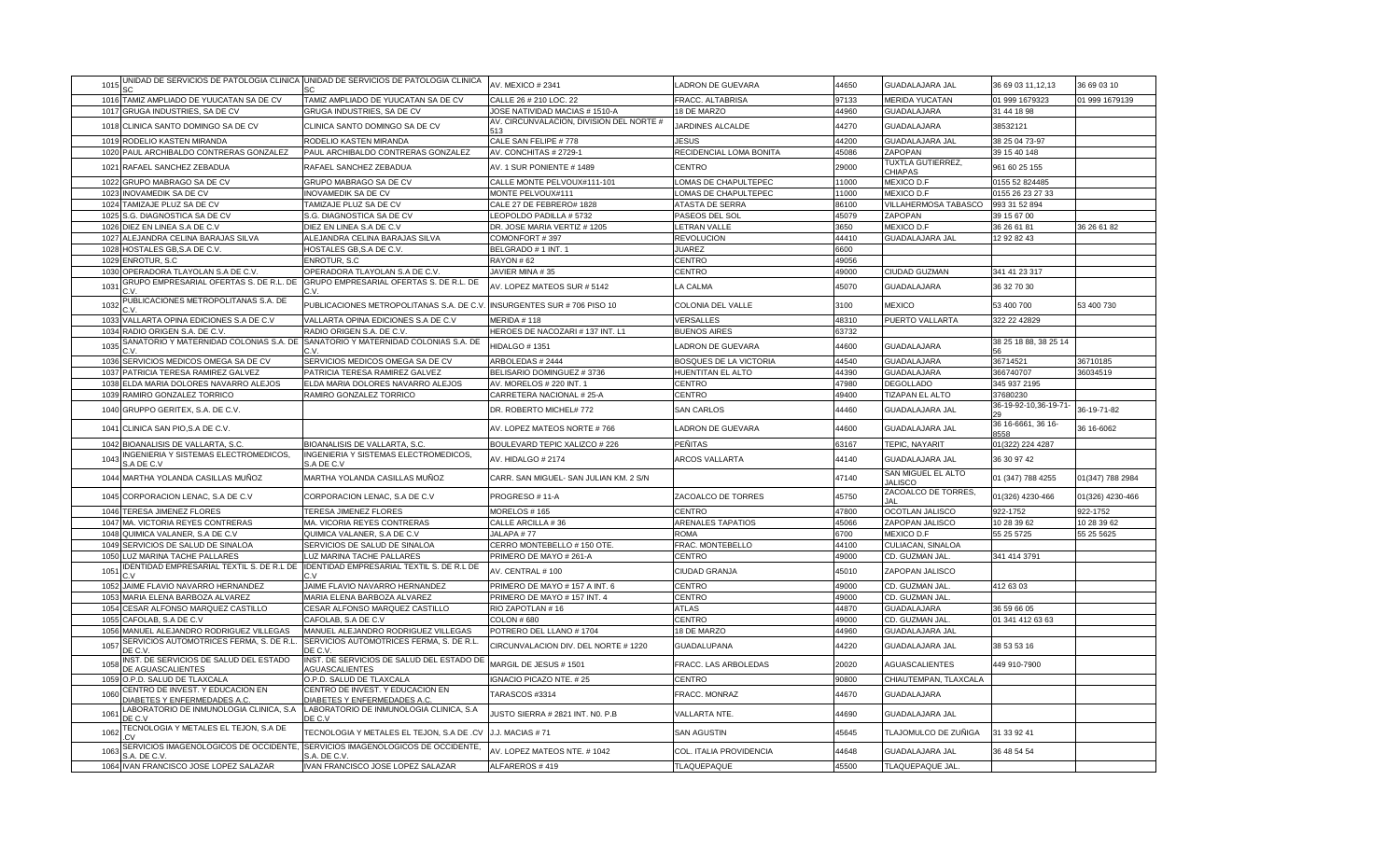| 1015         |                                                                               | JNIDAD DE SERVICIOS DE PATOLOGIA CLINICA UNIDAD DE SERVICIOS DE PATOLOGIA CLINICA     | AV. MEXICO # 2341                        | LADRON DE GUEVARA             | 44650          | <b>GUADALAJARA JAL</b>                   | 36 69 03 11, 12, 13        | 36 69 03 10      |
|--------------|-------------------------------------------------------------------------------|---------------------------------------------------------------------------------------|------------------------------------------|-------------------------------|----------------|------------------------------------------|----------------------------|------------------|
| 101          | TAMIZ AMPLIADO DE YUUCATAN SA DE CV                                           | TAMIZ AMPLIADO DE YUUCATAN SA DE CV                                                   | CALLE 26 # 210 LOC. 22                   | FRACC. ALTABRISA              | 97133          | MERIDA YUCATAN                           | 01 999 1679323             | 01 999 1679139   |
| 1017         | GRUGA INDUSTRIES, SA DE CV                                                    | GRUGA INDUSTRIES, SA DE CV                                                            | JOSE NATIVIDAD MACIAS # 1510-A           | 18 DE MARZO                   | 44960          | <b>GUADALAJARA</b>                       | 31 44 18 98                |                  |
| 1018         | CLINICA SANTO DOMINGO SA DE CV                                                | CLINICA SANTO DOMINGO SA DE CV                                                        | AV. CIRCUNVALACION, DIVISION DEL NORTE # | JARDINES ALCALDE              | 44270          | <b>GUADALAJARA</b>                       | 38532121                   |                  |
| 1019         | RODELIO KASTEN MIRANDA                                                        | RODELIO KASTEN MIRANDA                                                                | CALE SAN FELIPE #778                     | <b>JESUS</b>                  | 44200          | <b>GUADALAJARA JAL</b>                   | 38 25 04 73-97             |                  |
| 1020         | PAUL ARCHIBALDO CONTRERAS GONZALEZ                                            | PAUL ARCHIBALDO CONTRERAS GONZALEZ                                                    | AV. CONCHITAS # 2729-                    | RECIDENCIAL LOMA BONITA       | 45086          | ZAPOPAN                                  | 39 15 40 148               |                  |
| 1021         | RAFAEL SANCHEZ ZEBADUA                                                        | RAFAEL SANCHEZ ZEBADUA                                                                | AV. 1 SUR PONIENTE # 1489                | CENTRO                        | 29000          | TUXTLA GUTIERREZ,<br><b>CHIAPAS</b>      | 961 60 25 155              |                  |
| 1022         | GRUPO MABRAGO SA DE CV                                                        | GRUPO MABRAGO SA DE CV                                                                | CALLE MONTE PELVOUX#111-101              | LOMAS DE CHAPULTEPEC          | 11000          | MEXICO D.F                               | 0155 52 824485             |                  |
| 1023         | INOVAMEDIK SA DE CV                                                           | INOVAMEDIK SA DE CV                                                                   | MONTE PELVOUX#111                        | LOMAS DE CHAPULTEPEC          | 11000          | MEXICO D.F                               | 0155 26 23 27 33           |                  |
| 1024         | TAMIZAJE PLUZ SA DE CV                                                        | TAMIZAJE PLUZ SA DE CV                                                                | CALE 27 DE FEBRERO# 1828                 | ATASTA DE SERRA               | 86100          | VILLAHERMOSA TABASCO                     | 993 31 52 894              |                  |
| 1025         | S.G. DIAGNOSTICA SA DE CV                                                     | S.G. DIAGNOSTICA SA DE CV                                                             | LEOPOLDO PADILLA #5732                   | PASEOS DEL SOL                | 45079          | ZAPOPAN                                  | 39 15 67 00                |                  |
| 1026         | DIEZ EN LINEA S.A DE C.V                                                      | DIEZ EN LINEA S.A DE C.V                                                              | DR. JOSE MARIA VERTIZ # 1205             | LETRAN VALLE                  | 3650           | MEXICO D.F                               | 36 26 61 81                | 36 26 61 82      |
| 1027         | ALEJANDRA CELINA BARAJAS SILVA                                                | ALEJANDRA CELINA BARAJAS SILVA                                                        | COMONFORT #397                           | <b>REVOLUCION</b>             | 44410          | <b>GUADALAJARA JAL</b>                   | 12 92 82 43                |                  |
| 1028         | <b>IOSTALES GB,S.A DE C.V.</b>                                                | HOSTALES GB, S.A DE C.V.                                                              | BELGRADO # 1 INT. 1                      | <b>JUAREZ</b>                 | 6600           |                                          |                            |                  |
| 1029         | ENROTUR, S.C                                                                  | <b>ENROTUR, S.C.</b>                                                                  | RAYON #62                                | <b>CENTRO</b>                 | 49056          |                                          |                            |                  |
| 1030         | OPERADORA TLAYOLAN S.A DE C.V                                                 | OPERADORA TLAYOLAN S.A DE C.V                                                         | JAVIER MINA #35                          | CENTRO                        | 49000          | CIUDAD GUZMAN                            | 341 41 23 317              |                  |
| 103'         | GRUPO EMPRESARIAL OFERTAS S. DE R.L. DE                                       | GRUPO EMPRESARIAL OFERTAS S. DE R.L. DE                                               | AV. LOPEZ MATEOS SUR # 5142              | LA CALMA                      | 45070          | <b>GUADALAJARA</b>                       | 36 32 70 30                |                  |
| 1032         | PUBLICACIONES METROPOLITANAS S.A. DE                                          | PUBLICACIONES METROPOLITANAS S.A. DE C.V                                              | INSURGENTES SUR # 706 PISO 10            | COLONIA DEL VALLE             | 3100           | <b>MEXICO</b>                            | 53 400 700                 | 53 400 730       |
| 1033         | /ALLARTA OPINA EDICIONES S.A DE C.V                                           | VALLARTA OPINA EDICIONES S.A DE C.V                                                   | MERIDA #118                              | VERSALLES                     | 48310          | PUERTO VALLARTA                          | 322 22 42829               |                  |
| 1034         | RADIO ORIGEN S.A. DE C.V.                                                     | RADIO ORIGEN S.A. DE C.V                                                              | HEROES DE NACOZARI # 137 INT. L1         | <b>BUENOS AIRES</b>           | 63732          |                                          |                            |                  |
| 1035         |                                                                               | SANATORIO Y MATERNIDAD COLONIAS S.A. DE SANATORIO Y MATERNIDAD COLONIAS S.A. DE<br>٦V | HIDALGO #1351                            | LADRON DE GUEVARA             | 44600          | <b>GUADALAJARA</b>                       | 38 25 18 88, 38 25 14      |                  |
| 1036         | SERVICIOS MEDICOS OMEGA SA DE CV                                              | SERVICIOS MEDICOS OMEGA SA DE CV                                                      | ARBOLEDAS # 2444                         | <b>BOSQUES DE LA VICTORIA</b> | 44540          | <b>GUADALAJARA</b>                       | 36714521                   | 36710185         |
| 1037         | PATRICIA TERESA RAMIREZ GALVEZ                                                | PATRICIA TERESA RAMIREZ GALVEZ                                                        | BELISARIO DOMINGUEZ #3736                | HUENTITAN EL ALTO             | 44390          | <b>GUADALAJARA</b>                       | 366740707                  | 36034519         |
| 1038         | ELDA MARIA DOLORES NAVARRO ALEJOS                                             | ELDA MARIA DOLORES NAVARRO ALEJOS                                                     | AV. MORELOS # 220 INT. 1                 | <b>CENTRO</b>                 | 47980          | <b>DEGOLLADO</b>                         | 345 937 2195               |                  |
| 1039         | RAMIRO GONZALEZ TORRICO                                                       | RAMIRO GONZALEZ TORRICO                                                               | CARRETERA NACIONAL # 25-A                | CENTRO                        | 49400          | TIZAPAN EL ALTO                          | 37680230                   |                  |
| 1040         | GRUPPO GERITEX, S.A. DE C.V.                                                  |                                                                                       | DR. ROBERTO MICHEL# 772                  | <b>SAN CARLOS</b>             | 44460          | GUADALAJARA JAL                          | 36-19-92-10,36-19-71-      | 36-19-71-82      |
| 1041         | CLINICA SAN PIO, S.A DE C.V.                                                  |                                                                                       | AV. LOPEZ MATEOS NORTE #766              | <b>LADRON DE GUEVARA</b>      | 44600          | GUADALAJARA JAL                          | 36 16-6661, 36 16-<br>8558 | 36 16-6062       |
| 1042         | BIOANALISIS DE VALLARTA, S.C.                                                 | BIOANALISIS DE VALLARTA, S.C.                                                         | BOULEVARD TEPIC XALIZCO # 226            | PEÑITAS                       | 63167          | TEPIC, NAYARIT                           | 01(322) 224 4287           |                  |
| 1043         | NGENIERIA Y SISTEMAS ELECTROMEDICOS,<br>A DE C.V                              | INGENIERIA Y SISTEMAS ELECTROMEDICOS,<br>S.A DE C.V                                   | AV. HIDALGO #2174                        | ARCOS VALLARTA                | 44140          | GUADALAJARA JAL                          | 36 30 97 42                |                  |
|              | 1044 MARTHA YOLANDA CASILLAS MUÑOZ                                            | MARTHA YOLANDA CASILLAS MUÑOZ                                                         | CARR. SAN MIGUEL- SAN JULIAN KM. 2 S/N   |                               | 47140          | SAN MIGUEL EL ALTO<br><b>JALISCO</b>     | 01 (347) 788 4255          | 01(347) 788 2984 |
|              | 1045 CORPORACION LENAC, S.A DE C.V                                            | CORPORACION LENAC, S.A DE C.V                                                         | PROGRESO #11-A                           | ZACOALCO DE TORRES            | 45750          | ZACOALCO DE TORRES,<br>IΔI               | 01(326) 4230-466           | 01(326) 4230-466 |
| 1046         | <b>TERESA JIMENEZ FLORES</b>                                                  | TERESA JIMENEZ FLORES                                                                 | MORELOS # 165                            | <b>CENTRO</b>                 | 47800          | OCOTLAN JALISCO                          | 922-1752                   | 922-1752         |
| 1047         | MA. VICTORIA REYES CONTRERAS                                                  | MA. VICORIA REYES CONTRERAS                                                           | CALLE ARCILLA #36                        | <b>ARENALES TAPATIOS</b>      | 45066          | ZAPOPAN JALISCO                          | 10 28 39 62                | 10 28 39 62      |
| 1048         | QUIMICA VALANER, S.A DE C.V                                                   | QUIMICA VALANER, S.A DE C.V                                                           | JALAPA #77                               | <b>ROMA</b>                   | 6700           | MEXICO D.F                               | 55 25 5725                 | 55 25 5625       |
| 1049         | SERVICIOS DE SALUD DE SINALOA                                                 | SERVICIOS DE SALUD DE SINALOA                                                         | CERRO MONTEBELLO # 150 OTE.              | FRAC. MONTEBELLO              | 44100          | CULIACAN, SINALOA                        |                            |                  |
| 1050         | <b>UZ MARINA TACHE PALLARES</b><br>DENTIDAD EMPRESARIAL TEXTIL S. DE R.L DE   | LUZ MARINA TACHE PALLARES<br>IDENTIDAD EMPRESARIAL TEXTIL S. DE R.L DE                | PRIMERO DE MAYO # 261-A                  | CENTRO                        | 49000          | CD. GUZMAN JAL                           | 341 414 3791               |                  |
| 105'         |                                                                               |                                                                                       | AV. CENTRAL # 100                        | CIUDAD GRANJA                 | 45010          | ZAPOPAN JALISCO                          |                            |                  |
| 1052         | <b>JAIME FLAVIO NAVARRO HERNANDEZ</b>                                         | JAIME FLAVIO NAVARRO HERNANDEZ                                                        | PRIMERO DE MAYO #157 A INT. 6            | <b>CENTRO</b>                 | 49000          | CD. GUZMAN JAL<br>CD. GUZMAN JAL         | 412 63 03                  |                  |
| 1053         | MARIA ELENA BARBOZA ALVAREZ                                                   | MARIA ELENA BARBOZA ALVAREZ                                                           | PRIMERO DE MAYO #157 INT. 4              | <b>CENTRO</b>                 | 49000          |                                          |                            |                  |
| 1054<br>1055 | CESAR ALFONSO MARQUEZ CASTILLO<br>CAFOLAB, S.A DE C.V                         | CESAR ALFONSO MARQUEZ CASTILLO<br>CAFOLAB, S.A DE C.V                                 | RIO ZAPOTLAN #16<br><b>COLON #680</b>    | <b>ATLAS</b><br>CENTRO        | 44870<br>49000 | GUADALAJARA                              | 36 59 66 05                |                  |
| 1056         | MANUEL ALEJANDRO RODRIGUEZ VILLEGAS                                           | MANUEL ALEJANDRO RODRIGUEZ VILLEGAS                                                   | POTRERO DEL LLANO #1704                  | 18 DE MARZO                   | 44960          | CD. GUZMAN JAL<br><b>GUADALAJARA JAI</b> | 01 341 412 63 63           |                  |
| 1057         | SERVICIOS AUTOMOTRICES FERMA, S. DE R.L                                       | SERVICIOS AUTOMOTRICES FERMA, S. DE R.L.                                              | CIRCUNVALACION DIV. DEL NORTE # 1220     | <b>GUADALUPANA</b>            | 44220          | <b>GUADALAJARA JAL</b>                   | 38 53 53 16                |                  |
| 1058         | DE C.V.<br>INST. DE SERVICIOS DE SALUD DEL ESTADO<br><b>DE AGUASCALIENTES</b> | DE C.V.<br>INST. DE SERVICIOS DE SALUD DEL ESTADO DE<br><b>AGUASCALIENTES</b>         | MARGIL DE JESUS # 1501                   | FRACC. LAS ARBOLEDAS          | 20020          | <b>AGUASCALIENTES</b>                    | 449 910-7900               |                  |
| 1059         | O.P.D. SALUD DE TLAXCALA                                                      | O.P.D. SALUD DE TLAXCALA                                                              | IGNACIO PICAZO NTE. # 25                 | CENTRO                        | 90800          | CHIAUTEMPAN, TLAXCALA                    |                            |                  |
| 1060         | CENTRO DE INVEST. Y EDUCACION EN<br><b>DIABETES Y ENFERMEDADES A.C</b>        | CENTRO DE INVEST. Y EDUCACION EN<br>DIABETES Y ENFERMEDADES A.C.                      | TARASCOS #3314                           | FRACC. MONRAZ                 | 44670          | <b>GUADALAJARA</b>                       |                            |                  |
| 106'         | ABORATORIO DE INMUNOLOGIA CLINICA, S.A<br>IF C.V                              | LABORATORIO DE INMUNOLOGIA CLINICA, S.A<br>DE C.V                                     | JUSTO SIERRA # 2821 INT. N0. P.B         | <b>VALLARTA NTE.</b>          | 44690          | <b>GUADALAJARA JAL</b>                   |                            |                  |
| 1062         | <b>FECNOLOGIA Y METALES EL TEJON, S.A DE</b>                                  | TECNOLOGIA Y METALES EL TEJON, S.A DE .CV                                             | J.J. MACIAS # 71                         | SAN AGUSTIN                   | 45645          | TLAJOMULCO DE ZUÑIGA                     | 31 33 92 41                |                  |
| 1063         | SERVICIOS IMAGENOLOGICOS DE OCCIDENTE,<br>A. DE C.V.                          | SERVICIOS IMAGENOLOGICOS DE OCCIDENTE,<br>S.A. DE C.V                                 | AV. LOPEZ MATEOS NTE. # 1042             | COL. ITALIA PROVIDENCIA       | 44648          | GUADALAJARA JAL                          | 36 48 54 54                |                  |
|              | 1064 IVAN FRANCISCO JOSE LOPEZ SALAZAR                                        | IVAN FRANCISCO JOSE LOPEZ SALAZAR                                                     | ALFAREROS #419                           | <b>TLAQUEPAQUE</b>            | 45500          | TLAQUEPAQUE JAL.                         |                            |                  |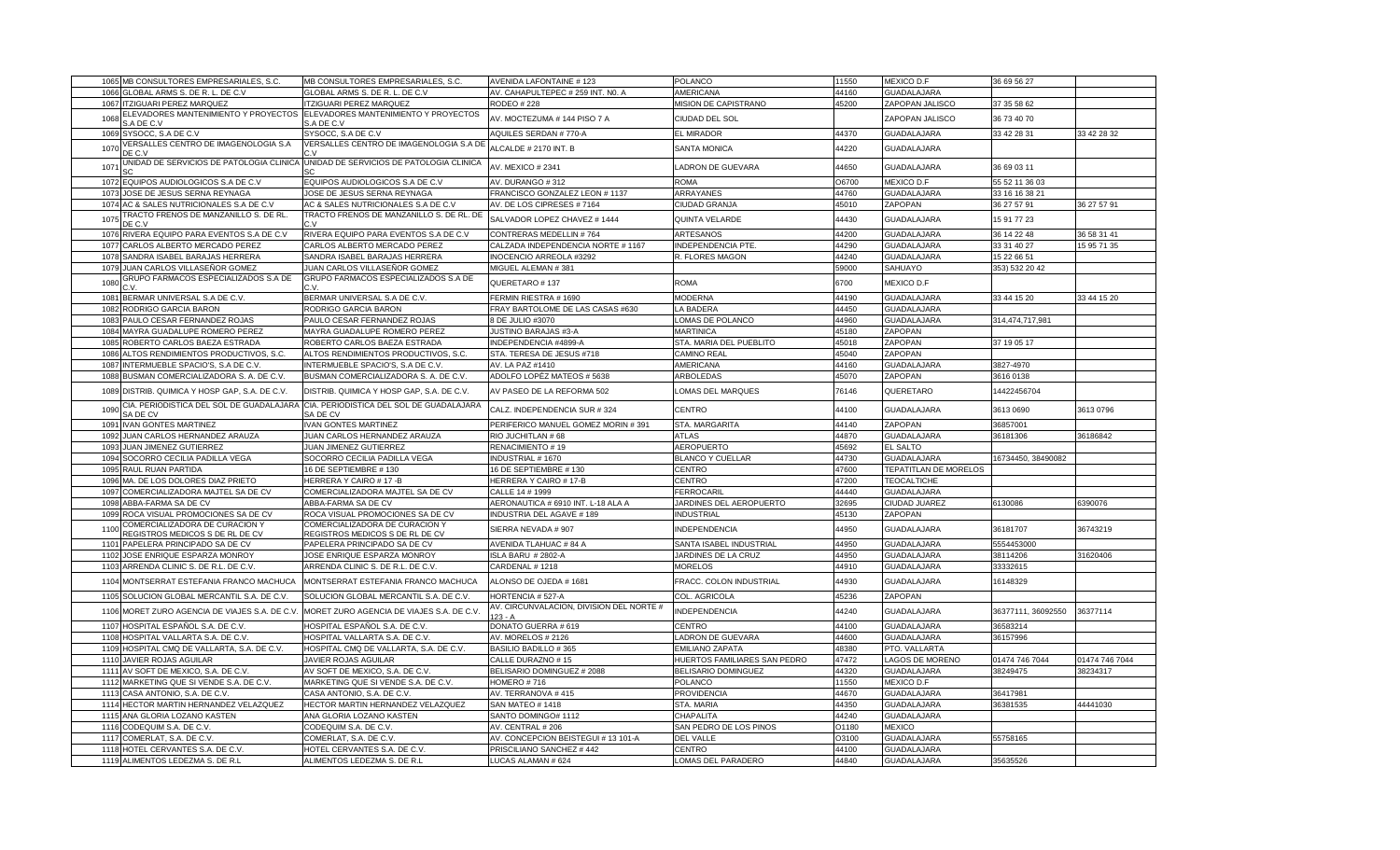| 1065 MB CONSULTORES EMPRESARIALES, S.C.                                                                                                 | MB CONSULTORES EMPRESARIALES, S.C.                                                            | AVENIDA LAFONTAINE # 123                                      | <b>POLANCO</b>                            | 11550          | MEXICO D.F                               | 36 69 56 27          |                |
|-----------------------------------------------------------------------------------------------------------------------------------------|-----------------------------------------------------------------------------------------------|---------------------------------------------------------------|-------------------------------------------|----------------|------------------------------------------|----------------------|----------------|
| GLOBAL ARMS S. DE R. L. DE C.V<br>1066                                                                                                  | GLOBAL ARMS S. DE R. L. DE C.V                                                                | AV. CAHAPULTEPEC # 259 INT. NO. A                             | <b>AMERICANA</b>                          | 44160          | GUADALAJARA                              |                      |                |
| 1067<br><b>ITZIGUARI PEREZ MARQUEZ</b>                                                                                                  | <b>ITZIGUARI PEREZ MARQUEZ</b>                                                                | <b>RODEO #228</b>                                             | MISION DE CAPISTRANO                      | 45200          | ZAPOPAN JALISCO                          | 37 35 58 62          |                |
| ELEVADORES MANTENIMIENTO Y PROYECTOS<br>1068<br>S.A DE C.V                                                                              | ELEVADORES MANTENIMIENTO Y PROYECTOS<br>S.A DE C.V                                            | AV. MOCTEZUMA # 144 PISO 7 A                                  | CIUDAD DEL SOL                            |                | ZAPOPAN JALISCO                          | 36 73 40 70          |                |
| 1069<br>SYSOCC, S.A DE C.V                                                                                                              | SYSOCC, S.A DE C.V                                                                            | <b>AQUILES SERDAN # 770-A</b>                                 | EL MIRADOR                                | 44370          | <b>GUADALAJARA</b>                       | 33 42 28 31          | 33 42 28 32    |
| /ERSALLES CENTRO DE IMAGENOLOGIA S.A<br>1070<br>DE C.V                                                                                  | VERSALLES CENTRO DE IMAGENOLOGIA S.A DE                                                       | ALCALDE # 2170 INT. B                                         | <b>SANTA MONICA</b>                       | 14220          | <b>GUADALAJARA</b>                       |                      |                |
| 107                                                                                                                                     | JNIDAD DE SERVICIOS DE PATOLOGIA CLINICA UNIDAD DE SERVICIOS DE PATOLOGIA CLINICA             | AV. MEXICO # 2341                                             | LADRON DE GUEVARA                         | 44650          | <b>GUADALAJARA</b>                       | 36 69 03 11          |                |
| EQUIPOS AUDIOLOGICOS S.A DE C.V<br>1072                                                                                                 | EQUIPOS AUDIOLOGICOS S.A DE C.V                                                               | AV. DURANGO #312                                              | <b>ROMA</b>                               | O6700          | MEXICO D.F                               | 55 52 11 36 03       |                |
| 1073<br>JOSE DE JESUS SERNA REYNAGA                                                                                                     | JOSE DE JESUS SERNA REYNAGA                                                                   | FRANCISCO GONZALEZ LEON # 1137                                | ARRAYANES                                 | 44760          | <b>GUADALAJARA</b>                       | 33 16 16 38 21       |                |
| 1074 AC & SALES NUTRICIONALES S.A DE C.V                                                                                                | AC & SALES NUTRICIONALES S.A DE C.V                                                           | AV. DE LOS CIPRESES #7164                                     | CIUDAD GRANJA                             | 45010          | ZAPOPAN                                  | 36 27 57 91          | 36 27 57 91    |
| TRACTO FRENOS DE MANZANILLO S. DE RL.<br>1075<br>DE C.V                                                                                 | TRACTO FRENOS DE MANZANILLO S. DE RL. DE                                                      | SALVADOR LOPEZ CHAVEZ # 1444                                  | QUINTA VELARDE                            | 44430          | GUADALAJARA                              | 15 91 77 23          |                |
| 1076<br>RIVERA EQUIPO PARA EVENTOS S.A DE C.V                                                                                           | RIVERA EQUIPO PARA EVENTOS S.A DE C.V                                                         | CONTRERAS MEDELLIN #764                                       | ARTESANOS                                 | 44200          | GUADALAJARA                              | 36 14 22 48          | 36 58 31 41    |
| 1077 CARLOS ALBERTO MERCADO PEREZ                                                                                                       | CARLOS ALBERTO MERCADO PEREZ                                                                  | CALZADA INDEPENDENCIA NORTE # 1167                            | INDEPENDENCIA PTE                         | 44290          | <b>GUADALAJARA</b>                       | 33 31 40 27          | 15 95 71 35    |
| 1078<br>SANDRA ISABEL BARAJAS HERRERA                                                                                                   | SANDRA ISABEL BARAJAS HERRERA                                                                 | INOCENCIO ARREOLA #3292                                       | R. FLORES MAGON                           | 44240          | <b>GUADALAJARA</b>                       | 15 22 66 51          |                |
| JUAN CARLOS VILLASEÑOR GOMEZ<br>1079                                                                                                    | JUAN CARLOS VILLASEÑOR GOMEZ                                                                  | MIGUEL ALEMAN #381                                            |                                           | 59000          | SAHUAYO                                  | 353) 532 20 42       |                |
| GRUPO FARMACOS ESPECIALIZADOS S.A DE                                                                                                    | GRUPO FARMACOS ESPECIALIZADOS S.A DE                                                          |                                                               |                                           |                |                                          |                      |                |
| 1080                                                                                                                                    |                                                                                               | QUERETARO #137                                                | <b>ROMA</b>                               | 6700           | MEXICO D.F                               |                      |                |
| 1081 BERMAR UNIVERSAL S.A DE C.V                                                                                                        | BERMAR UNIVERSAL S.A DE C.V.                                                                  | FERMIN RIESTRA #1690                                          | <b>MODERNA</b>                            | 44190          | <b>GUADALAJARA</b>                       | 33 44 15 20          | 33 44 15 20    |
| 1082<br>RODRIGO GARCIA BARON                                                                                                            | RODRIGO GARCIA BARON                                                                          | FRAY BARTOLOME DE LAS CASAS #630                              | LA BADERA                                 | 44450          | <b>GUADALAJARA</b>                       |                      |                |
| 1083 PAULO CESAR FERNANDEZ ROJAS                                                                                                        | PAULO CESAR FERNANDEZ ROJAS                                                                   | 8 DE JULIO #3070                                              | LOMAS DE POLANCO                          | 44960          | GUADALAJARA                              | 314,474,717,981      |                |
| 1084 MAYRA GUADALUPE ROMERO PEREZ                                                                                                       | MAYRA GUADALUPE ROMERO PEREZ                                                                  | <b>JUSTINO BARAJAS #3-A</b>                                   | <b>MARTINICA</b>                          | 45180          | ZAPOPAN                                  |                      |                |
| 1085 ROBERTO CARLOS BAEZA ESTRADA                                                                                                       | ROBERTO CARLOS BAEZA ESTRADA                                                                  | INDEPENDENCIA #4899-A                                         | STA. MARIA DEL PUEBLITO                   | 45018          | ZAPOPAN                                  | 37 19 05 17          |                |
| 1086 ALTOS RENDIMIENTOS PRODUCTIVOS, S.C.                                                                                               | ALTOS RENDIMIENTOS PRODUCTIVOS, S.C.                                                          | STA. TERESA DE JESUS #718                                     | <b>CAMINO REAL</b>                        | 45040          | ZAPOPAN                                  |                      |                |
| INTERMUEBLE SPACIO'S, S.A DE C.V.<br>1087                                                                                               | INTERMUEBLE SPACIO'S, S.A DE C.V.                                                             | AV. LA PAZ #1410                                              | AMERICANA                                 | 44160          | <b>GUADALAJARA</b>                       | 3827-4970            |                |
| 1088 BUSMAN COMERCIALIZADORA S. A. DE C.V.                                                                                              | BUSMAN COMERCIALIZADORA S. A. DE C.V.                                                         | ADOLFO LOPÉZ MATEOS # 5638                                    | <b>ARBOLEDAS</b>                          | 45070          | ZAPOPAN                                  | 3616 0138            |                |
| 1089 DISTRIB. QUIMICA Y HOSP GAP, S.A. DE C.V.                                                                                          | DISTRIB. QUIMICA Y HOSP GAP, S.A. DE C.V.                                                     | AV PASEO DE LA REFORMA 502                                    | OMAS DEL MARQUES                          | 76146          | QUERETARO                                | 14422456704          |                |
| 1090<br>SA DE CV                                                                                                                        | CIA. PERIODISTICA DEL SOL DE GUADALAJARA CIA. PERIODISTICA DEL SOL DE GUADALAJARA<br>SA DE CV | CALZ. INDEPENDENCIA SUR #324                                  | CENTRO                                    | 44100          | GUADALAJARA                              | 3613 0690            | 3613 0796      |
| 1091 IVAN GONTES MARTINEZ                                                                                                               | <b>IVAN GONTES MARTINEZ</b>                                                                   | PERIFERICO MANUEL GOMEZ MORIN #391                            | STA. MARGARITA                            | 44140          | ZAPOPAN                                  | 36857001             |                |
|                                                                                                                                         |                                                                                               |                                                               |                                           |                |                                          |                      |                |
| 1092<br>JUAN CARLOS HERNANDEZ ARAUZA                                                                                                    | JUAN CARLOS HERNANDEZ ARAUZA                                                                  | RIO JUCHITLAN #68                                             | <b>ATLAS</b>                              | 44870          | <b>GUADALAJARA</b>                       | 36181306             | 36186842       |
| JUAN JIMENEZ GUTIERREZ<br>1093                                                                                                          | JUAN JIMENEZ GUTIERREZ                                                                        | RENACIMIENTO #19                                              | <b>AEROPUERTO</b>                         | 45692          | EL SALTO                                 |                      |                |
| 1094 SOCORRO CECILIA PADILLA VEGA                                                                                                       | SOCORRO CECILIA PADILLA VEGA                                                                  | INDUSTRIAL #1670                                              | <b>BLANCO Y CUELLAR</b>                   | 44730          | <b>GUADALAJARA</b>                       | 16734450, 38490082   |                |
| 1095 RAUL RUAN PARTIDA                                                                                                                  | 16 DE SEPTIEMBRE #130                                                                         | 16 DE SEPTIEMBRE #130                                         | CENTRO                                    | 47600          | TEPATITLAN DE MORELOS                    |                      |                |
| 1096 MA. DE LOS DOLORES DIAZ PRIETO                                                                                                     | HERRERA Y CAIRO # 17 -B                                                                       | HERRERA Y CAIRO # 17-B                                        | <b>CENTRO</b>                             | 47200          | <b>TEOCALTICHE</b>                       |                      |                |
| COMERCIALIZADORA MAJTEL SA DE CV<br>1097                                                                                                | COMERCIALIZADORA MAJTEL SA DE CV                                                              | CALLE 14 # 1999                                               | <b>FERROCARIL</b>                         | 44440          | <b>GUADALAJARA</b>                       |                      |                |
| ABBA-FARMA SA DE CV<br>1098                                                                                                             | ABBA-FARMA SA DE CV                                                                           | AERONAUTICA # 6910 INT. L-18 ALA A                            | JARDINES DEL AEROPUERTO                   | 32695          | CIUDAD JUAREZ                            | 6130086              | 390076         |
|                                                                                                                                         |                                                                                               |                                                               |                                           |                |                                          |                      |                |
| 1099 ROCA VISUAL PROMOCIONES SA DE CV<br>COMERCIALIZADORA DE CURACION Y<br>1100                                                         | ROCA VISUAL PROMOCIONES SA DE CV<br>COMERCIALIZADORA DE CURACION Y                            | INDUSTRIA DEL AGAVE #189<br>SIERRA NEVADA # 907               | <b>INDUSTRIAL</b><br>INDEPENDENCIA        | 45130<br>44950 | ZAPOPAN<br>GUADALAJARA                   | 36181707             | 36743219       |
| REGISTROS MEDICOS S DE RL DE CV                                                                                                         | REGISTROS MEDICOS S DE RL DE CV                                                               |                                                               |                                           |                |                                          |                      |                |
| 1101 PAPELERA PRINCIPADO SA DE CV                                                                                                       | PAPELERA PRINCIPADO SA DE CV                                                                  | AVENIDA TLAHUAC # 84 A                                        | SANTA ISABEL INDUSTRIAL                   | 44950          | <b>GUADALAJARA</b>                       | 5554453000           |                |
| 1102 JOSE ENRIQUE ESPARZA MONROY                                                                                                        | JOSE ENRIQUE ESPARZA MONROY                                                                   | ISLA BARU # 2802-A                                            | JARDINES DE LA CRUZ                       | 44950          | <b>GUADALAJARA</b>                       | 38114206             | 31620406       |
| 1103 ARRENDA CLINIC S. DE R.L. DE C.V.<br>1104 MONTSERRAT ESTEFANIA FRANCO MACHUCA                                                      | ARRENDA CLINIC S. DE R.L. DE C.V.<br>MONTSERRAT ESTEFANIA FRANCO MACHUCA                      | CARDENAL #1218<br>ALONSO DE OJEDA # 1681                      | <b>MORELOS</b><br>FRACC. COLON INDUSTRIAL | 44910<br>44930 | <b>GUADALAJARA</b><br><b>GUADALAJARA</b> | 33332615<br>16148329 |                |
|                                                                                                                                         |                                                                                               |                                                               |                                           |                |                                          |                      |                |
| 1105 SOLUCION GLOBAL MERCANTIL S.A. DE C.V.<br>1106 MORET ZURO AGENCIA DE VIAJES S.A. DE C.V. MORET ZURO AGENCIA DE VIAJES S.A. DE C.V. | SOLUCION GLOBAL MERCANTIL S.A. DE C.V                                                         | HORTENCIA # 527-A<br>AV. CIRCUNVALACION, DIVISION DEL NORTE # | COL. AGRICOLA<br>INDEPENDENCIA            | 45236<br>44240 | ZAPOPAN<br><b>GUADALAJARA</b>            | 36377111, 36092550   | 36377114       |
|                                                                                                                                         |                                                                                               | $123 - A$                                                     |                                           |                |                                          |                      |                |
| 1107 HOSPITAL ESPAÑOL S.A. DE C.V                                                                                                       | HOSPITAL ESPAÑOL S.A. DE C.V                                                                  | DONATO GUERRA # 619                                           | CENTRO                                    | 44100          | <b>GUADALAJARA</b>                       | 36583214             |                |
| 1108 HOSPITAL VALLARTA S.A. DE C.V                                                                                                      | HOSPITAL VALLARTA S.A. DE C.V.                                                                | AV. MORELOS # 2126                                            | LADRON DE GUEVARA                         | 44600          | <b>GUADALAJARA</b>                       | 36157996             |                |
| 1109 HOSPITAL CMQ DE VALLARTA, S.A. DE C.V.                                                                                             | HOSPITAL CMQ DE VALLARTA, S.A. DE C.V.                                                        | <b>BASILIO BADILLO #365</b>                                   | <b>EMILIANO ZAPATA</b>                    | 48380          | PTO. VALLARTA                            |                      |                |
| 1110 JAVIER ROJAS AGUILAR                                                                                                               | JAVIER ROJAS AGUILAR                                                                          | CALLE DURAZNO #15                                             | HUERTOS FAMILIARES SAN PEDRO              | 47472          | LAGOS DE MORENO                          | 01474 746 7044       | 01474 746 7044 |
| 1111 AV SOFT DE MEXICO, S.A. DE C.V.                                                                                                    | AV SOFT DE MEXICO, S.A. DE C.V                                                                | BELISARIO DOMINGUEZ # 2088                                    | BELISARIO DOMINGUEZ                       | 44320          | <b>GUADALAJARA</b>                       | 38249475             | 38234317       |
| 1112 MARKETING QUE SI VENDE S.A. DE C.V.                                                                                                | MARKETING QUE SI VENDE S.A. DE C.V.                                                           | HOMERO #716                                                   | POLANCO                                   | 11550          | MEXICO D.F                               |                      |                |
| 1113 CASA ANTONIO, S.A. DE C.V.                                                                                                         | CASA ANTONIO, S.A. DE C.V.                                                                    | AV. TERRANOVA #415                                            | PROVIDENCIA                               | 44670          | GUADALAJARA                              | 36417981             |                |
| 1114 HECTOR MARTIN HERNANDEZ VELAZQUEZ                                                                                                  | HECTOR MARTIN HERNANDEZ VELAZQUEZ                                                             | <b>SAN MATEO # 1418</b>                                       | STA. MARIA                                | 44350          | <b>GUADALAJARA</b>                       | 36381535             | 44441030       |
| 1115 ANA GLORIA LOZANO KASTEN                                                                                                           | ANA GLORIA LOZANO KASTEN                                                                      | SANTO DOMINGO# 1112                                           | CHAPALITA                                 | 44240          | <b>GUADALAJARA</b>                       |                      |                |
| 1116 CODEQUIM S.A. DE C.V.                                                                                                              | CODEQUIM S.A. DE C.V.                                                                         | AV. CENTRAL #206                                              | SAN PEDRO DE LOS PINOS                    | O1180          | <b>MEXICO</b>                            |                      |                |
| COMERLAT, S.A. DE C.V<br>1117                                                                                                           | COMERLAT, S.A. DE C.V                                                                         | AV. CONCEPCION BEISTEGUI # 13 101-A                           | <b>DEL VALLE</b>                          | 03100          | GUADALAJARA                              | 55758165             |                |
| 1118 HOTEL CERVANTES S.A. DE C.V.<br>1119 ALIMENTOS LEDEZMA S. DE R.L                                                                   | HOTEL CERVANTES S.A. DE C.V.<br>ALIMENTOS LEDEZMA S. DE R.L                                   | PRISCILIANO SANCHEZ # 442<br>LUCAS ALAMAN # 624               | CENTRO<br>LOMAS DEL PARADERO              | 44100<br>44840 | <b>GUADALAJARA</b><br><b>GUADALAJARA</b> | 35635526             |                |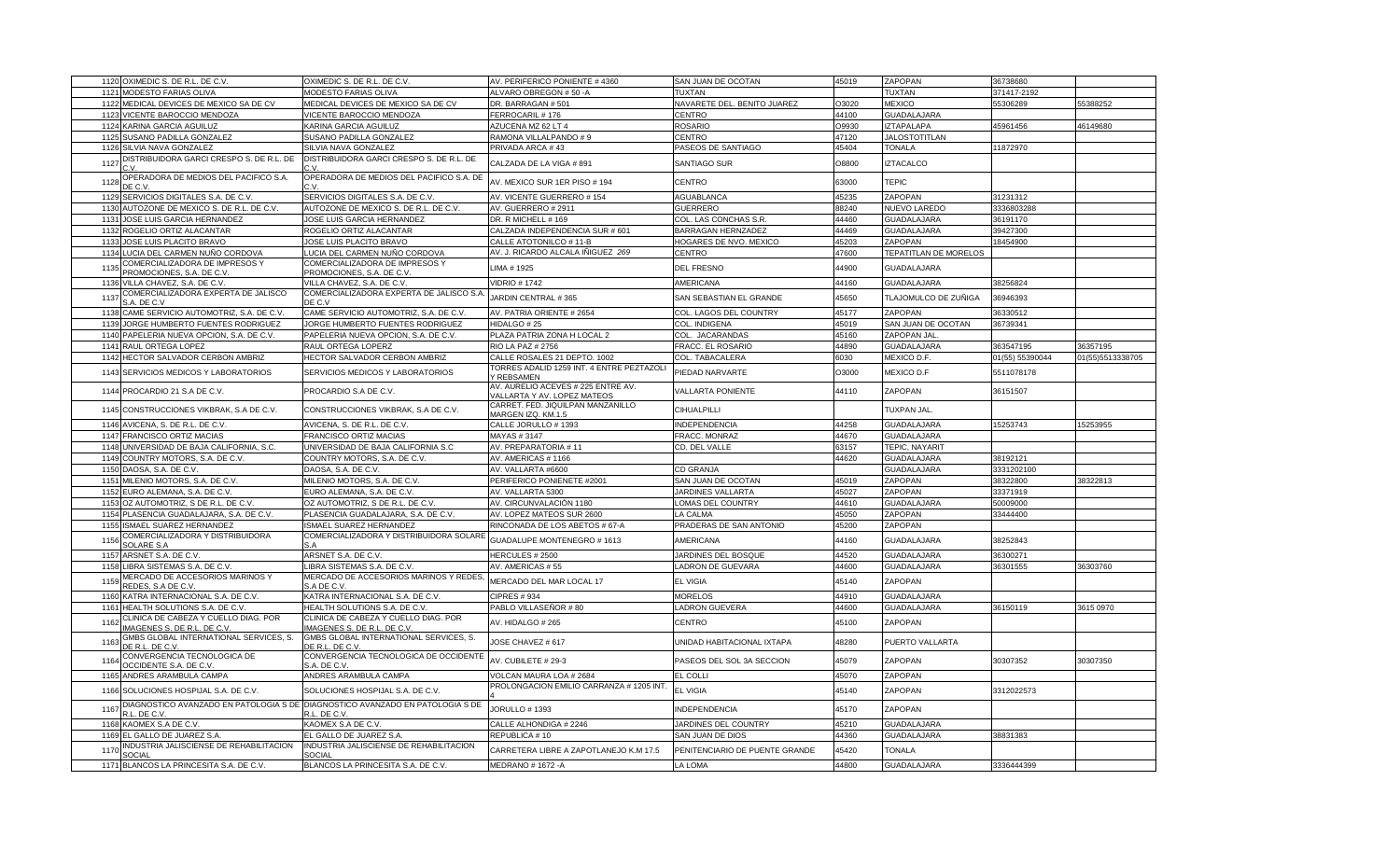|      | 1120 OXIMEDIC S. DE R.L. DE C.V.                                                        | OXIMEDIC S. DE R.L. DE C.V                                                  | AV. PERIFERICO PONIENTE # 4360                                    | SAN JUAN DE OCOTAN                                 | 45019          | ZAPOPAN                      | 36738680        |                  |
|------|-----------------------------------------------------------------------------------------|-----------------------------------------------------------------------------|-------------------------------------------------------------------|----------------------------------------------------|----------------|------------------------------|-----------------|------------------|
| 1121 | <b>MODESTO FARIAS OLIVA</b>                                                             | MODESTO FARIAS OLIVA                                                        | ALVARO OBREGON # 50 -A                                            | TUXTAN                                             |                | TUXTAN                       | 371417-2192     |                  |
|      | 1122 MEDICAL DEVICES DE MEXICO SA DE CV                                                 | MEDICAL DEVICES DE MEXICO SA DE CV                                          | DR. BARRAGAN # 501                                                | NAVARETE DEL. BENITO JUAREZ                        | O3020          | <b>MEXICO</b>                | 55306289        | 55388252         |
| 1123 | VICENTE BAROCCIO MENDOZA                                                                | VICENTE BAROCCIO MENDOZA                                                    | FERROCARIL # 176                                                  | CENTRO                                             | 44100          | <b>GUADALAJARA</b>           |                 |                  |
|      | 1124 KARINA GARCIA AGUILUZ                                                              | KARINA GARCIA AGUILUZ                                                       | AZUCENA MZ 62 LT 4                                                | <b>ROSARIO</b>                                     | O9930          | <b>IZTAPALAPA</b>            | 45961456        | 46149680         |
| 1125 | SUSANO PADILLA GONZALEZ                                                                 | SUSANO PADILLA GONZALEZ                                                     | RAMONA VILLALPANDO # 9                                            | <b>CENTRO</b>                                      | 47120          | <b>JALOSTOTITLAN</b>         |                 |                  |
| 1126 | SILVIA NAVA GONZALEZ                                                                    | SILVIA NAVA GONZALEZ                                                        | PRIVADA ARCA #43                                                  | PASEOS DE SANTIAGO                                 | 45404          | <b>TONALA</b>                | 11872970        |                  |
| 1127 | DISTRIBUIDORA GARCI CRESPO S. DE R.L. DE                                                | DISTRIBUIDORA GARCI CRESPO S. DE R.L. DE                                    | CALZADA DE LA VIGA # 891                                          | <b>SANTIAGO SUR</b>                                | 08800          | <b>IZTACALCO</b>             |                 |                  |
| 1128 | OPERADORA DE MEDIOS DEL PACIFICO S.A.<br>IF C.V                                         | OPERADORA DE MEDIOS DEL PACIFICO S.A. DE                                    | AV. MEXICO SUR 1ER PISO # 194                                     | CENTRO                                             | 63000          | <b>TEPIC</b>                 |                 |                  |
|      | 1129 SERVICIOS DIGITALES S.A. DE C.V.                                                   | SERVICIOS DIGITALES S.A. DE C.V.                                            | AV. VICENTE GUERRERO # 154                                        | <b>AGUABLANCA</b>                                  | 45235          | ZAPOPAN                      | 31231312        |                  |
| 1130 | AUTOZONE DE MEXICO S. DE R.L. DE C.V.                                                   | AUTOZONE DE MEXICO S. DE R.L. DE C.V.                                       | AV. GUERRERO # 2911                                               | <b>GUERRERO</b>                                    | 88240          | NUEVO LAREDO                 | 3336803288      |                  |
|      | 1131 JOSE LUIS GARCIA HERNANDEZ                                                         | JOSE LUIS GARCIA HERNANDEZ                                                  | DR. R MICHELL # 169                                               | COL. LAS CONCHAS S.R.                              | 44460          | GUADALAJARA                  | 36191170        |                  |
| 1132 | ROGELIO ORTIZ ALACANTAR                                                                 | ROGELIO ORTIZ ALACANTAR                                                     | CALZADA INDEPENDENCIA SUR # 601                                   | BARRAGAN HERNZADEZ                                 | 44469          | GUADALAJARA                  | 39427300        |                  |
| 1133 | JOSE LUIS PLACITO BRAVO                                                                 | JOSE LUIS PLACITO BRAVO                                                     | CALLE ATOTONILCO # 11-B                                           | HOGARES DE NVO. MEXICO                             | 45203          | ZAPOPAN                      | 18454900        |                  |
|      |                                                                                         |                                                                             |                                                                   |                                                    |                | TEPATITLAN DE MORELOS        |                 |                  |
|      | 1134 LUCIA DEL CARMEN NUÑO CORDOVA                                                      | LUCIA DEL CARMEN NUÑO CORDOVA                                               | AV. J. RICARDO ALCALA IÑIGUEZ 269                                 | CENTRO                                             | 47600          |                              |                 |                  |
| 1135 | COMERCIALIZADORA DE IMPRESOS Y<br>PROMOCIONES, S.A. DE C.V                              | COMERCIALIZADORA DE IMPRESOS Y<br>PROMOCIONES, S.A. DE C.V                  | IMA # 1925                                                        | <b>DEL FRESNO</b>                                  | 44900          | <b>GUADALAJARA</b>           |                 |                  |
| 1136 | VILLA CHAVEZ, S.A. DE C.V.                                                              | VILLA CHAVEZ, S.A. DE C.V.                                                  | /IDRIO # 1742                                                     | AMERICANA                                          | 44160          | GUADALAJARA                  | 38256824        |                  |
| 1137 | COMERCIALIZADORA EXPERTA DE JALISCO<br>S.A. DE C.V                                      | COMERCIALIZADORA EXPERTA DE JALISCO S.A<br>DE C.V                           | ARDIN CENTRAL #365                                                | SAN SEBASTIAN EL GRANDE                            | 45650          | TLAJOMULCO DE ZUÑIGA         | 36946393        |                  |
| 1138 | CAME SERVICIO AUTOMOTRIZ, S.A. DE C.V.                                                  | CAME SERVICIO AUTOMOTRIZ, S.A. DE C.V.                                      | AV. PATRIA ORIENTE # 2654                                         | COL. LAGOS DEL COUNTRY                             | 45177          | ZAPOPAN                      | 36330512        |                  |
| 1139 | JORGE HUMBERTO FUENTES RODRIGUEZ                                                        | JORGE HUMBERTO FUENTES RODRIGUEZ                                            | <b>HIDALGO #25</b>                                                | COL. INDIGENA                                      | 45019          | SAN JUAN DE OCOTAN           | 36739341        |                  |
| 1140 | PAPELERIA NUEVA OPCION, S.A. DE C.V                                                     | PAPELERIA NUEVA OPCION, S.A. DE C.V.                                        | PLAZA PATRIA ZONA H LOCAL 2                                       | COL. JACARANDAS                                    | 45160          | ZAPOPAN JAL                  |                 |                  |
|      | 1141 RAUL ORTEGA LOPEZ                                                                  | RAUL ORTEGA LOPERZ                                                          | RIO LA PAZ # 2756                                                 | FRACC. EL ROSARIO                                  | 44890          | GUADALAJARA                  | 363547195       | 36357195         |
|      | 1142 HECTOR SALVADOR CERBON AMBRIZ                                                      | HECTOR SALVADOR CERBON AMBRIZ                                               | CALLE ROSALES 21 DEPTO. 1002                                      | COL. TABACALERA                                    | 6030           | MEXICO D.F                   | 01(55) 55390044 | 01(55)5513338705 |
|      | 1143 SERVICIOS MEDICOS Y LABORATORIOS                                                   | SERVICIOS MEDICOS Y LABORATORIOS                                            | TORRES ADALID 1259 INT. 4 ENTRE PEZTAZOLI<br>' REBSAMEN           | PIEDAD NARVARTE                                    | 03000          | MEXICO D.F                   | 5511078178      |                  |
|      | 1144 PROCARDIO 21 S.A DE C.V.                                                           | PROCARDIO S.A DE C.V.                                                       | AV. AURELIO ACEVES # 225 ENTRE AV.<br>/ALLARTA Y AV. LOPEZ MATEOS | <b>VALLARTA PONIENTE</b>                           | 44110          | ZAPOPAN                      | 36151507        |                  |
|      | 1145 CONSTRUCCIONES VIKBRAK, S.A DE C.V.                                                | CONSTRUCCIONES VIKBRAK, S.A DE C.V.                                         | CARRET. FED. JIQUILPAN MANZANILLO<br>MARGEN IZQ. KM.1.5           | CIHUALPILLI                                        |                | TUXPAN JAL.                  |                 |                  |
| 1146 | AVICENA, S. DE R.L. DE C.V.                                                             | AVICENA, S. DE R.L. DE C.V                                                  | CALLE JORULLO # 1393                                              | INDEPENDENCIA                                      | 44258          | <b>GUADALAJARA</b>           | 15253743        | 15253955         |
|      | 1147 FRANCISCO ORTIZ MACIAS                                                             | FRANCISCO ORTIZ MACIAS                                                      | MAYAS #3147                                                       | FRACC. MONRAZ                                      | 44670          | GUADALAJARA                  |                 |                  |
|      | 1148 UNIVERSIDAD DE BAJA CALIFORNIA, S.C.                                               | UNIVERSIDAD DE BAJA CALIFORNIA S.C                                          | AV. PREPARATORIA #11                                              | CD. DEL VALLE                                      | 63157          | TEPIC, NAYARIT               |                 |                  |
|      | 1149 COUNTRY MOTORS, S.A. DE C.V.                                                       | COUNTRY MOTORS, S.A. DE C.V.                                                | AV. AMERICAS # 1166                                               |                                                    | 44620          | <b>GUADALAJARA</b>           | 38192121        |                  |
|      | 1150 DAOSA, S.A. DE C.V.                                                                | DAOSA, S.A. DE C.V.                                                         | AV. VALLARTA #6600                                                | <b>CD GRANJA</b>                                   |                | GUADALAJARA                  | 3331202100      |                  |
| 1151 | MILENIO MOTORS, S.A. DE C.V.                                                            | MILENIO MOTORS, S.A. DE C.V.                                                | PERIFERICO PONIENETE #2001                                        | SAN JUAN DE OCOTAN                                 | 45019          | ZAPOPAN                      | 38322800        | 38322813         |
|      | 1152 EURO ALEMANA, S.A. DE C.V.                                                         | EURO ALEMANA, S.A. DE C.V.                                                  | AV. VALLARTA 5300                                                 | JARDINES VALLARTA                                  | 45027          | ZAPOPAN                      | 33371919        |                  |
| 1153 | OZ AUTOMOTRIZ, S DE R.L. DE C.V.                                                        | OZ AUTOMOTRIZ, S DE R.L. DE C.V.                                            | AV. CIRCUNVALACIÓN 1180                                           | LOMAS DEL COUNTRY                                  | 44610          | <b>GUADALAJARA</b>           | 50009000        |                  |
|      | PLASENCIA GUADALAJARA, S.A. DE C.V.                                                     |                                                                             | AV. LOPEZ MATEOS SUR 2600                                         | LA CALMA                                           | 45050          | ZAPOPAN                      | 33444400        |                  |
| 1154 |                                                                                         | PLASENCIA GUADALAJARA, S.A. DE C.V.                                         |                                                                   |                                                    |                |                              |                 |                  |
| 1155 | <b>SMAEL SUAREZ HERNANDEZ</b>                                                           | <b>ISMAEL SUAREZ HERNANDEZ</b>                                              | RINCONADA DE LOS ABETOS # 67-A                                    | PRADERAS DE SAN ANTONIO                            | 45200          | ZAPOPAN                      |                 |                  |
| 1156 | COMERCIALIZADORA Y DISTRIBUIDORA<br><b>SOLARE S.A</b>                                   | COMERCIALIZADORA Y DISTRIBUIDORA SOLARE                                     | GUADALUPE MONTENEGRO # 1613                                       | AMERICANA                                          | 44160          | <b>GUADALAJARA</b>           | 38252843        |                  |
| 1157 | ARSNET S.A. DE C.V.                                                                     | ARSNET S.A. DE C.V                                                          | <b>IERCULES # 2500</b>                                            | JARDINES DEL BOSQUE                                | 44520          | GUADALAJARA                  | 36300271        |                  |
| 1158 | LIBRA SISTEMAS S.A. DE C.V.                                                             | IBRA SISTEMAS S.A. DE C.V.                                                  | AV. AMERICAS # 55                                                 | LADRON DE GUEVARA                                  | 44600          | GUADALAJARA                  | 36301555        | 36303760         |
| 1159 | MERCADO DE ACCESORIOS MARINOS Y<br>REDES, S.A DE C.V.                                   | MERCADO DE ACCESORIOS MARINOS Y REDES<br>S.A DE C.V.                        | MERCADO DEL MAR LOCAL 17                                          | <b>EL VIGIA</b>                                    | 45140          | ZAPOPAN                      |                 |                  |
|      | 1160 KATRA INTERNACIONAL S.A. DE C.V.                                                   | KATRA INTERNACIONAL S.A. DE C.V.                                            | <b>CIPRES # 934</b>                                               | <b>MORELOS</b>                                     | 44910          | <b>GUADALAJARA</b>           |                 |                  |
| 1161 | HEALTH SOLUTIONS S.A. DE C.V.                                                           | HEALTH SOLUTIONS S.A. DE C.V                                                | PABLO VILLASEÑOR # 80                                             | LADRON GUEVERA                                     | 44600          | <b>GUADALAJARA</b>           | 36150119        | 3615 0970        |
| 1162 | CLINICA DE CABEZA Y CUELLO DIAG. POR<br><u>MAGENES S. DE R.L. DE C.V.</u>               | CLINICA DE CABEZA Y CUELLO DIAG. POR<br>MAGENES S. DE R.L. DE C.V.          | AV. HIDALGO # 265                                                 | CENTRO                                             | 45100          | ZAPOPAN                      |                 |                  |
| 1163 | GMBS GLOBAL INTERNATIONAL SERVICES, S.<br>DE R.L. DE C.V                                | GMBS GLOBAL INTERNATIONAL SERVICES, S.<br>DE R.L. DE C.V                    | <b>JOSE CHAVEZ # 617</b>                                          | UNIDAD HABITACIONAL IXTAPA                         | 48280          | PUERTO VALLARTA              |                 |                  |
|      | CONVERGENCIA TECNOLOGICA DE                                                             | CONVERGENCIA TECNOLOGICA DE OCCIDENTE<br>S.A. DE C.V.                       | V. CUBILETE # 29-3                                                | PASEOS DEL SOL 3A SECCION                          | 45079          | ZAPOPAN                      | 30307352        | 30307350         |
| 1164 |                                                                                         |                                                                             |                                                                   | EL COLLI                                           | 45070          | ZAPOPAN                      |                 |                  |
|      | OCCIDENTE S.A. DE C.V.<br>1165 ANDRES ARAMBULA CAMPA                                    | ANDRES ARAMBULA CAMPA                                                       | /OLCAN MAURA LOA # 2684                                           |                                                    |                |                              |                 |                  |
|      | 1166 SOLUCIONES HOSPIJAL S.A. DE C.V.                                                   | SOLUCIONES HOSPIJAL S.A. DE C.V.                                            | PROLONGACION EMILIO CARRANZA # 1205 INT.                          | <b>EL VIGIA</b>                                    | 45140          | ZAPOPAN                      | 3312022573      |                  |
| 1167 | DIAGNOSTICO AVANZADO EN PATOLOGIA S DE DIAGNOSTICO AVANZADO EN PATOLOGIA S DE           |                                                                             | <b>IORULLO #1393</b>                                              | INDEPENDENCIA                                      | 45170          | ZAPOPAN                      |                 |                  |
|      | R.L. DE C.V                                                                             | R.L. D <u>E C.V</u>                                                         |                                                                   |                                                    |                |                              |                 |                  |
| 1168 | KAOMEX S.A DE C.V                                                                       | KAOMEX S.A DE C.V                                                           | ALLE ALHONDIGA # 2246                                             | <b>JARDINES DEL COUNTRY</b>                        | 45210          | GUADALAJARA                  |                 |                  |
| 1170 | 1169 EL GALLO DE JUAREZ S.A<br>INDUSTRIA JALISCIENSE DE REHABILITACION<br><b>SOCIAL</b> | EL GALLO DE JUAREZ S.A.<br>INDUSTRIA JALISCIENSE DE REHABILITACION<br>SOCIA | REPUBLICA #10<br>ARRETERA LIBRE A ZAPOTLANEJO K.M 17.5            | SAN JUAN DE DIOS<br>PENITENCIARIO DE PUENTE GRANDE | 44360<br>45420 | GUADALAJARA<br><b>TONALA</b> | 38831383        |                  |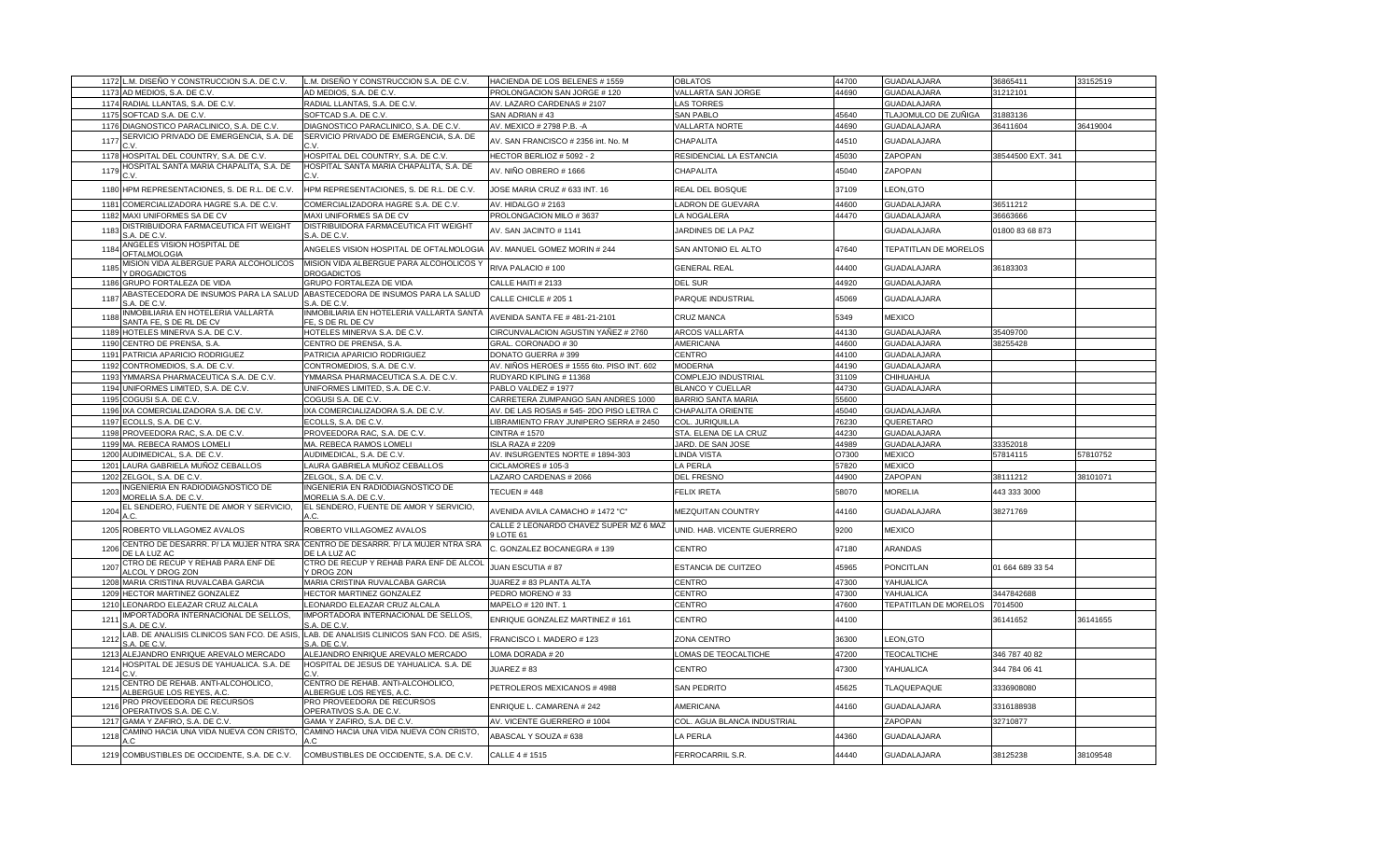| 1172<br>L.M. DISEÑO Y CONSTRUCCION S.A. DE C.V.                                                         | L.M. DISEÑO Y CONSTRUCCION S.A. DE C.V.                       | HACIENDA DE LOS BELENES # 1559                    | <b>OBLATOS</b>              | 44700 | <b>GUADALAJARA</b>    | 36865411          | 33152519 |
|---------------------------------------------------------------------------------------------------------|---------------------------------------------------------------|---------------------------------------------------|-----------------------------|-------|-----------------------|-------------------|----------|
| 1173 AD MEDIOS, S.A. DE C.V.                                                                            | AD MEDIOS, S.A. DE C.V.                                       | PROLONGACION SAN JORGE #120                       | VALLARTA SAN JORGE          | 44690 | GUADALAJARA           | 31212101          |          |
| 1174 RADIAL LLANTAS, S.A. DE C.V.                                                                       | RADIAL LLANTAS, S.A. DE C.V.                                  | AV. LAZARO CARDENAS # 2107                        | <b>LAS TORRES</b>           |       | <b>GUADALAJARA</b>    |                   |          |
| 1175 SOFTCAD S.A. DE C.V                                                                                | SOFTCAD S.A. DE C.V                                           | SAN ADRIAN #43                                    | <b>SAN PABLO</b>            | 45640 | TLAJOMULCO DE ZUÑIGA  | 31883136          |          |
| 1176 DIAGNOSTICO PARACLINICO, S.A. DE C.V                                                               | DIAGNOSTICO PARACLINICO, S.A. DE C.V                          | AV. MEXICO # 2798 P.B. - A                        | <b>VALLARTA NORTE</b>       | 44690 | <b>GUADALAJARA</b>    | 36411604          | 36419004 |
| SERVICIO PRIVADO DE EMERGENCIA, S.A. DE<br>1177                                                         | SERVICIO PRIVADO DE EMERGENCIA, S.A. DE<br>C.V                | AV. SAN FRANCISCO # 2356 int. No. M               | CHAPALITA                   | 44510 | <b>GUADALAJARA</b>    |                   |          |
| 1178<br>HOSPITAL DEL COUNTRY, S.A. DE C.V                                                               | HOSPITAL DEL COUNTRY, S.A. DE C.V                             | HECTOR BERLIOZ # 5092 - 2                         | RESIDENCIAL LA ESTANCIA     | 45030 | ZAPOPAN               | 38544500 EXT. 341 |          |
| HOSPITAL SANTA MARIA CHAPALITA, S.A. DE<br>1179                                                         | HOSPITAL SANTA MARIA CHAPALITA, S.A. DE                       | AV. NIÑO OBRERO # 1666                            | CHAPALITA                   | 45040 | ZAPOPAN               |                   |          |
| 1180 HPM REPRESENTACIONES, S. DE R.L. DE C.V.                                                           | HPM REPRESENTACIONES, S. DE R.L. DE C.V.                      | JOSE MARIA CRUZ # 633 INT. 16                     | REAL DEL BOSQUE             | 37109 | LEON, GTO             |                   |          |
| COMERCIALIZADORA HAGRE S.A. DE C.V<br>1181                                                              | COMERCIALIZADORA HAGRE S.A. DE C.V                            | AV. HIDALGO # 2163                                | LADRON DE GUEVARA           | 44600 | GUADALAJARA           | 36511212          |          |
| 1182 MAXI UNIFORMES SA DE CV                                                                            | MAXI UNIFORMES SA DE CV                                       | PROLONGACION MILO #3637                           | LA NOGALERA                 | 44470 | <b>GUADALAJARA</b>    | 36663666          |          |
| DISTRIBUIDORA FARMACEUTICA FIT WEIGHT<br>1183<br><b>S.A. DE C.V.</b>                                    | DISTRIBUIDORA FARMACEUTICA FIT WEIGHT<br>S.A. DE C.V.         | AV. SAN JACINTO #1141                             | JARDINES DE LA PAZ          |       | <b>GUADALAJARA</b>    | 01800 83 68 873   |          |
| ANGELES VISION HOSPITAL DE<br>1184<br><b>OFTALMOLOGIA</b>                                               | ANGELES VISION HOSPITAL DE OFTALMOLOGIA                       | AV. MANUEL GOMEZ MORIN # 244                      | SAN ANTONIO EL ALTO         | 47640 | TEPATITLAN DE MORELOS |                   |          |
| MISION VIDA ALBERGUE PARA ALCOHOLICOS<br>1185<br>Y DROGADICTOS                                          | MISION VIDA ALBERGUE PARA ALCOHOLICOS Y<br><b>DROGADICTOS</b> | RIVA PALACIO #100                                 | <b>GENERAL REAL</b>         | 14400 | <b>GUADALAJARA</b>    | 36183303          |          |
| 1186 GRUPO FORTALEZA DE VIDA                                                                            | GRUPO FORTALEZA DE VIDA                                       | CALLE HAITI # 2133                                | <b>DEL SUR</b>              | 44920 | GUADALAJARA           |                   |          |
| ABASTECEDORA DE INSUMOS PARA LA SALUD ABASTECEDORA DE INSUMOS PARA LA SALUD<br>1187<br>S.A. DE C.V.     | S.A. DE C.V                                                   | CALLE CHICLE # 205 1                              | PARQUE INDUSTRIAL           | 45069 | <b>GUADALAJARA</b>    |                   |          |
| INMOBILIARIA EN HOTELERIA VALLARTA<br>1188<br>SANTA FE, S DE RL DE CV                                   | INMOBILIARIA EN HOTELERIA VALLARTA SANTA<br>FE, S DE RL DE CV | AVENIDA SANTA FE #481-21-2101                     | CRUZ MANCA                  | 5349  | <b>MEXICO</b>         |                   |          |
| 1189 HOTELES MINERVA S.A. DE C.V.                                                                       | HOTELES MINERVA S.A. DE C.V.                                  | CIRCUNVALACION AGUSTIN YAÑEZ # 2760               | ARCOS VALLARTA              | 44130 | <b>GUADALAJARA</b>    | 35409700          |          |
| 1190 CENTRO DE PRENSA, S.A.                                                                             | CENTRO DE PRENSA, S.A.                                        | GRAL. CORONADO #30                                | AMERICANA                   | 44600 | <b>GUADALAJARA</b>    | 38255428          |          |
| 1191 PATRICIA APARICIO RODRIGUEZ                                                                        | PATRICIA APARICIO RODRIGUEZ                                   | DONATO GUERRA #399                                | CENTRO                      | 44100 | <b>GUADALAJARA</b>    |                   |          |
| 1192<br>CONTROMEDIOS, S.A. DE C.V                                                                       | CONTROMEDIOS, S.A. DE C.V                                     | AV. NIÑOS HEROES # 1555 6to. PISO INT. 602        | <b>MODERNA</b>              | 44190 | <b>GUADALAJARA</b>    |                   |          |
| YMMARSA PHARMACEUTICA S.A. DE C.V.<br>1193                                                              | YMMARSA PHARMACEUTICA S.A. DE C.V.                            | RUDYARD KIPLING #11368                            | COMPLEJO INDUSTRIAL         | 31109 | CHIHUAHUA             |                   |          |
| 1194 UNIFORMES LIMITED, S.A. DE C.V.                                                                    | UNIFORMES LIMITED, S.A. DE C.V.                               | PABLO VALDEZ #1977                                | <b>BLANCO Y CUELLAR</b>     | 44730 | <b>GUADALAJARA</b>    |                   |          |
| 1195 COGUSI S.A. DE C.V.                                                                                | COGUSI S.A. DE C.V.                                           | CARRETERA ZUMPANGO SAN ANDRES 1000                | <b>BARRIO SANTA MARIA</b>   | 55600 |                       |                   |          |
| 1196 IXA COMERCIALIZADORA S.A. DE C.V.                                                                  | IXA COMERCIALIZADORA S.A. DE C.V.                             | AV. DE LAS ROSAS # 545-2DO PISO LETRA C           | CHAPALITA ORIENTE           | 45040 | <b>GUADALAJARA</b>    |                   |          |
| 1197 ECOLLS, S.A. DE C.V                                                                                | ECOLLS, S.A. DE C.V.                                          | LIBRAMIENTO FRAY JUNIPERO SERRA # 2450            | COL. JURIQUILLA             | 76230 | QUERETARO             |                   |          |
| 1198 PROVEEDORA RAC, S.A. DE C.V.                                                                       | PROVEEDORA RAC, S.A. DE C.V.                                  | <b>CINTRA #1570</b>                               | STA. ELENA DE LA CRUZ       | 14230 | <b>GUADALAJARA</b>    |                   |          |
| 1199 MA. REBECA RAMOS LOMELI                                                                            | MA. REBECA RAMOS LOMELI                                       | ISLA RAZA # 2209                                  | JARD. DE SAN JOSE           | 44989 | <b>GUADALAJARA</b>    | 33352018          |          |
| 1200 AUDIMEDICAL, S.A. DE C.V.                                                                          | AUDIMEDICAL, S.A. DE C.V.                                     | AV. INSURGENTES NORTE # 1894-303                  | LINDA VISTA                 | O7300 | <b>MEXICO</b>         | 57814115          | 57810752 |
| 1201 LAURA GABRIELA MUÑOZ CEBALLOS                                                                      | LAURA GABRIELA MUÑOZ CEBALLOS                                 | CICLAMORES # 105-3                                | LA PERLA                    | 57820 | <b>MEXICO</b>         |                   |          |
| 1202 ZELGOL, S.A. DE C.V.                                                                               | ZELGOL, S.A. DE C.V.                                          | LAZARO CARDENAS # 2066                            | <b>DEL FRESNO</b>           | 44900 | ZAPOPAN               | 38111212          | 38101071 |
| INGENIERIA EN RADIODIAGNOSTICO DE<br>1203<br>MORELIA S.A. DE C.V                                        | INGENIERIA EN RADIODIAGNOSTICO DE<br>MORELIA S.A. DE C.V      | TECUEN #448                                       | <b>FELIX IRETA</b>          | 58070 | <b>MORELIA</b>        | 443 333 3000      |          |
| EL SENDERO, FUENTE DE AMOR Y SERVICIO,<br>1204                                                          | EL SENDERO, FUENTE DE AMOR Y SERVICIO,                        | AVENIDA AVILA CAMACHO # 1472 "C"                  | <b>MEZQUITAN COUNTRY</b>    | 44160 | <b>GUADALAJARA</b>    | 38271769          |          |
| 1205 ROBERTO VILLAGOMEZ AVALOS                                                                          | ROBERTO VILLAGOMEZ AVALOS                                     | CALLE 2 LEONARDO CHAVEZ SUPER MZ 6 MAZ<br>LOTE 61 | UNID. HAB. VICENTE GUERRERO | 9200  | <b>MEXICO</b>         |                   |          |
| CENTRO DE DESARRR. P/ LA MUJER NTRA SRA CENTRO DE DESARRR. P/ LA MUJER NTRA SRA<br>1206<br>DE LA LUZ AC | DE LA LUZ AC                                                  | C. GONZALEZ BOCANEGRA #139                        | CENTRO                      | 47180 | ARANDAS               |                   |          |
| CTRO DE RECUP Y REHAB PARA ENF DE<br>1207<br>ALCOL Y DROG ZON                                           | CTRO DE RECUP Y REHAB PARA ENF DE ALCOI<br>Y DROG ZON         | <b>IUAN ESCUTIA # 87</b>                          | ESTANCIA DE CUITZEO         | 45965 | <b>PONCITLAN</b>      | 01 664 689 33 54  |          |
| 1208 MARIA CRISTINA RUVALCABA GARCIA                                                                    | MARIA CRISTINA RUVALCABA GARCIA                               | JUAREZ # 83 PLANTA ALTA                           | CENTRO                      | 47300 | YAHUALICA             |                   |          |
| HECTOR MARTINEZ GONZALEZ<br>1209                                                                        | HECTOR MARTINEZ GONZALEZ                                      | PEDRO MORENO #33                                  | CENTRO                      | 47300 | YAHUALICA             | 3447842688        |          |
| 1210 LEONARDO ELEAZAR CRUZ ALCALA                                                                       | LEONARDO ELEAZAR CRUZ ALCALA                                  | MAPELO # 120 INT. 1                               | CENTRO                      | 47600 | TEPATITLAN DE MORELOS | 7014500           |          |
| <b>IMPORTADORA INTERNACIONAL DE SELLOS,</b><br>121<br>S.A. DE C.V.                                      | IMPORTADORA INTERNACIONAL DE SELLOS,<br>S.A. DE C.V           | ENRIQUE GONZALEZ MARTINEZ #161                    | CENTRO                      | 44100 |                       | 36141652          | 36141655 |
| LAB. DE ANALISIS CLINICOS SAN FCO. DE ASIS<br>1212<br>S.A. DE C.V                                       | LAB. DE ANALISIS CLINICOS SAN FCO. DE ASIS<br>S.A. DE C.V     | FRANCISCO I. MADERO #123                          | ZONA CENTRO                 | 36300 | LEON, GTO             |                   |          |
| 1213<br>ALEJANDRO ENRIQUE AREVALO MERCADO                                                               | ALEJANDRO ENRIQUE AREVALO MERCADO                             | LOMA DORADA # 20                                  | OMAS DE TEOCALTICHE         | 47200 | <b>TEOCALTICHE</b>    | 346 787 40 82     |          |
| HOSPITAL DE JESUS DE YAHUALICA. S.A. DE<br>1214                                                         | HOSPITAL DE JESUS DE YAHUALICA. S.A. DE                       | JUAREZ # 83                                       | CENTRO                      | 47300 | YAHUALICA             | 344 784 06 41     |          |
| CENTRO DE REHAB. ANTI-ALCOHOLICO,<br>1215<br>ALBERGUE LOS REYES, A.C                                    | CENTRO DE REHAB. ANTI-ALCOHOLICO,<br>ALBERGUE LOS REYES, A.C  | PETROLEROS MEXICANOS # 4988                       | SAN PEDRITO                 | 45625 | TLAQUEPAQUE           | 3336908080        |          |
| PRO PROVEEDORA DE RECURSOS<br>121<br>OPERATIVOS S.A. DE C.V.                                            | PRO PROVEEDORA DE RECURSOS<br>OPERATIVOS S.A. DE C.V.         | ENRIQUE L. CAMARENA # 242                         | AMERICANA                   | 44160 | <b>GUADALAJARA</b>    | 3316188938        |          |
| 1217<br>GAMA Y ZAFIRO, S.A. DE C.V                                                                      | GAMA Y ZAFIRO, S.A. DE C.V                                    | AV. VICENTE GUERRERO # 1004                       | COL. AGUA BLANCA INDUSTRIAL |       | ZAPOPAN               | 32710877          |          |
| CAMINO HACIA UNA VIDA NUEVA CON CRISTO,<br>1218                                                         | CAMINO HACIA UNA VIDA NUEVA CON CRISTO,<br>A.C                | ABASCAL Y SOUZA # 638                             | LA PERLA                    | 44360 | GUADALAJARA           |                   |          |
| 1219 COMBUSTIBLES DE OCCIDENTE, S.A. DE C.V.                                                            | COMBUSTIBLES DE OCCIDENTE, S.A. DE C.V.                       | CALLE 4 # 1515                                    | FERROCARRIL S.R.            | 14440 | GUADALAJARA           | 38125238          | 38109548 |